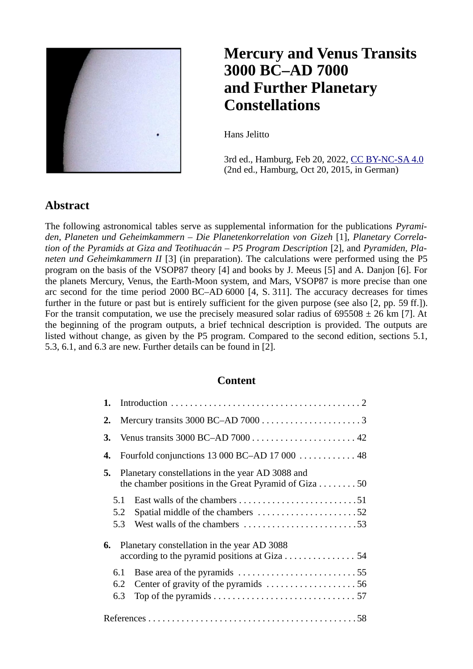

#### **Mercury and Venus Transits 3000 BC‒AD 7000 and Further Planetary Constellations**

Hans Jelitto

3rd ed., Hamburg, Feb 20, 2022, [CC BY-NC-SA 4.0](https://creativecommons.org/licenses/by-nc-sa/4.0/) (2nd ed., Hamburg, Oct 20, 2015, in German)

#### **Abstract**

The following astronomical tables serve as supplemental information for the publications *Pyramiden, Planeten und Geheimkammern ‒ Die Planetenkorrelation von Gizeh* [1], *Planetary Correlation of the Pyramids at Giza and Teotihuacán ‒ P5 Program Description* [2], and *Pyramiden, Planeten und Geheimkammern II* [3] (in preparation). The calculations were performed using the P5 program on the basis of the VSOP87 theory [4] and books by J. Meeus [5] and A. Danjon [6]. For the planets Mercury, Venus, the Earth-Moon system, and Mars, VSOP87 is more precise than one arc second for the time period 2000 BC–AD 6000 [4, S, 311]. The accuracy decreases for times further in the future or past but is entirely sufficient for the given purpose (see also [2, pp. 59 ff.]). For the transit computation, we use the precisely measured solar radius of  $695508 \pm 26$  km [7]. At the beginning of the program outputs, a brief technical description is provided. The outputs are listed without change, as given by the P5 program. Compared to the second edition, sections 5.1, 5.3, 6.1, and 6.3 are new. Further details can be found in [2].

#### **Content**

| 1. |                   |                                                                                                                               |
|----|-------------------|-------------------------------------------------------------------------------------------------------------------------------|
| 2. |                   |                                                                                                                               |
| З. |                   |                                                                                                                               |
| 4. |                   | Fourfold conjunctions 13 000 BC-AD 17 000 $\dots \dots \dots \dots$                                                           |
| 5. |                   | Planetary constellations in the year AD 3088 and<br>the chamber positions in the Great Pyramid of Giza $\dots \dots \dots 50$ |
|    | 5.1<br>5.2<br>5.3 | Spatial middle of the chambers 52<br>West walls of the chambers 53                                                            |
| 6. |                   | Planetary constellation in the year AD 3088<br>according to the pyramid positions at Giza 54                                  |
|    | 6.1               | Base area of the pyramids 55                                                                                                  |
|    | 6.2               | Center of gravity of the pyramids 56                                                                                          |
|    | 6.3               |                                                                                                                               |
|    |                   |                                                                                                                               |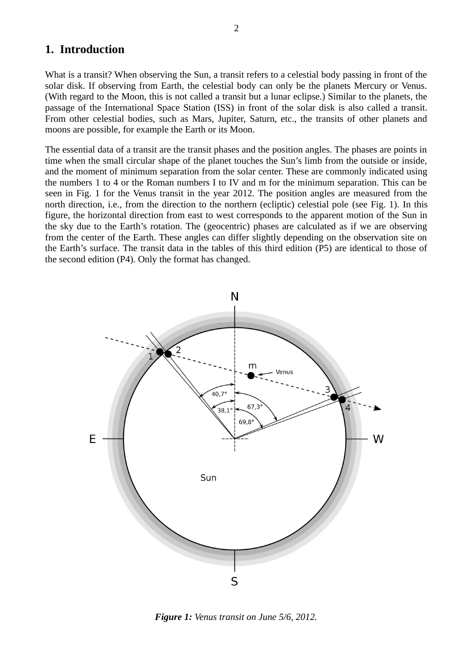#### **1. Introduction**

What is a transit? When observing the Sun, a transit refers to a celestial body passing in front of the solar disk. If observing from Earth, the celestial body can only be the planets Mercury or Venus. (With regard to the Moon, this is not called a transit but a lunar eclipse.) Similar to the planets, the passage of the International Space Station (ISS) in front of the solar disk is also called a transit. From other celestial bodies, such as Mars, Jupiter, Saturn, etc., the transits of other planets and moons are possible, for example the Earth or its Moon.

The essential data of a transit are the transit phases and the position angles. The phases are points in time when the small circular shape of the planet touches the Sun's limb from the outside or inside, and the moment of minimum separation from the solar center. These are commonly indicated using the numbers 1 to 4 or the Roman numbers I to IV and m for the minimum separation. This can be seen in Fig. 1 for the Venus transit in the year 2012. The position angles are measured from the north direction, i.e., from the direction to the northern (ecliptic) celestial pole (see Fig. 1). In this figure, the horizontal direction from east to west corresponds to the apparent motion of the Sun in the sky due to the Earth's rotation. The (geocentric) phases are calculated as if we are observing from the center of the Earth. These angles can differ slightly depending on the observation site on the Earth's surface. The transit data in the tables of this third edition (P5) are identical to those of the second edition (P4). Only the format has changed.



*Figure 1: Venus transit on June 5/6, 2012.*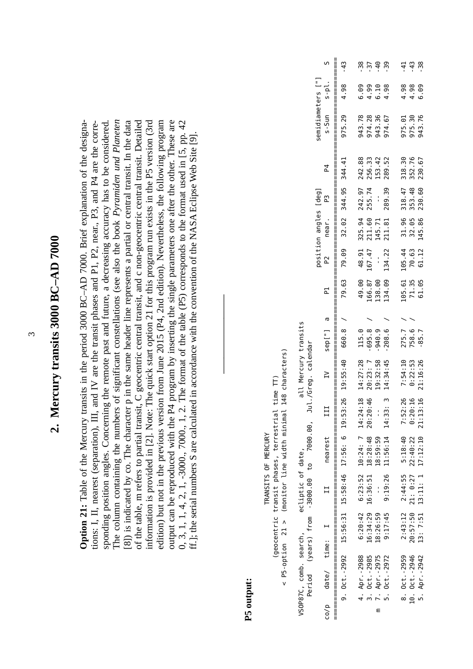# 2. Mercury transits 3000 BC-AD 7000 **2. Mercury transits 3000 BC‒AD 7000**

**Option 21:** Table of the Mercury transits in the period 3000 BC–AD 7000. Brief explanation of the designa-The column containing the numbers of significant constellations (see also the book *Pyramiden und Planeten* nformation is provided in [2]. Note: The quick start option 21 for this program run exists in the P5 version (3rd output can be reproduced with the P4 program by inserting the single parameters one after the other. These are 0, 3, 1, 4, 2, 1, -3000., 7000., 1, 2. The format of the table (P5) corresponds to the format used in [5, pp. 42 **Option 21:** Table of the Mercury transits in the period 3000 BC-AD 7000. Brief explanation of the designaions: I, II, nearest (separation), III, and IV are the transit phases and P1, P2, near., P3, and P4 are the corretions: I, II, nearest (separation), III, and IV are the transit phases and P1, P2, near., P3, and P4 are the corresponding position angles. Concerning the remote past and future, a decreasing accuracy has to be considered. The column containing the numbers of significant constellations (see also the book Pyramiden und Planeten [8]) is indicated by co. The character p in the same header line represents a partial or central transit. In the data [8]) is indicated by co. The character p in the same header line represents a partial or central transit. In the data of the table, m refers to partial transit, C geocentric central transit, and c non-geocentric central transit. Detailed of the table, m refers to partial transit, C geocentric central transit, and c non-geocentric central transit. Detailed information is provided in [2]. Note: The quick start option 21 for this program run exists in the P5 version (3rd edition) but not in the previous version from June 2015 (P4, 2nd edition). Nevertheless, the following program edition) but not in the previous version from June 2015 (P4, 2nd edition). Nevertheless, the following program output can be reproduced with the P4 program by inserting the single parameters one after the other. These are 0, 3, 1, 1, 4, 2, 1, -3000., 7000., 1, 2. The format of the table (P5) corresponds to the format used in [5, pp. 42 sponding position angles. Concerning the remote past and future, a decreasing accuracy has to be considered. ff.]; the serial numbers S are calculated in accordance with the convention of the NASA Eclipse Web Site [9]. ff.]; the serial numbers S are calculated in accordance with the convention of the NASA Eclipse Web Site [9].

### **P5 output:**

P5-option 21 > (monitor line width minimal 148 characters)  $<$  P5-option 21  $>$  (monitor line width minimal 148 characters) (geocentric transit phases, terrestrial time TT) (geocentric transit phases, terrestrial time TT) TRANSITS OF MERCURY TRANSITS OF MERCURY  $\overline{V}$ 

**――――――――――**

|                        |                                          |                       | S                  | <br>  <br>  <br>$-43$                                                                    |                                            | ن ئ<br>18 ئابان                     |                  |                                    |                                         | $-43$                                                                | $-38$                                        |
|------------------------|------------------------------------------|-----------------------|--------------------|------------------------------------------------------------------------------------------|--------------------------------------------|-------------------------------------|------------------|------------------------------------|-----------------------------------------|----------------------------------------------------------------------|----------------------------------------------|
|                        |                                          |                       |                    | 4.98                                                                                     | 6.09                                       | 4.99                                | 6.10             | 4.98                               | 4.98                                    | 4.98                                                                 | 6.09                                         |
|                        |                                          | semidiameters ["]     | $s-Sun$ $s-pl$ .   | 975.29<br>  <br>  <br>                                                                   | 943.78                                     |                                     | 974.28<br>943.36 | 974.67                             |                                         | 975.01<br>975.30                                                     | 943.76                                       |
|                        |                                          |                       | $\overline{4}$     |                                                                                          |                                            | 256.33                              | 153.42           | 289.52                             |                                         |                                                                      |                                              |
|                        |                                          |                       | P3                 | <br>  <br>  <br>                                                                         |                                            |                                     | $\frac{1}{2}$    |                                    |                                         |                                                                      | 145.86 230.60 230.67                         |
|                        |                                          | position angles [deg] | P2 near.           |                                                                                          |                                            | 211.60 255.74                       | 145.71           | 211.81 289.39                      |                                         |                                                                      |                                              |
|                        |                                          |                       |                    | 79.63 79.09 32.02 344.95 344.41<br>  <br>  <br>  <br>  <br>                              | 49.00 48.91 325.94 242.97 242.88           | 167.47                              | $\frac{1}{2}$    | 134.09 134.22                      |                                         | 105.61 105.44 31.96 318.47 318.30<br>71.35 70.63 32.05 353.48 352.76 | 61.12                                        |
|                        |                                          |                       | <u>բլ</u>          |                                                                                          |                                            | 166.87                              | 138.00           |                                    |                                         |                                                                      | 61.05                                        |
|                        |                                          |                       |                    |                                                                                          |                                            |                                     |                  |                                    |                                         |                                                                      |                                              |
|                        |                                          |                       | sep["]a            | <br>  <br>                                                                               | 115.0                                      | $-695.8$                            | $-940.9$         | $-208.6$ /                         | 275.7 /                                 | 758.6                                                                | $-85.7$                                      |
| all Mercury transits   | Jul./Greg. calendar                      |                       | $\overline{L}$     | 9, 0ct. -2992 15:56:31 15:58:46 17:56: 6 19:53:26 19:55:40 660.8 /<br>  <br>  <br>  <br> |                                            |                                     | 19:32:58         |                                    | 2:43:12 2:44:55 5:18:40 7:52:26 7:54:10 | 0:22:53                                                              |                                              |
|                        |                                          |                       | 111                |                                                                                          | 6:20:42 6:23:52 10:24: 7 14:24:18 14:27:28 | 16:36:51 18:28:48 20:20:46 20:23: 7 |                  | 9:19:26 11:56:14 14:33: 3 14:34:45 |                                         | 20:57:50 21: 0:27 22:40:22 0:20:16                                   | 13: 7:51 13:11: 1 17:12:10 21:13:16 21:16:26 |
|                        | Period (years) from -3000.00 to 7000.00, |                       | nearest            |                                                                                          |                                            |                                     | 18:59:59         |                                    |                                         |                                                                      |                                              |
| ecliptic of date,      |                                          |                       | $\mathbf{I}$       |                                                                                          |                                            |                                     | $\frac{1}{1}$    |                                    |                                         |                                                                      |                                              |
| VSOP87C, comb. search, |                                          |                       |                    |                                                                                          |                                            | 16:34:29                            | 18:26:59         | 9:17:45                            |                                         |                                                                      |                                              |
|                        |                                          |                       |                    |                                                                                          |                                            |                                     |                  |                                    |                                         |                                                                      |                                              |
|                        |                                          |                       |                    |                                                                                          | 4. Apr. -2988                              | 3. Oct. - 2985                      | m 7. Apr.-2975   | 5. Oct. - 2972                     | 8. Oct. - 2959                          | 10. Oct.-2946                                                        | 5. Apr. - 2942                               |
|                        |                                          |                       | co/p date/ time: I |                                                                                          |                                            |                                     |                  |                                    |                                         |                                                                      |                                              |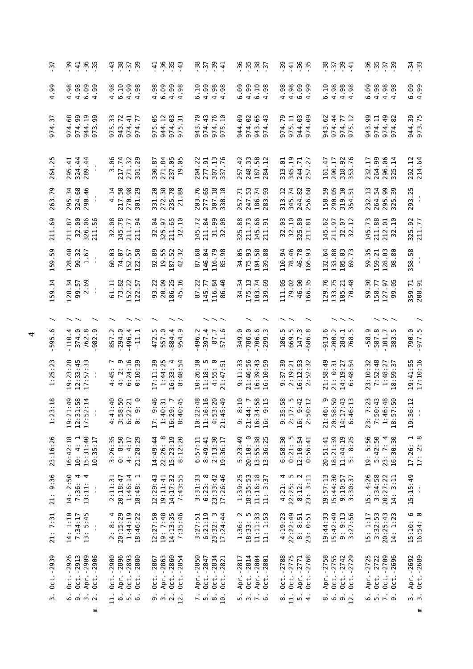| رد.                        | -39<br>4.86                                                            | ين ئا ئات<br>ئاتا ئاتا ئى                                                                                          | 4.884                                                               | 유 <sub>고</sub> 상 습<br>교 선 상 습                                                                          |                                                                           | 39499                                                                                  |                                                                       |                                                            | - 3<br>- 3<br>- 3            |
|----------------------------|------------------------------------------------------------------------|--------------------------------------------------------------------------------------------------------------------|---------------------------------------------------------------------|--------------------------------------------------------------------------------------------------------|---------------------------------------------------------------------------|----------------------------------------------------------------------------------------|-----------------------------------------------------------------------|------------------------------------------------------------|------------------------------|
| 99.<br>4                   | 4.98<br>6.09<br>4.98<br>.99                                            | 4.98<br>6.10<br>$4.99$<br>$4.98$                                                                                   | 6.09<br>$4.99$<br>$4.98$<br>4.98                                    | 6.10<br>9<br>9<br>4<br>4<br>4<br>4<br>98                                                               | 4.99<br>6.09<br>$6.10$<br>$4.98$                                          | 4.98<br>4.98<br>$6.99$<br>$4.99$                                                       | 6.10<br>4.98<br>86<br>0.98<br>44                                      | 6.09                                                       | 6.99<br>4.99                 |
| $\omega$<br>974            | .99<br>$\overline{.19}$<br>.68<br>99<br>974.<br>974<br>944<br>973      | 33<br>.72<br>$\ddot{=}$<br>77<br>943<br>974<br>975<br>974                                                          | .05<br>944.12<br>63<br>$\overline{5}$<br>974<br>975<br>975          | .43<br>76<br>.70<br>943<br>974<br>974<br>975                                                           | 944.09<br>974.02<br>65<br>$\frac{3}{4}$<br>943<br>974                     | .79<br>F<br>944.03<br>69<br>975.<br>974<br>974                                         | <b>SS</b> .<br>$\overline{4}$<br>.77<br>974.<br>943<br>974<br>975     | 99.<br>974.11<br>49<br>82<br>943<br>974<br>974             | 944.39<br>973.75             |
| بَر<br>264                 | 324.44<br>295.41<br>289.44                                             | 3.06<br>217.74<br>271.32<br>301.29                                                                                 | 271.84<br>237.05<br>.05<br>330.87<br>$\overline{a}$                 | $\frac{13}{76}$<br>.22<br>$-91$<br>204.<br>277.<br>307<br>337                                          | 248.33<br>.58<br>$\ddot{ }$<br>187<br>257<br>284                          | .19<br>.01<br>$\frac{7}{27}$<br>345.<br>313<br>244<br>57                               | 55<br>290.17<br>.76<br>$\ddot{4}$<br><u>ig</u><br>318.<br>353.        | 264.99<br>.96<br>232.17<br>.14<br>296.<br>325              | 292.12<br>214.64             |
| .79<br>263                 | 295.34<br>324.68<br>290.46                                             | 217.50<br>270.98<br>.29<br>4.14<br>301                                                                             | 272.38<br>235.78<br>21.89<br>331.20                                 | 277.65<br>307.18<br>338.18<br>203.76                                                                   | 247.53<br>186.74<br>.93<br>257.71<br>283                                  | 313.12<br>345.74<br>244.82<br>256.68                                                   | 158.59<br>290.05<br>319.10<br>354.51                                  | 295.99<br>325.39<br>232.13<br>264.54                       | 293.25<br>$\frac{1}{4}$      |
| .69<br>211                 | 32.00<br>96<br>56<br>5<br>211.<br>326.<br>211                          | 80<br>78<br><b>72</b><br>145.<br>211.1<br>32.                                                                      | S4<br>325.97<br>211.65<br>32.10<br>32.                              | .72<br>211.84<br>31.99<br>32.08<br>145                                                                 | 88<br>211.73<br>66<br>51<br>325<br>145<br>211                             | 32.10<br>80<br>ස<br>ದ<br>32.1<br>325.1                                                 | 29<br>57<br><b>S 2</b><br>211.<br>$\frac{1}{2}$ $\frac{1}{2}$<br>145  | 145.73<br>211.88<br>212.01<br>32.10                        | 325.92<br>211.77             |
| .59<br>159                 | 128.40<br>99.32<br>1.67                                                | 152.57<br>122.58<br><br>74.07<br>99                                                                                | 19.55<br>92.89<br>187.52<br>32<br>42                                | 87.68<br>146.04<br>116.79<br>98<br>85                                                                  | 34.05<br>175.93<br>$\overline{58}$<br>88<br>104<br>139                    | 110.94<br>78.46<br>46.78<br>93<br>166                                                  | 132.64<br>133.88<br>63<br>73<br>105<br>69                             | 128.03<br>59.35<br>80<br>159.21<br>98                      | 358.58<br>$\frac{1}{4}$      |
| $\overline{1}$<br>159      | 128.34<br>99.57<br>2.69                                                | 152.57<br>73.82<br>5<br>122                                                                                        | .22<br>20.09<br>$-16$<br>186.25<br>93<br>45                         | 87.22<br>116.84<br>.40<br>145.77<br>86                                                                 | 175.13<br>$\ddot{3}$<br>.74<br>34<br>103<br>$\overline{39}$               | 111.05<br>.02<br>46.90<br>$\frac{5}{2}$<br>79<br>166                                   | .76<br>133.75<br>.48<br>$\ddot{2}$<br>129<br>105<br>70                | <br>5.58<br>58<br>127<br>50<br>99                          | 359.71<br>208.91             |
|                            |                                                                        |                                                                                                                    |                                                                     |                                                                                                        |                                                                           |                                                                                        |                                                                       |                                                            |                              |
| <u>م</u> .<br>595          | 374.0<br>4.<br>$\infty$<br><u>ო</u><br>110.<br>762<br>982              | 857.2<br>294.0<br>496.4<br>Ę                                                                                       | <u>ං</u><br>884.4<br>ņ<br>472<br>557<br>954                         | $-397.4$<br>496.2<br>$\overline{\cdot}$<br><u>ی</u><br>67<br>571                                       | 786.0<br>349.0<br>706.6                                                   | 186.5<br>669.5<br>147.3<br>686                                                         | 913.6<br>200.2<br>284.1<br>768.5                                      | 587.8<br>$-58.9$<br>$\overline{\phantom{a}}$<br>101<br>383 | 5.275<br>0.062               |
| $\ddot{2}$<br>1:25         | $19:23:28$<br>$12:33:45$<br>$\frac{33}{2}$<br>$\overline{5}$<br>$17$ : | $4:45:7$<br>$4:2:9$<br>$6:24:16$<br>$0:10:39$<br>: 10:39                                                           | 17:11:39<br>$16:33:4$<br>$8:4^{\circ}$                              | 10:26:30<br>m<br>⊝<br>$\overline{5}$<br>11:18:<br>4:55:<br>21:47                                       | 9:11:33<br>21:46:56<br>16:39:43<br>16:10:59                               | $16:12:53$<br>$2:52:32$<br>9:37:39<br>2:19:21                                          | 21:58:49<br>0:31<br>14:19:27<br>6:48:54<br>$\frac{1}{2}$              | 23:10:32<br>7:52:48<br>$1:48:27$<br>$18:59:37$             | 19:41:55<br>17:10:16         |
| : 18<br>ω<br>$\frac{1}{2}$ | 19:21:49<br>12:31:58<br>17:52:14<br>$\blacksquare$                     | $\begin{array}{c} 2 & 0 & 0 \\ 0 & 0 & 0 \\ 0 & 0 & 0 \end{array}$<br>$4000$<br>$4000$<br>$4000$<br>$400$<br>$400$ | $17: 9:46$<br>$1:40:31$<br>$16:29:7$<br>8:40:45<br>$\overline{U}$ : | $\ddot{3}$<br>: 16<br>$\frac{20}{11}$<br>$\begin{array}{c} 10:22\\ 11:16\\ 4:53\\ 21:45\\ \end{array}$ | $\frac{10}{11}$<br>$\frac{1}{2}$ 58                                       | $50 - 42$<br>$0 - 42$<br>$0 - 22$<br>9:35<br>2:17<br>2:50:<br>2:50:<br>$16:3$<br>$2:5$ | 21:46: 9<br>20:58:50<br>$\frac{3}{4}$ $\frac{13}{4}$<br>14:17<br>6:46 | :23<br>7:50:43<br>1:46:48<br>18:57:50<br>7<br>23:          | :12<br>19:36<br>$\mathbf{I}$ |
| 23:16:26                   | 15:31:40<br>16:42:18<br>10: 4: 1<br>10:35:17                           | $3:26:35$<br>$0:8:50$<br>4: 4:17<br>21:28:29                                                                       | 22:26: 8<br>15:23:19<br>8:12:20<br>14:49:44                         | 2:13:30<br>6:57:11<br>8:49:41<br>19:36:17                                                              | 20:10: 0<br>13:55:38<br>13:36:25<br>5:23:49                               | 6:58:30<br>0:21:5<br>12:10:54<br>0:56:41                                               | 18:21:39<br>$11:44:19$<br>5: 8:25<br>20:51:41                         | 19: 5:56<br>5:42:50<br>23:7:4<br>16:30:30                  | $17:26:1$<br>$17:2:8$        |
| 21: 9:36                   | 14: 2:50<br>7:36:4<br>4<br>13:11:<br>÷,                                | 2:11:31<br>1:46:14<br>18:48:1<br>20:18:47                                                                          | 14:17:32<br>7:43:55<br>12:29:43<br>19:11:41                         | $6:23:8$<br>23:33:42<br>17:26:46<br>3:31:33                                                            | 11:16:18<br>1:39:25<br>18:35:53<br>11: 3:37                               | $4:21: 4$<br>$22:25: 5$<br>$8:12: 2$<br>$23: 3:11$                                     | 15:44:30<br>19:57:13<br>9:10:57<br>3:30:37                            | 15: 4:26<br>3:34:58<br>20:27:22<br>14: 3:11                | 15:15:49<br>$\frac{1}{3}$    |
| 21: 7:31                   | 14: 1:10<br>7:34:17<br>13: 5:45                                        | 2:8:4<br>20:15:29<br>1:44:19<br>18:46:22                                                                           | 19: 7:48<br>12:27:50<br>14:13:35<br>7:35:46                         | 3:27:51<br>6:21:19<br>23:32: 3<br>17:24:44                                                             | $\begin{array}{c} 1:36: \ 2\\ 18:33: \ 5\\ 11:11:33\\ 11:133 \end{array}$ | 4:19:23<br>22:22:49<br>8: 8:51<br>0:51<br>23:                                          | 19:44:33<br>15:42:49<br>$9: 9:13$<br>$3:27:56$                        | 3:32:53<br>20:25:43<br>14: 1:23<br>15: 1:17                | 15:10: 6<br>16:54: 0         |
| 0ct.-2939                  | Oct. -2926<br>Apr. -2909<br>Oct. - 2913<br>$0ct. -2906$                | Apr. -2896<br>Oct.-2893<br>Oct.-2880<br>0ct.-2900                                                                  | Apr. -2863<br>Oct. - 2860<br>$0ct. -2854$<br>Oct. - 2867            | Apr. -2850<br>0ct.-2834<br>0ct.-2821<br>Oct. - 2847                                                    | Oct. - 2814<br>Apr. -2804<br>Apr. -2817<br>Oct. -2801                     | Oct. - 2775<br>Oct. - 2788<br>Apr. - 2771<br>Oct. -2768                                | Apr. -2758<br>0ct.-2755<br>0ct.-2742<br>0ct.-2729                     | Apr. - 2725<br>Oct. -2709<br>0ct. -2696<br>0ct. - 2722     | Apr. -2692<br>Oct. -2689     |
| $\ddot{ }$                 | $\ddot{\circ}$ $\ddot{\circ}$ $\ddot{\circ}$ $\ddot{\circ}$<br>ε       | $\frac{1}{4}$ o n o                                                                                                | 9.72                                                                | $-1.8$                                                                                                 | $\frac{1}{n} \frac{1}{n} \frac{1}{n} \frac{1}{n}$                         | $\frac{1}{2}$ in $\frac{1}{4}$                                                         | $\ddot{\circ}$ $\ddot{\circ}$ $\ddot{\circ}$ $\ddot{\circ}$           | $\ddot{\circ}$ in $\ddot{\circ}$                           | ຕ໌ ຕ່<br>Ε                   |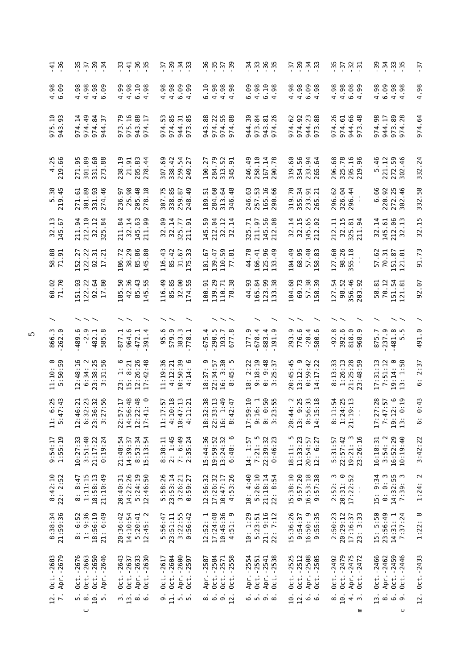| $-4.56$                                                 | $\ddot{u}$ $\ddot{u}$ $\ddot{u}$ $\ddot{u}$ $\ddot{u}$                                                | $\frac{1}{2}$ $\frac{1}{4}$ $\frac{1}{2}$ $\frac{1}{2}$ $\frac{1}{2}$                     | ل في ن<br>ما بن المناطق                                                 | 25 12 13<br>14 14 15 16                                                                      | n 10 10 10<br>10 10 10 11                                                       | ن ن ن ن<br>ن ن ن ن                                                                                         | $\ddot{u}$ $\ddot{u}$ $\ddot{u}$ $\ddot{u}$ $\ddot{u}$                                                          | n 11 11 11<br>11 11 11 11                                                          | -37                               |
|---------------------------------------------------------|-------------------------------------------------------------------------------------------------------|-------------------------------------------------------------------------------------------|-------------------------------------------------------------------------|----------------------------------------------------------------------------------------------|---------------------------------------------------------------------------------|------------------------------------------------------------------------------------------------------------|-----------------------------------------------------------------------------------------------------------------|------------------------------------------------------------------------------------|-----------------------------------|
| $4.98$<br>$6.98$                                        | 4.98<br>4.98<br>4.98<br>6.09                                                                          | $4.99$<br>$4.98$<br>$6.10$<br>$4.98$                                                      | $4.98$<br>$4.98$<br>$6.09$<br>4.99                                      | 6.10<br>4.98<br>$4.98$<br>$4.98$                                                             | 6.09<br>$4.98$<br>$4.98$                                                        | $4.98$<br>$4.98$<br>$6.99$<br>$4.98$                                                                       | 4.98<br>4.98<br>6.99                                                                                            | 4.98<br>6.09<br>$4.98$<br>$4.98$                                                   | .98<br>4                          |
| $\frac{10}{93}$<br>975<br>943                           | $\overline{a}$<br>84<br>$\overline{1}$<br>57<br>974<br>974<br>974<br>944                              | .79<br>$\frac{9}{10}$<br>$^{88}_{17}$<br>975.<br>943.<br>973<br>974                       | 85<br>S<br>$\frac{1}{8}$<br>944.<br>973.<br>974.<br>974                 | 88<br>7,58<br>974.<br>974<br>943<br>974                                                      | 30<br>84<br>$\frac{1}{26}$<br>973.<br>944<br>943<br>974                         | 238<br>.62<br>.92<br>974.<br>974.<br>944<br>m<br>57                                                        | 26<br>69.48<br>5<br>974.<br>974<br>944<br>m<br>$\overline{5}$                                                   | 98<br>944.17<br>89<br>28<br>974.<br>973<br>974                                     | .64<br>974                        |
| 4.25<br>219.66                                          | .95<br>$301.89$<br>$331.60$<br>$273.88$<br>271                                                        | 205.83<br>238.19<br>21.91<br>$\overline{4}$<br>278                                        | .69<br>42<br>54<br>27<br>259.<br>307<br>338<br>249                      | 284.79<br>52<br>51<br>27<br>190.<br>313                                                      | $-10$<br>167.14<br>290.78<br>49<br>258<br>246                                   | 319.60<br>56<br>3 g<br>354.<br>233.<br>265.                                                                | 296.68<br>325.78<br>295.16<br>219.96                                                                            | 5.46<br>221.12<br>272.59<br>302.46                                                 | .24<br>332                        |
| 5.38<br>219.45                                          | 301.89<br>331.93<br>274.46<br>5<br>271                                                                | 25.98<br>205.40<br>278.18<br>236.97                                                       | .75<br>338.85<br>259.87<br>248.49<br>307                                | 284.60<br>64<br>51<br>$\frac{8}{4}$<br>313.46.<br>189.                                       | 257.53<br>165.16<br>290.66<br>246.63                                            | 319.78<br>355.34<br>233.91<br>265.21                                                                       | 326.04<br>296.44<br>296.62<br>$\mathbf{I}$                                                                      | 6.66<br>220.92<br>272.25<br>302.46                                                 | 332.58                            |
| $\frac{13}{67}$<br>32.145                               | .10<br>34<br>$\ddot{5}$<br>.84<br>211<br>212<br>32<br>325                                             | 3.<br>84<br>$\overline{1}$<br>99<br>211<br>32<br>145<br>211                               | $32.09$<br>$32.14$<br>$325.77$<br>$211.91$                              | 145.59<br>212.04<br>32.14<br>32.14                                                           | 97<br>56<br>.71<br>88<br>325.<br>2115.<br>212.                                  | 32.14<br>32.15<br>145.65<br>212.02                                                                         | با<br>5<br>Ę<br>$\overline{3}$<br>34<br>$\frac{32}{325}$ .<br>212                                               | $32.14$<br>$145.61$<br>$212.13$<br>$32.13$                                         | مبر<br>م<br>32                    |
| 58.88<br>71.91                                          | 22<br>$\frac{1}{21}$<br>27<br>122.<br>$\frac{92}{17}$ .<br>152                                        | 186.72<br>38.29<br>88<br>$\overline{85}$ .<br>145                                         | 116.43<br>85.42<br>$31.67$<br>$175.33$                                  | $\overline{4}$<br>59 1<br>101.67<br>139.<br>110.<br>77.                                      | 44.78<br>166.41<br>125.96<br>133.49                                             | 104.49<br>68.95<br>483<br>57<br>58                                                                         | 127.60<br>98.26<br>355.18                                                                                       | .62<br>$70.31$<br>$[51.87$<br>$[21.81]$<br>151.<br>121.<br>57                      | .73<br>50                         |
| .70<br>60<br>71                                         | 56.<br>$\frac{5}{2}$ $\frac{3}{2}$<br>151<br>$\frac{2}{3}$ $\frac{2}{5}$ $\frac{2}{5}$                | .36<br>50.<br>$-43$<br>55.<br>185<br>42<br>85<br>145                                      | $-49$<br>.85<br>32.00<br>116<br>85<br>174                               | $29$<br>$77.38$<br>.91<br>139<br>110<br>78<br>100                                            | .93<br>.84<br>98<br>38<br>$\frac{4}{3}$<br>165<br>123<br>133                    | .68<br>.73<br>38<br>39<br>104<br>69<br>57                                                                  | 54<br>52<br>$-46$<br>.92<br>356<br>98<br>127<br>203                                                             | .81<br>348<br>70<br>58<br>$\frac{151}{22}$                                         | 92.07                             |
|                                                         |                                                                                                       |                                                                                           |                                                                         |                                                                                              |                                                                                 |                                                                                                            |                                                                                                                 |                                                                                    |                                   |
| ್. ್<br>866.<br>262.                                    | <u>م</u> .<br>$-2.9$<br>$-482.18$<br>585.8<br>489                                                     | 964.6<br>877.1<br>472.1<br>391.4                                                          | ڢ<br>579.9<br>383.3<br>778.1<br>95                                      | $790.5$<br>193.7<br>677.8<br>4.<br>5<br>67                                                   | 678.4<br>177.9<br>883.                                                          | 776.6<br>293.9<br>$-28.0$                                                                                  | $392.6$<br>818.9<br>968.9<br>$-92.8$                                                                            | 875.7<br>237.9<br>$-481.8$<br>5.5                                                  | ာ.<br>491                         |
| 11:10: 0<br>5:50:59                                     | 12:48:16<br>$6:34:2$<br>23:38:25<br>3:31:56                                                           | 23: 1: 6<br>15: 8:21<br>12:26:26<br>17:42:48                                              | $10:50:39$<br>$4:14:6$<br>$\frac{36}{2}$<br>4:12:21<br>11:19            | $16: 3:30$<br>8:45: 5<br>$18:37:9$<br>$22:34:57$                                             | 2:22<br>$9:18:19$<br>$0:9:48$<br>$3:25:37$<br>$\frac{18}{1}$                    | 13:12: 9<br>$59:42$<br>$17:22$<br>20:45:4<br>0.14                                                          | 1:26:13<br>13:33<br>21:25:28<br>23:48:59<br>$\ddot{\circ}$                                                      | © က<br>က<br>17:31:13<br>7:51:12<br>19:14:14:1                                      | $\ddot{\cdot}$<br>$\sim$<br><br>ف |
| $\frac{25}{143}$<br>$\circ$ $\sim$<br>5:4<br>$\ddot{a}$ | 3<br>32<br>33<br>35<br>$\ddot{5}$<br>$\begin{array}{c} 12:46 \\ 6:32 \\ 23:36 \\ 3:27 \\ \end{array}$ | $\frac{17}{148}$<br>48<br>$\begin{array}{c} 22:57 \\ 14:56 \\ 12:22 \\ 17:41 \end{array}$ | $\frac{57}{18}$<br>$\frac{23}{12}$<br>11:17<br>4:10:<br>10:47:<br>4:11: | $\frac{38}{2}$<br>:13<br>49<br>$\begin{array}{c} 18:32\\ 22:33\\ 16:42\\ 8:42\\ \end{array}$ | : 10<br>$\frac{56}{12}$<br>$17:59:$<br>$9:16:$<br>$9:16:$<br>$9:23:$<br>$3:23:$ | $\frac{2}{1}$ $\frac{25}{1}$<br>$\ddot{3}$ $\ddot{3}$<br>$20:44$<br>$13:56$<br>$0:56$<br>$0:56$<br>$14:15$ | $\frac{3}{2}$ $\frac{1}{2}$ $\frac{1}{2}$<br>$\begin{array}{c} 8:11: \\ 1:24: \\ 21:19: \\ \end{array}$<br>21:1 | : 28<br>$\frac{1}{2}$ , $\frac{1}{2}$<br>7:47<br>7<br>$19:12:$<br>$13: 0:$<br>17:2 | $\ddot{4}$<br>⊙<br><br>ف          |
| 9:54:17<br>1:55:19                                      | 10:27:33<br>3:51:48<br>0:19:24<br>21:17:22                                                            | 21:48:54<br>8:53:34<br>15:13:54<br>14:39:37                                               | 2: 1:45<br>7: 6:49<br>2:35:24<br>8:38:11                                | 15:44:36<br>19:59:52<br>$13:24:32$<br>6:48: 6<br>6:48                                        | 7:21:5<br>$22:39:32$<br>$0:46:23$<br>14: 1:57                                   | 18:11: 5<br>11:33:23<br>20:54:57<br>12: 6:27                                                               | 19:21:3<br>23:26:16<br>5:31:57<br>22:57:42                                                                      | 16:18:31<br>3:54:2<br>16:52:29<br>10:19:40                                         | 3:42:22                           |
| $8:42:10$<br>$22:2:52$                                  | 1:11:15<br>18:58:13<br>21:10:49<br>8: 8:47                                                            | 14:22:26<br>5:24:19<br>12:46:50<br>20:40:31                                               | 5:58:26<br>23:53:14<br>3:26:21<br>0:59:27                               | 12:56:32<br>17:26:32<br>4:53:26<br>10:47:17                                                  | 10: 4:40<br>5:26:10<br>21:18:14<br>22: 8:54                                     | 15:38:10<br>9:57:20<br>16:53:18<br>9:57:38                                                                 | $2:52:3$<br>$20:31:0$<br>17:22:52<br>×                                                                          | 15: 9:34<br>$0: 0: 3$<br>14:32:55<br>7:39: 3                                       | 1:24:2                            |
| 8:38:34<br>21:59:36                                     | 9:36<br>18:56:19<br>6:52<br>21: 6:49<br>$\ddot{\circ}$<br>$\ddot{a}$                                  | 20:36:42<br>14:10:54<br>5:20:41<br>12:45:2                                                | $3:22:55$<br>$0:56:42$<br>5:56:47<br>23:51:11<br>:56:47                 | 17:24:48<br>10:45:36<br>4:51: 9<br>12:52: 1                                                  | 10:1:29<br>5:23:51<br>21: 9:16<br>22: 7:12                                      | 15:36:26<br>16:50: 9<br>9:55:35<br>9:54:37                                                                 | 2:50:23<br>23: 3:33<br>20:29:12<br>17:16:37                                                                     | 23:56:49<br>15: 5:50<br>7:37:24<br>$\overline{\phantom{0}}$<br>14:31:              | 1:22:8                            |
| Oct.-2683<br>Apr.-2679                                  | Oct. -2663<br>Oct. - 2650<br>Oct. -2676<br>Apr. -2646                                                 | Oct. - 2643<br>Apr. -2633<br>Oct. - 2630<br>Oct. - 2637                                   | $0ct. -2604$<br>Apr. -2600<br>Oct. -2617<br>$0ct. -2597$                | Oct. - 2584<br>Oct. -2571<br>Oct. -2558<br>Apr. -2587                                        | Oct. -2538<br>Apr. -2554<br>Oct. - 2551<br>Apr. - 2541                          | 0ct. - 2525<br>Apr. -2508<br>0ct. - 2512<br>$-2505$<br>Oct.                                                | Oct. -2479<br>Oct. - 2492<br>Apr. - 2475<br>Oct. - 2472                                                         | Oct. -2466<br>0ct.-2459<br>0ct.-2446<br>Apr. -2462                                 | 0ct.-2433                         |
| $\frac{12}{7}$ .                                        | 10.5<br>n ∞<br>$\cup$                                                                                 | $\dot{\infty}$<br>$\frac{3}{13}$<br>9                                                     | $\overline{5}$<br>$\frac{9}{11}$ .                                      | $\ddot{\circ} \ddot{\circ} \ddot{\circ} \ddot{\sim}$                                         | .<br>ம்ம் வெ                                                                    | $\ddot{\circ}$<br>10.1                                                                                     | $\frac{8}{10}$ .<br>$rac{1}{4}$ m<br>ε                                                                          | $\dot{\circ}$<br>$\frac{3}{13}$ .<br>$\ddot{\circ}$ $\ddot{\circ}$<br>ပ            | $\overline{2}$ .                  |

 $\overline{5}$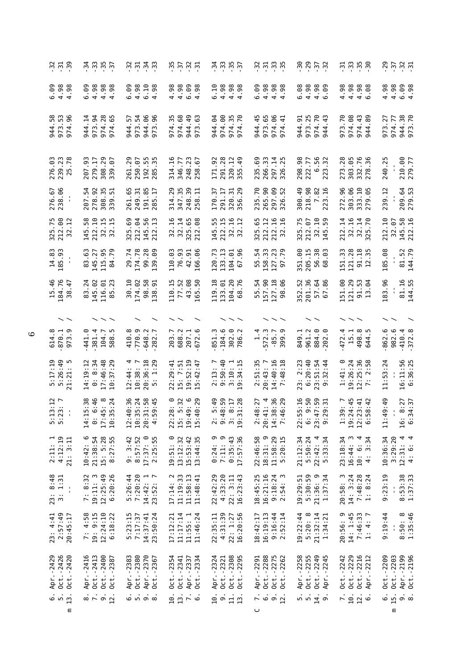| $-34.9$                             |                                 | $\frac{1}{2}$ $\frac{1}{2}$ $\frac{1}{2}$ $\frac{1}{2}$ $\frac{1}{2}$ $\frac{1}{2}$ |                                |                |                        |                     | $\ddot{u}$ $\ddot{u}$ $\ddot{u}$ $\ddot{u}$ $\ddot{u}$ |                  | $\frac{1}{10}$ $\frac{1}{10}$ $\frac{1}{10}$ $\frac{1}{10}$ $\frac{1}{10}$ |                       |                          |                                            |                       |                                                 | $\frac{1}{2}$ $\frac{1}{2}$ $\frac{1}{2}$ $\frac{1}{2}$ $\frac{1}{2}$ $\frac{1}{2}$                                                                                                                                                                                                           |                 |                       | $\ddot{\omega}$ $\ddot{\omega}$ $\ddot{\omega}$ $\ddot{\omega}$ |                        |                        |                                     | 20 21 22<br>20 22 23                                         |                             |                        |                                                   |             |                             |                                       |                         | $3.5.9$ $\ddot{5}$ |                                |        |
|-------------------------------------|---------------------------------|-------------------------------------------------------------------------------------|--------------------------------|----------------|------------------------|---------------------|--------------------------------------------------------|------------------|----------------------------------------------------------------------------|-----------------------|--------------------------|--------------------------------------------|-----------------------|-------------------------------------------------|-----------------------------------------------------------------------------------------------------------------------------------------------------------------------------------------------------------------------------------------------------------------------------------------------|-----------------|-----------------------|-----------------------------------------------------------------|------------------------|------------------------|-------------------------------------|--------------------------------------------------------------|-----------------------------|------------------------|---------------------------------------------------|-------------|-----------------------------|---------------------------------------|-------------------------|--------------------|--------------------------------|--------|
| 0<br>0<br>0 3 8<br>0 4 4<br>98      | 6.09                            |                                                                                     |                                |                |                        |                     |                                                        |                  | .98<br>4                                                                   | 4.98                  | $6.99$<br>$4.98$         |                                            | 6.10                  |                                                 | 88<br>0.98<br>0.98<br><b>98</b><br>98                                                                                                                                                                                                                                                         |                 | $6.09$<br>$4.98$      |                                                                 | $4.98$<br>$4.98$       |                        | 6.08                                | 4.98                                                         | $4.98$<br>$6.09$            |                        | 4.98                                              |             | 88<br>0.98<br>0.98          |                                       | 4.98                    | 4.98               | $6.09$<br>4.98                 |        |
| <b>80 mg</b><br>944<br>973          | $\overline{1}$<br>944<br>4<br>5 | 94<br>973                                                                           | 28<br>974                      | 65<br>974      | 944                    | 54<br>54<br>973     | 944<br>973                                             | $rac{6}{9}$      | 35<br>974                                                                  | 68<br>974             | $\overline{a}$<br>944    | 63<br>973                                  | 64<br>944             | $\odot$<br>974                                  | 35<br>974                                                                                                                                                                                                                                                                                     | 70<br>974       | $-45$<br>944          | .65<br>973                                                      | 641<br>974.            | 5                      | .91<br>944                          | .25<br>973                                                   | $\overline{70}$<br>974      | 43<br>944              | 70<br>973                                         | .08<br>974. | $\frac{1}{4}$<br>974<br>944 | 89                                    | 27<br>973               | 77<br>974          | 38.70<br>944<br>973            |        |
| 276.03<br>239.23<br>25.78           | .93<br>207                      | 279.17                                                                              | 308.29<br>339.07               |                | 261.29                 | 250.07              | 192.55<br>285.35                                       |                  | $-16$<br>314                                                               | .77<br>346.           | 23<br>248                | 67<br>258                                  | 171.92                |                                                 | 291.28<br>320.12<br>355.49                                                                                                                                                                                                                                                                    |                 | 235.69                | 266.33                                                          | 297.14<br>326.25       |                        | 298.98                              | 222.77                                                       | 56<br>32                    | 6.23                   | .28<br>273.                                       |             | 303.05<br>332.76<br>278.36  |                                       | 240.25                  |                    | 210.00<br>279.77               |        |
| 276.67<br>238.06                    | 54<br>207                       | $92 \frac{1}{2}$<br>278.<br>388.<br>339.                                            |                                | $\overline{5}$ | -65<br>261.<br>249.    | $\overline{31}$     | 191.85<br>285.17                                       |                  | 29<br>314<br>347                                                           | 55                    | 39<br>248<br>258         | 급                                          | 57<br>170             | $\frac{17}{15}$                                 | 291.<br>3286.<br>356.                                                                                                                                                                                                                                                                         | 29              |                       | 235.70<br>265.90<br>297.09<br>326.52                            |                        |                        | 300.49                              | 218.98<br>7.82<br>223.16                                     |                             |                        | 272.96                                            |             | 303.06<br>333.10<br>279.05  |                                       | 239.12                  |                    | 209.64<br>279.53               |        |
| 325.75<br>212.00<br>32.12           | $-58$                           | $\overline{10}$<br>145<br>2282                                                      | <b>ដ ដ</b>                     |                |                        | 325.69<br>212.04    | 56<br>145<br>212                                       | $\mathbf{u}$     |                                                                            |                       |                          | $32.16$<br>$32.14$<br>$325.65$<br>$212.08$ | 55.                   | $\frac{15}{1}$                                  | $\overline{16}$<br>145<br>212<br>32<br>32                                                                                                                                                                                                                                                     | $\overline{12}$ | 65                    | $\overline{12}$<br>3212 32                                      | .16                    | $\overline{5}$         | 325.75<br>212.07<br>32.10<br>145.59 |                                                              |                             |                        | 212.14<br>32.16<br>32.14<br>325.70                |             |                             |                                       | $\overline{a}$ .<br>212 | -6.<br>32          | 58<br>16<br>145.<br>212.       |        |
| 14.83<br>185.93                     | .63<br>83                       | 145.27<br>115.95<br>84.79                                                           |                                |                | 29.74<br>174.78        |                     | 99.28                                                  | <b>eg</b><br>139 | 110.03                                                                     | 76.93                 | $\frac{5}{10}$<br>42.    | 166                                        | .73<br>120            |                                                 | 133.13<br>104.01<br>67.96                                                                                                                                                                                                                                                                     |                 | 55.54<br>158.33       |                                                                 |                        | 127.23                 | 351.00                              | 205.15                                                       | 38<br>63<br>56<br>68        |                        | 151.33                                            |             |                             | $121.28$<br>91.18<br>12.35            | 185.08                  |                    | 81.52<br>144.79                |        |
| 15.46<br>184.76<br>38               | $-47$<br>.24<br>83              | $\ddot{\circ}$<br>145                                                               | $01$<br>$23$<br>116            | 85             | $\overline{.10}$<br>30 | .02<br>174          | $98$                                                   | $-33$<br>138     | $\frac{15}{1}$<br>110                                                      | .52<br>$\overline{7}$ | 68<br>$\frac{3}{4}$      | .50<br>165                                 | $\frac{18}{1}$<br>119 |                                                 | $\frac{1}{2}$ $\frac{1}{2}$ $\frac{1}{6}$<br>$\begin{array}{c}\n 1.3 \\  1.68\n \end{array}$                                                                                                                                                                                                  |                 | $-54$<br>55           | .90<br>157                                                      | 127.18                 | 90<br>98               | .52<br>352                          | 201.36                                                       | 68<br>57<br>67              |                        | <u>ိ</u><br>151                                   | 121         | 29<br>53<br><u>ក</u> ក      | $\mathfrak{g}$                        | 183.96                  |                    | 81.16                          | 144.55 |
| $\overline{\phantom{a}}$            |                                 |                                                                                     |                                |                |                        |                     |                                                        |                  |                                                                            |                       |                          |                                            |                       |                                                 |                                                                                                                                                                                                                                                                                               |                 |                       |                                                                 |                        |                        |                                     |                                                              |                             |                        |                                                   |             |                             |                                       |                         |                    |                                |        |
| 614.8<br>870.1<br>973.9             | 441.0                           | 381.4                                                                               | 104.7                          | 588            |                        | 410.8<br>770.9      | $-648.2$<br>$-282.7$                                   |                  | 203.7<br>688.2                                                             |                       | 207.1<br>672.6           |                                            | 851.3                 |                                                 | $-184$<br>$-302$<br>$-786$<br>786.2                                                                                                                                                                                                                                                           |                 | $\frac{4}{1}$         | 572.3                                                           |                        | 399                    | 849.1                               | 961.2                                                        |                             | 884.0                  | 472.4                                             | 15.1        | 498.8<br>644.5              |                                       | 862.6                   | 982.6              | 410.4<br>372.8                 |        |
| $5:17:19$<br>$5:26:49$<br>$21:21:5$ | $\frac{1}{2}$<br>14:19          | $0: 8:34$<br>17:46:48                                                               |                                | .29<br>10:37   | $12:44:4$<br>$10:38:7$ |                     | 20:36:18<br>5: 1:29                                    |                  | $\ddot{=}$<br>: 29<br>22                                                   | 15: 7:51              | $19:52:19$<br>$15:42:47$ |                                            |                       | 50:40                                           | $\frac{3}{2}$<br>$\frac{3}{2}$<br>$\frac{3}{2}$<br>$\frac{3}{2}$<br>$\frac{3}{2}$<br>$\frac{3}{2}$<br>$\frac{3}{2}$<br>$\frac{3}{2}$<br>$\frac{3}{2}$<br>$\frac{3}{2}$<br>$\frac{3}{2}$<br>$\frac{3}{2}$<br>$\frac{3}{2}$<br>$\frac{3}{2}$<br>$\frac{3}{2}$<br>$\frac{3}{2}$<br>$\frac{3}{2}$ |                 | 51:3<br>$\ddot{\sim}$ | 20:43:7                                                         | 14:40:16<br>7:48:18    |                        | :23<br>23:2                         | 6:20:40                                                      | $23:51:54$<br>9:32:44       |                        | 1:41:0                                            |             |                             | $19:26:24$<br>$12:25:36$<br>$7:25:58$ | : 24<br>S<br>$\Xi$      |                    | 16:11:56<br>6:36:25            |        |
| $\frac{2}{7}$<br>$5:13$<br>$5:23$   | $\frac{8}{3}$<br>$\blacksquare$ | $-1.46$                                                                             | $\frac{8}{10}$ $\frac{24}{10}$ |                |                        | $\frac{36}{24}$     | $\frac{36}{10}$ $\frac{45}{10}$                        |                  | 22:28: 0<br>15: 5:32<br>19:49: 6<br>15:40:29                               |                       |                          |                                            |                       | $\frac{1}{2}$<br>$\frac{3}{4}$<br>$\frac{4}{4}$ | <u>n ∞ ∞ ⊣</u>                                                                                                                                                                                                                                                                                | 19:3            | $\frac{1}{2}$         | 28:48:41:38:146:746:746                                         | $\frac{36}{29}$        |                        | $\frac{16}{1}$                      | $\frac{6}{10}$<br>$22:55$<br>$6:9:47$<br>$23:29:$<br>$9:29:$ | $\frac{5}{2}$ $\frac{5}{2}$ |                        | $1:39:7$<br>$19:24:45$<br>$12:23:41$<br>$0:58:42$ |             |                             |                                       | 01.1<br>11:49           | $\mathbf{I}$       | 16: 8:27<br>6:34:37<br>$16$ :  |        |
| $2:11:1$<br>$4:12:19$<br>21: 3:11   | 10:42:6                         | 21:38:54                                                                            | 15: 5:28                       | 8:27:55        |                        | $9:3:42$<br>8:57:52 | 17:37:0                                                | 2:25:55          | $\circ$<br>19:51:                                                          | 13:12:32              | $15:53:42$<br>$13:44:35$ |                                            | 0:24:9                | $7:11:9$<br>$0:35:43$                           |                                                                                                                                                                                                                                                                                               | 17:57:36        | 22:46:58              | 18:31: 9                                                        | 11:58:29<br>5:20:15    |                        | 21:12:34                            | 5:50:24                                                      | 22:42:4                     | 5:33:34                | 23:18:34                                          | 16:44:3     | 10: 6: 4                    | 4: 3:34                               | 10:36:34                | 3:29:20            | $12:31:4$<br>4: 6: 4<br>12:31: |        |
| $23: 8:48$<br>$3: 1:31$             | 7: 8:32<br>$\frac{1}{2}$        | 19:11: 3                                                                            | 12:25:49                       | 6:20:26        | 5:26:44<br>7:20:20     |                     | $14:42: 1$<br>$23:52: 7$                               |                  | 17:14:2                                                                    | 11:19:33              | 11:58:13                 | 11:48:41                                   | 22:42:29              | 4:33:20                                         | 22: 3:11                                                                                                                                                                                                                                                                                      | 16:23:43        | 18:45:25              | 16:21:16                                                        | $9:18:24$<br>$2:54:3$  |                        | 19:29:51                            | 5:30:59                                                      | 21:36: 9                    | 1:37:34                | 20:58:3                                           | 14: 3:24    | $7:48:28$<br>1: 8:24        |                                       | 9:23:19                 |                    | $8:53:38$<br>$1:37:33$         |        |
| 2:57:49<br>23: 4:41                 | 7: 4:58<br>20:45:17             | 19: 9:15                                                                            | 12:24:10                       | 6:18:22        | 5:23:15                | 7:17:37             | 14:37:41                                               | 23:50:24         | 17:12:21                                                                   | 11:17:14              | 11:55:1                  | 11:46:24                                   | 22:35:11              | 4:31:39                                         | 22: 1:27                                                                                                                                                                                                                                                                                      | 16:20:56        | 18:42:17              | 16:19:13                                                        | $9:16:44$<br>$2:52:14$ |                        | 19:22:44                            | 5:20:8                                                       | $21:32:14$<br>$1:34:21$     |                        | 20:56: 9<br>14: 1:45<br>7:46:33<br>1: 4: 7        |             |                             |                                       | 9:19:44                 |                    | $8:50:8$<br>$1:35:46$          |        |
| Apr. -2429<br>0ct. -2426            | Oct. -2420<br>Apr. -2416        | Oct. - 2413                                                                         | Oct. -2400                     | Oct. -2387     | Apr. -2383             | Oct. -2380          | Apr. -2370                                             | Oct. - 2367      | $0ct. -2354$                                                               | $0ct. -2341$          | Apr. -2337               | $0ct. -2334$                               | Apr. -2324            | Oct. -2321                                      | Oct. - 2308                                                                                                                                                                                                                                                                                   | Oct. - 2295     | Apr. -2291            | Oct. - 2288                                                     |                        | 0ct.-2275<br>0ct.-2262 | Apr. -2258                          | Oct. - 2255                                                  |                             | Oct.-2249<br>Apr.-2245 | 0ct. - 2242                                       | Oct. - 2229 | Oct. - 2216                 | Apr. - 2212                           | Oct. -2209              | Oct. - 2203        | Apr. -2199<br>Oct. -2196       |        |
| .<br>ທ່                             | $\overline{13}$ .<br>Ε          | $\begin{array}{c}\n\vdots \\ \infty \\ \vdots \\ \infty\n\end{array}$               |                                |                |                        |                     |                                                        |                  | 9.0000                                                                     |                       |                          |                                            | 10.                   |                                                 | 91.1                                                                                                                                                                                                                                                                                          |                 | ں                     | $\frac{1}{6}$ $\frac{1}{9}$ $\frac{1}{2}$                       |                        |                        |                                     | $\frac{1}{2}$                                                |                             |                        |                                                   |             | ក់ <u>គំ</u> ជំ<br>កំពង់    |                                       | .<br>ف                  | 15.<br>Ε           | $\dot{\circ}$ $\dot{\circ}$    |        |

 $\circ$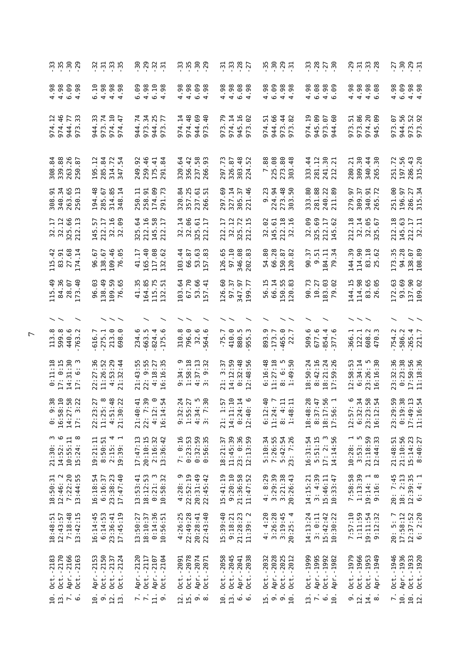| m m m m m<br>1                                                      | 37.79.5                                                                                                | 89825                                                                                                    |                                                               | .<br>"" " " "<br>" " " "                                                                            | 5<br>5<br>5<br>5<br>5<br>5<br>5<br>5<br>5<br>7<br>2<br>2<br>2<br>2<br>2<br>1<br>2<br>2<br>1<br>2<br>1<br>2<br> |                                                                           | 29708                                                           | 7, 8, 8, 7                                       |
|---------------------------------------------------------------------|--------------------------------------------------------------------------------------------------------|----------------------------------------------------------------------------------------------------------|---------------------------------------------------------------|-----------------------------------------------------------------------------------------------------|----------------------------------------------------------------------------------------------------------------|---------------------------------------------------------------------------|-----------------------------------------------------------------|--------------------------------------------------|
| $4.98$<br>$4.98$<br><b>9.8</b><br>$\circ$ 4                         | 88<br>08<br>4<br>4<br>4<br>4<br>.10<br>98.98                                                           | $-1.98$<br><b>eo.</b><br>.98<br>6<br>404                                                                 | $4.98$<br>$4.98$<br>60.9<br>$\sigma$ 4                        | .98<br>8 8 8 8 8<br>6 8 8 8<br>4 4 9 4                                                              | .98<br>6.09<br>38 GC<br>44                                                                                     | 8888<br>646<br>4.98                                                       | .98<br>4.98<br>$980 - 36$<br>4<br>$4\circ$                      | 4.98<br>6.09<br>$4.98$<br>$4.98$                 |
| $\frac{12}{46}$<br>$\overline{7}$<br>33<br>974<br>944<br>974<br>973 | .74<br>$\frac{10}{1}$<br>47<br>$\sim$<br>973<br>974<br>944<br>974                                      | .74<br>$\ddot{3}$<br>.77<br>973<br>944<br>944<br>973                                                     | .14<br>$\frac{8}{4}$<br>69<br>40<br>974.<br>974<br>944<br>973 | .14<br>.79<br>$16$<br>$-16$<br>974<br>945<br>973<br>973                                             | .66<br>48<br>5<br>944<br>974<br>973<br>973                                                                     | $\overline{5}$<br>945.09<br>G7<br>60<br>973<br>974<br>944                 | 973.86<br>51<br>$\frac{8}{2}$<br>974.<br>945.<br>973            | .56<br>52<br>67<br>944.<br>973<br>973<br>973     |
| 88<br>26<br>87<br>84<br>339.<br>263.<br>308<br>50                   | 84<br>57<br>314.72<br>347.54<br>285.<br>195.                                                           | 259.46<br>249.92<br>$\overline{4}$<br>$\overline{a}$<br>175.<br>291                                      | 356.42<br>237.58<br>266.93<br>320.64                          | 297.73<br>326.87<br>303.48<br>224.52                                                                | 7.88<br>225.08<br>80<br>$\frac{8}{4}$<br>273.1                                                                 | 281.12<br>80<br>21<br>333.44<br>241.<br>212                               | 30<br>$\overline{2}$<br>44<br>30<br>309.<br>280.<br>340.<br>265 | 197.56<br>$43$<br>20<br>251.72<br>286.<br>315    |
| 308.91<br>340.34<br>263.65<br>250.13                                | 194.48<br>285.67<br>314.85<br>348.14                                                                   | 174.09<br>291.73<br>250.11<br>258.91                                                                     | 320.84<br>357.25<br>237.61<br>266.51                          | 327.14<br>305.37<br>221.46<br>69.<br>297                                                            | 9.23<br>224.94<br>273.48                                                                                       | 333.80<br>281.88<br>240.22<br>211.89                                      | 279.97<br>309.37<br>$\frac{5}{10}$<br>340.<br>265.              | 251.00<br>286.27<br>315.34<br>196.97             |
| $32.17$<br>$32.12$<br>325.66<br>212.13                              | $\overline{5}$<br>145.57<br>212.17<br>99<br>$\frac{32}{32}$ .                                          | .16<br>$58$<br>64<br>$\overline{L}$<br>325<br>2145<br>145<br>212                                         | 32.14<br>32.06<br>5<br>$\overline{1}$<br>325.<br>212.         | 57<br>72<br>H<br>$\frac{325}{325}$ .<br>212                                                         | 9<br>145.61<br>212.18<br>32.16<br>32                                                                           | 8<br>325.69<br>212.17<br>145.62<br>32.                                    | 212.18<br>65<br>67<br>$32^{15}$                                 | 212.18<br>145.63<br>212.17<br>32.11              |
| $115.42$<br>83.91<br>27.68<br>$\overline{1}$<br>174                 | 109.46<br>65<br>67<br>138.67<br>96<br>76                                                               | $\frac{6}{4}$<br>80<br>$\overline{1}$<br>117.<br>$\frac{1}{4}$<br>165.<br>132                            | $\cdot$ 44<br>87<br><b>63</b><br>66.<br>103<br>57             | 97.10<br>$_{\rm 68}$<br>65<br>83<br>346.<br>126                                                     | 8<br>66.28<br>87<br>54.<br>150<br>120                                                                          | 51<br>57<br>184.11<br>79.34<br>90.<br>$\dot{\circ}$                       | 50<br>$\overline{18}$<br>န္တ<br>62<br>144.<br>114.<br>83<br>25  | 94.28<br>69<br>35<br>173.<br>138.<br>108         |
| 84.36<br>$-40$<br>$\ddot{a}$<br>28.07<br>173<br>115                 | 138.49<br>.03<br>109.59<br>76.65<br>96                                                                 | 41.35<br>.85<br>115.75<br>132.51<br>164                                                                  | 67.70<br>$\cdot$<br>$66 + 1$<br>103<br>SS.<br>57              | $-15$ .<br><u>ေ</u><br>57<br>126<br>347<br>199<br>57                                                | 66.14<br>L50.55<br>L20.83<br>-15<br>95<br>120                                                                  | 90.73<br>183.03<br>10.27<br>.92<br>79                                     | 114.98<br>144.15<br>.65<br>-95<br>83<br>26                      | 93.69<br>137.90<br>109.02<br>.63<br>172          |
|                                                                     |                                                                                                        |                                                                                                          |                                                               |                                                                                                     |                                                                                                                |                                                                           |                                                                 |                                                  |
| 113.8<br>440.6<br>763.2                                             | 213.0<br>616.7<br>275.1                                                                                | 663.5<br>234<br>824<br>175                                                                               | 310.8<br>796.0<br>32.6<br>ە<br>564                            | 410.0<br>880.5<br>$-75.7$<br>955                                                                    | 893.9<br>$-465.0$<br>22.7<br>173.7                                                                             | 509.6<br>677.6<br>854.4<br>377                                            | 122.1<br>366.1<br>608<br>470                                    | 265.4<br>221.7<br>754.2<br>586.2                 |
| $0:11:18$<br>17: 0:15<br>14:31:30<br>17: 6: 3                       | $: 53 : 29$<br>$: 32 : 44$<br>22:27:36<br>11:26:52<br>$\frac{4}{21}$                                   | 21:43:55<br>22: 9:55<br>$: 18:27$<br>$: 16:35$<br>40                                                     | $9:34:9$<br>1:58:18<br>4:37:13<br>3: 9:32                     | $0:32:48$<br>$0:48:56$<br>14:12:59<br>$\ddot{5}$<br>w<br>$\overline{21}$<br>$\overline{\mathbf{1}}$ | :16:48<br>11:27:18<br>$\frac{5}{1.50}$<br>.49<br>6<br>$\infty$ $\rightarrow$                                   | 8:50:24<br>8:42:16<br>18:21:24<br>17:59:26                                | 6:34:14<br>12:58:53<br>30<br>23:26: 5<br>16:16:30               | 17:50:56<br>11:18:36<br>23:32:36<br>0:23:38      |
| $0:58:58:14:3$<br>14:27:33                                          | $\frac{48}{12}$<br>$\frac{27}{8}$<br>$\begin{array}{c} 22:23 \\ 11:25 \\ 4:51 \\ 21:30 \\ \end{array}$ | $\ddot{3}$<br>$\ddot{=}$<br>$\tilde{\cdot}$<br>$\frac{1}{2}$<br>⊙<br>$22:7$<br>$4:12$<br>$16:14$<br>21:4 | $0.140$<br>$0.140$<br>$0.047$<br>$0.047$                      | $$<br>$$<br>1<br>14:11<br>0:24<br>02:40                                                             | $\frac{6}{1}$<br>표료<br>$6:12$<br>11:24<br>8:48<br>8:48                                                         | : 28<br>$\frac{45}{10}$ $\frac{1}{10}$<br>8:37<br>18:48<br>18:17<br>17:56 | 22<br>22<br>24<br>$12:57$<br>$6:32$<br>$23:23$<br>$16:12$       | 23:29:59<br>0:19:38<br>17:49:13<br>11:16:54      |
| ო დ<br>$10:55:11$<br>$15:24:8$<br>14:52:<br>21:30:                  | $19:21:11$<br>8:50:51<br>₹ ⊣<br>19:39:<br>2:15:                                                        | 17:47:13<br>20:10:15<br>2:16:32<br>13:36:42                                                              | 7: 0:16<br>0:23:53<br>$0:32:59$<br>$0:56:35$                  | 11:45:39<br>23: 0:36<br>12:13:59<br>18:21:37                                                        | 5:10:34<br>7:26:55<br>5:42:54<br>23: 7:26                                                                      | 16:31:54<br>$5:51:15$<br>17: 2: 3<br>14:14:56                             | $10:28:1$<br>3:53:5<br>3:53:59<br>21:18:59<br>12:44:33          | 21:10:56<br>$15:14:23$<br>8:40:27<br>21:48:51    |
| 7:22:20<br>13:44:55<br>$18:50:31$<br>$12:46:2$                      | 16:18:54<br>$23:38:23$<br>$17:47:40$<br>6:16:37                                                        | 13:53:41<br>$18:12:53$<br>$0:21:3$<br>$10:58:32$                                                         | $4:28:9$<br>$22:52:19$<br>$20:31:49$<br>$22:45:42$            | 21:36:58<br>11:47:52<br>15:41:19<br>9:20:10                                                         | $3:29:39$<br>$3:21:38$<br>$20:26:43$<br>4: 8:29                                                                | $3: 4:39$<br>15:46:11<br>14:15:21<br>10:33:47                             | 7:58:58<br>1:13:39<br>19:14: 1<br>9:16: 8                       | 20: 7:45<br>18: 2:13<br>$12:39:35$<br>6: 4: 1    |
| 7:18:48<br>13:42:15<br>18:48:51<br>12:43:57                         | m<br>6:14:53<br>$23:36:41$<br>$17:45:19$<br>16:14:4                                                    | 0:14:36<br>13:50:27<br>18:10:37<br>10:56:51                                                              | 4:26:25<br>22:49:28<br>20:28:41<br>22:43:40                   | 15:39:40<br>9:18:21<br>$21:28:23$<br>$11:39:2$                                                      | $3:26:28$<br>$3:19:45$<br>$20:25:4$<br>4: 4:20                                                                 | 14:13:24<br>$3: 0:11$<br>15:42:42<br>10:30:22                             | 7:57:10<br>1:11:59<br>19:11:54<br>9:12:32                       | $20: 5: 7$<br>17:58:12<br>$12:37:52$<br>6: 2:20  |
| Oct. -2170<br>Apr. -2166<br>Oct. - 2183<br>Oct. - 2163              | $0ct. -2150$<br>Apr. -2153<br>Oct. - 2137<br>Oct. - 2124                                               | Apr. -2120<br>Oct. - 2117<br>$0ct. -2104$<br>Apr. -2107                                                  | Oct. - 2091<br>Oct. - 2078<br>Apr. - 2074<br>Oct. - 2071      | Oct. - 2038<br>Oct. - 2058<br>Oct. - 2045<br>Apr. - 2041                                            | Oct. - 2032<br>Apr. - 2028<br>0ct.-2025<br>Oct.-2012                                                           | Oct.-1999<br>Apr.-1995<br>Oct.-1992<br>Apr.-1982                          | Oct.-1979<br>Oct. - 1966<br>Oct.-1953<br>Apr.-1949<br>Apr.      | 0ct.-1946<br>Apr.-1936<br>0ct.-1933<br>0ct.-1920 |
| 10.1<br>$\overline{r}$ $\overline{6}$                               | 9921                                                                                                   | $7 - 19$                                                                                                 | $25.5$<br>$\frac{1}{2}$                                       | 10.1<br>$\ddot{\circ}$                                                                              | ຼ່ງ<br>ລິດລິຕ                                                                                                  | 13.<br>$\begin{array}{c}\n\ddots \\ \circ \\ 10\n\end{array}$             | $\frac{9}{12}$ .<br>14.8                                        | $\frac{7}{10}$ .<br>10.<br>12.                   |

 $\overline{r}$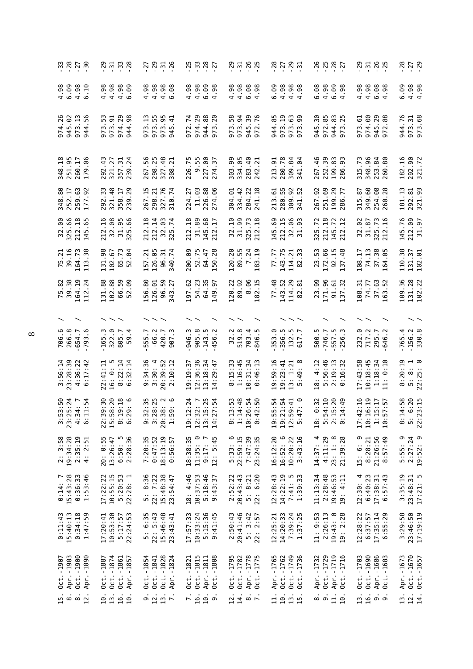|                                                                                                                       | 37.798                                                                             | 7 8 7 7 8<br>7 9 7 9 9                                                  |                                                                                                                                                                                                                                                                                                                                                                         | 7779                                                                                                                                                          | <u>?</u><br>? ? ? ? ?                                             | 25<br>25<br>25<br>27<br>27                                                              |                                                                    | $730$<br>$-29$                                                                                                  |
|-----------------------------------------------------------------------------------------------------------------------|------------------------------------------------------------------------------------|-------------------------------------------------------------------------|-------------------------------------------------------------------------------------------------------------------------------------------------------------------------------------------------------------------------------------------------------------------------------------------------------------------------------------------------------------------------|---------------------------------------------------------------------------------------------------------------------------------------------------------------|-------------------------------------------------------------------|-----------------------------------------------------------------------------------------|--------------------------------------------------------------------|-----------------------------------------------------------------------------------------------------------------|
|                                                                                                                       | 4.98<br>8888<br>446                                                                | 8<br>8 8 8 8 8<br>4 4 4 9                                               | 4.98<br>4.98<br>$6.99$<br>$4.98$                                                                                                                                                                                                                                                                                                                                        | 4.98<br>88<br>08<br>09<br>09<br>09                                                                                                                            | 6.09<br>4.98<br>$4.98$<br>$4.98$                                  | 6.08                                                                                    | 4.98<br>88<br>08<br>09<br>09<br>09                                 | 6.09<br>$4.98$<br>$4.98$                                                                                        |
| 26<br>973.13<br>56<br>945.<br>974<br>944                                                                              | 974.29<br>ς<br>973.91<br>98<br>944.<br>973                                         | 973.55<br>973.95<br>945.41<br>973.13                                    | 974.29<br>944.88<br>.74<br>20<br>972<br>E<br>5                                                                                                                                                                                                                                                                                                                          | 973.94<br>945.39<br>973.58<br>.76<br>972                                                                                                                      | 944.85<br>973.19<br>973.63<br>973.99                              | 972.85<br>30<br>83<br>25<br>$-144$<br>945.<br>973                                       | 974.00<br>945.29<br>.88<br>973.61<br>972                           | 944.76<br>973.31<br>973.68                                                                                      |
| 348.18<br>251.95<br>260.17<br>.06<br>179                                                                              | .43<br>321.27<br>357.31<br>239.24<br>292                                           | 267.56<br>298.25<br>327.48<br>$\overline{21}$<br>308                    | $9.55$<br>$227.00$<br>226.75<br>$\overline{5}$<br>274                                                                                                                                                                                                                                                                                                                   | 303.99<br>334.05<br>283.40<br>242.21                                                                                                                          | $-91$<br>280.78<br>309.84<br>341.04<br>213                        | 252.39<br>$\frac{46}{5}$<br>199.83<br>286.93<br>267                                     | 348.96<br>315.73<br>253.84                                         | 292.90<br>321.72<br>.16<br>182                                                                                  |
| 259.63<br>177.92<br>348.80<br>252.17<br>.92                                                                           | $\cdot$ 33<br>$-48$<br>$\overline{\mathcal{L}}$<br>29<br>321.<br>358<br>239<br>292 | .76<br>267.15<br>$\overline{21}$<br>298<br>327<br>310                   | $\ddot{\text{e}}$<br>226.88<br>.06<br>.27<br>224<br>274<br>$\Xi$                                                                                                                                                                                                                                                                                                        | .22<br>$\overline{.18}$<br>334.42<br>304.01<br>284<br>241                                                                                                     | 55.<br>.61<br>9.52<br>213<br>280<br>309<br>341                    | .92<br>251.69<br>199.29<br>286.77<br>267                                                | 349.60<br>254.08<br>260.28<br>- 87<br>315.                         | 181.13<br>292.81<br>321.93                                                                                      |
| 32.00<br>325.66<br>.18<br>65<br>212<br>145                                                                            | <u>م.</u><br>32.08<br>31.95<br>.66<br>325<br>212                                   | $\overline{14}$<br>.18<br>ස<br>.74<br>212.<br>32<br>325                 | .18<br>89<br>68<br>H<br>$\overline{\rm 31}$<br>145<br>212<br>212                                                                                                                                                                                                                                                                                                        | 32.10<br>31.99<br>325.73<br>212.18                                                                                                                            | .69<br>212.15<br>$32.06$<br>$31.93$<br>93<br>145                  | .18<br>.72<br><b>Z</b> 5<br>212<br>325<br>145<br>212                                    | 32.02<br>$\mathcal{L}$<br>$\overline{16}$<br>31.87<br>325.<br>212. | .76<br>212.09<br>31.97<br>145                                                                                   |
| 75.21<br>39.16<br>164.73<br>38<br>113                                                                                 | 131.98<br>.73<br>102.67<br>S4<br>652                                               | 157.21<br>126.05<br>96.31<br>\$40.74<br>340                             | 52.75<br>200.09<br>64.47<br>.28<br>50                                                                                                                                                                                                                                                                                                                                   | 120.20<br>89.55<br>7.24<br>$\overline{5}$<br>183                                                                                                              | .77<br>143.75<br>33<br>្ម<br>114<br>77<br>82                      | 53.<br>172.66<br>$92.15$<br>$137.48$<br>23                                              | 74.13<br>37.38<br>108.17<br>.05<br>164                             | 110.38<br>131.37<br>102.01                                                                                      |
| 75.82<br>39.38<br>164.19<br>112.24                                                                                    | 102.88<br>131.88<br>59<br>60.<br>.<br>66.<br>52                                    | 156.80<br>126.01<br>59<br>27<br>96.<br>343                              | 197.62<br>54.23<br>64.35<br>149.97                                                                                                                                                                                                                                                                                                                                      | 89.92<br>8.06<br>182.15<br>120.22                                                                                                                             | 77.48<br>143.52<br>114.29<br>$\ddot{5}$<br>82                     | 171.96<br>23.99<br>$\frac{61}{32}$<br>$\frac{5}{13}$                                    | $74.77$<br>37.63<br>163.52<br>108.31                               | 109.36<br>131.28<br>102.22                                                                                      |
|                                                                                                                       |                                                                                    | $\smallsmile\smallsmile$                                                |                                                                                                                                                                                                                                                                                                                                                                         |                                                                                                                                                               |                                                                   |                                                                                         |                                                                    |                                                                                                                 |
| 706.6<br>266.8<br>654.7<br>-793                                                                                       | 322.0<br>ن.<br>805.7<br>165<br>ၜ<br>LO <sub>1</sub>                                | $-66.2$<br>420.7<br>907.3<br>555.7                                      | 905.8<br>143.5<br>ن.<br>`<br>$\ddot{\sim}$<br>946<br>456                                                                                                                                                                                                                                                                                                                | 519.8<br><u>ب</u><br>703.4<br>846.5<br>32                                                                                                                     | 353.0<br>$356.5$<br>$132.5$<br>$617.7$                            | ņ<br>746.7<br>557.5<br>256.3<br>500                                                     | 717.2<br>232.0<br>646                                              | $-156.2$<br>330.8<br>$-765.4$                                                                                   |
| 3:56:14<br>23:28:39<br>$4:36:22$<br>$6:17:42$<br>$\overline{17}$ .                                                    | $8:22:14$<br>$6:32:14$<br>16: 0: 5<br>:41:11<br>22                                 | $9:34:36$<br>$3:30:4$<br>20:39:52<br>2:10:12                            | 19:19:37<br>12:36:36<br>13:18:34<br>14:29:47                                                                                                                                                                                                                                                                                                                            | 1:16:45<br>: 15:33<br>10:31:34<br>0:46:13<br>$\infty$                                                                                                         | 19:59:16<br>$13: 1:21$<br>5:49:8<br>19:23:41                      | 5:56:46<br>2:19:13<br>0:16:32<br>: 4:12<br>$\frac{8}{10}$                               | 17:43:58<br>$10:18:45$<br>1:18:34<br>11: 0:10                      | 8:20:19<br>$5: 8: 1$<br>22:25: 0                                                                                |
| $0.04 - 1.54$<br>$0.04 - 1.54$<br>$0.04 - 1.54$<br>$\frac{1}{2}$ $\frac{1}{2}$<br>$3:5.2$<br>3.3<br>$\frac{1}{4}$ : 1 | 22 : 5<br>15 : 5<br>$\frac{3}{6}$ :2                                               | $28.9000$<br>$28.9000$<br>$28.900$<br>$3.20$<br>$3.20$<br>$20:3$<br>1:5 | : 24<br>$\begin{array}{c} 2 & 0 & 0 & 0 \\ 0 & 0 & 0 & 0 \\ 0 & 0 & 0 & 0 \\ 0 & 0 & 0 & 0 \\ 0 & 0 & 0 & 0 \\ 0 & 0 & 0 & 0 \\ 0 & 0 & 0 & 0 \\ 0 & 0 & 0 & 0 \\ 0 & 0 & 0 & 0 \\ 0 & 0 & 0 & 0 \\ 0 & 0 & 0 & 0 \\ 0 & 0 & 0 & 0 \\ 0 & 0 & 0 & 0 \\ 0 & 0 & 0 & 0 \\ 0 & 0 & 0 & 0 & 0 \\ 0 & 0 & 0 & 0 & 0 \\ 0 & 0 & 0 & 0 & 0 \\$<br>19:1<br>12:3<br>13:1<br>14:2 | $\begin{array}{c}\n 0.460 \\  0.400 \\  0.400 \\  \hline\n 0.004\n \end{array}$<br>$\frac{11}{2}$ $\frac{11}{2}$ $\frac{11}{2}$ $\frac{11}{2}$ $\frac{11}{2}$ | ri - 10 L<br>2 11 11 0<br>2 11 0<br>19:5<br>19:2<br>$12:5$<br>5:4 | $0.400$<br>$0.4000$<br>$0.4000$<br>$0.4000$<br>$28.14$<br>$25.14$<br>$26.14$<br>$26.14$ | 2:16<br>5:15<br>41:51<br>41:57<br>17:4<br>1<br>11<br>19<br>19      | $4:58$<br>$6:20$<br>$5:15$<br>$\frac{1}{3}$<br>$\frac{1}{2}$<br>$\frac{1}{2}$<br>$\frac{1}{2}$<br>$\frac{1}{2}$ |
| 19:34:28<br>2:35:19<br>3:58<br>4: 2:51<br>$\ddot{\tilde{z}}$                                                          | 20: 0:55<br>$6:50:5$<br>2:28:36<br>13:26:47                                        | 7:20:35<br>0:47:52<br>18:13:19<br>0:56:57                               | $\circ$<br>$9:17:7$<br>12:5:45<br>18:38:35<br>11:35:                                                                                                                                                                                                                                                                                                                    | $\circ$<br>22:59:15<br>7:47:39<br>23:24:35<br>5:33:                                                                                                           | 16:12:20<br>$\circ$<br>$10:20:22$<br>$3:43:16$<br>16:52:          | $4:11:29$<br>$23:1:8$<br>$21:39:28$<br>4<br>14:37:                                      | σ<br>21:26:56<br>8:57:49<br>8:28:21<br>15: 6:                      | 5:55: 9<br>2:27:24<br>19:52: 9                                                                                  |
| $0:14:7$<br>15:43:28<br>$0:36:33$<br>$1:53:46$                                                                        | $10:55:15$<br>$5:20:53$<br>$22:28:1$<br>17:22:22                                   | 5: 8:36<br>22: 7:22<br>15:48:38<br>23:54:47                             | 18: 4:46<br>$10:37:53$<br>5:18:46<br>9:43:37                                                                                                                                                                                                                                                                                                                            | $2:52:22$<br>$20:43:43$<br>$5:8:21$<br>6:20<br>$\overline{2}$ :                                                                                               | $12:28:43$<br>$14:22:19$<br>$7:41:5$<br>$1:39:33$                 | 11:13:34<br>2:28:48<br>$19:46:53$<br>$19:4:11$                                          | $6:40:23$<br>17:38:31<br>6:57:43<br>12:30:4                        | $3:35:19$<br>$23:48:31$<br>$17:21:5$                                                                            |
| $0:11:43$<br>15:40:13<br>0:34:18<br>1:47:59                                                                           | 10:53:30<br>22:24:53<br>5:17:57<br>17:20:41                                        | 5: 6:35<br>22: 5:43<br>15:46:48<br>23:43:41                             | 10:33:24<br>5:15:36<br>9:41:45<br>17:57:33                                                                                                                                                                                                                                                                                                                              | $20:41:46$<br>5: 3:42<br>22: 2:57<br>2:50:43                                                                                                                  | $12:25:21$<br>$14:20:33$<br>7:39:24<br>1:37:25                    | 11: 9:53<br>2:26:13<br>19:43:0<br>2:28<br>19:                                           | $6:37:57$<br>17:35:14<br>12:28:22<br>:55:29<br>$\circ$             | 3:29:58<br>23:46:50<br>17:19:19                                                                                 |
| Apr.-1903<br>Oct. - 1900<br>Apr. -1890<br>$0ct. -1907$                                                                | Oct.-1874<br>Oct.-1887<br>Oct.-1861<br>Apr.-1857                                   | Oct.-1828<br>Apr.-1824<br>Oct.-1854<br>Oct. - 1841                      | Oct.-1821<br>Oct.-1815<br>Apr. -1811<br>Oct. - 1808                                                                                                                                                                                                                                                                                                                     | Oct. - 1795<br>Oct. - 1782<br>Apr.-1778<br>Oct.-1775                                                                                                          | 0ct.-1749<br>Apr.-1765<br>Oct.-1762<br>$-1736$<br>Oct.            | Apr. - 1732<br>Oct.-1729<br>Apr.-1719<br>Oct.-1716                                      | Oct.-1703<br>Oct.-1690<br>Apr.-1686<br>Oct.-1683                   | Apr.-1673<br>$0ct. -1670$<br>Oct.-1657                                                                          |
| <u>່</u> ມີ∞່∞່ນີ                                                                                                     | 16.<br>10.<br>$\frac{3}{1}$<br>$\overline{10}$                                     | 9.12.<br>$\frac{13}{7}$ .                                               | 16.<br>$\frac{10}{9}$ .<br>$\overline{r}$ .                                                                                                                                                                                                                                                                                                                             | $\overline{2}$ .<br>14.<br>$\frac{1}{\infty}$ $\frac{1}{\infty}$                                                                                              | 10.<br>$\frac{13}{15}.$<br>ੜੋ                                     | $\dot{\circ}$ $\dot{\circ}$<br>$\frac{1}{10}$ .                                         | 13.<br>16.<br>் ்                                                  | 13.<br>12.<br>$\overline{14}$ .                                                                                 |
|                                                                                                                       |                                                                                    |                                                                         |                                                                                                                                                                                                                                                                                                                                                                         |                                                                                                                                                               |                                                                   |                                                                                         |                                                                    |                                                                                                                 |

 $\infty$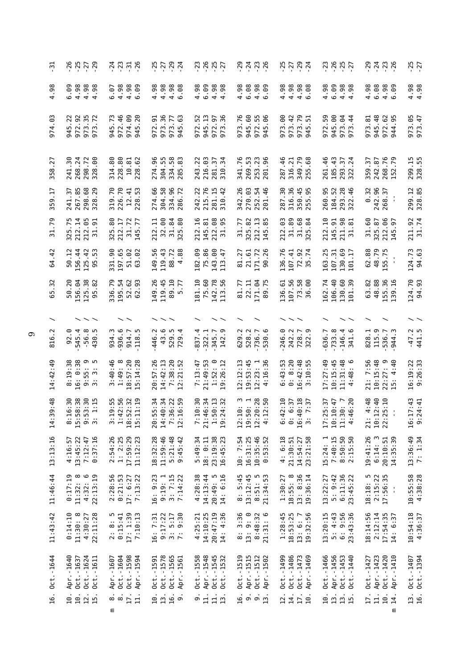| ៊ុ                    | 85779                                                                                                       | 77770                                                       | 7794                                                                |                                                                            | $^{0}_{7}$ $^{4}_{7}$ $^{0}_{7}$ $^{0}_{9}$                                            | 7794                                                                     | 28527                                                                |                                                                                                         | $-25$<br>$-27$                  |
|-----------------------|-------------------------------------------------------------------------------------------------------------|-------------------------------------------------------------|---------------------------------------------------------------------|----------------------------------------------------------------------------|----------------------------------------------------------------------------------------|--------------------------------------------------------------------------|----------------------------------------------------------------------|---------------------------------------------------------------------------------------------------------|---------------------------------|
| 4.98                  | 4.98<br>6.09<br>4.98<br>98                                                                                  | 4.98<br>4.98<br><b>eo</b> .<br>6.07                         | 4.98<br>4.98<br>$4.98$<br>6.98                                      | 4.98<br>6.09<br>$4.98$<br>$4.98$                                           | 6.08<br>4.98<br>$4.98$<br>6.99                                                         | 4.98                                                                     | 4.98<br>6.09<br>$4.98$<br>$4.98$                                     | 4.98<br>6.08<br>4.98<br><b>99</b>                                                                       | $4.98$<br>$4.98$                |
| .03<br>974            | 945.22<br>972.92<br>$\overline{35}$<br>.72<br>973.<br>973                                                   | 945.73<br>972.46<br>974.09<br>20<br>945                     | 973.36<br>51<br>973.77<br>945.63<br>972.                            | 945.13<br>52<br>972.97<br>973.36<br>972.                                   | 973.76<br>945.60<br>55<br>.06<br>972.<br>945                                           | ၉<br>973.42<br>973.79<br>945.51<br>973                                   | 945.00<br>50<br>64<br>$\frac{4}{3}$<br>972.<br>973.                  | 945.48<br>972.62<br>944.95<br>973.81<br>တ                                                               | 973.05<br>973.47                |
| .27<br>358            | 241.30<br><b>.</b><br>60<br>268.24<br>298.72<br>328.                                                        | 314.80<br>228.80<br>228.62<br>10.81                         | 304.55<br>334.58<br>285.83<br>274.96                                | 243.22<br>216.03<br>281.37<br>34<br>310                                    | 341.76<br>269.53<br>253.23<br>201.96                                                   | 349.79<br>255.68<br>287.46<br>316.21                                     | 261.46<br>185.43<br>$\frac{37}{24}$<br>293.<br>322.                  | 268.76<br>152.79<br>242.87<br>359.37                                                                    | 299.15<br>328.55                |
| 359.17                | 267.85<br>68<br>.29<br>241.37<br>298.<br>328                                                                | 226.70<br>319.70<br>12.41<br>$-53$<br>228                   | 304.58<br>96<br>274.66<br>334<br>286                                | 215.76<br>.22<br>281.15<br>310.42<br>242                                   | 342.26<br>$\ddot{\circ}$ $\ddot{\sigma}$ $\ddot{\sigma}$<br>270<br>252                 | 316.36<br>$\ddot{.}30$<br>350.45<br>255.95<br>287                        | 260.95<br>184.52<br>293.28<br>322.46                                 | 242.96<br>268.37<br>0.32                                                                                | 299.12<br>328.85                |
| .79<br>$\overline{5}$ | 212.14<br>$\cdot$ .75<br>65<br>51<br>212<br>325                                                             | 31.72<br>325.80<br>212.17<br>77<br>145                      | 212.11<br>32.00<br>84<br>80<br>$\frac{31}{325}$ .                   | 212.16<br>$_{\rm 68}$<br>81<br>95<br>145.<br>212.1                         | 325.82<br>212.13<br>31.77                                                              | 31.89<br>31.68<br>212.03<br>$\mathfrak{g}$<br>325                        | $\Xi$<br>51<br>98<br>ದ<br>$145.1$<br>$211.1$<br>212                  | 212.06<br>31.60<br>325.87<br>5<br>145                                                                   | 211.92<br>31.74                 |
| .42<br>64             | $\cdot$ 12<br>156.44<br>.42<br>53<br>125<br>50<br>95                                                        | .90<br>197.65<br>51.02<br>63.02<br>92<br>331                | 149.56<br>119.43<br>88.72                                           | 75.86<br>143.00<br>113.47<br>182.09                                        | 81.27<br>21.61<br>.72<br>26<br>171.<br>90                                              | 136.76<br>72.92<br>35.74<br>107.41                                       | 25<br>107.31<br>$\frac{5}{2}$<br>130<br>163<br>101                   | 62.88<br>48.79<br>55.75                                                                                 | 124.73<br>94.63                 |
| $\cdot$ 32<br>65      | 50.20<br>156.04<br>125.38<br>.82<br>95                                                                      | 336.79<br>195.54<br>52.62<br>- 93<br>62                     | 119.45<br>89.10<br>5.77<br>149.26                                   | 75.60<br>181.10<br>142.78<br>56<br>113                                     | 22.11<br>171.04<br>.75<br>81.77<br>89                                                  | 107.56<br>73.58<br>136.61<br>8<br>36                                     | 106.40<br>162.74<br>130.60<br>101.39                                 | 48.88<br>155.36<br>.16<br>63.82<br>139                                                                  | 124.70<br>94.93                 |
|                       |                                                                                                             |                                                             |                                                                     |                                                                            |                                                                                        |                                                                          |                                                                      |                                                                                                         |                                 |
| 816                   | 545.4<br>$-56.8$<br>92.0<br>ņ<br>430                                                                        | 936.6<br>934.3<br>914.7<br>118.5                            | 43.6<br>529.5<br>446.2                                              | $-345.7$<br>322.1<br>837.4<br>142                                          | 629.2<br>528.2<br>736.7<br><u>ی</u><br>530                                             | 246.0<br>242.2<br>728.7<br>322.9                                         | $-733.8$<br>$-146.4$<br>341.6<br>636.7                               | 115.9<br>828.1<br>536.7<br>944.3                                                                        | $-47.2$<br>441.5<br>441         |
| 14:42:49              | $8:19:38$<br>16: 0:38<br>ၜ<br>$9:55:$<br>3 : 3 :                                                            | $18:57:20$<br>$15:14:28$<br>$3:40:46$<br>1:49:8             | 20:57:26<br>14:42:13<br>7:38:20<br>12:21:52                         | 21:49:53<br>$1:52:0$<br>$19:26:12$<br>7:13:47                              | 12:12:13<br>19:53:45<br>:16:36<br>$12:23:1$<br>4:16:36                                 | 8:20<br>$16:42:48$<br>3:10:55<br>6:43:53<br>$\ddot{\circ}$               | 17:27:49<br>10:15:45<br>$11:31:48$<br>$4:48:6$                       | 21: 7:56<br>$10:15:48$<br>$22:27:9$<br>$15:40$                                                          | 16:19:22<br>9:26:33             |
| :48<br>G<br>14:3      | 8<br>8<br>8<br>9<br>9<br>9<br>9<br>9<br>9<br>1<br>1<br>9<br>9<br>1<br>15<br>15<br>15<br>15<br>$\frac{1}{9}$ | $3:19:55$<br>$1:42:56$<br>$18:52:32$<br>$15:11:19$          | 5:34<br>0:34<br>$6:22$<br>$6:59$<br>20:5<br>14:4<br>7 : 3<br>12 : 1 | 0004<br>0001<br>0001<br>$\frac{13}{13}$<br>7:1<br>21:40<br>$1:5$<br>$19:2$ | 0<br>0 0 0 0<br>0 0 0 0<br>0 0 0 0 0<br>$12:10:$<br>$19:50:$<br>12:1<br>$12:20$<br>4:1 | :10<br>7:37<br>81:09<br>2:37<br>$\sim$<br>6:4<br>16:40<br>$\ddot{\circ}$ | 5:37<br>$10:10:47$<br>11:30: 7<br>4:46:20<br>17:2                    | $4.48$<br>$4.49$<br>$4.49$<br>$4.5$<br>$4.5$<br>$4.5$<br>$4.5$<br>10:1<br>22:2<br>$\blacksquare$<br>21: | $7:43$<br>$4:41$<br>16:1<br>9:2 |
| 13:13:16              | 0:37:16<br>4:16:57<br>13:45:22<br>7:12:47                                                                   | $2:54:26$<br>1: 2:25<br>17:59:29<br>11:12:23                | 18:32:28<br>11:59:46<br>$5:21:48$<br>$9:45:42$                      | 23:19:38<br>5:49:34<br>18: 0:11<br>16:45:23                                | 10: 7:54<br>16:31:25<br>10:35:46<br>0:53:52                                            | 4: 6:18<br>23:21:58<br>21:30:51<br>14:54:27                              | 7:40:15<br>8:50:50<br>2:15:50<br>15:24:1                             | 19:41:26<br>6:14:3<br>20:10:51<br>14:35:39                                                              | $13:36:49$<br>7: 1:34           |
| 11:46:44              | $0:17:19$<br>$1:32:8$<br>$\circ$<br>22:13:19<br>11:32:<br>4:32:                                             | 2:28:56<br>0:21:53<br>17: 6:27<br>7:13:22                   | 16: 9:23<br>$3:7:15$<br>7:14:22<br>9:19:1                           | 4:28:38<br>$14:13:44$<br>$20:49:5$<br>$14:6:16$                            | $8: 5:45$<br>13:12:45<br>8:51:5<br>21:34:53                                            | 18:55:8<br>13: 8:36<br>19:36:14<br>1:30:27                               | 6:11:36<br>5: 9:42<br>23:45:22<br>13:22:27                           | m<br>$2:15:22$<br>17:56:35<br>18:18:<br>$\blacksquare$                                                  | $10:55:58$<br>$4:38:28$         |
| 11:43:42              | $0:14:10$<br>11:30: 8<br>22:11:28<br>4:30:27                                                                | $17: 1:39$<br>7:10:13<br>$2:8:5$<br>$0:15:41$               | 9:17:22<br>$3:5:17$<br>7: 9:30<br>16: 7:31                          | 14:10:25<br>20:47:19<br>14: 4:36<br>4:25:21                                | $8:3:36$<br>13: 9: 0<br>8:48:32<br>21:31:6                                             | $1:28:45$<br>$18:53:25$<br>19:32:56<br>13: 6: 7                          | 4:43<br>9:56<br>23:43:36<br>13:20:15<br>$\ddot{5}$<br>$\ddot{\circ}$ | 18:14:56<br>2:12:14<br>17:54:35<br>14: 6:37                                                             | 10:54:18<br>4:36:37             |
| $0ct. -1644$          | Apr.-1640<br>$0ct. -1624$<br>Oct. - 1637<br>$0ct. -1611$                                                    | $0ct. -1604$<br>Oct. -1598<br>Apr. -1594<br>Apr.-1607       | Oct. -1578<br>Oct. - 1565<br>$0ct. -1591$<br>Apr. -1561             | Apr. -1548<br>Oct. -1545<br>Oct. -1532<br>$0ct. -1558$                     | Apr. -1515<br>$0ct. -1519$<br>Oct. - 1512<br>Apr. -1502                                | Oct. - 1486<br>0ct.-1499<br>Oct.-1473<br>Apr.-1469                       | Oct.-1466<br>Apr. - 1456<br>Oct. - 1453<br>0ct.-1440                 | $0$ ct. $-1420$<br>Oct. - 1427<br>Apr. - 1423<br>Apr.-1410                                              | 0ct.-1394<br>$0ct. -1407$       |
| 16.                   | 10.<br>10.<br>12.<br>$\overline{15}$ .                                                                      | $\dot{\infty}$ $\dot{\infty}$<br>17.<br>$\frac{1}{11}$<br>Ε | 19.1<br>16.                                                         | $\begin{array}{cc} \Xi & \Xi \\ \Xi & \Xi \end{array}.$<br>$\dot{\circ}$   | ດ $\dot{\circ}$<br>16.<br>13                                                           | $\frac{14}{17}$ .<br>10.<br>12.                                          | 13.<br>10.<br>$\frac{13}{15}.$                                       | $\overline{11}$ .<br>10.<br>17.<br>14.<br>Ε                                                             | ក<br>16.                        |

 $\circ$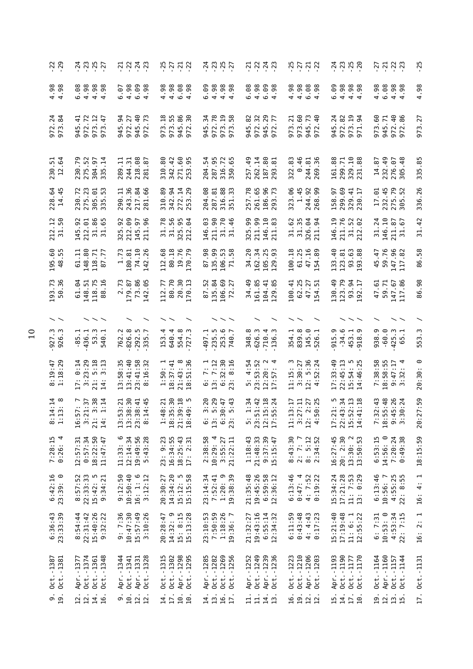| $-23$                                          | 77.77                                                                                                                    | 7237                                                                    | 55778                                                                                                                  | $\frac{1}{2}$ $\frac{1}{2}$ $\frac{1}{2}$ $\frac{1}{2}$ $\frac{1}{2}$ $\frac{1}{2}$                   | 7.777                                                                                                                                                                                                                                                                                                                                                                                             | 7777                                                                        | $77.79$<br>$7.79$                                                                                      | 7723                                                              | $-25$                    |
|------------------------------------------------|--------------------------------------------------------------------------------------------------------------------------|-------------------------------------------------------------------------|------------------------------------------------------------------------------------------------------------------------|-------------------------------------------------------------------------------------------------------|---------------------------------------------------------------------------------------------------------------------------------------------------------------------------------------------------------------------------------------------------------------------------------------------------------------------------------------------------------------------------------------------------|-----------------------------------------------------------------------------|--------------------------------------------------------------------------------------------------------|-------------------------------------------------------------------|--------------------------|
| $4.98$<br>$4.98$                               | 6.08<br>88<br>0.98<br>0.98<br>$98$ .<br>.98                                                                              | $6.07$<br>4.98<br>$6.99$<br>$4.98$                                      | 88888<br>4464                                                                                                          | 6.09<br>4.98<br>$4.98$<br>$4.98$                                                                      | 6.08                                                                                                                                                                                                                                                                                                                                                                                              | $4.98$<br>$4.98$<br>$6.98$<br>$4.98$                                        | 6.09<br>88<br>0988<br>098                                                                              | .98<br>6.08<br>98<br>98<br>4<br>44                                | .98<br>4                 |
| $\frac{1}{6}$ $\frac{1}{4}$<br>972<br>973      | 972.72<br>973.12<br>973.47<br>$\frac{1}{4}$<br>945                                                                       | $-4.73$<br>54<br>972.27<br>945<br>m<br>972<br>54                        | $\frac{8}{10}$<br>86<br>30<br>ιń<br>945.<br>972.<br>973.<br>ω<br>5                                                     | 34<br>.78<br>$\begin{array}{c} 28 \\ 20 \end{array}$<br>972.<br>m <sub>m</sub><br>5<br>94<br>57<br>57 | 300000<br>82<br>972.<br>945<br>945.<br>972.                                                                                                                                                                                                                                                                                                                                                       | $\overline{21}$<br>60<br>73<br>40<br>973.<br>973<br>945<br>972              | 24<br>82<br>$-34$<br>972.<br>973.<br>w<br>971<br>$\mathbf{a}$                                          | 973.60<br>$40$<br>86<br>945.71<br>972.<br>972.                    | .27<br>973               |
| 230.51<br>12.64                                | 275.52<br>304.97<br>230.79<br>$\frac{14}{ }$<br>335                                                                      | 80<br>289.11<br>$\overline{31}$<br>$\overline{8}$<br>244.<br>218<br>281 | .80<br>$-42$<br>271.60<br>310<br>342                                                                                   | 287.95<br>316.72<br>350.65<br>204.54                                                                  | 80<br>$-49$<br>262.14<br>187.<br>257<br>293                                                                                                                                                                                                                                                                                                                                                       | 322.83<br>.46<br>244.81<br>269.36<br>$\dot{\circ}$                          | .88<br>299.71<br>329.10<br>231.88<br>161                                                               | 232.49<br>276.07<br>305.48<br>14.87                               | 335.85                   |
| 228.64<br>14.45                                | 275.23<br>305.01<br>335.53<br>230.72                                                                                     | 290.11<br>243.36<br>217.84                                              | 89<br>94<br>$14^{29}$<br>310.42<br>272.                                                                                | 204.08<br>88<br>33<br>287.81<br>316.<br>351.                                                          | 257.78<br>261.65<br>186.96<br>293.73                                                                                                                                                                                                                                                                                                                                                              | 323.06<br>1.45<br>244.92<br>268.99                                          | 299.69<br>329.41<br>230.17<br>158.97                                                                   | 232.45<br>275.79<br>305.52<br>17.01                               | 336.26                   |
| $\frac{2}{1}$ 50<br>212.                       | $\frac{38}{10}$<br>95<br>65<br>$145$<br>$212$<br>$31.6$<br>$31.6$                                                        | 325.92<br>212.09<br>145.97<br>211.96                                    | 56<br>.78<br>5 g<br>$\frac{1}{3}$ $\frac{1}{3}$ $\frac{1}{2}$ $\frac{1}{2}$ $\frac{1}{2}$ $\frac{1}{2}$                | .03<br>211.90<br>31.70<br>31.46<br>146                                                                | 325.99<br>211.99<br>146.10<br>211.83                                                                                                                                                                                                                                                                                                                                                              | .62<br>35<br>ತೆ ತೆ<br>326.0<br>31.7                                         | $\overline{5}$<br>211.76<br>31.52<br>212.02<br>146                                                     | 31.24<br>146.10<br><b>67</b><br>$\frac{211}{31}$                  | $-42$<br>$\overline{31}$ |
| 195.60<br>48.55                                | 148.80<br>118.71<br>87.77<br>61.11                                                                                       | 1.73<br>74.10<br>.26<br>180.81<br>142                                   | 80.18<br>112.68<br>19.76<br>170                                                                                        | 87.98<br>135.99<br>53<br>106.<br>$\overline{7}$                                                       | 34.20<br>162.34<br>105.25<br>129.93                                                                                                                                                                                                                                                                                                                                                               | 100.18<br>61.25<br>$\frac{6}{2}$<br>47                                      | $-40$<br>93.63<br>193.88<br>123.81<br>133                                                              | 45.47<br>59.76<br>147.96<br>117.82<br>$\ddot{t}$                  | 86.58                    |
| .36<br>193.<br>50.                             | .64<br>148<br>118<br>5<br>88                                                                                             | .73<br>73.86<br>.87<br>-95<br>$\sim$<br>179<br>142                      | .70<br>20.30<br>170.13<br>77<br>$\rm ^{80}$<br>112                                                                     | .52<br>135.84<br>106.69<br>72.27<br>106<br>72<br>2                                                    | 49<br>161.85<br>.85<br>34<br>104<br>129                                                                                                                                                                                                                                                                                                                                                           | $-1$<br>.25<br>.51<br>100<br>62<br>47                                       | $^{49}$<br>.79<br>.17<br>123<br>93<br>130<br>192                                                       | 67<br>$\frac{61}{71}$<br>59<br>$\frac{147}{117}$<br>47            | 86.98                    |
| $\widehat{\phantom{a}}$                        |                                                                                                                          |                                                                         |                                                                                                                        |                                                                                                       |                                                                                                                                                                                                                                                                                                                                                                                                   |                                                                             |                                                                                                        |                                                                   |                          |
| $927.3$<br>$926.3$                             | $-436.1$<br>53.3<br>Ë.<br>-85<br>540                                                                                     | 826.8<br>292.5<br>762.2                                                 | 4.<br>640.4<br>554.8<br>727.3<br>153                                                                                   | 235.5<br>253.6<br>740.7<br>497                                                                        | $-626.3$<br>$-710.4$<br>$-136.3$<br>348.8                                                                                                                                                                                                                                                                                                                                                         | 354.1<br>839.8<br>145.0<br>526.1                                            | $-34.6$<br>5.9<br>453.1<br>918.9<br>5                                                                  | $-60.0$<br>938.9<br>$425.3$<br>$65.1$                             | 553.3                    |
| $8:19:47$<br>$1:18:29$                         | 0:14<br>$3:23:29$<br>$21:5:18$<br>Ē<br>n m<br>17:<br>14:                                                                 | $23:41:58$<br>$8:16:32$<br>$13:58:35$<br>$13:41:40$<br>$\sim$           | $1:50:1$<br>$(8:37:41)$<br>21:43: 8<br>18:51:36                                                                        | $\begin{array}{c} 6:7:1\\ 13:7:12\\ 6:32:30\\ 23:8:16 \end{array}$                                    | 4:54<br>3:53:52<br>12:20:17:57:<br>n,                                                                                                                                                                                                                                                                                                                                                             | 11:15: 3<br>3:30:27<br>$12: 5:36$<br>4:52:24                                | 17:33:49<br>$22:45:13$<br>15:54: 5<br>14:46:25                                                         | 7:38:58<br>18:58:55<br>$\frac{17}{4}$<br>$9:47$<br>3:32           | $\circ$<br>20:30         |
| $\frac{1}{1}$ $\frac{1}{8}$<br>$8:14$<br>$1:3$ | $\frac{3}{2}$ $\frac{3}{2}$ $\frac{3}{4}$<br>16 : 57<br>3 : 21 :<br>21 :<br>14 :<br>14 :<br>16:5<br>21:<br>$\frac{1}{4}$ | $\ddot{3}$<br>:21<br>$\frac{4}{4}$<br>13:53:38:13<br>$23:38$<br>$8:14$  | $\ddot{3}$ <sup>0</sup><br>$\frac{18}{11}$ in<br>$\overline{21}$<br>$1:48$<br>$18:35$<br>$21:39$<br>$18:49$<br>$18:49$ | $2.50$<br>$2.50$<br>$3.50$<br>: 20<br>$61.38$<br>$61.38$<br>$61.38$<br>$73.5$<br>$\ddot{13}$ :<br>23: | $\frac{34}{3}$<br>$282$<br>$-27$<br>$-27$<br>$\frac{1}{2}$<br>$\frac{1}{2}$<br>$\frac{1}{2}$<br>$\frac{1}{2}$<br>$\frac{1}{2}$<br>$\frac{1}{2}$<br>$\frac{1}{2}$<br>$\frac{1}{2}$<br>$\frac{1}{2}$<br>$\frac{1}{2}$<br>$\frac{1}{2}$<br>$\frac{1}{2}$<br>$\frac{1}{2}$<br>$\frac{1}{2}$<br>$\frac{1}{2}$<br>$\frac{1}{2}$<br>$\frac{1}{2}$<br>$\frac{1}{2}$<br>$\frac{1}{2}$<br>$\frac{1}{2}$<br> | $\Xi \Xi$<br>$\frac{27}{25}$<br>11:13:27<br>$\sim$ $\circ$<br>4:5<br>$12$ : | $\frac{34}{4}$ $\frac{13}{8}$<br>$\begin{array}{c} 17:21\\ 22:43\\ 25:52\\ 14:1\\ 14:41\\ \end{array}$ | :48<br>:43<br>$\frac{26}{24}$<br>$78.32$<br>18:54<br>9:30<br>3:30 | .59<br>20:27             |
| $7:28:15$<br>$0:26:4$                          | 0:57:34<br>18:22:50<br>12:57:31<br>11:47:47                                                                              | 19:49:56<br>11:33:6<br>12:14:34<br>5:43:28                              | 23: 9:23<br>16:34:55<br>18:25:43<br>17: 2:31                                                                           | 2:38:58<br>10:29:4<br>3:55:27<br>21:22:11                                                             | 1:18:43<br>21:48:33<br>$9:37:39$<br>15:15:47                                                                                                                                                                                                                                                                                                                                                      | 8: 5:12<br>2:34:52<br>8:43:30<br>2: 7: 7                                    | 16:27:45<br>20: 2:30<br>$13:30:2$<br>$13:50:53$                                                        | 14:56: 0<br>6:53:15<br>7:20:24<br>0:49:38                         | 18:15:59                 |
| $6:42:16$<br>$23:39:0$                         | $22:33:33$<br>15:42:5<br>8:57:52<br>9:34:21                                                                              | 9:12:50<br>10:50:40<br>$16: 1: 6$<br>$3:12:12$                          | 14:34:20<br>$15:12:5$<br>$15:15:58$<br>20:30:27                                                                        | 23:14:34<br>7:52:41<br>ை<br>19:38:39<br>1:20:                                                         | 21:35:48<br>19:45:26<br>6:59:58<br>12:36:12                                                                                                                                                                                                                                                                                                                                                       | 6:13:46<br>0:47:4<br>$4:7:52$<br>$0:19:22$                                  | 15:34:24<br>17:21:28<br>11: 7:53<br>13: 0:29                                                           | 6:13:46<br>10:56:7<br>$4:55:25$<br>$22:8:55$                      | 16: 4: 1                 |
| 6:36:43<br>23:33:39                            | 8:54:44<br>22:31:42<br>15:40:26<br>9:32:22                                                                               | 9:7:36<br>10:47:30<br>15:57:49<br>3:10:26                               | o<br>$15: 8:15$<br>$15:13:28$<br>20:28:47<br>14:32:                                                                    | 7:50:59<br>1:18:26<br>23:10:53<br>19:36:7                                                             | 19:43:16<br>6:55:14<br>12:34:32<br>21:32:27                                                                                                                                                                                                                                                                                                                                                       | $6:11:59$<br>$0:43:48$<br>$4: 4:43$<br>$0:17:23$                            | 15:21:40<br>17:19:48<br>$11: 6: 1$<br>$12:55:22$                                                       | 10:53: 0<br>6:7:31<br>$4:53:34$<br>22: 7:15                       | 16:2:1                   |
| 0ct.-1387<br>Oct. -1381                        | $0ct. -1374$<br>Oct. - 1361<br>$0ct. -1348$<br>Apr. -1377                                                                | Apr.-1331<br>Oct.-1328<br>Apr.-1344<br>$0ct. -1341$                     | Apr. -1298<br>Oct. -1295<br>Oct. - 1315<br>Oct. - 1302                                                                 | 0ct.-1282<br>0ct.-1269<br>Apr. - 1285<br>0ct.-1256                                                    | Oct. - 1249<br>Apr. - 1239<br>0ct.-1236<br>Apr. - 1252                                                                                                                                                                                                                                                                                                                                            | $0ct. -1210$<br>Apr. -1206<br>0ct. - 1223<br>$-1203$<br>0ct.                | Oct. -1190<br>Apr.-1193<br>Oct. - 1177<br>$-1170$<br>Oct.                                              | Apr.-1160<br>$0ct. -1164$<br>$-1144$<br>0ct.-1157<br>Oct.         | 0ct.-1131                |
| $\frac{1}{9}$ .                                | 14.<br>12.<br><u>َ مِ</u><br>$\overline{2}$                                                                              | 12.<br>$rac{10}{10}$<br>$\overline{12}$                                 | 10.<br>$\frac{14}{17}$ .<br>$\overline{10}$                                                                            | 13.<br>16.<br>14.<br>$\overline{1}$                                                                   | $\overline{11}$ .<br>14.<br>$\overline{11}$ .<br>$\mathbf{1}$                                                                                                                                                                                                                                                                                                                                     | 19.<br>12.1<br>16.                                                          | 15.<br>$\frac{4}{1}$<br>17.<br>$\overline{10}$                                                         | 12.<br>19.<br>$\frac{1}{15}.$                                     | 17.                      |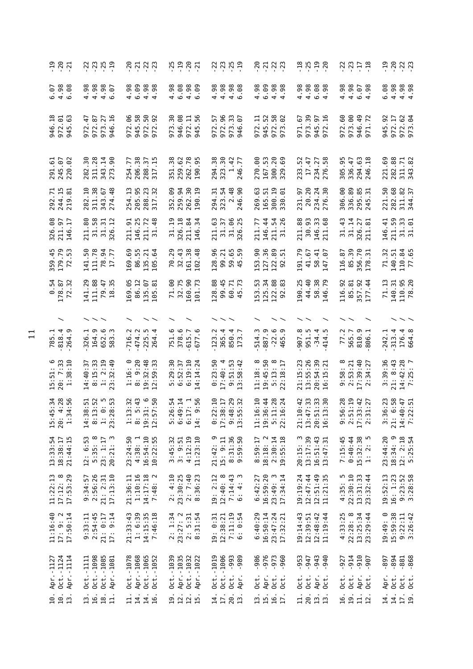| 7.77                                                       | 77779                                                                                   | 83333                                                                                                  | 79907                                                       |                                                                           |                                                                                                          | 역 12 미<br>구 구 구 <u>구</u>                                       | 77779                                                                     | <u>ㅋ</u> ㅋ ? ? ?<br>구 ? ? ? ?                              |
|------------------------------------------------------------|-----------------------------------------------------------------------------------------|--------------------------------------------------------------------------------------------------------|-------------------------------------------------------------|---------------------------------------------------------------------------|----------------------------------------------------------------------------------------------------------|----------------------------------------------------------------|---------------------------------------------------------------------------|------------------------------------------------------------|
| 98<br><u>ره</u> .<br><b>040</b>                            | 88<br>446<br>56<br>.98<br>4                                                             | $4.98$<br>$6.98$<br>$4.98$<br>$4.98$                                                                   | .98<br>6.08<br>8. S<br>$4\circ$                             | 4.98<br>4.98<br>98<br>98<br>$4\circ$                                      | $4.98$<br>6.99<br>$4.98$<br>$4.98$                                                                       | .98<br>4.98<br>8 se<br>$\circ$ 4                               | 4.98<br>4.98<br>$-98$<br>$\circ$ 4                                        | 4.98<br>$4.98$<br>$4.98$<br>6.08                           |
| 972.01<br>945.63<br>$-18$<br>946                           | $\overline{4}$<br>972.87<br>27<br>$-16$<br>973.<br>946.<br>972                          | 972.06<br>945.58<br>50<br>92<br>972.1                                                                  | 89<br>30<br>7.6<br>946.<br>972.<br>945.!<br>973             | 96<br>57<br>33<br>C9<br>972.9<br>973.<br>946.<br>972.                     | 972.58<br>973.02<br>945.52<br>972.11                                                                     | 973.39<br>971.67<br>016<br>945.<br>972.                        | 972.60<br>973.00<br>49<br>946.<br>971.                                    | 92<br>972.17<br>972.62<br>973.04<br>945                    |
| 291.61<br>245.07<br>62<br>220                              | 30<br>.28<br>140<br>311.<br>343<br>282<br>273                                           | 206.38<br>$\overline{\mathcal{E}}$ .<br>254.77<br>288<br>317                                           | 351.38<br>.62<br>78.95<br>259<br>262<br>190                 | 294.38<br>323.30<br>.42<br>.77<br>$\overline{a}$<br>246                   | 167.53<br>300.20<br>329.69<br>270.00                                                                     | 234.27<br>276.58<br>233.52<br>17.47                            | .95<br>63<br>336.47<br>294.<br>246.<br>305                                | .88<br>.69<br>$\frac{7}{8}$<br>282.<br>221.<br>311<br>343  |
| 292.71<br>244.15<br>219.81                                 | 282.10<br>311.38<br>343.67<br>274.48                                                    | 205.95<br>288.23<br>317.32<br>254.13                                                                   | 352.09<br>259.94<br>262.30<br>190.19                        | 323.54<br>2.48<br>246.90<br>294.31                                        | 300.19<br>269.63<br>165.51<br>ē.<br>330                                                                  | 20.20<br>$24$ 30<br>231.97<br>234.<br>276.                     | 306.00<br>336.89<br>295.85<br>245.31                                      | .68<br>311.82<br>344.37<br>.50<br>221<br>282               |
| 326.08<br>211.97<br>146.17                                 | $58$<br>80<br>$\overline{5}$<br>$\overline{\mathbf{r}}$<br>$\frac{1}{2}$<br>211.<br>326 | 25<br>211.72<br>31.48<br>51<br>146<br>211                                                              | 326.18<br>$\overline{5}$<br>ಹೆ ಸ<br>211.<br>$\overline{31}$ | 211.63<br>96<br>25<br>57<br>$\frac{1}{31}$ .<br>326                       | $\frac{4}{4}$<br>77<br>54<br>26<br>$211.$<br>$31.$<br>146<br>211                                         | 88<br>93<br><b>33</b><br>30.<br>211<br>146<br>211              | $\ddot{4}$<br>31.14<br>27<br>ದ<br>326.<br>211.<br>51                      | 50<br>33<br>5<br>$-41$<br>211.<br>$\frac{31}{31}$ .<br>146 |
| 359.45<br>179.79<br>72.53                                  | ္က<br>111.78<br>78.94<br>17.77<br>141.                                                  | 169.69<br>86.55<br>135.21<br>$\mathfrak{g}$<br>105                                                     | .29<br>70.29<br>32.43<br>38<br>$\frac{8}{4}$<br>161.<br>102 | 128.96<br>65<br>59<br>99.21<br>59.45                                      | 153.90<br>127.36<br>89<br>51<br>122.<br>92                                                               | 191.79<br>41.67<br>$41$ 07<br>$58\,$<br>147                    | 85.39<br>356.70<br>116.87<br>$\Xi$<br>356.<br>178.                        | 110.84<br>77.65<br>71.32<br>140.51                         |
| $-54$<br>178.87<br>$\cdot$ 32<br>$\circ$<br>$\overline{z}$ | 141.29<br>111.88<br>$\div 25$<br>79<br>$\frac{8}{18}$                                   | 86.12<br>- 95<br>$-97$<br>$\ddot{\mathrm{g}}$<br>135.<br>169<br>105                                    | $32.75$<br>$160.90$<br>$101.73$<br>ိ<br>11<br>160<br>101    | 128.88<br>99.45<br>60.71<br>45.73                                         | $\ddot{5}$<br>125.34<br>122.88<br>$\infty$<br>53<br>92                                                   | 40<br>190.25<br>38.79<br>$\overline{4}$<br>$58$<br>146         | .92<br>$\frac{9}{2}$ $\frac{4}{4}$<br>116<br>85<br>357<br>177             | 71.13<br>$95$<br>$20$<br>140.31<br>110.<br>78.             |
| $\overline{\phantom{a}}$                                   |                                                                                         |                                                                                                        |                                                             |                                                                           |                                                                                                          |                                                                |                                                                           |                                                            |
| 785 1<br>818 4<br>264 9                                    | 164.9<br>652.6<br>326.1<br>583                                                          | 474.2<br>225.5<br>716.2<br>264                                                                         | 378.6<br>751.6<br>$-615.7$<br>$677.6$                       | 365.4<br>850.4<br>123.2<br>173                                            | 887.9<br>$-22.6$<br>514.3<br>465                                                                         | ∞.<br>ņ<br>্ ন ়<br>্<br>951<br>$-34$<br>414<br>907            | 77.2<br>565.7<br>810.9<br>806.1                                           | 176.4<br>664.8<br>313.4<br>242.1                           |
| $15:51:6$<br>$20:7:33$<br>$1:38:10$                        | 8:15:33<br>1: 2:19<br>$\overline{a}$<br>14:40:37<br>$\ddot{3}$<br>$\sim$                | 19:32:48<br>12:59:33<br>9:20<br>:59:33<br>:16:<br>$\ddotsc$<br>$\sim$ $\sim$                           | 5:29:30<br>6:52:37<br>$6:19:10$<br>$14:14:24$               | 0:23:50<br>17:40:4<br>$9:51:53$<br>$13:58:42$                             | $\infty$<br>9:45:50<br>$\infty$<br>$\overline{17}$<br>$\ddot{a}$<br>11:18:<br>$\frac{18}{15}$<br>$5^{0}$ | 21:15:23<br>13:55:26<br>20:54:39<br>16:15:21                   | 17:39:40<br>2:34:27<br>$9:58:8$<br>$2:53:21$                              | $14:42:28$<br>7:25: 7<br>3:39:36<br>8:43<br>$\frac{1}{2}$  |
| 15:34<br>4:28<br>34:56<br>15:4!<br>$\frac{3}{2}$<br>20:    | $\begin{array}{r} 44:38:51 \\ 8:13:52 \\ 1:0 \\ 1:0 \\ \end{array}$                     | $\frac{3}{2}$ $\frac{3}{4}$<br>ိ ၈<br>$\begin{array}{c} 1:13 \\ 8:31 \\ 19:31 \\ 12:57 \\ \end{array}$ | 5:26:54<br>6:49:14<br>6:17: 1<br>14: 9:56<br>$\ddot{4}$ :   | $\begin{array}{c} 0:22:10 \\ 17:38:17 \\ 9:48:29 \\ 13:55:32 \end{array}$ | 11:16:10<br>19:36:44<br>5:11:28<br>22:16:24                                                              | $\ddot{3}$<br>39<br>39<br>:42<br>21:10:10:17<br>20:51<br>16:13 | $9:56:28$<br>$2:51:19$<br>$17:33:42$<br>$2:31:27$                         | 21: 6:58<br>14:40:47<br>7:22:51<br>:23<br>6<br>3:3         |
| 13:33:54<br>18:38:17<br>21:44:15                           | 12: 6:53<br>5:35:8<br>20:21:3<br>23: 1:17                                               | 16:54:10<br>23:24:50<br>4:38: 1<br>10:22:55                                                            | $3:45:32$<br>$3:9:51$<br>$4:12:19$<br>$11:23:10$            | 21:42:9<br>8:31:36<br>9:59:50<br>15: 9:11                                 | 2:30:14<br>19:55:18<br>$8:59:17$<br>$18:18:2$                                                            | 13:17:39<br>$16:51:43$<br>$13:47:31$<br>m<br>20:15:            | $7:15:45$<br>0:40:44<br>15:32:38<br>LO.<br>$\sim$<br>$\sim$<br>$\ddot{a}$ | 23:44:20<br>18:34: 9<br>$12: 2:18$<br>5:25:54              |
| $17:12:8$<br>$17:53:29$<br>11:22:13                        | 9:34:57<br>2:56:26<br>17:13:10<br>21: 2:31                                              | 21:36:11<br>1:10:16<br>$14:17:18$<br>7:48: 2                                                           | 2: 4:10<br>23:30:25<br>2: 7:40<br>8:36:23                   | 19: 2:12<br>$12:40:8$<br>7:14:43<br>6: 4: 3                               | 16:59:20<br>23:49: 3<br>17:34:14<br>6:42:27                                                              | 19:19:24<br>12:47:44<br>12:51:49<br>11:21:35                   | $4:35:5$<br>$22:30:10$<br>$13:31:33$<br>$23:32:44$                        | $16: 1:23$<br>9:23:52<br>3:28:58<br>19:52:13               |
| 17:50:14<br>11:16:40<br>17:9:2                             | $9:33:11$<br>$2:54:45$<br>$21:0:17$<br>17:9:14                                          | $21:33:43$<br>$1:6:39$<br>14:15:35<br>7:46:18                                                          | 2: 1:34<br>23:27: 2<br>$2: 5:31$<br>$8:31:54$               | 7:11:19<br>6: 0:54<br>19: 0:31<br>12:38:21                                | 6:40:29<br>16:50:14<br>23:47:24<br>17:32:21                                                              | 19:14:43<br>12:48:42<br>11:19:44<br>12:39:51                   | $4:33:25$<br>$22:28:8$<br>$13:25:34$<br>$23:29:44$                        | 19:49: 0<br>15:59:38<br>$9:22:11$<br>$3:26:42$             |
| Oct. - 1124<br>Apr.-1114<br>Apr. -1127                     | 0ct.-1098<br>Oct. - 1085<br>$0ct. -1111$<br>Apr.-1081                                   | Oct.-1078<br>Apr. - 1068<br>Oct.-1065<br>Oct.-1052                                                     | Oct. - 1039<br>Apr.-1035<br>Oct.-1032<br>Apr.-1022          | Oct.-1019<br>Oct.-1006<br>$-993$<br>$-989$                                | $-986$<br>$-976$<br>$-973$<br>$-960$                                                                     | $-953$<br>$-947$<br>$-943$<br>$-940$                           | $-910$<br>$-907$<br>$-914$<br>$-927$                                      | $-894$<br>$-881$<br>$-868$<br>$-897$                       |
|                                                            |                                                                                         |                                                                                                        |                                                             | Oct.<br>Apr.                                                              | Apr.<br>Oct.<br>$0$ ct.<br>Oct.                                                                          | $0$ ct.<br>Oct.<br>Apr.<br>Oct.                                | Oct.<br>Oct.<br>Apr.<br>Oct.                                              | $0$ ct.<br>Apr.<br>$0$ ct.<br>Oct.                         |
| $\frac{10}{10}$ .<br>$\overline{13}$                       | $\overline{18}$ .<br>16.<br>$\overline{11}$ .<br>$\overline{13}$                        | 14.<br>$\frac{4}{1}$<br>16.<br>$\Xi$                                                                   | $\frac{19}{12}$ .<br>12.15                                  | 17.<br>20.<br>14.<br>$\mathbf{1}^3$                                       | <br>អូម<br>16.<br>$\overline{17}$                                                                        | 20.<br>$\frac{13}{13}$ .<br>$\overline{11}$ .                  | 19.<br>11.1<br>16.                                                        | 14.<br>17.19<br>14.                                        |
|                                                            |                                                                                         |                                                                                                        |                                                             |                                                                           |                                                                                                          |                                                                |                                                                           |                                                            |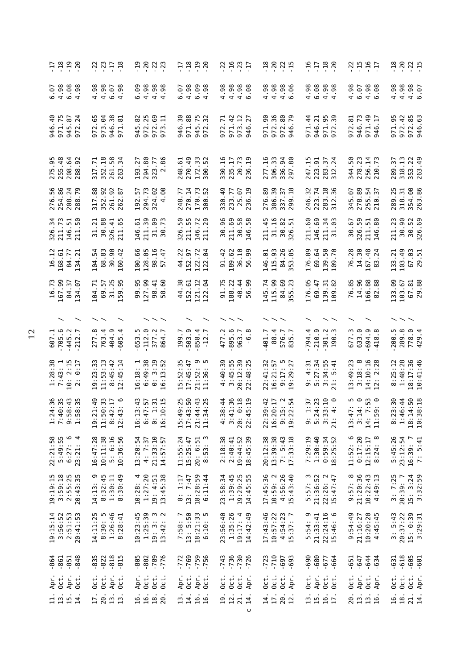| - 그 역 위<br>- 그 그 이                                                                           | $7777$<br>$777$                                                                                                                          |                                                                                                                          | 7<br>그 그 그 이                                                          | 79977                                                                                                                                                                                                             | 77777                                                             | 9789<br>1779                                                                                                                                                                                                                                                                                                                               | 7.597                                                                                             |                                                                                 |
|----------------------------------------------------------------------------------------------|------------------------------------------------------------------------------------------------------------------------------------------|--------------------------------------------------------------------------------------------------------------------------|-----------------------------------------------------------------------|-------------------------------------------------------------------------------------------------------------------------------------------------------------------------------------------------------------------|-------------------------------------------------------------------|--------------------------------------------------------------------------------------------------------------------------------------------------------------------------------------------------------------------------------------------------------------------------------------------------------------------------------------------|---------------------------------------------------------------------------------------------------|---------------------------------------------------------------------------------|
| $6.98$<br>$6.98$<br>$6.98$<br>.98<br>↤                                                       | $4.98$<br>$4.98$<br>$6.07$<br>4.98                                                                                                       | စီ ခံ ခံ<br>ဗီ<br>6.09<br>444                                                                                            | 4.98<br>0.98<br>$\ddot{\theta}$ .<br>6<br>$\circ$ 4                   | 4.98<br>88<br>08<br>09<br>09<br>09<br>09                                                                                                                                                                          | 4.98<br>4.98<br>96<br>$4\circ$                                    | 6.08<br>4.98<br>$4.98$<br>$4.98$                                                                                                                                                                                                                                                                                                           | 4.98<br>6.07<br>86<br>86<br>40                                                                    | 4.98<br>88<br>446<br>446                                                        |
| ⊙ທ<br>945.87<br>946.40<br>971.75<br>$\sim$<br>972                                            | 973.04<br>38<br>$\overline{8}$<br>ڣ<br>946.<br>972                                                                                       | m<br>972.69<br>973.11<br>.82<br>972.2<br>945                                                                             | 946.30<br>971.88<br>.75<br>$\cdot$ 32<br>945.<br>972.                 | .42<br>$\overline{z}$<br>973.12<br>946.27<br>972<br>971                                                                                                                                                           | 971.90<br>972.36<br>$_{\rm 8}$<br>Ě.<br>972.<br>946.              | 971.44<br>946.21<br>971.95<br>972.39                                                                                                                                                                                                                                                                                                       | 972.81<br>946.73<br>971.49<br>946.17                                                              | 972.42<br>85<br>63<br>971.95<br>972.85<br>946.63                                |
| 275.95<br>255.48<br>208.64                                                                   | .18<br>58<br>$\overline{.71}$<br>$\overline{3}$<br>261.<br>352<br>317<br>263                                                             | 294.80<br>323.77<br>193.27                                                                                               | 270.49<br>172.33<br>300.52<br>248.61                                  | 20.73<br>330.16<br>235.17                                                                                                                                                                                         | 306.33<br>$-16$<br>940<br>336.<br>277                             | 223.91<br>283.37<br>312.24<br>247.15                                                                                                                                                                                                                                                                                                       | 344.50<br>278.23<br>$14$<br>$73$<br>256.<br>210.                                                  | 318.13<br>353.22<br>263.49<br>57<br>289                                         |
| 276.56<br>254.86<br>208.79<br>288.79                                                         | .88<br>.92<br>$rac{3}{8}$<br>352<br>317<br>261<br>262                                                                                    | 294.73<br>324.02<br>80.<br>-57<br>192<br>$\overline{a}$                                                                  | 248.77<br>270.14<br>170.73<br>.52<br>300                              | 330.49<br>233.77<br>25.07<br>236.19                                                                                                                                                                               | 276.89<br>306.39<br>337.37<br>299.18                              | .18<br>$\overline{36}$<br>$\ddot{3}$<br>246<br>223<br>283<br>312                                                                                                                                                                                                                                                                           | 345.07<br>278.89<br>$-54$<br>255.<br>210.                                                         | 354.00<br>263.86<br>289.25<br>318.31                                            |
| 326.34<br>211.73<br>5.9<br>146<br>211                                                        | 31.21<br>30.88<br>326.41<br>211.65                                                                                                       | 211.39<br>31.09<br>30.73<br>5<br>146                                                                                     | 55<br>29<br>50<br>72<br>211.<br>326<br>146<br>211                     | 30.96<br>211.69<br>58<br>38<br>30.<br>146                                                                                                                                                                         | $31.16$<br>$30.82$<br>$326.51$<br>$-45$<br>211                    | 211.60<br>69<br>$\frac{1}{2}$<br>ප<br>146.<br>211.                                                                                                                                                                                                                                                                                         | 59<br>67<br>5<br>ඝ<br>326.<br>30.<br>211.                                                         | 30.90<br>52<br>326.69<br>$\overline{c}$<br>30.<br>211                           |
| 16.12<br>168.61<br>84.77<br>134.21<br>134                                                    | $\frac{54}{4}$<br>96<br>$-42$<br>$\mathfrak{S}$<br>104<br>89<br>160                                                                      | .66<br>128.05<br>98.16<br>57.47<br>100                                                                                   | .22<br>$\overline{z}$<br>$\mathfrak{g}$<br>152.97<br>44<br>122<br>122 | 36.10<br>.42<br>189.62<br>99<br>50<br>56                                                                                                                                                                          | 115.93<br>146.01<br>26<br>84<br>53                                | 69.64<br>139.50<br>109.70<br>176.89<br>139.<br>109                                                                                                                                                                                                                                                                                         | 76.28<br>14.30<br>48<br>$\overline{24}$<br>167.<br>83                                             | 103.49<br>67.03<br>29.51<br>$\frac{21}{2}$<br>133                               |
| 16.73<br>167.99<br>84.37<br>.67<br>134                                                       | .25<br>$-95$<br>$\overline{z}$<br><u>'s</u><br>104<br>69<br>$\overline{5}$<br>59                                                         | 99.95<br>127.99<br>.60<br>98.41<br>$\frac{8}{2}$                                                                         | 44.38<br>$\frac{1}{2}$ $\frac{1}{2}$<br>152.61<br>121<br>122          | 91.75<br>188.22<br>40.44<br>90<br>56                                                                                                                                                                              | 115.99<br>145.74<br>.69<br>84<br>55                               | 69.47<br>139.31<br>176.05<br>.82<br>109                                                                                                                                                                                                                                                                                                    | 14.96<br>76.85<br>166.88<br>.88<br>82                                                             | 67.81<br>29.88<br>133.09<br>103.67                                              |
|                                                                                              |                                                                                                                                          |                                                                                                                          |                                                                       |                                                                                                                                                                                                                   |                                                                   |                                                                                                                                                                                                                                                                                                                                            |                                                                                                   |                                                                                 |
| 607.1<br>705.6<br>$445.2$<br>$212.7$                                                         | 4.<br>404.9<br>$\infty$<br>4.<br>277<br>763<br>605                                                                                       | $\frac{112.0}{377.2}$<br>377.2<br>864.7<br>653.5                                                                         | 503.9<br>199.7<br>858.4<br>$-12$                                      | 895.6<br>477.2<br>963.7<br>٩                                                                                                                                                                                      | 88.4<br>576.7<br>835.7<br>401.7                                   | $-210.9$<br>$-301.2$<br>794.4<br>m<br>190                                                                                                                                                                                                                                                                                                  | 677.3<br>633.0<br>$-694.9$<br>$-418.8$                                                            | 289.8<br>778.0<br>429.4<br>200.5                                                |
| $2:15$<br>$0:17$<br>$1:28:38$<br>7:43: 1<br>$\begin{array}{c} 1.6 \\ 0.7 \\ 0.7 \end{array}$ | $19:23:33$<br>$11:53:13$<br>$8:45:42$<br>$2:45:14$                                                                                       | 6:49:38<br>0:3:19<br>52<br>16:18:<br>$-5:13:$                                                                            | $15:52:35$<br>$17:45:47$<br>21:52:11:36:                              | 20:12:39<br>22:48:25<br>$4:40:39$<br>$3:45:55$                                                                                                                                                                    | 22:41:32<br>16:21:57<br>$\mathsf{L}$<br>27<br>$9:17:$<br>$9:29:7$ | $5:27:34$<br>3:34:55<br>21: 5:41<br>4:31<br>்                                                                                                                                                                                                                                                                                              | $\begin{array}{c} 13:49:23 \\ 3:18: \\ 14:10:16 \\ 12:28 \end{array}$                             | 1:48:28<br>18:17:36<br>10:41:46<br>8:25:12                                      |
| $1:24:36$<br>7:40:35<br>9:58:43<br>1:58:35                                                   | $\begin{array}{c} 4 & 0 & 0 \\ 4 & 0 & 1 \\ 0 & 0 & 0 \end{array}$<br>$\begin{array}{c} 19:21: \\ 11:50: \\ 8:42: \\ 22:43: \end{array}$ | $\begin{array}{c} 1 \\ 1 \\ 2 \\ 3 \\ 4 \end{array}$<br>$\begin{array}{c} 16:13\\ 6:47\\ 0:1\\ 0:10\\ 16:10 \end{array}$ | 15:49:25<br>17:43:50<br>21:44:43<br>21:34:25                          | $\frac{1}{4}$ $\frac{1}{8}$ $\frac{1}{8}$ $\frac{1}{9}$ $\frac{1}{9}$<br>$4 - 8$<br>$30$<br>$4 - 8$<br>$4 - 8$<br>$5 - 4$<br>$6 - 4$<br>$7 - 8$<br>$6 - 4$<br>$7 - 8$<br>$8 - 2$<br>$2 - 8$<br>$20:4!$<br>$22:4!$ | $22:39:42$<br>16:20:17<br>9:15:2<br>9:22:54                       | 2235<br>2355<br>$\frac{1}{9}$ $\frac{3}{1}$ $\frac{3}{1}$ $\frac{3}{1}$ $\frac{3}{1}$ $\frac{3}{1}$ $\frac{3}{1}$ $\frac{4}{1}$ $\frac{5}{1}$ $\frac{6}{1}$ $\frac{7}{1}$ $\frac{3}{1}$ $\frac{7}{1}$ $\frac{4}{1}$ $\frac{3}{1}$ $\frac{5}{1}$ $\frac{7}{1}$ $\frac{3}{1}$ $\frac{7}{1}$ $\frac{1}{1}$ $\frac{3}{1}$ $\frac{3}{1}$<br>21: | 100 m o m o<br>100 m o m o<br>$\begin{array}{c} 13:47\\ 3:14\\ 14:7\\ 14:7\\ 11:59\\ \end{array}$ | $: 50$<br>$: 18$<br>$\frac{6}{3}$<br>:44<br>$8:23$<br>1:46:<br>18:14:<br>10:38: |
| 22:21:58<br>5:49:55<br>$\circ$ 4<br>6:27:<br>23:21:                                          | $16:47:28$<br>$10:11:38$<br>5: 6:16<br>10:36:56                                                                                          | 13:20:54<br>21:33:10<br>4: 7:37<br>14:57:57                                                                              | 11:55:24<br>15:25:47<br>$20: 6:51$<br>8:53: 3                         | $2:18:38$<br>$2:40:41$<br>19:44:52<br>18:45:39                                                                                                                                                                    | 13:39:38<br>20:12:38<br>$7:5:43$<br>17:33:18                      | $1:30:40$<br>$0:59:34$<br>$18:25:52$<br>7:29:19                                                                                                                                                                                                                                                                                            | $11:52:6$<br>$0:17:20$<br>$12:15:17$<br>8:24: 8                                                   | 5:45:26<br>23:12:54<br>16:39:7<br>5:41<br>$\overline{z}$                        |
| 19:19:15<br>3:59:18<br>$2:55:25$<br>$20:43:35$                                               | $14:13:9$<br>$8:32:45$<br>$1:30:11$<br>$8:30:49$<br>14:13                                                                                | 10:28:4<br>1:27:20<br>13:45:38<br>19: 4:51                                                                               | 18:28:59<br>8:1:17<br>13:7:47<br>6:11:44                              | $1:39:45$<br>$19:29:25$<br>$14:45:55$<br>23:58:34                                                                                                                                                                 | 17:45:36<br>10:59:2<br>4:56:26<br>15:43:40                        | 5:57: 3<br>21:36:52<br>22:26: 2<br>15:47:47                                                                                                                                                                                                                                                                                                | 9:57: 8<br>21:20:36<br>$10:22:43$<br>$4:49:13$                                                    | $3:7:25$<br>$20:39:7$<br>15: 3:24<br>3:32:59                                    |
| 19:15:14<br>3:56:52<br>2:51:53<br>20:41:53                                                   | 8:30:5<br>$1:26:46$<br>8:28:41<br>14:11:25                                                                                               | $1:25:39$<br>$19:3:3$<br>$13:42:2$<br>10:23:45<br>13:42:<br>19:3:                                                        | 7:58: 7<br>13:550<br>$18:21:33$<br>$6:10:5$                           | 1:35:26<br>14:42:49<br>23:56:40<br>19:17:4                                                                                                                                                                        | $4:54:23$<br>15:37: 7<br>17:43:46<br>10:57:22                     | σ<br>$22:24:16$<br>15:46: 6<br>21:33:41<br>5:54:                                                                                                                                                                                                                                                                                           | 0:54:49<br>21:16:27<br>$10:20:20$<br>4:45:45                                                      | 3:5:43<br>20:37:22<br>15: 0:39<br>3:29:31                                       |
| $-861$<br>$-848$<br>$-864$<br>$-851$                                                         | $-818$<br>$-815$<br>$-835$<br>$-822$                                                                                                     | $-789$<br>$-776$<br>$-805$<br>$-802$                                                                                     | $-772$<br>$-769$<br>$-759$<br>$-756$                                  | $-736$<br>$-730$<br>$-726$<br>$-743$                                                                                                                                                                              | $-710$<br>$-723$<br>-697<br>$-693$                                | $-690-$<br>$-680$<br>$-677$<br>$-664$                                                                                                                                                                                                                                                                                                      | $-644$<br>$-651$<br>$-647$<br>$-634$                                                              | $-618$<br>$-605$<br>$-601$<br>$-631$                                            |
| Oct.<br>Apr.<br>Apr.<br>$0$ ct.                                                              | Oct.<br>Apr.<br>Oct.<br>0ct.                                                                                                             | Apr.<br>Oct.<br>Oct.<br>Oct.                                                                                             | Apr.<br>Oct.<br>Apr.<br>Oct.                                          | $0$ ct.<br>$0$ ct.<br>Oct.<br>Apr.                                                                                                                                                                                | $0$ ct.<br>$0$ ct.<br>Oct.<br>Apr.                                | Oct.<br>Apr.<br>Oct.<br>$0$ ct.                                                                                                                                                                                                                                                                                                            | Oct.<br>Apr.<br>Oct.<br>Apr.                                                                      | Oct.<br>Apr.<br>Oct.<br>Oct.                                                    |
| $\begin{array}{ccc} \Xi & \Xi & \Xi \\ \Xi & \Xi & \Xi \end{array}$<br>14.                   | 20.<br>$\frac{13}{13}.$<br>$\overline{17}$                                                                                               | 20                                                                                                                       | 14.<br>16.<br>$\overline{13}$ .<br>16                                 | 19.<br>12.<br>21.<br>14.<br>$\cup$                                                                                                                                                                                | 17.<br>20.<br>12.<br>14.                                          | 13.<br>15.16.1                                                                                                                                                                                                                                                                                                                             | 20.<br>13.<br>$\frac{13}{16}.$                                                                    | 18.<br>16.<br>$\frac{21}{14}$ .                                                 |
|                                                                                              |                                                                                                                                          |                                                                                                                          |                                                                       |                                                                                                                                                                                                                   |                                                                   |                                                                                                                                                                                                                                                                                                                                            |                                                                                                   |                                                                                 |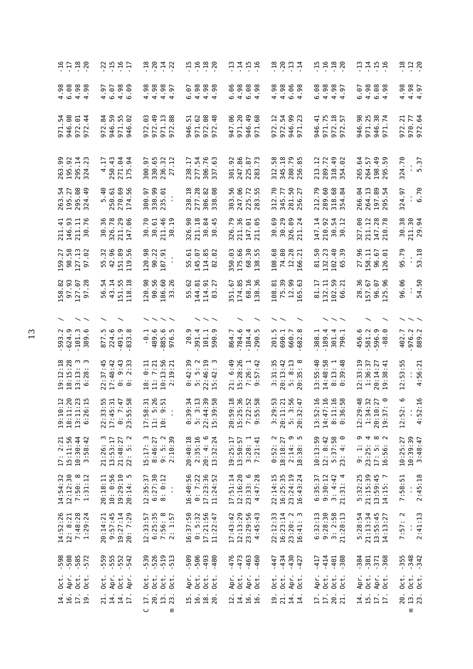|                                      |              | 9789<br>7799                                                        |                |                 | 7.597    |                                              |        |                                             |                                      | 70047                   |                |                       |                     |                       | $1990$<br>$790$                             |            |      | 7777                                 |                     |                                            |                   |                         |        | 7077                                              |                     |                      | 11989<br>11198                                                |                                    |          |         |                       | 7777                                               |                  |              | 12<br>12<br>12             |
|--------------------------------------|--------------|---------------------------------------------------------------------|----------------|-----------------|----------|----------------------------------------------|--------|---------------------------------------------|--------------------------------------|-------------------------|----------------|-----------------------|---------------------|-----------------------|---------------------------------------------|------------|------|--------------------------------------|---------------------|--------------------------------------------|-------------------|-------------------------|--------|---------------------------------------------------|---------------------|----------------------|---------------------------------------------------------------|------------------------------------|----------|---------|-----------------------|----------------------------------------------------|------------------|--------------|----------------------------|
| 88<br>088<br>098                     |              | .98                                                                 | 4.97           | 6.07            |          | $4.98$<br>6.09                               |        | 4.98                                        | 4.98                                 | $4.98$<br>$4.97$        |                | 6.07                  |                     |                       | 88<br>0.98<br>0.98                          | 6.06       |      | 88<br>0.88<br>0.98                   |                     |                                            |                   |                         |        |                                                   | 6.08                |                      | 88<br>444<br>444                                              | 44                                 | 6.07     |         |                       | 88<br>0.88<br>0.98                                 | 4.98             |              | 4.98<br>4.97               |
| 971.54<br>946.08                     | 972.01       | $\overline{4}$<br>972                                               | .84<br>972     | 946.59          | 971.55   | 62<br>946                                    |        | .03<br>972                                  | 972.49                               | 971.13<br>972.88        |                | 51<br>946.            | 971.62              | 972.08                | .48<br>972                                  | 947.06     |      | 971.20                               | 49<br>946           | 68<br>971                                  | $\ddot{5}$<br>972 | 972.54                  | 946    | 9. 23<br>971                                      | <u>ਰ</u><br>946     | 971.75               |                                                               | 972.18<br>972.57                   | 946.98   | 971.25  | 946.                  | $\frac{38}{74}$<br>971                             | .21<br>972       |              | 970.77<br>972.64           |
| 263.99<br>195.92                     |              | 295.14<br>324.23                                                    | 4.17           | 250.43          |          | 271.04<br>175.94                             | 300.97 |                                             | 330.65                               | .32<br>236.             | 27             | i.<br>238             | 277.54              |                       | 306.76<br>337.63                            | 301.92     |      | 247.86                               | 225.87              | .73<br>283                                 | .58<br>312        | 345.18                  |        | 79<br>280.<br>256.                                | $\mathbf{r}$<br>213 | .72<br>289           |                                                               | $49$ $8$<br>354<br>354             | 265.64   | 264.57  | 198                   | $-49$<br>295                                       | 324.70           |              | $-5.37$                    |
| 263.54<br>195.27<br>295.49<br>324.49 |              |                                                                     |                | 5.40<br>250.61  | 270.69   | 174.56                                       |        | 300.97                                      | 330.99<br>235.01                     |                         |                |                       | 238.18              |                       | 306.82<br>338.08                            |            |      | 303.56<br>247.06<br>225.72<br>283.55 |                     |                                            |                   | 312.70<br>345.77        |        | 281.50<br>256.27                                  | 212.79              | 289.60               | 68                                                            | .84<br>318.<br>354.                | 266.04   |         |                       | 264.13<br>197.89<br>295.54                         | 324.97           |              | 6.70                       |
| 211.41<br>146.93                     |              | 211.11<br>30.76                                                     |                | 30.36<br>326.78 |          | 211.29<br>147.06                             |        | 30.70<br>30.61                              |                                      | 211.46<br>30.19         |                |                       | 326.90<br>211.18    |                       | $\frac{4}{5}$<br>$-30.4$                    | .79<br>326 |      | 96<br>2117<br>147<br>211             | $\overline{6}$      | 65                                         |                   | 30.69<br>30.29          |        | 82<br>24<br>326.8                                 | 147.14              | 92<br>210.           |                                                               | 54<br>12<br>នី និ                  |          |         |                       | 327.00<br>211.12<br>147.28<br>210.78               | 30.38            |              | 211.30                     |
| $-58$<br>159.<br>98.                 |              | 127.13<br>97.02                                                     |                | 55.32<br>42.96  | 151.89   | 56<br>119                                    |        | 120.98                                      | 90.22                                | 187.91                  |                | 55.61                 |                     | 145.07<br>114.85      | 82<br>82                                    | 350.03     |      | 175.66                               | 68.30               | 138                                        | 108.68            | 74.80                   | 12.    | 28<br>166                                         | 50<br>81            | 23<br>132.           | 102                                                           | 40<br>65                           | 27.96    | 158.11  | 96.                   | 67<br>01<br>126                                    | 95.79            |              | 53.18                      |
| $\frac{6}{3}$<br>158<br>97           | 127.07       | .28<br>57                                                           | $-54$<br>56    | 43.14           |          | 151.55<br>118.18                             |        | 120.98<br>90.56                             |                                      | 60<br>186               | .26<br>33      | .62<br>55             | នុ<br>144           |                       | $\frac{5}{2}$<br>$\frac{14}{8}$             | -67<br>51  |      | 174.85<br>68.16                      | $16$<br>$36$        | 38                                         | 108.81            | .39<br>75               | 52     | 99<br>63<br>165                                   | ŗ.<br>ದ             | Ę<br>132             | 102                                                           | 59 71<br>99                        | 28.36    | 157.67  |                       | 96.07                                              | 96.06            |              | 54.50                      |
|                                      |              |                                                                     |                |                 |          |                                              |        |                                             |                                      |                         |                |                       |                     |                       |                                             |            |      |                                      |                     |                                            |                   |                         |        |                                                   |                     |                      |                                                               |                                    |          |         |                       |                                                    |                  |              |                            |
| $-593.2$<br>$-624.9$                 | .101.3       | ە.<br>389                                                           |                | 877.5<br>224.6  | 491.9    | 833                                          |        | $-0.1$                                      | 489.6                                | 885.6<br>976.5          |                | 20.9                  | 391.4               |                       | 101.1<br>590.9                              | 864.7      |      | 784.6                                | 184.4               | 290                                        | 201               | n. –<br>690             |        | 660.7                                             | 388.1               | 189.4                |                                                               | 301.4<br>790.1                     | 456.6    |         | 581.2                 | $-88-$                                             | 402.7            |              | 976.2<br>889.2             |
|                                      |              | $\begin{array}{c} 19:12:18\\ 18:15:28\\ 13:13:3\\ 6:28 \end{array}$ | :37:45<br>22   | 17:48:42        | $\sim$   | $9:43$<br>$2:33$<br>$\circ$ $\circ$          |        | 료<br>$\circ$<br>$\cdot$ .<br>$\frac{8}{10}$ | 7:21<br>$\frac{1}{2}$                | $10:13:56$<br>$2:19:21$ |                | $\frac{39}{2}$<br>:42 | o n                 |                       | $5: 5: 2$<br>$22:46:19$<br>$15:42: 3$       | 21: 6:49   |      | $15:28:26$<br>7:26: 1<br>9:57:42     |                     | 57:42                                      |                   | $3:31:35$<br>$20:13:42$ |        | $5:8:13$<br>$20:35:8$                             |                     | 13:55:40<br>14:48:58 |                                                               | $: 13: 1$<br>$: 39:48$<br>$\infty$ | 12:33:19 |         |                       | $1:36:37$<br>$20:14:27$<br>$19:38:41$              | :53:55<br>51     |              | 4:56:21                    |
|                                      |              | 19:10:12<br>18:11:20<br>13:11:23<br>6:26:15                         |                |                 |          | $22:33:55$<br>17:45:31<br>0:7:47<br>23:55:58 |        |                                             | $17:58:31$<br>$11:5:26$<br>$10:9:51$ |                         | $\blacksquare$ |                       |                     |                       | $0:39:34$<br>5:3:13<br>22:44:39<br>15:39:58 |            |      |                                      |                     | 20:59:18<br>15:25:36<br>7:22:52<br>9:55:58 |                   |                         |        | $3:29:53$<br>$20:11:21$<br>$5:3:56$<br>$20:32:47$ | 1.16                | 01                   | $\begin{array}{c} 13:52\\ 14:47\\ 8:11:5\\ 8:36: \end{array}$ | 158                                |          |         |                       | $12:29:48$<br>$1:34:32$<br>$20:10:27$<br>$19:37:0$ | $\circ$<br>12:52 | $\mathbf{r}$ | 4:52:16                    |
| $17: 2:21$<br>$15:11:56$             | 10:30:44     | 3:58:42                                                             | 21:26:3        | 13:53:17        | 21:48:27 | $\sim$<br>22:5:                              |        | $15:17:3$<br>8:46:27                        |                                      | $9:5:2$<br>$2:10:39$    |                |                       | 20:40:18<br>2:35:16 | 20: 4: 6              | 13:32:24                                    | 19:25:17   |      | 13:50:57                             | $3:28:1$<br>7:21:41 |                                            |                   | $0:52:2$<br>18:18:27    |        | െ പ<br>$2:14:$<br>$18:38:$                        | 10:13:59            |                      | 12: 8:42<br>5:37:58<br>23: 4: 0                               |                                    | 9:1:     |         | 0 4 0 U<br>23:25:17:5 | 16:56:                                             | 10:25:27         |              | 10:39:39<br>3:48:47        |
| $14:54:32$<br>$12:12:30$             |              | $7:50:8$<br>$1:31:12$                                               | 20:18:11       | 10: 0:56        | 19:29:10 | rU<br>20:14:                                 |        | 12:35:37                                    | 6:27:30                              | 8: 0:12                 | $\frac{1}{2}$  | 16:40:56              | 0: 7:22             | 17:23:36              | 11:24:52                                    | 17:51:14   |      | 12:16:20                             |                     | $23:33:6$<br>4:47:28                       |                   | 22:14:15<br>16:25:35    |        | 23:24:19<br>16:43:24                              | 6:35:37             |                      | $9:30:12$<br>3: 4:42<br>21:31: 4                              |                                    |          |         |                       | 5:32:25<br>21:15:39<br>13:59:45<br>14:15: 7        | 7:58:51          |              | 2:45:18                    |
| 14:52:26                             | 12: 8:21     | 7:48:28<br>1:29:24                                                  | 20:14:21       | 9:57:45         | 19:27:14 | 20: 7:29                                     |        |                                             | $12:33:57$<br>6:25:35<br>7:56: 8     |                         | 2: 1:57        | 16:37:50              |                     | $0: 5:32$<br>17:21:56 | 11:22:47                                    | 17:43:42   |      | 12:13:29<br>23:29:56                 |                     | :45:43<br>4                                | 22:12:33          | 16:23:14                |        | $\sim$ $\omega$<br>$23:20:$<br>16:41:             | 6:32:13             |                      | $9:28:30$<br>3: 2:58<br>21:28:13                              |                                    | 5:28:54  |         |                       | 21:13:34<br>13:55:45<br>14:13:27                   | 7:57:2           | ×            | 2:41:13                    |
| $-598$<br>$-588$                     |              | $-585$<br>$-572$                                                    |                |                 |          |                                              |        | $-539$<br>$-526$                            |                                      | $-519$<br>$-513$        |                |                       | $-500$<br>$-506$    |                       | $-493$<br>$-480$                            | $-476$     |      | $-473$                               | $-463$              | $-460$                                     | $-447$            | $-434$                  | $-430$ | $-427$                                            | $-417$              | $-414$               | $-401$                                                        | $-388$                             | $-384$   | $-381$  |                       | 371<br>368                                         |                  |              | $-355$<br>$-342$<br>$-342$ |
| $0$ ct.                              | Apr.<br>Oct. | Oct.                                                                | $0$ ct.        | Apr.            | Oct.     | Apr.                                         |        | $0$ ct.                                     | Oct.                                 | Oct.                    | 0ct.           | Apr.                  | Oct.                | Oct.                  | Oct.                                        |            | Apr. | Oct.                                 | Apr.                | Oct.                                       | Oct.              | Oct.                    | Apr.   | Oct.                                              | Apr.                | Oct.                 |                                                               | $0ct$ .                            | Apr.     | $0$ ct. | Apr.                  | Oct.                                               | $0c$ .           | $0$ ct.      | Oct.                       |
| $\frac{4}{16}$ D.                    |              | $\overline{a}$                                                      | $\overline{z}$ | 14.             | 14.      | 17.                                          |        | 17.<br>$\cup$                               | 20.                                  | 13.                     | 23<br>ε        |                       | 15.                 |                       | 18.20                                       | 12.        |      | 14.                                  | <b>16.</b>          | $\overline{16}$                            |                   | $\frac{19}{21}$ .       | 14.    | $\overline{1}$                                    |                     | $\frac{17}{17}$ .    |                                                               | 20.2                               | 14.      |         | 15.<br>17.            | $\overline{1}$                                     | 20.              | 13.<br>Ξ     | 23.                        |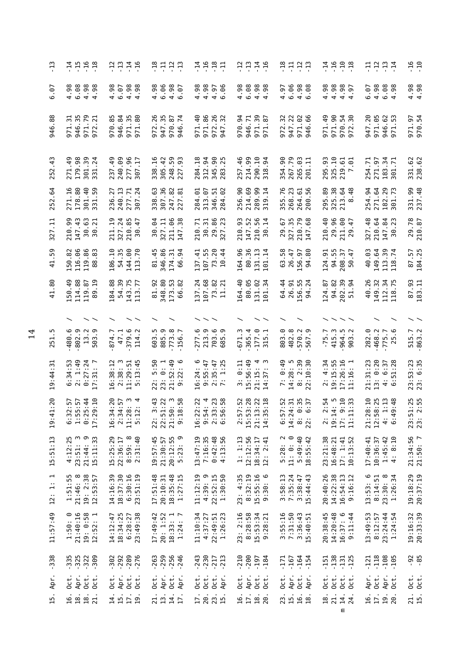| مبر<br>-                           |                                                                                                         | 7777                                                                                               | 유부부음                                                                                          | 7,9,9,7                                              | 7777                                                                | 유 <u>그 그 그</u><br>그 그 그 그                               | 7,999                                                                   | <b>금음음</b> 을                                                                 | $-16$<br>$-10$                  |
|------------------------------------|---------------------------------------------------------------------------------------------------------|----------------------------------------------------------------------------------------------------|-----------------------------------------------------------------------------------------------|------------------------------------------------------|---------------------------------------------------------------------|---------------------------------------------------------|-------------------------------------------------------------------------|------------------------------------------------------------------------------|---------------------------------|
| $-6$ .                             | 4.98<br>6.08<br>$4.98$<br>$4.98$                                                                        |                                                                                                    | 4.98<br>6.06<br>$4.98$<br>$6.07$                                                              | $4.98$<br>$4.95$<br>$6.96$<br>4.98                   | $4.98$<br>6.98<br>$4.98$<br>$4.98$                                  |                                                         | 4.98<br>98<br>4<br>4<br>4<br>4<br>4                                     | 88<br>08<br>09<br>09<br>09<br>6.07                                           | $4.98$<br>$4.98$                |
| .88<br>946                         | 971.31<br>946.35<br>971.79<br>$\overline{21}$<br>972                                                    | $\overline{8}$<br>971.35<br>971.80<br>85<br>946.<br>970.                                           | 972.26<br>947.35<br>87<br>$\overline{7}$<br>970.<br>946.                                      | 971.86<br>971.40<br>972.26<br>947.32                 | 94<br>946.71<br>50<br>52<br>970.<br>971.<br>971.                    | 32<br>947.22<br>971.02<br>946.66<br>972                 | 971.90<br>971.49<br>38<br>970.<br>972.                                  | 971.05<br>946.62<br>971.53<br>947.20                                         | 971.97<br>970.54                |
| $-43$<br>252                       | 179.98<br>$^{49}$<br>$\ddot{3}$<br>.24<br>271<br>301<br>331                                             | 240.09<br>277.96<br>307.17<br>49<br>237                                                            | .59<br>.16<br>.42<br>$\overline{93}$<br>305<br>248.<br>227<br>338                             | .18<br>.94<br>9. X<br>$348.$<br>$383.$<br>284        | 257.46<br>214.99<br>290.10<br>318.94                                | 90.<br>.79<br>$\frac{3}{2}$<br>354<br>267<br>265<br>201 | 325.10<br>219.61<br>7.01<br>295.93                                      | 271.97<br>$\frac{34}{71}$<br>Ņ<br>254<br>183<br>301                          | 331.62<br>238.62                |
| 252.64                             | 271.16<br>$\overline{\phantom{0}}^{\circ}_{\hspace{-.1em}s\hspace{-.1em}o}$<br>40<br>178.<br>301<br>331 | 236.27<br>240.13<br>277.71<br>307.24                                                               | 338.63<br>307.36<br>247.82<br>227.81                                                          | 313.07<br>346.51<br>284.02<br>284.01                 | 214.69<br>289.99<br>319.14<br>256.90                                | 355.76<br>268.23<br>264.61<br>200.56                    | 295.89<br>325.38<br>213.48<br>8.48<br>$-48$                             | 254.94<br>271.64<br>182.29<br>301.73                                         | 331.99<br>237.48                |
| Ę<br>327                           | .99<br>$\ddot{4}$<br>.63<br>$\overline{2}$<br>210<br>147<br>30<br>30                                    | .24<br>85<br>$\overline{5}$<br>$\ddot{t}$<br>210<br>30<br>211<br>327                               | 86<br>.64<br>327.11<br>38<br>30<br>211<br>147                                                 | $\frac{1}{2}$ 86<br>-71<br>23<br>210.<br>38.<br>327. | 93<br>$-52$<br>56<br>$\vec{a}$<br>210<br>147<br>210<br>30           | 327.35<br>210.79<br>147.68<br><u>ره</u> .<br>29         | 210.40<br>8<br>$\ddot{4}$<br>211<br>29                                  | .48<br>$\ddot{q}$ $\ddot{q}$<br>23<br>$7147$<br>$30.$<br>327                 | 29.78                           |
| .59<br>$\overline{41}$             | 150.82<br>116.06<br>86<br>$\overline{83}$<br>119<br>88                                                  | 54.35<br>$\odot$<br>$\frac{10}{1}$<br>70<br>144.<br>113.<br>186                                    | 346.86<br>81.45<br>$\frac{1}{2}$<br>54<br>174.<br>99                                          | 107.55<br>73.20<br>10.44<br>44<br>137.41             | 164.96<br>80.36<br>$\overline{14}$<br>131.                          | $58$ .<br>26.47<br>156.97<br>80<br>63<br>$\overline{9}$ | 94.55<br>124.91<br>$\ddot{t}$<br>57<br>208.<br>S0                       | 113.39<br>118.74<br>40.03<br>149.64                                          | 87.57<br>184.25                 |
| .80<br>$\overline{4}$              | 150.49<br>114.88<br>.19<br>.87<br>119<br>89                                                             | .39<br>$\frac{17}{7}$<br>$\frac{8}{3}$<br>$184$<br>54<br>$\begin{array}{c} 143 \\ 113 \end{array}$ | 348.80<br>81.92<br>$\ddot{5}$ $\ddot{8}$<br>173<br>66                                         | 8 2 2 3<br>137.24<br>107<br>73<br>11                 | 164.40<br>80.05<br>131.02<br>101.34                                 | 156.55<br>64.44<br>26.91<br>.24<br>$\mathfrak{A}$       | 3 9 4<br>94.82<br>124.87<br>202                                         | 40.26<br>149.32<br>112.34<br>118.75                                          | $87.93$<br>183.11               |
|                                    |                                                                                                         |                                                                                                    |                                                                                               |                                                      |                                                                     |                                                         |                                                                         |                                                                              |                                 |
| 251                                | ڢ<br>ာ.<br>Ņ.<br>ာ.<br>480<br>802<br>$\mathbf{r}_1$<br>503                                              | 379.6<br>114.2<br>874.7<br>47.1                                                                    | 773.8<br>ņ<br><u>ი</u><br>603<br>885                                                          | ڢ<br>ာ ဖ ာ<br><b>213</b><br>703<br>277<br>685        | 4.<br>671.3<br>$177.0$<br>315.1<br>365.                             | 482.8<br>570.2<br>803.0                                 | 415.3<br>964.5<br>903.2<br>$-75.$                                       | 468.2<br>ە.<br>282.0<br>.775.7<br>$\sim$                                     | 515.7<br>-863.2                 |
| 19:44:3                            | 6:34:53<br>2:1:49<br>0:27:24<br>17:31:7                                                                 | $\begin{array}{c} 16:38:12\\ 2:38:3\\ 11:29:51\\ 5:13:45 \end{array}$                              | 5:50<br>$23: 0: 1$<br>$21:52:49$<br>$9:22: 6$<br>23 : 23                                      | 16:24: 6<br>9:55:47<br>2:35:47<br>7: 1:25            | 5:56:49<br>0:11<br>$21:15:$<br>$14:37:$<br>$\ddot{ }$               | $14:28:5$<br>8: 2:39<br>8:10:30<br>0:49<br>$\ddot{z}$   | $17:26:16$<br>$11:16:1$<br>4:34<br>9:15:55<br>2                         | 0:20<br>21:31:23<br>$6:37$<br>51:28<br>$13$ :<br>$\frac{4}{9}$ $\frac{6}{9}$ | 23:53:23<br>23: 6:35            |
| 1:20<br>19:4                       | $0.0000$<br>$0.0000$<br>$0.0000$<br>$6:5$<br>$1:5$<br>$0:2$<br>17 : 2                                   | 16:34:20<br>2:34:57<br>2:34:57<br>11:28: 4<br>5:12: 4                                              | $\begin{array}{rl} 22: & 3:43 \\ 22:51:22 \\ 21:50: & 3 \\ 21:50: & 3 \\ 9:18:58 \end{array}$ | 16:22:22<br>9:54:4<br>2:33:23<br>6:56:58<br>16:2     | 2:57:52<br>15:53:28<br>21:13:22<br>14:35:18<br>15:5<br>21:1<br>14:3 | $6:57:52$<br>14:24:31<br>8: 0:35<br>8:37<br>22: 6:37    | $\begin{array}{c} 2:2:54 \\ 19:14:5 \\ 17:9:10 \\ 11:11:33 \end{array}$ | $0.000140$<br>$0.00140$<br>$0.00140$<br>21:2<br>12:5<br>4.6                  | il:25<br>2:55<br>23:5<br>$23$ : |
| 15:51:13                           | $4:12:25$<br>$23:51:3$<br>$21:44:9$<br>$15:11:33$                                                       | $8:59:8$<br>$2:31:40$<br>15:25:29<br>22:36:17                                                      | 20:12:55<br>5:23: 9<br>19:57:45<br>21:30:57                                                   | 7:16:35<br>$0:42:48$<br>$4:13:56$<br>56<br>13:47:19  | 12:12:56<br>1:1:13<br>18:34:17<br>2:41<br>$\ddot{2}$ :              | $\sim$ $\circ$<br>5:49:40<br>18:55:42<br>11:0:<br>5:28: | 23:21:38<br>16:48:21<br>$17: 1:41$<br>$10:13:52$                        | $1:45:42$<br>4: 8:10<br>17:40:41<br>10:36:37                                 | 21:34:56<br>21:50: 7            |
| $\overline{\phantom{a}}$<br>12: 1: | 19: 2:38<br>1:51:55<br>21:46: 8<br>12:53:57                                                             | 18:37:30<br>6:30:16<br>23:51:19<br>14:16:39                                                        | $18:35:48$<br>$1:27:15$<br>17:51:48<br>20:10:31                                               | $4:39:9$<br>$22:52:15$<br>$1:30:50$<br>11:12:19      | 23: 4:35<br>8:32:19<br>15:55:16<br>9:30: 6                          | 3:58:13<br>7:35:24<br>3:38:47<br>3:38:43                | 20:40:26<br>14:22:38<br>$16:54:13$<br>9:16:12                           | $\circ$<br>$23:30:8$<br>$1:26:34$<br>8:14:51<br>13:53:                       | 19:18:29<br>20:37:19            |
| 11:57:49                           | $21:50:0$<br>$21:40:16$<br>19: 0:58<br>12:52: 1                                                         | 18:34:25<br>23:49:38<br>6:28:27<br>14:12:47                                                        | 17:49:42<br>20: 1:52<br>$18:33:1$<br>$1:24:7$                                                 | 11:10:34<br>1:26:23<br>4:37:27<br>22:49:51           | 8:28:58<br>23: 2:16<br>15:53:34<br>9:28:21                          | 3:55:16<br>7:31:50<br>3:36:43<br>15:40:51               | 14:20:48<br>$16:37:6$<br>9:11:44<br>20:38:45                            | 13:49:53<br>23:24:44<br>1:24:54<br>8:12:57                                   | 19:16:32<br>20:33:39            |
| $-338$                             | $-335$<br>$-325$<br>$-309$<br>$-322$                                                                    | $-302$<br>$-292$<br>$-289$<br>$-276$                                                               | $799000$<br>$79900$<br>$-246$                                                                 | $-230$<br>$-217$<br>$-213$<br>$-243$                 | $-210$<br>$-200$<br>$-197$<br>$-184$                                | $-164$<br>$-154$<br>$-171$<br>$-167$                    | $-138$<br>$-151$<br>$-131$<br>$-125$                                    | $-118$<br>$-108$<br>$-105$<br>$-121$                                         | $-92$<br>$-85$                  |
| Apr.                               | Apr.<br>Oct.<br>$0$ ct.<br>$0$ ct.                                                                      | Oct.<br>Apr.<br>$0$ ct.<br>Oct.                                                                    | Apr.<br>Oct.<br>$0$ ct.<br>Apr.                                                               | Oct.<br>$0$ ct.<br>Oct.<br>Apr.                      | Apr.<br>$0$ ct.<br>Oct.<br>Oct.                                     | Apr.<br>Oct.<br>Oct.<br>Apr.                            | Oct.<br>$0$ ct.<br>Oct.<br>Oct.                                         | $0$ ct.<br>Apr.<br>Apr.<br>Oct.                                              | $0$ ct.<br>Oct.                 |
| 15.                                | $\frac{16}{18}$ .<br>18.<br>21.                                                                         | $\frac{4}{15}$ in $\frac{1}{10}$<br>$\overline{19}$                                                | $\frac{21}{13}$ .<br>14.<br>$\overline{17}$                                                   | 17.<br>28.<br>23.<br>15.                             | 16.<br>17.<br>18.<br>20                                             | 23.<br>15.16<br>$\overline{18}$ .                       | 21.<br>$\overline{18}$ .<br>$\frac{14}{24}$ .<br>Ε                      | 17.<br>16.<br>19.<br>20                                                      | 21.<br>15.                      |
|                                    |                                                                                                         |                                                                                                    |                                                                                               |                                                      |                                                                     |                                                         |                                                                         |                                                                              |                                 |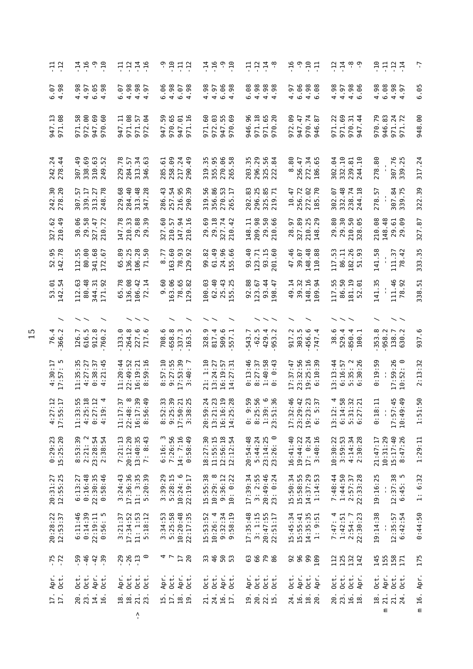| 그 그                                | 주 먹 위 구<br>구 구 무 구                                                                      | <b>규유주</b><br>구구구                                                                                            | 9977                                                                    | $-14$<br>$-9.1$                                            | 구 그 그 후<br>구 구 구 우                                            | 59977                                                                                   | 77°                                                                              | 7777                                                   | ŗ                 |
|------------------------------------|-----------------------------------------------------------------------------------------|--------------------------------------------------------------------------------------------------------------|-------------------------------------------------------------------------|------------------------------------------------------------|---------------------------------------------------------------|-----------------------------------------------------------------------------------------|----------------------------------------------------------------------------------|--------------------------------------------------------|-------------------|
| $6.07$<br>4.98                     | 4.98<br>6.05<br>4.97<br>.98                                                             | 4.98<br>4.98<br>6.07<br>$-6$<br>$\overline{4}$                                                               | 4.98<br>96.<br>$6.07$<br>$4.98$<br>6                                    | 4.98<br>4.97<br>6.98                                       | 6.08<br>4.98<br>86<br>96<br>44                                | 6.06<br>$4.98$<br>$6.98$<br>4.97                                                        | 4.98<br>4.97<br>$4.98$<br>6.96                                                   | 4.98<br>6.08<br>$4.98$<br>$4.97$                       | 6.05              |
| 947.13<br>971.08                   | 58<br>.00<br>.69<br>.60<br>947.<br>972.<br>971<br>970                                   | Ę<br>971.08<br>$\mathfrak{g}$<br>57<br>947<br>971<br>972                                                     | ח ה<br>01 <sub>16</sub><br>Ū٦<br>ق<br>947.<br>970.<br>947<br>971        | .03<br>ഥ ത<br>.60<br>rų.<br>Ō<br>947.<br>972<br>971<br>970 | .96<br>971.18<br>LO.<br>.20<br>ؘڣ<br>971.<br>946.<br>⊙<br>5   | .09<br>947.47<br>$\frac{1}{2}$ 87<br>972<br>970                                         | 69<br>$\overline{2}$<br>$\overline{3}$<br>$\ddot{4}$<br>971<br>970<br>971<br>947 | 970.79<br>946.83<br>$\frac{24}{72}$<br>971.<br>971.    | <b>eo.</b><br>948 |
| 242.24<br>278.44                   | 307.49<br>338.69<br>310.63<br>249.52                                                    | 229.78<br>57<br>34<br>63<br>313.<br>284.<br>346                                                              | 99<br>217.24<br>$\overline{6}$<br>$\overline{49}$<br>258.<br>285.<br>90 | m<br>355.95<br>270.06<br>265.58<br>m<br>319.               | 203.35<br>296.29<br>325.56<br>222.84                          | 80<br>272.34<br>256.47<br>$\ddot{\circ}$                                                | 302.04<br>332.10<br>239.81<br>244.10                                             | 278.80<br>307.76<br>339.25                             | 317.24            |
| 242.30<br>278.20                   | 307.57<br>339.17<br>313.27<br>248.78                                                    | 284.40<br>313.48<br>229.68                                                                                   | 286.43<br>257.54<br>216.95<br>290.39                                    | 319.56<br>356.86<br>$\frac{1}{2}$<br>270.<br>265.          | 202.83<br>296.25<br>325.85<br>219.71                          | 256.72<br>272.02<br>185.70<br>10.47                                                     | 332.48<br>238.74<br>244.18<br>302.07                                             | 307.84<br>339.75<br>278.57                             | 322.39            |
| $62$<br>$49$<br>327.<br>210.       | 30.06<br>29.58<br>327.47<br>.72<br>210                                                  | 147.78<br>210.33<br>29.88                                                                                    | 60<br>57<br>24<br>210.<br>327<br>147<br>210                             | 29.18<br>327.74<br>210.42<br>.69<br>29                     | 148.11<br>209.98<br>29.50<br>210.66                           | 327.89<br>.25<br>$\overline{6}$ .<br>210.<br>148.<br>28                                 | $\mathfrak{F}$<br>80<br>50<br>65<br>29.<br>210.<br>29                            | 210.08<br>148.48<br>$\overline{5}$<br>29               | <b>S</b> .<br>327 |
| 52.95<br>142.78                    | $112.55$<br>80.00<br>341.68<br>67<br>112.<br>172                                        | 65.89<br>136.25<br>$50\,$<br>106.28<br>$\overline{7}$                                                        | 163.60<br>78.93<br>8.77<br>.92<br>129                                   | 61.49<br>99.82<br>0.66<br>24.<br>55                        | $\frac{6}{4}$<br>93.15<br>.60<br>123.71<br>93<br>201          | $\frac{46}{ }$<br>148.48<br>39.07<br>88<br>47<br>110                                    | 117.53<br>182.26<br>51.93<br>86.11                                               | 141.58<br>$\ddot{4}$<br>111.37<br>$\overline{78}$      | 333.35            |
| $-54$<br>53<br>142                 | .63<br>.48<br>$\cdot$ <sup>31</sup><br>.92<br>344.<br>80<br>112                         | 65.78<br>136.08<br>106.42<br>.14<br>72                                                                       | 163.06<br>78.65<br><b>SO</b> .<br>.82<br>Θ<br>129                       | 100.03<br>62.40<br>25.43<br>.25<br>55                      | 92.88<br>$\cdot$ 44<br>123.67<br>-47<br>93<br>$\overline{98}$ | $\overline{14}$<br>39.32<br>148.16<br>$-94$<br>9<br>109                                 | 50<br>117.55<br>$181.19$<br>52.01<br>86                                          | 141.35<br>111.46<br>$-92$<br>78                        | 338.51            |
| $\overline{\phantom{0}}$           |                                                                                         |                                                                                                              |                                                                         |                                                            |                                                               |                                                                                         |                                                                                  |                                                        |                   |
| 76.4<br>366.2                      | 616.5<br>912.8<br>760.2<br>126.7                                                        | 264.8<br>227.6<br>133.0                                                                                      | 658.8<br>$-337.3$<br>ڢ<br>708                                           | 328.9<br>817.4<br>509.6<br>557                             | $-62.5$<br>429.4<br>953.2<br>543                              | $-456.6$<br>$-747.4$<br>917.2<br>303.5                                                  | 38.6<br>529.4<br>$.850.4$<br>100.1                                               | 353.8<br>958.2<br>138.7<br>$\ddot{\phantom{0}}$<br>630 | <u>م</u> .<br>937 |
| $4:30:17$<br>17:57: 5              | 11:35:35<br>4:27:27<br>0:38:37<br>4:21:45                                               | 11:20:44<br>22:49:52<br>$16:19:21$<br>$8:59:16$                                                              | 8:57:10<br>9:27:55<br>17:53:39<br>3:40: 7                               | 21: 1:10<br>13:24:27<br>57<br>31<br>16:19:<br>14:27:       | 0:13:46<br>$1:40:58$<br>0: 0:43<br>8:27:37                    | 17:37:47<br>23:32:56<br>$19:25:16$<br>$6:10:39$                                         | 3:13:44<br>6:16:57<br>35:26<br>30:26<br>$\ddot{\phantom{0}}$<br>n o              | : 19:59<br>17:59:26<br>10:52: 0<br>0:52<br>⊙           | 2:13:32           |
| $\frac{12}{17}$<br>$4:27$<br>17:55 | $\frac{55}{2}$<br>: 18<br>$\frac{2}{11}$ 4<br>$11:33:$<br>$4:25:$<br>$0:27:$<br>$4:19:$ | $\frac{30}{10}$<br>$\frac{37}{8}$<br>$\begin{array}{c} 11:17\\ 22:48\\ 16:17 \end{array}$<br>$\circ$<br>8:56 | : 39<br>: 39<br>17:50:21<br>3:38:25<br>8:52<br>9:25                     | 7.38<br>: 24<br>20:59:<br>13:21:<br>16:16:<br>14:25:       | $0: 9:59$<br>$8:25:56$<br>$1:39:6$<br>$23:51:36$              | 1<br>4 4 7 9<br>4 4 7 9<br>$\begin{array}{c} 17:32\\ 23:23\\ 29:23\\ 6:5\\ \end{array}$ | $\frac{38}{11}$ $\frac{21}{11}$<br>13:12:<br>6:14:<br>5:31:<br>6:27:             | 65 : 49<br>류<br>0:18<br>17:57<br>10:49<br>$\mathbf{r}$ | 1:51:50           |
| $0:29:23$<br>15:25:20              | 8:53:39<br>2:21: 2<br>23:28:54<br>2:38:54                                               | 20:12:20<br>$13:40:35$<br>7: 8:43<br>7:21:13                                                                 | 6:16: 3<br>7:26:56<br>$14:7:16$<br>0:58:49                              | $11:55:15$<br>$12:56:18$<br>18:27:30<br>12:12:54           | 20:54:48<br>5:44:24<br>$23:14:25$<br>$23:26:0$                | $17: 0:24$<br>$3:40:16$<br>16:41:40<br>19:44:22                                         | 10:30:22<br>$3:59:53$<br>$4:14:34$<br>$2:30:28$                                  | 10:31:29<br>$15:17:40$<br>8:47:26<br>21:47:17          | 1:29:11           |
| 20:31:27<br>12:55:25               | 0:16:48<br>22:30:35<br>0:58:46<br>6:13:27                                               | $3:24:43$<br>17:36:36<br>11: 3:35<br>5:20:39                                                                 | $3:39:29$<br>$5:28:15$<br>$10:24:6$<br>$22:19:17$                       | 15:55:38<br>$10:29:8$<br>9:36:12<br>10: 0:22               | 17:39:34<br>$3: 2:55$<br>$20:49:46$<br>0:24<br>23:            | 15:50:34<br>15:58:55<br>$14:37:29$<br>$1:14:53$                                         | $1:44:50$<br>$2:57:37$<br>$22:33:28$<br>7:48:44                                  | 19:16:25<br>$12:37:38$<br>$6:45:5$<br>$\blacksquare$   | 1: 6:32           |
| 20:28:22<br>12:53:37               | $0:14:39$<br>$22:19:11$<br>6:11:46<br>$\ddot{\cdot}$<br>0:56:                           | $3:21:37$<br>17:34:52<br>$11: 1:53$<br>$5:18:12$                                                             | $3:34:53$<br>$5:25:58$<br>$10:20:48$<br>$22:17:35$                      | 15:53:52<br>10:26:4<br>$9:32:34$<br>$9:58:19$              | 17:35:48<br>$3: 1:15$<br>$20:47:55$<br>$22:51:17$             | 15:45:34<br>15:55:41<br>$14:35:35$<br>1: 9:51                                           | 7:47:4<br>$1:42:51$<br>$2:54:7$<br>$2:30:23$                                     | 19:14:38<br>:42:54<br>12:35:57<br>$\circ$              | 0:44:50           |
| $-75$                              | $-46$<br>59<br>$-42$<br>$-39$                                                           | $-29$<br>$-26$<br>$-13$<br>$\circ$                                                                           | $\frac{20}{20}$<br>4 L                                                  | 33<br>46<br>50<br>53                                       | 63<br>88.99                                                   | 282<br>109                                                                              | 125<br>132<br>142<br>112                                                         | 145<br>155<br>158<br>171                               | 175               |
| Apr.<br>Oct.                       | $0$ ct.<br>$0$ ct.<br>Apr.<br>$0$ ct.                                                   | Apr.<br>$0$ ct.<br>$0$ ct.<br>$0$ ct.                                                                        | Apr.<br>Oct.<br>Apr.<br>Oct.                                            | Apr.<br>$0$ ct.<br>Oct.<br>$0$ ct.                         | Apr.<br>Oct.<br>Oct.<br>i<br>OCT.                             | Apr.<br>$0$ ct.<br>$0$ ct.<br>Apr.                                                      | Oct.<br>$0$ ct.<br>Oct.<br>Apr.                                                  | Apr.<br>Oct.<br>$0$ ct.<br>0 <sub>c</sub>              | Apr.              |
| $\frac{17}{17}$ .                  | 14.<br>20.<br>23.<br>16.                                                                | 21.<br>$\frac{18}{18}$ .<br>23                                                                               | 15.<br>18.19                                                            | 16.1<br>24.<br>21.                                         | 19.<br>20.<br>22.<br>$\overline{1}$                           | 16.<br>$\overline{18}$ .<br>24.<br>20                                                   | 20.<br>23.<br>16.18                                                              | 21.<br>18.<br>$\frac{21}{24}$ .                        | m 16.             |
|                                    |                                                                                         | $\mathcal{L}_{\mathbf{I}}$                                                                                   |                                                                         |                                                            |                                                               |                                                                                         |                                                                                  | Ε                                                      |                   |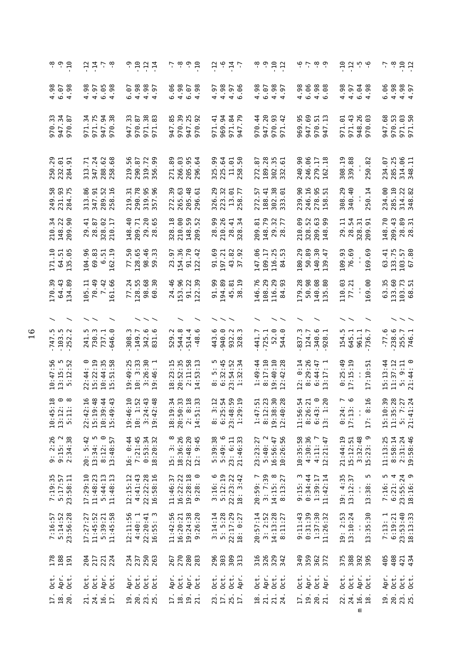| စု ၁ ရ<br>၁ ရ                                                 | 7779                                                                                                                        | 9927                                                                                         | $-7$ $-8$<br>$-9.7$                                                    | 7.947                                                                                                                    | $\overset{\circ}{\phantom{\circ}}$ $\overset{\circ}{\phantom{\circ}}$ $\overset{\circ}{\phantom{\circ}}$ $\overset{\circ}{\phantom{\circ}}$ $\overset{\circ}{\phantom{\circ}}$ | ن ن ن ن ن                                                                                                       | 77.79                                                                             | $5 - 8$<br>$-12$                                  |
|---------------------------------------------------------------|-----------------------------------------------------------------------------------------------------------------------------|----------------------------------------------------------------------------------------------|------------------------------------------------------------------------|--------------------------------------------------------------------------------------------------------------------------|--------------------------------------------------------------------------------------------------------------------------------------------------------------------------------|-----------------------------------------------------------------------------------------------------------------|-----------------------------------------------------------------------------------|---------------------------------------------------|
| $4.98$<br>$6.98$<br>$4.98$                                    | 4.98<br>$4.95$<br>$6.98$<br>$4.98$                                                                                          | 4.98<br>4.97<br>4.97<br>$-6$ .                                                               | 4.98<br>6.06<br>$6.07$<br>4.98                                         | 4.98<br>$4.97$<br>$6.06$<br>4.97                                                                                         | 4.98<br>$4.98$<br>$4.97$<br>6.07                                                                                                                                               | 4.98<br>6.06<br>$4.98$<br>$6.98$                                                                                | 4.98<br>$\begin{array}{c} 2 \overline{)} 0.98 \\ -0.98 \\ -0.98 \end{array}$      | 6.06<br>4.98<br>4.98<br>4.97                      |
| 34 p<br>34 p<br>$-547$<br>970                                 | 34<br>.75<br>940<br>971.<br>947<br>971.<br>970                                                                              | $_{\rm 38}$<br>33<br>970.87<br>83<br>971.<br>947<br>971                                      | 56<br>25<br>92<br>.85<br>970<br>947<br>947<br>970                      | $\overline{4}$<br>2 2 2 0<br>2 2 0<br>969.<br>971.<br>947.<br>971                                                        | 947.20<br>9.42<br>$\frac{4}{3}$<br>970.<br>970<br>971                                                                                                                          | 947.69<br>.95<br>$\frac{1}{2}$<br>970.<br>969<br>947                                                            | 43<br>$26$<br>$03$<br>$-61$<br>971.<br>971<br>948                                 | .68<br>970.53<br>971.50<br>947                    |
| 250.29<br>232.01<br>284.91                                    | 347.24<br>288.62<br>258.68<br>$\overline{r}$<br>288.<br>313                                                                 | 56<br>$\overline{8}$<br>319.72<br>356.99<br>290.<br>219.                                     | 271.89<br>266.03<br>5 G<br>54<br>205.<br>296                           | 90<br><b>255</b><br>225.1<br>325.<br>$\frac{11.7}{258}$ .                                                                | 28<br>35<br>51<br>272.87<br>189.<br>302.<br>332                                                                                                                                | 240.90<br>246.06<br>279.17<br>162.18                                                                            | 308.19<br>339.88<br>250.82                                                        | 234.07<br>285.25<br>314.06<br>348.11              |
| 249.58<br>231.93<br>284.75                                    | 313.86<br>$-52$<br>$\overline{16}$<br>347<br>289 .<br>258 .                                                                 | 290.78<br>319.95<br>357.96<br>219.31                                                         | .63<br>.39<br>48<br>61<br>265 -<br>286 -<br>296 -<br>272               | .29<br>223.32<br>13.01<br>258.77<br>326.                                                                                 | 302.38<br>333.01<br>$-41$<br>57<br>272<br>188                                                                                                                                  | 246.16<br>278.95<br>158.51<br>239.90                                                                            | 308.29<br>340.40<br>250.14                                                        | 285.10<br>234.00<br>314.22                        |
| 210.34<br>148.22<br>209.90                                    | 29.41<br>28.87<br>328.02<br>210.17                                                                                          | 29.20<br>148.40<br>209.71                                                                    | 210.00<br>148.59<br>209.52<br>$\overline{a}$<br>328                    | 28.99<br>210.26<br>28.34<br>328.34                                                                                       | 209.81<br>148.79<br>$\frac{27}{17}$<br>29.78                                                                                                                                   | ඉ<br>52<br><b>G</b> 9<br>$710.48$<br>$780.48$<br>$740.48$                                                       | 29.11<br>54<br>51<br>5.<br>$\frac{1}{28}$<br>$\frac{28}{209}$                     | 148.70<br>209.43<br>28.89<br>28.31                |
| $171.10$<br>$64.51$<br>$135.05$                               | 104.96<br>$69.83$<br>$6.51$<br>.19<br>162                                                                                   | 77.50<br>128.65<br>98.46<br>59.33                                                            | 154.36<br>.70<br>57<br>23<br>$\frac{51}{2}$                            | 91.69<br>197.21<br>43.82<br>37.92                                                                                        | °.<br>116.25<br>84.53<br>109.17<br>147                                                                                                                                         | 180.29<br>50.89<br>304<br>140.<br>139                                                                           | 109.93<br>76.69<br>169.69                                                         | 133.75<br>103.57<br>67.80<br>63.41                |
| 170.39<br>64.43<br>.89<br>$\mathfrak{F}$                      | 70.49<br>7.42<br>.66<br>105.11<br>161                                                                                       | .24<br>128.55<br>98.68<br>30<br>77<br>ෂ                                                      | 153.96<br>24.46<br>$\frac{2}{3}$<br>51<br>22                           | 91.99<br>194.89<br>$\overline{19}$<br>$\overline{8}$<br>45.<br>38                                                        | 146.76<br>108.29<br>116.29<br>84.93                                                                                                                                            | 179.28<br>50.98<br>$\frac{8}{8}$<br>140<br>135                                                                  | 110.03<br>169.00<br>77.21                                                         | 133.60<br>$\frac{35}{5}$<br>103.73<br>68.51<br>යි |
|                                                               | $\widehat{\phantom{a}}$                                                                                                     |                                                                                              |                                                                        |                                                                                                                          |                                                                                                                                                                                |                                                                                                                 |                                                                                   |                                                   |
| $-747.5$<br>$-103.5$<br>$-252.2$                              | 241.5<br>730.3<br>737.1<br>646                                                                                              | $342.6$<br>831.6<br>308.3                                                                    | 544.8<br>514.4<br>o.<br>.<br>د<br>529<br>$-48$                         | 940.0<br>932.3<br>328.3<br>443.6                                                                                         | $.441.7$<br>725.1<br>52.0<br>544                                                                                                                                               | $.340.6$<br>928.1<br>837.3<br>124.7                                                                             | 154.5<br>645.1<br>961.1<br>736.7                                                  | 238.6<br>255.7<br>746.1<br>$-77.6$                |
| $10:47:56$<br>$13:15:5$<br>$5:12:52$                          | 15:22:19<br>35<br>$\frac{8}{5}$<br>$0:44:3$<br>5:51:5<br>22:44                                                              | $3:26:30$<br>$19:46:1$<br>3:33<br>19:49:25<br>$\frac{1}{2}$                                  | $18:23:15$<br>$20:52:35$<br>$2:11:58$<br>$14:53:13$                    | $8:5:5$<br>$6:32:45$<br>$23:54:52$<br>1:32:34                                                                            | $1:49:44$<br>8:17:10<br>19:40:10<br>: 28<br>$\ddot{ }$ :42<br>12                                                                                                               | 8:29:26<br>12: 0:14<br>$6:44:47$<br>$3:17:1$                                                                    | $0:25:49$<br>17:15:19<br>Ü.<br>:10<br>$\overline{1}$                              | $5: 9:11$<br>$21:44: 0$<br>15:13:44<br>11:37:12   |
| $\circ$ $\circ$<br>$\frac{8}{18}$<br>$33.1$<br>$1.1$<br>$1.1$ | :16<br>$\frac{8}{3}$<br>$\frac{4}{4}$ $\frac{3}{4}$<br>$\sim$ $\sim$ $\sim$ $\sim$<br>$22:4$<br>15:19<br>$10:36$<br>$15:46$ | 1.52<br>$\frac{43}{48}$<br>$\begin{array}{c} 19:46: \\ 19:14: \\ 3:24: \\ 19:42 \end{array}$ | $-4:19:3,$<br>20:50:33<br>21:8 : 2<br>51:                              | $\begin{array}{c} 7.7600 \\ 7.7600 \\ 7.7900 \end{array}$<br>$\begin{array}{c} 8:3\\ 6:25\\ 2:3:48\\ 1:29\\ \end{array}$ | $\frac{1}{1}$ . 51<br>$\frac{30}{28}$<br>7<br>$8:12:$<br>$19:38:$<br>$12:40:$<br>$\frac{4}{3}$ : 1                                                                             | $\frac{1}{2}$<br>$\frac{6}{12}$<br>$\frac{1}{2}$ .<br>$11.56$ :<br>$8:26$ :<br>$6:43$ :<br>$6:43$ :<br>$1:56$ : | $\frac{16}{1}$<br>$0:24$<br>17:13<br>$\infty$<br>$\blacksquare$<br>$\overline{L}$ | 15:10:39<br>11:35:28<br>5: 7:27<br>21:41:24       |
| $9: 2:26$<br>$9:15: 2$<br>$2:34:38$                           | 20: 5:42<br>$13:34:5$<br>8:12:0<br>13:48:57                                                                                 | $16: 0:44$<br>7:21:45<br>$0:53:34$<br>18:20:32                                               | 18:36:26<br>$\infty$<br>$22:48:20$<br>$12:9:45$<br>15:3:               | 5:39:38<br>5:49:6<br>21:46:33<br>$5:49:6$<br>23: 6:11                                                                    | 10:26:56<br>5:40:2<br>16:56:47<br>23:23:27                                                                                                                                     | 10:35:58<br>4:30:36<br>4:11:7<br>12:21:47                                                                       | 21:44:19<br>15:12:51<br>3:32:48<br>15:23:9                                        | 11:13:25<br>8:58:14<br>2:31:24<br>19:58:46        |
| 7:19:35<br>5:17:57<br>23:58:11                                | 17:29:10<br>$5:44:13$<br>11:48:13<br>11:48:23                                                                               | 4:41:43<br>22:22:28<br>16:58:16<br>12:15:12                                                  | 16:22:22<br>$19:28:18$<br>$9:28:0$<br>11:46:37                         | $3:16:6$<br>$5:12:19$<br>$22:23:22$<br>$18:3:42$                                                                         | 20:59: 7<br>3: 7:39<br>14:15: 8<br>8:13:27                                                                                                                                     | 9:15:3<br>0:34:44<br>1:39:17<br>11:42:14                                                                        | $19: 4:35$<br>$13:12:37$<br>m<br>13:38<br>$\mathbf{L}$                            | $7:16:5$<br>$6:21:4$<br>23:55:24<br>18:16:9       |
| 7:16:57<br>5:14:52<br>23:56:28                                | 5:39:21<br>11:45:58<br>11:45:52<br>17:27:27                                                                                 | 12:11:56<br>4:40:1<br>$22:20:41$<br>$16:55:3$                                                | 11:42:56<br>16:20:21<br>19:24:38<br>9:26:20                            | : 14:14<br>$5: 5:28$<br>$22:17:29$<br>$18: 0:27$<br>$\sim$                                                               | 20:57:14<br>14:13:28<br>3:2:52<br>8:11:27<br>$\infty$                                                                                                                          | 9:11:43<br>0:31:39<br>1:37:30<br>11:26:32                                                                       | 19: 2:53<br>13:10:24<br>5:30<br>$\mathbf{I}$<br>$\tilde{\omega}$<br>$\mathbf{1}$  | 23:53:40<br>18:13:33<br>$7:13:1$<br>$6:19:21$     |
| <b>178</b><br>188<br>191                                      | 221<br>224<br>204<br>217                                                                                                    | 250<br>234<br>237<br>263                                                                     | 270<br>280<br>283<br>267                                               | 303<br>309<br>296<br>313                                                                                                 | 316<br>328<br>342                                                                                                                                                              | 349<br>359<br>362<br>372                                                                                        | 375<br>388<br>395<br>395                                                          | 405<br>408<br>421<br>434                          |
| Apr.<br>$0$ ct.<br>Oct.                                       | $0$ ct.<br>$0$ ct.<br>Apr.<br>Oct.                                                                                          | Oct.<br>Oct.<br>Apr.<br>oct.                                                                 | Apr.<br>$0$ ct.<br>Apr.<br>i<br>Oct                                    | Oct.<br>$0$ ct.<br>Oct.<br>Apr.                                                                                          | $0$ ct.<br>Apr.<br>Oct.<br>0 <sub>c</sub>                                                                                                                                      | Oct.<br>$0$ ct.<br>Apr.<br>Apr.                                                                                 | $0$ ct.<br>$0$ ct.<br>Apr.<br>Oct.                                                | Apr.<br>$0$ ct.<br>Oct.<br>Oct.                   |
| $\frac{17}{18}$ .<br>20.                                      | 16.<br>17.<br>21.<br>24.                                                                                                    | 23.25<br>$\frac{9}{20}$                                                                      | $\frac{8}{10}$<br>$\overline{5}$<br>$\overline{17}$<br>$\overline{21}$ | 23.<br>25.                                                                                                               | 21.<br>$\frac{21}{24}$ .<br>$\frac{8}{1}$                                                                                                                                      | 20.<br>$\overline{17}$<br>$\overline{a}$                                                                        | 24.<br>16.18<br>22<br>Ε                                                           | 20.<br>23.<br>25.<br>$\overline{9}$               |
|                                                               |                                                                                                                             |                                                                                              |                                                                        |                                                                                                                          |                                                                                                                                                                                |                                                                                                                 |                                                                                   |                                                   |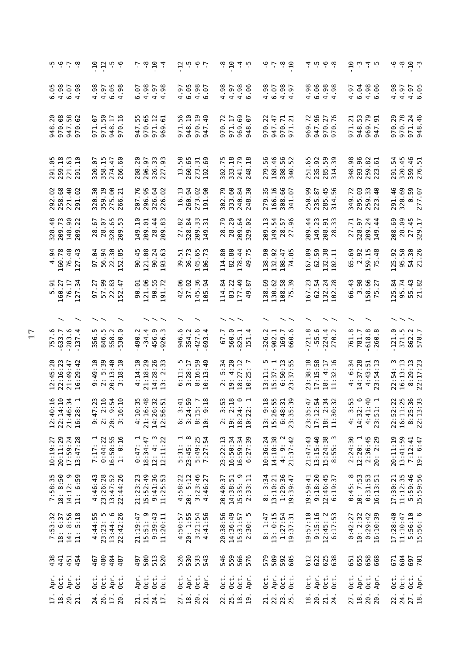| ه ن ه ن                                                          |                                           | $-12$                                        | م ب                      |           |               | $\frac{1}{2}$ , $\frac{1}{2}$ , $\frac{1}{2}$ |                                                    |      |                        |                     |                | 7.5997                                                                                            |                                    | $\overset{\circ}{\phantom{a}}$ $\overset{\circ}{\phantom{a}}$ $\overset{\circ}{\phantom{a}}$ $\overset{\circ}{\phantom{a}}$ $\overset{\circ}{\phantom{a}}$ |                         |      | ب ہے۔                                                                           |             | $-8 -$                                                 |                 |            | 4 10 10 10                                  |                       |                             |                                   |                   | $\ddot{a}$ $\ddot{a}$ $\ddot{a}$ $\ddot{a}$ $\ddot{b}$ |     | ှိ ကို           |                                      | $-10$                                     |            |
|------------------------------------------------------------------|-------------------------------------------|----------------------------------------------|--------------------------|-----------|---------------|-----------------------------------------------|----------------------------------------------------|------|------------------------|---------------------|----------------|---------------------------------------------------------------------------------------------------|------------------------------------|------------------------------------------------------------------------------------------------------------------------------------------------------------|-------------------------|------|---------------------------------------------------------------------------------|-------------|--------------------------------------------------------|-----------------|------------|---------------------------------------------|-----------------------|-----------------------------|-----------------------------------|-------------------|--------------------------------------------------------|-----|------------------|--------------------------------------|-------------------------------------------|------------|
| $6.98$<br>$4.98$<br>$6.07$<br>$4.98$                             | .98                                       | 4.97                                         | 6.98                     |           | 6.07          | 4.98                                          | $4.97$<br>$4.98$                                   |      | $4.97$<br>$6.05$       |                     |                | $4.98$<br>6.97                                                                                    | 4.98                               | $\begin{array}{c} 6 \\ 4 \\ 3 \\ 6 \\ 6 \end{array}$                                                                                                       |                         |      | 4.98                                                                            | 6.07        | $4.98$<br>$4.97$                                       |                 | 4.98       | 6.06                                        | $4.98$<br>$4.98$      |                             | 4.97                              | 6.04              | $4.98$<br>6.96                                         |     | 4.98             | 4.97                                 | $4.97$<br>6.05                            |            |
| 208<br>947.58<br>970.62<br>970.<br>948                           | 67<br>971                                 | 50<br>971.                                   | $\frac{17}{16}$<br>948   | 970       | ഗ<br>m<br>947 | 970.65<br>971.12<br>969.61                    |                                                    |      | 56<br>971.             | $-10$<br>948        | $\overline{5}$ | 49<br>970<br>947                                                                                  | 970.72<br>971.17                   |                                                                                                                                                            | 969.69<br>948.07        |      | .22<br>970                                                                      | 947.47      | $\frac{7}{2}$<br>970.                                  | 971             | .72<br>969 | 947.96                                      | 276<br>970.           | ⊙<br>5                      | .21<br>971.                       | $\ddot{5}$<br>948 | 79.7<br>969.<br>947.                                   |     | .29<br>970       | 970.78                               | 971.24<br>948.46                          |            |
| 291.05<br>259.18<br>221.63                                       |                                           | 320.07<br>358.15<br>274.47<br>266.60         |                          |           | 20<br>208.    | 296.97<br>326.33<br>227.93                    |                                                    | 227. | 58<br>$\Xi$            | 260.65              | $\frac{1}{6}$  | 273.1<br>192.1                                                                                    | 302.75<br>333.18                   |                                                                                                                                                            | 241.79<br>248.18        |      | 56<br>279                                                                       | .46<br>168. | 56<br>52<br>308.                                       | 340             | 251.65     | 235.92<br>285.59<br>314.39                  |                       |                             | 98<br>348.                        | 96<br>293.        | 82<br>61<br>259.                                       |     |                  | 291.54<br>320.45<br>359.46<br>276.51 |                                           |            |
| 292.02<br>258.68<br>221.40                                       | 320.30                                    | 359.19                                       | 60.71<br>275.<br>266.    |           | 207.76        | 296.95<br>326.64<br>226.02                    |                                                    |      | 16.13                  | 260.94              |                | 273.02<br>191.90<br>.90                                                                           | .79<br>302.                        | .60<br>333.                                                                                                                                                | 240.84<br>248.30        |      | $\frac{35}{5}$<br>279.                                                          | 166.16      | .66<br>308.<br>341.                                    | $-6$            | 250.99     | 235.87<br>285.45<br>314.56                  |                       |                             |                                   |                   | 349.72<br>295.03<br>259.33<br>253.40                   |     | 291.46           | 320.69                               | 0.59<br>0.59                              |            |
| 328.48<br>209.73<br>148.90<br>209.22                             |                                           | 28.67<br>28.07                               | 65<br>328.               |           | 149.10        | $\overline{6}$<br>209.4                       | $\overline{4}$                                     | 83   | 82<br>27.              | 328.84              |                | 33<br>209.<br>149.                                                                                | 28.79<br>28.20<br>209.64<br>329.02 |                                                                                                                                                            |                         |      | Ξ<br>209.                                                                       | 54<br>149.  | 57<br>28<br>27                                         |                 | 209.44     | $149.23$<br>$208.31$<br>$28.33$             |                       |                             | $\mathbf{r}$<br>$\overline{27}$ . | 328.97            | $\frac{4}{4}$<br>209.                                  |     |                  | 208.69<br>28.09<br>27.45<br>329.17   |                                           |            |
| $\begin{array}{r} 4.94 \\ 160.78 \\ 76.40 \\ 127.43 \end{array}$ | 64<br>57                                  | 56.94                                        | <u>និង</u><br>22.        | 52        | $-45$<br>90   | 121.08                                        | 90.24                                              |      | 39.51                  | 36.73               |                | 145.65<br>106.73                                                                                  | 114.80                             | 82.80                                                                                                                                                      | 178.44<br>49.75         |      | 138.90                                                                          | 132.92      |                                                        | 108.47<br>74.85 | 167.89     | 5871<br>62.                                 | 132<br>102            |                             |                                   | 65.69<br>2.92     | 159.15<br>75.48                                        |     | 125.92           | 95.50                                | 54.30<br>21.26                            |            |
| 5.91<br>160.27<br>76.17<br>127.34                                | .27<br>127<br>57                          | 57.99                                        | 22.83                    | -47<br>52 | 90.01         | 121.06                                        | 90.55<br>91.72                                     |      | 42.06                  | 37.02               |                | 145.36<br>105.94                                                                                  | .84<br>14                          | .22<br>83                                                                                                                                                  | 177.49<br>49.87         |      | 138.69                                                                          | 130.62      | 58<br>39<br>108.<br>75.                                |                 | .23<br>167 | $62.54$<br>$132.24$<br>$102.28$             |                       |                             | 66.43                             | 3.98              | 158.66<br>75.27                                        |     | 125.84           | 95.74                                | 55.43                                     |            |
|                                                                  |                                           | $\overline{\phantom{a}}$                     |                          |           |               |                                               | $\smallsmile\smallsmile$                           |      |                        |                     |                |                                                                                                   |                                    | $\smallsmile$ $\smallsmile$                                                                                                                                |                         |      |                                                                                 |             | $\widehat{\phantom{a}}$                                |                 |            |                                             |                       |                             |                                   |                   |                                                        |     |                  |                                      |                                           |            |
| 757.6<br>633.7<br>$-283.6$<br>$-137.4$                           |                                           | 356.5<br>846.3<br>858.9<br>558.9             |                          |           | 490.2         | $-34.4$                                       | 456.9<br>926.3                                     |      | 946.6<br>354.2         |                     |                | $427.6$<br>693.4                                                                                  | 67.7                               | 560.0                                                                                                                                                      | 825.1                   | 151  | 326.2                                                                           | 902.1       | 169.7<br>660.6                                         |                 | 721.8      | $-55.6$                                     | $224.4$<br>$270.2$    |                             | 761.8                             | 781.7             | 618.8                                                  |     | 121.0            | 371.5                                | 862.2<br>578.7                            |            |
| $12:45:20$<br>$22:16:23$<br>21:49:47                             | $\frac{10}{10}$<br>:42<br>49<br>29<br>16: | 5:39<br>$\frac{3}{2}$                        | $20:13:40$<br>$3:18:10$  |           | 4:14:10       | 21:18:29                                      | 14:28:26<br>13: 2:33                               |      |                        | $6:11:5$<br>3:28:17 |                | $8:16:59$<br>$0:13:49$                                                                            | $\ddot{.}34$<br>Ю<br>$\ddot{a}$    | 4:20                                                                                                                                                       | $18:27:12$<br>$10:25:7$ |      | $\begin{array}{ll} 13:11: & 5 \\ 15:37: & 1 \\ 6:50:13 \\ 23:37:55 \end{array}$ |             |                                                        |                 | 23:38:18   | 17:15:58                                    | 4:17<br>18:           | :16<br>32<br>$\frac{1}{11}$ | 4: 6:34<br>14:37:28               |                   | 4:43:51<br>23:54:13                                    |     | 54<br>22:        | 16:13:13                             | $8:29:13$<br>$22:17:23$                   |            |
| 1.1.1.1<br>$\circ$ 4 $\circ$ $\circ$                             |                                           | $\frac{23}{16}$<br><b>NO 6</b><br>$9:4$<br>2 | $\frac{1}{2}$ 54<br>20:1 |           | $\frac{5}{3}$ | $\frac{48}{3}$ $\frac{1}{2}$ $\frac{1}{2}$    |                                                    |      |                        |                     |                | $\frac{4}{3}$ $\frac{1}{3}$ $\frac{1}{6}$ $\frac{1}{6}$ $\frac{1}{6}$ $\frac{1}{6}$ $\frac{1}{6}$ |                                    | $1000 - 1$                                                                                                                                                 |                         |      | $\frac{18}{10}$<br>13:9:36:15:26                                                |             | 55<br>55<br>55<br>59<br>$\infty$ in<br>$6:4$<br>$23:3$ |                 |            | 23:35:47<br>17:12:54<br>18:2:34<br>11:30:32 |                       |                             |                                   |                   | n<br><br>4:32:41:41:41:41:41:51.                       |     | $\frac{22}{125}$ |                                      | $\begin{array}{c} .80 \\ .33 \end{array}$ |            |
| 10:19:27<br>20:11:29<br>17:59:24<br>13:47:28                     |                                           | $7:17:1$<br>0:44:22                          | $16:58:55$<br>$1: 0:16$  |           | 0:47:1        | 18:34:47                                      | $\begin{array}{cc} 12:4:3 \\ 12:11:22 \end{array}$ |      | $5:31:1$<br>$23:45:8$  |                     |                | 5:49:25<br>7:27:54                                                                                | 23:22:13                           | 16:50:34                                                                                                                                                   | 16:59:34<br>6:27:39     |      | 10:36:24                                                                        | 14:18:38    | $4: 9: 2$<br>21:37:42                                  |                 | 21:47:43   | 13:15:40                                    | $15:24:38$<br>8:55: 3 |                             | $2:24:30$<br>$12:20:1$            |                   | $2:36:45$<br>$20:2:29$                                 |     | 20:11:19         | 13:41:59                             | $7:12:41$<br>19: 6:47                     |            |
| 7:58:35<br>18:8:50<br>14:12: 9<br>11: 6:59                       |                                           | 4:46:43<br>23:26:28                          | $13:47:52$<br>$22:44:26$ |           | 21:23:23      | 15:52:49                                      | $9:41:36$<br>11:25:53                              |      | $4:58:22$<br>$20:5:12$ |                     |                | $3:23:46$<br>$4:46:27$                                                                            | 20:40:37                           | 14:38:51                                                                                                                                                   | $15:35:9$<br>$2:33:11$  |      | 8:3:34                                                                          | 13:10:21    | 1:29:36<br>19:39:47                                    |                 | 19:59:41   | $9:18:20$<br>$12:46:45$<br>$6:19:37$        |                       |                             |                                   |                   | $0:45:8$<br>10: 7:53<br>0:31:53<br>0:31:53             |     | 17:30:21         | 11:12:35                             | 5:59:46<br>15:59:56                       |            |
| $8:56$<br>$5:18$<br>7:53:32<br>18:6:37<br>$\frac{1}{4}$          | 4:44:55<br>$\ddot{a}$                     | $23:23: 5$<br>$13:44: 6$<br>$22:42:26$       |                          |           | 21:19:47      | 15:51: 9                                      | $9:39:43$<br>11:20:11                              |      |                        | 4:50:57<br>20: 1:55 |                | $3:21:54$<br>$4:41:56$                                                                            | 20:38:56<br>14:36:49               |                                                                                                                                                            | 15:31:57<br>2:30:5      |      | 8:1:47                                                                          | 13: 0:15    | 1:27:54<br>19:37:31                                    |                 | 19:57:10   | $9:15:16$<br>12:45: 2<br>6:17:53            |                       |                             | 0:42:27                           | 10: 2:32          | $0:29:42$<br>16:10:39                                  |     | 17:28:40         | 11:10:47                             | 5:56:10<br>15:56:6                        |            |
| 438<br>441<br>451                                                | 454                                       | 467<br>480                                   | 484                      | 487       | 497           | 500                                           | 513                                                | 520  | 526                    | 530                 |                | 533<br>543                                                                                        | 546                                | 559                                                                                                                                                        | 566<br>576              |      | 579                                                                             | 589         | 592<br>605                                             |                 | 612        | 622                                         | 625                   | 638                         | 651<br>655                        |                   | 658                                                    | 668 | 671              | 684                                  | 697                                       | <b>701</b> |
| Oct.<br>Apr.<br>Apr.                                             | Oct.<br>$0ct$ .                           | $0$ ct.                                      | Apr.                     | $0$ ct.   | Apr.          | $0$ ct.                                       | Oct.                                               | Oct. | $0$ ct.                | Apr.                |                | Oct.<br>Apr.                                                                                      | $0$ ct.                            | $0$ ct.                                                                                                                                                    | $0$ ct.                 | Apr. | Oct.                                                                            | Apr.        | $0$ ct.                                                |                 | Oct.       | Apr.                                        | Oct.                  | $0$ ct.                     | $0$ ct.                           | Apr.              | Oct.<br>Apr.                                           |     | $0$ ct.          | $0$ ct.                              | Oct.                                      | Apr.       |
| $\frac{17}{18}$ .<br>20.                                         |                                           | $\frac{24}{26}$ .                            | 17.20                    |           | 21.           | 74.7                                          |                                                    |      | 27.<br>18.             |                     | 20.            | 22                                                                                                |                                    | 25.181                                                                                                                                                     |                         |      | 21.<br>22.                                                                      |             | 23.                                                    |                 | 18.        | 20.                                         | 21.<br>24.            |                             | 27.                               | 18.               | 20.20                                                  |     | 22.              | 24.                                  | 27.                                       |            |
|                                                                  |                                           |                                              |                          |           |               |                                               |                                                    |      |                        |                     |                |                                                                                                   |                                    |                                                                                                                                                            |                         |      |                                                                                 |             |                                                        |                 |            |                                             |                       |                             |                                   |                   |                                                        |     |                  |                                      |                                           |            |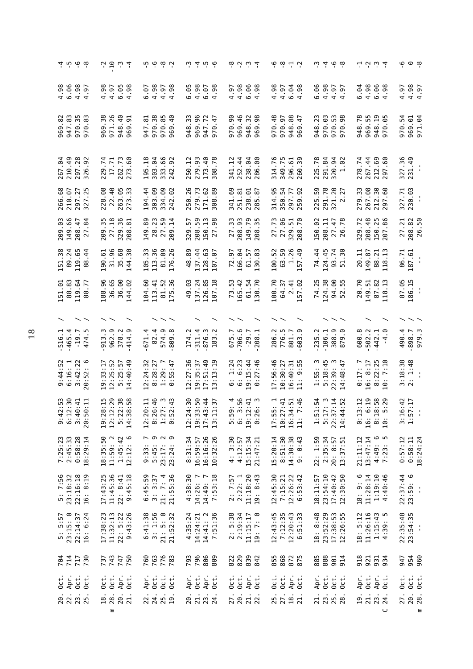| $4.98$<br>6.96<br>4.98<br>4.98<br>4.98<br>4.98<br>4.98<br>6.06<br>6.04<br>4.98<br>4.98<br>4.97<br>4.97<br>6.05<br>.98<br>$4.97$<br>$4.98$<br>6.05<br>$6.07$<br>4.98<br>6.98<br>4.98<br>4.97<br>$6.98$<br>$4.98$<br>4.98<br>6.98<br>4.97<br>.97<br>6.07<br>4.97<br>$4.97$<br>$4.97$<br>$\overline{a}$<br>969.82<br>947.83<br>970.35<br>$\frac{38}{3}$<br>971.26<br>$\frac{6}{3}$<br>970.38<br>33<br>96<br>969.46<br>948.32<br>970.48<br>948.78<br>969.55<br>948.19<br>970.05<br>970.54<br>.83<br>2<br>85<br>$-40$<br>947.72<br>970.47<br>970.90<br>98<br>970.97<br>$rac{6}{4}$<br>970.03<br>53<br>98<br>969.01<br>971.04<br>51<br>$\dot{\mathbf{r}}$<br>969.<br>970.<br>970.<br>948.<br>970.<br>948<br>948<br>969<br>947<br>969<br>948<br>970<br>969<br>969<br>969<br>327.36<br>210.49<br>297.28<br>326.92<br>262.73<br>303.04<br>333.66<br>279.93<br>173.40<br>252.44<br>314.76<br>349.75<br>39<br>291.84<br>267.44<br>$69$ .<br>231.49<br>.74<br>17.71<br>.60<br>195.18<br>.92<br>250.12<br>.78<br>238.04<br>.00<br>$-5$<br>225.78<br>320.94<br>1.02<br>278.74<br>341.12<br>$\blacksquare$<br>212.<br>229.<br>286<br>296<br>273<br>308<br>260<br>$\blacksquare$<br>267<br>242<br>22.40<br>303.09<br>279.73<br>291.78<br>321.20<br>2.27<br>279.33<br>267.08<br>212.30<br>230.03<br>266.68<br>210.07<br>297.27<br>327.25<br>228.08<br>263.05<br>.33<br>194.44<br>334.09<br>242.02<br>250.26<br>171.62<br>.89<br>314.95<br>350.54<br>50<br>60<br>327.71<br>341.69<br>251.81<br>238.01<br>285.87<br>297.77<br>259.92<br>$\frac{1}{4}$<br>212.<br>225.<br>273<br>308<br>209.03<br>149.66<br>27.18<br>96<br>27.73<br>208.48<br>150.25<br>207.86<br>50<br>35<br>149.89<br>28.23<br>50<br>50<br>$\Xi$<br>27.33<br>208.93<br>149.79<br>70<br>62<br>208.11<br>78<br>329.72<br>27.21<br>208.82<br>208.47<br>27.84<br>$\overline{1}$<br>57<br>98<br>35<br>51<br>$47$<br>81<br>150.<br>150.<br>27.7<br>26.<br>209.<br>329.<br>329.<br>27.<br>209<br>208.<br>329<br>208<br>208<br>31.96<br>35.68<br>151.38<br>89.24<br>190.61<br>30<br>33<br>36<br>99<br>26<br>89<br>137.44<br>128.63<br>166.04<br>100.52<br>63.59<br>1.26<br>74.44<br>187.61<br>119.65<br>$\frac{4}{4}$<br>83<br>49<br>124.45<br>93.74<br>51.30<br>20.11<br>149.87<br>88.21<br>118.13<br>86.71<br>ΘJ<br>72.97<br>61.57<br>$\frac{1}{4}$<br>105.<br>113.<br>48.<br>$\frac{81}{176}$ .<br>144<br>130<br>88<br>157<br>107<br>151.01<br>88.83<br>36.65<br>20.70<br>87.05<br>119.64<br>96.<br>36.00<br>.02<br>.60<br>$\frac{5}{9}$<br>.93<br>137.24<br>126.85<br>.18<br>53.<br>.42<br>61.54<br>100.70<br>$-25$<br>124.38<br>94.00<br>$\frac{149.51}{87.82}$<br>18.13<br>186.15<br>.77<br>$-41$<br>64.37<br>$\frac{4}{10}$<br>55.<br>$\frac{1}{4}$<br>104<br>165<br>$\overline{7}$<br>188<br>113<br>144<br>52<br>$\sim$<br>88<br>\$<br>$\frac{81}{15}$<br>57<br>52<br>107<br>465.4<br>962.9<br>$-19.7$<br>913.3<br>82.4<br>574.9<br>809.8<br>706.6<br>776.5<br>388.9<br>879.0<br>502.2<br>490.4<br>898.7<br>979.3<br>r.<br>378.2<br>414.9<br>671.4<br>311.4<br>876.3<br>675.7<br>$-29.7$<br>286.2<br>801.7<br>235.2<br>106.1<br>600.8<br>516.1<br>174.2<br>442.1<br>208<br>474<br>183<br>$\overline{4}$<br>$3:18:38$<br>$2:1:48$<br>$3:42:22$<br>$70:52:6$<br>12:27:36<br>$19:35:37$<br>$17:51:49$<br>$13:13:19$<br>6:23<br>0:27:46<br>17:56:46<br>$8:22:25$<br>10: 7:10<br>$19:33:17$<br>$12:25:52$<br>.40:49<br>12:24:32<br>1:24<br>9:15:44<br>10:30:27<br>$1:55:3$<br>$5:18:45$<br>$22:39:3$<br>14:48:47<br>$9:44:52$<br>$6:16:1$<br>5:25:57<br>8:28:27<br>$1:29:7$<br>$0:55:47$<br>$16:40:31$<br>$11:9:55$<br>0:17:7<br>8:17<br>$\blacksquare$<br>20:52<br>16:<br>ۊ<br>$\overline{1}$<br>6<br>$\begin{array}{c} 19:28:15\\ 12:12:29\\ 5:22:38\\ 14:38:58 \end{array}$<br>$50\,$<br>$\frac{6}{11}$ $\frac{4}{11}$ $\frac{1}{11}$<br>9:42:53<br>6:12:30<br>5:40:41<br>3:40:41<br>20:50:11<br>.46<br>$1:51:54$<br>$5:17:3$<br>$22:37:14$<br>$14:44:52$<br>$3:16:42$<br>$1:57:17$<br>$\frac{6}{3}$<br>$\frac{1}{4}$ 37<br>$\frac{1}{4}$ $\frac{1}{1}$ $\frac{4}{9}$<br>$0:13:12$<br>16: 6:19<br>8:18:58<br>10: 5:29<br>$12:20:11$<br>8:26:46<br>8:27:3<br>1:27:3<br>124:33:5<br>$17:43$<br>$13:11$<br>59<br>500212<br>50000<br>5000<br>17:55:<br>10:27:<br>16:34:11:7<br>19:11<br>$\begin{smallmatrix}8.16\1.9\end{smallmatrix}$<br>$\mathbf{I}$<br>16:<br>$\sim$ $\sim$ $\sim$ $\sim$<br>8:51:30<br>$7:25:23$<br>$2:45:33$<br>0:58:28<br>18:35:50<br>$11:59:2$<br>$1:45:42$<br>$12:12:6$<br>16:16:26<br>10:32:26<br>15:20:14<br>$14:30:38$<br>9: 0:43<br>21:11:12<br>$13:47:14$<br>$4:49:6$<br>$7:23:5$<br>$0:58:11$<br>$18:24:24$<br>18:29:14<br>8:31:34<br>4: 3:30<br>15:15:34<br>22: 1:59<br>2:35:34<br>0:57:12<br>16:59:57<br>4:12:57<br>21:47:21<br>20: 8:57<br>13:37:51<br>4:49:7:23<br>9:33:5<br>23:17:<br>23:24:<br>$22:16:18$<br>16: 8:19<br>11:45:36<br>$6:45:59$<br>$3:3:37$<br>$21:7:4$<br>$21:55:36$<br>11:18:20<br>18: 9: 6<br>$11:28:14$<br>$1:19:10$<br>22:37:44<br>23:59:6<br>5: 7:56<br>23:18:32<br>17:43:25<br>$22: 8:41$<br>9:45:18<br>$4:38:30$<br>14:26:7<br>$14:49:7$<br>7:53:18<br>2:22:1<br>19: 8:43<br>$12:45:30$<br>7:15:21<br>$12:26:22$<br>$6:53:42$<br>$23:54:10$<br>17:40:42<br>12:30:50<br>4:40:46<br>2:7:57<br>18:11:57<br>$\frac{1}{4}$<br>22:<br>$\begin{array}{c} 6:41:38 \\ 3:1:56 \\ 21:5:9 \\ 21:52:32 \end{array}$<br>$5:5:57$<br>$23:15:0$<br>$22:14:37$<br>$16:6:24$<br>:23<br>11:32:13<br>$22: 5:22$<br>9:43:26<br>4:35:24<br>14:41: 2<br>7:51:36<br>: 5:38<br>$2:19:34$<br>11:15:17<br>19: 7: 0<br>$12:43:45$<br>7:12:35<br>12:20:43<br>12:51:33<br>8:48<br>23:52:29<br>17:38:53<br>12:26:55<br>18: 5:12<br>11:26:16<br>$1:15:43$<br>$4:39:5$<br>22:35:48<br>23:54:35<br>14:24:21<br>17:38:<br>$\frac{1}{4}$<br>$\frac{8}{10}$<br>$\sim$<br>743<br>763<br>776<br>793<br>796<br>806<br>855<br>868<br>875<br>888<br>954<br>960<br>704<br>714<br>717<br>730<br>747<br>750<br>760<br>783<br>809<br>885<br>901<br>914<br>918<br>921<br>931<br>934<br>947<br>737<br>$0$ ct.<br>$0$ ct.<br>Apr.<br>Apr.<br>Apr.<br>Apr.<br>Apr.<br>Oct.<br>Apr.<br>Oct.<br>Oct.<br>$0$ ct.<br>Oct.<br>Apr.<br>$0$ ct.<br>Oct.<br>Apr.<br>Oct.<br>Apr.<br>Oct.<br>Oct.<br>Oct.<br>Oct.<br>Oct.<br>Oct.<br>Oct.<br>0ct.<br>Oct.<br>Apr.<br>oct.<br>Oct.<br>Oct.<br>t.<br>Oct<br>Oct.<br>0 <sub>c</sub><br>20<br>223.15<br>20.<br>27.<br>$\frac{20}{28}$ .<br>$\frac{18}{28}$ .<br>20.<br>21.<br>25.<br>27.<br>21.<br>23.<br>20.<br>21.<br>23.<br>24.<br>$18.$<br>19.<br>22.<br>27.<br>1<br>2<br>2<br>2<br>2<br>2<br>2<br>25.19<br>22<br>$\overline{21}$<br>$\overline{24}$<br>$\epsilon$<br>Ε<br>ں | ن ن ن ن<br>4 س ن ن |  |  | 79.77 |  | ې به بې ب |  |  | $\ddot{\omega}$ $\dot{\omega}$ $\dot{\omega}$ $\dot{\omega}$ |  | $\ddot{\omega}$ $\dot{\omega}$ $\dot{\omega}$ $\dot{\omega}$ |  | $\phi$ $\phi$ $\phi$ $\gamma$ |  | $\omega \neq \phi$ $\omega$ |  | ュぃぃュ |  | စု စ စု |
|----------------------------------------------------------------------------------------------------------------------------------------------------------------------------------------------------------------------------------------------------------------------------------------------------------------------------------------------------------------------------------------------------------------------------------------------------------------------------------------------------------------------------------------------------------------------------------------------------------------------------------------------------------------------------------------------------------------------------------------------------------------------------------------------------------------------------------------------------------------------------------------------------------------------------------------------------------------------------------------------------------------------------------------------------------------------------------------------------------------------------------------------------------------------------------------------------------------------------------------------------------------------------------------------------------------------------------------------------------------------------------------------------------------------------------------------------------------------------------------------------------------------------------------------------------------------------------------------------------------------------------------------------------------------------------------------------------------------------------------------------------------------------------------------------------------------------------------------------------------------------------------------------------------------------------------------------------------------------------------------------------------------------------------------------------------------------------------------------------------------------------------------------------------------------------------------------------------------------------------------------------------------------------------------------------------------------------------------------------------------------------------------------------------------------------------------------------------------------------------------------------------------------------------------------------------------------------------------------------------------------------------------------------------------------------------------------------------------------------------------------------------------------------------------------------------------------------------------------------------------------------------------------------------------------------------------------------------------------------------------------------------------------------------------------------------------------------------------------------------------------------------------------------------------------------------------------------------------------------------------------------------------------------------------------------------------------------------------------------------------------------------------------------------------------------------------------------------------------------------------------------------------------------------------------------------------------------------------------------------------------------------------------------------------------------------------------------------------------------------------------------------------------------------------------------------------------------------------------------------------------------------------------------------------------------------------------------------------------------------------------------------------------------------------------------------------------------------------------------------------------------------------------------------------------------------------------------------------------------------------------------------------------------------------------------------------------------------------------------------------------------------------------------------------------------------------------------------------------------------------------------------------------------------------------------------------------------------------------------------------------------------------------------------------------------------------------------------------------------------------------------------------------------------------------------------------------------------------------------------------------------------------------------------------------------------------------------------------------------------------------------------------------------------------------------------------------------------------------------------------------------------------------------------------------------------------------------------------------------------------------------------------------------------------------------------------------------------------------------------------------------------------------------------------------------------------------------------------------------------------------------------------------------------------------------------------------------------------------------------------------------------------------------------------------------------------------------------------------------------------------------------------------------------------------------------------------------------------------------------------------------------------------------------------------------------------------------------------------------------------------------------------------------------------------------------------------------------------------------------------------------------------------------------------------------------------------------------------------------------------------------------------------------------------------------------------------------------------------------------------------------------------------------------------------------------------------------------------------------------------------------------------------------------------------------------------|--------------------|--|--|-------|--|-----------|--|--|--------------------------------------------------------------|--|--------------------------------------------------------------|--|-------------------------------|--|-----------------------------|--|------|--|---------|
| .04                                                                                                                                                                                                                                                                                                                                                                                                                                                                                                                                                                                                                                                                                                                                                                                                                                                                                                                                                                                                                                                                                                                                                                                                                                                                                                                                                                                                                                                                                                                                                                                                                                                                                                                                                                                                                                                                                                                                                                                                                                                                                                                                                                                                                                                                                                                                                                                                                                                                                                                                                                                                                                                                                                                                                                                                                                                                                                                                                                                                                                                                                                                                                                                                                                                                                                                                                                                                                                                                                                                                                                                                                                                                                                                                                                                                                                                                                                                                                                                                                                                                                                                                                                                                                                                                                                                                                                                                                                                                                                                                                                                                                                                                                                                                                                                                                                                                                                                                                                                                                                                                                                                                                                                                                                                                                                                                                                                                                                                                                                                                                                                                                                                                                                                                                                                                                                                                                                                                                                                                                                                                                                                                                                                                                                                                                                                                                                                                                                                                                                                                                                  |                    |  |  |       |  |           |  |  |                                                              |  |                                                              |  |                               |  |                             |  |      |  |         |
|                                                                                                                                                                                                                                                                                                                                                                                                                                                                                                                                                                                                                                                                                                                                                                                                                                                                                                                                                                                                                                                                                                                                                                                                                                                                                                                                                                                                                                                                                                                                                                                                                                                                                                                                                                                                                                                                                                                                                                                                                                                                                                                                                                                                                                                                                                                                                                                                                                                                                                                                                                                                                                                                                                                                                                                                                                                                                                                                                                                                                                                                                                                                                                                                                                                                                                                                                                                                                                                                                                                                                                                                                                                                                                                                                                                                                                                                                                                                                                                                                                                                                                                                                                                                                                                                                                                                                                                                                                                                                                                                                                                                                                                                                                                                                                                                                                                                                                                                                                                                                                                                                                                                                                                                                                                                                                                                                                                                                                                                                                                                                                                                                                                                                                                                                                                                                                                                                                                                                                                                                                                                                                                                                                                                                                                                                                                                                                                                                                                                                                                                                                      |                    |  |  |       |  |           |  |  |                                                              |  |                                                              |  |                               |  |                             |  |      |  |         |
|                                                                                                                                                                                                                                                                                                                                                                                                                                                                                                                                                                                                                                                                                                                                                                                                                                                                                                                                                                                                                                                                                                                                                                                                                                                                                                                                                                                                                                                                                                                                                                                                                                                                                                                                                                                                                                                                                                                                                                                                                                                                                                                                                                                                                                                                                                                                                                                                                                                                                                                                                                                                                                                                                                                                                                                                                                                                                                                                                                                                                                                                                                                                                                                                                                                                                                                                                                                                                                                                                                                                                                                                                                                                                                                                                                                                                                                                                                                                                                                                                                                                                                                                                                                                                                                                                                                                                                                                                                                                                                                                                                                                                                                                                                                                                                                                                                                                                                                                                                                                                                                                                                                                                                                                                                                                                                                                                                                                                                                                                                                                                                                                                                                                                                                                                                                                                                                                                                                                                                                                                                                                                                                                                                                                                                                                                                                                                                                                                                                                                                                                                                      |                    |  |  |       |  |           |  |  |                                                              |  |                                                              |  |                               |  |                             |  |      |  |         |
|                                                                                                                                                                                                                                                                                                                                                                                                                                                                                                                                                                                                                                                                                                                                                                                                                                                                                                                                                                                                                                                                                                                                                                                                                                                                                                                                                                                                                                                                                                                                                                                                                                                                                                                                                                                                                                                                                                                                                                                                                                                                                                                                                                                                                                                                                                                                                                                                                                                                                                                                                                                                                                                                                                                                                                                                                                                                                                                                                                                                                                                                                                                                                                                                                                                                                                                                                                                                                                                                                                                                                                                                                                                                                                                                                                                                                                                                                                                                                                                                                                                                                                                                                                                                                                                                                                                                                                                                                                                                                                                                                                                                                                                                                                                                                                                                                                                                                                                                                                                                                                                                                                                                                                                                                                                                                                                                                                                                                                                                                                                                                                                                                                                                                                                                                                                                                                                                                                                                                                                                                                                                                                                                                                                                                                                                                                                                                                                                                                                                                                                                                                      |                    |  |  |       |  |           |  |  |                                                              |  |                                                              |  |                               |  |                             |  |      |  |         |
|                                                                                                                                                                                                                                                                                                                                                                                                                                                                                                                                                                                                                                                                                                                                                                                                                                                                                                                                                                                                                                                                                                                                                                                                                                                                                                                                                                                                                                                                                                                                                                                                                                                                                                                                                                                                                                                                                                                                                                                                                                                                                                                                                                                                                                                                                                                                                                                                                                                                                                                                                                                                                                                                                                                                                                                                                                                                                                                                                                                                                                                                                                                                                                                                                                                                                                                                                                                                                                                                                                                                                                                                                                                                                                                                                                                                                                                                                                                                                                                                                                                                                                                                                                                                                                                                                                                                                                                                                                                                                                                                                                                                                                                                                                                                                                                                                                                                                                                                                                                                                                                                                                                                                                                                                                                                                                                                                                                                                                                                                                                                                                                                                                                                                                                                                                                                                                                                                                                                                                                                                                                                                                                                                                                                                                                                                                                                                                                                                                                                                                                                                                      |                    |  |  |       |  |           |  |  |                                                              |  |                                                              |  |                               |  |                             |  |      |  |         |
|                                                                                                                                                                                                                                                                                                                                                                                                                                                                                                                                                                                                                                                                                                                                                                                                                                                                                                                                                                                                                                                                                                                                                                                                                                                                                                                                                                                                                                                                                                                                                                                                                                                                                                                                                                                                                                                                                                                                                                                                                                                                                                                                                                                                                                                                                                                                                                                                                                                                                                                                                                                                                                                                                                                                                                                                                                                                                                                                                                                                                                                                                                                                                                                                                                                                                                                                                                                                                                                                                                                                                                                                                                                                                                                                                                                                                                                                                                                                                                                                                                                                                                                                                                                                                                                                                                                                                                                                                                                                                                                                                                                                                                                                                                                                                                                                                                                                                                                                                                                                                                                                                                                                                                                                                                                                                                                                                                                                                                                                                                                                                                                                                                                                                                                                                                                                                                                                                                                                                                                                                                                                                                                                                                                                                                                                                                                                                                                                                                                                                                                                                                      |                    |  |  |       |  |           |  |  |                                                              |  |                                                              |  |                               |  |                             |  |      |  |         |
|                                                                                                                                                                                                                                                                                                                                                                                                                                                                                                                                                                                                                                                                                                                                                                                                                                                                                                                                                                                                                                                                                                                                                                                                                                                                                                                                                                                                                                                                                                                                                                                                                                                                                                                                                                                                                                                                                                                                                                                                                                                                                                                                                                                                                                                                                                                                                                                                                                                                                                                                                                                                                                                                                                                                                                                                                                                                                                                                                                                                                                                                                                                                                                                                                                                                                                                                                                                                                                                                                                                                                                                                                                                                                                                                                                                                                                                                                                                                                                                                                                                                                                                                                                                                                                                                                                                                                                                                                                                                                                                                                                                                                                                                                                                                                                                                                                                                                                                                                                                                                                                                                                                                                                                                                                                                                                                                                                                                                                                                                                                                                                                                                                                                                                                                                                                                                                                                                                                                                                                                                                                                                                                                                                                                                                                                                                                                                                                                                                                                                                                                                                      |                    |  |  |       |  |           |  |  |                                                              |  |                                                              |  |                               |  |                             |  |      |  |         |
|                                                                                                                                                                                                                                                                                                                                                                                                                                                                                                                                                                                                                                                                                                                                                                                                                                                                                                                                                                                                                                                                                                                                                                                                                                                                                                                                                                                                                                                                                                                                                                                                                                                                                                                                                                                                                                                                                                                                                                                                                                                                                                                                                                                                                                                                                                                                                                                                                                                                                                                                                                                                                                                                                                                                                                                                                                                                                                                                                                                                                                                                                                                                                                                                                                                                                                                                                                                                                                                                                                                                                                                                                                                                                                                                                                                                                                                                                                                                                                                                                                                                                                                                                                                                                                                                                                                                                                                                                                                                                                                                                                                                                                                                                                                                                                                                                                                                                                                                                                                                                                                                                                                                                                                                                                                                                                                                                                                                                                                                                                                                                                                                                                                                                                                                                                                                                                                                                                                                                                                                                                                                                                                                                                                                                                                                                                                                                                                                                                                                                                                                                                      |                    |  |  |       |  |           |  |  |                                                              |  |                                                              |  |                               |  |                             |  |      |  |         |
|                                                                                                                                                                                                                                                                                                                                                                                                                                                                                                                                                                                                                                                                                                                                                                                                                                                                                                                                                                                                                                                                                                                                                                                                                                                                                                                                                                                                                                                                                                                                                                                                                                                                                                                                                                                                                                                                                                                                                                                                                                                                                                                                                                                                                                                                                                                                                                                                                                                                                                                                                                                                                                                                                                                                                                                                                                                                                                                                                                                                                                                                                                                                                                                                                                                                                                                                                                                                                                                                                                                                                                                                                                                                                                                                                                                                                                                                                                                                                                                                                                                                                                                                                                                                                                                                                                                                                                                                                                                                                                                                                                                                                                                                                                                                                                                                                                                                                                                                                                                                                                                                                                                                                                                                                                                                                                                                                                                                                                                                                                                                                                                                                                                                                                                                                                                                                                                                                                                                                                                                                                                                                                                                                                                                                                                                                                                                                                                                                                                                                                                                                                      |                    |  |  |       |  |           |  |  |                                                              |  |                                                              |  |                               |  |                             |  |      |  |         |
|                                                                                                                                                                                                                                                                                                                                                                                                                                                                                                                                                                                                                                                                                                                                                                                                                                                                                                                                                                                                                                                                                                                                                                                                                                                                                                                                                                                                                                                                                                                                                                                                                                                                                                                                                                                                                                                                                                                                                                                                                                                                                                                                                                                                                                                                                                                                                                                                                                                                                                                                                                                                                                                                                                                                                                                                                                                                                                                                                                                                                                                                                                                                                                                                                                                                                                                                                                                                                                                                                                                                                                                                                                                                                                                                                                                                                                                                                                                                                                                                                                                                                                                                                                                                                                                                                                                                                                                                                                                                                                                                                                                                                                                                                                                                                                                                                                                                                                                                                                                                                                                                                                                                                                                                                                                                                                                                                                                                                                                                                                                                                                                                                                                                                                                                                                                                                                                                                                                                                                                                                                                                                                                                                                                                                                                                                                                                                                                                                                                                                                                                                                      |                    |  |  |       |  |           |  |  |                                                              |  |                                                              |  |                               |  |                             |  |      |  |         |
|                                                                                                                                                                                                                                                                                                                                                                                                                                                                                                                                                                                                                                                                                                                                                                                                                                                                                                                                                                                                                                                                                                                                                                                                                                                                                                                                                                                                                                                                                                                                                                                                                                                                                                                                                                                                                                                                                                                                                                                                                                                                                                                                                                                                                                                                                                                                                                                                                                                                                                                                                                                                                                                                                                                                                                                                                                                                                                                                                                                                                                                                                                                                                                                                                                                                                                                                                                                                                                                                                                                                                                                                                                                                                                                                                                                                                                                                                                                                                                                                                                                                                                                                                                                                                                                                                                                                                                                                                                                                                                                                                                                                                                                                                                                                                                                                                                                                                                                                                                                                                                                                                                                                                                                                                                                                                                                                                                                                                                                                                                                                                                                                                                                                                                                                                                                                                                                                                                                                                                                                                                                                                                                                                                                                                                                                                                                                                                                                                                                                                                                                                                      |                    |  |  |       |  |           |  |  |                                                              |  |                                                              |  |                               |  |                             |  |      |  |         |
|                                                                                                                                                                                                                                                                                                                                                                                                                                                                                                                                                                                                                                                                                                                                                                                                                                                                                                                                                                                                                                                                                                                                                                                                                                                                                                                                                                                                                                                                                                                                                                                                                                                                                                                                                                                                                                                                                                                                                                                                                                                                                                                                                                                                                                                                                                                                                                                                                                                                                                                                                                                                                                                                                                                                                                                                                                                                                                                                                                                                                                                                                                                                                                                                                                                                                                                                                                                                                                                                                                                                                                                                                                                                                                                                                                                                                                                                                                                                                                                                                                                                                                                                                                                                                                                                                                                                                                                                                                                                                                                                                                                                                                                                                                                                                                                                                                                                                                                                                                                                                                                                                                                                                                                                                                                                                                                                                                                                                                                                                                                                                                                                                                                                                                                                                                                                                                                                                                                                                                                                                                                                                                                                                                                                                                                                                                                                                                                                                                                                                                                                                                      |                    |  |  |       |  |           |  |  |                                                              |  |                                                              |  |                               |  |                             |  |      |  |         |
|                                                                                                                                                                                                                                                                                                                                                                                                                                                                                                                                                                                                                                                                                                                                                                                                                                                                                                                                                                                                                                                                                                                                                                                                                                                                                                                                                                                                                                                                                                                                                                                                                                                                                                                                                                                                                                                                                                                                                                                                                                                                                                                                                                                                                                                                                                                                                                                                                                                                                                                                                                                                                                                                                                                                                                                                                                                                                                                                                                                                                                                                                                                                                                                                                                                                                                                                                                                                                                                                                                                                                                                                                                                                                                                                                                                                                                                                                                                                                                                                                                                                                                                                                                                                                                                                                                                                                                                                                                                                                                                                                                                                                                                                                                                                                                                                                                                                                                                                                                                                                                                                                                                                                                                                                                                                                                                                                                                                                                                                                                                                                                                                                                                                                                                                                                                                                                                                                                                                                                                                                                                                                                                                                                                                                                                                                                                                                                                                                                                                                                                                                                      |                    |  |  |       |  |           |  |  |                                                              |  |                                                              |  |                               |  |                             |  |      |  |         |
|                                                                                                                                                                                                                                                                                                                                                                                                                                                                                                                                                                                                                                                                                                                                                                                                                                                                                                                                                                                                                                                                                                                                                                                                                                                                                                                                                                                                                                                                                                                                                                                                                                                                                                                                                                                                                                                                                                                                                                                                                                                                                                                                                                                                                                                                                                                                                                                                                                                                                                                                                                                                                                                                                                                                                                                                                                                                                                                                                                                                                                                                                                                                                                                                                                                                                                                                                                                                                                                                                                                                                                                                                                                                                                                                                                                                                                                                                                                                                                                                                                                                                                                                                                                                                                                                                                                                                                                                                                                                                                                                                                                                                                                                                                                                                                                                                                                                                                                                                                                                                                                                                                                                                                                                                                                                                                                                                                                                                                                                                                                                                                                                                                                                                                                                                                                                                                                                                                                                                                                                                                                                                                                                                                                                                                                                                                                                                                                                                                                                                                                                                                      |                    |  |  |       |  |           |  |  |                                                              |  |                                                              |  |                               |  |                             |  |      |  |         |
|                                                                                                                                                                                                                                                                                                                                                                                                                                                                                                                                                                                                                                                                                                                                                                                                                                                                                                                                                                                                                                                                                                                                                                                                                                                                                                                                                                                                                                                                                                                                                                                                                                                                                                                                                                                                                                                                                                                                                                                                                                                                                                                                                                                                                                                                                                                                                                                                                                                                                                                                                                                                                                                                                                                                                                                                                                                                                                                                                                                                                                                                                                                                                                                                                                                                                                                                                                                                                                                                                                                                                                                                                                                                                                                                                                                                                                                                                                                                                                                                                                                                                                                                                                                                                                                                                                                                                                                                                                                                                                                                                                                                                                                                                                                                                                                                                                                                                                                                                                                                                                                                                                                                                                                                                                                                                                                                                                                                                                                                                                                                                                                                                                                                                                                                                                                                                                                                                                                                                                                                                                                                                                                                                                                                                                                                                                                                                                                                                                                                                                                                                                      |                    |  |  |       |  |           |  |  |                                                              |  |                                                              |  |                               |  |                             |  |      |  |         |
|                                                                                                                                                                                                                                                                                                                                                                                                                                                                                                                                                                                                                                                                                                                                                                                                                                                                                                                                                                                                                                                                                                                                                                                                                                                                                                                                                                                                                                                                                                                                                                                                                                                                                                                                                                                                                                                                                                                                                                                                                                                                                                                                                                                                                                                                                                                                                                                                                                                                                                                                                                                                                                                                                                                                                                                                                                                                                                                                                                                                                                                                                                                                                                                                                                                                                                                                                                                                                                                                                                                                                                                                                                                                                                                                                                                                                                                                                                                                                                                                                                                                                                                                                                                                                                                                                                                                                                                                                                                                                                                                                                                                                                                                                                                                                                                                                                                                                                                                                                                                                                                                                                                                                                                                                                                                                                                                                                                                                                                                                                                                                                                                                                                                                                                                                                                                                                                                                                                                                                                                                                                                                                                                                                                                                                                                                                                                                                                                                                                                                                                                                                      |                    |  |  |       |  |           |  |  |                                                              |  |                                                              |  |                               |  |                             |  |      |  |         |
|                                                                                                                                                                                                                                                                                                                                                                                                                                                                                                                                                                                                                                                                                                                                                                                                                                                                                                                                                                                                                                                                                                                                                                                                                                                                                                                                                                                                                                                                                                                                                                                                                                                                                                                                                                                                                                                                                                                                                                                                                                                                                                                                                                                                                                                                                                                                                                                                                                                                                                                                                                                                                                                                                                                                                                                                                                                                                                                                                                                                                                                                                                                                                                                                                                                                                                                                                                                                                                                                                                                                                                                                                                                                                                                                                                                                                                                                                                                                                                                                                                                                                                                                                                                                                                                                                                                                                                                                                                                                                                                                                                                                                                                                                                                                                                                                                                                                                                                                                                                                                                                                                                                                                                                                                                                                                                                                                                                                                                                                                                                                                                                                                                                                                                                                                                                                                                                                                                                                                                                                                                                                                                                                                                                                                                                                                                                                                                                                                                                                                                                                                                      |                    |  |  |       |  |           |  |  |                                                              |  |                                                              |  |                               |  |                             |  |      |  |         |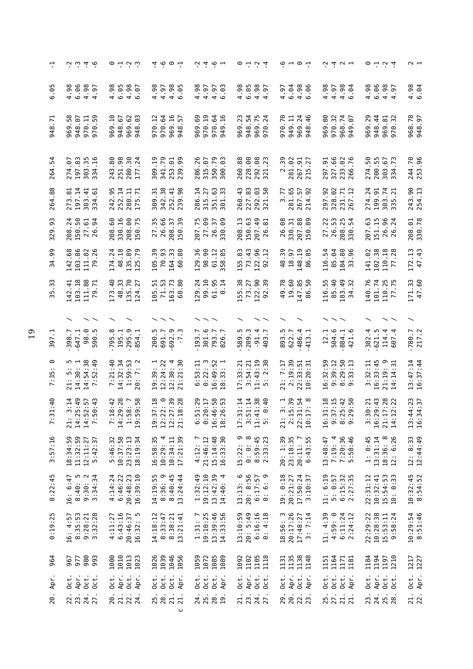|                                               | $\dot{\sim}$ $\dot{\sim}$ $\dot{\sim}$ 4 $\dot{\sim}$                 | $\circ$ 4 5 $\circ$                                                                      | さんっこ                                                                                                              | $-1$ $-1$ $-1$                                                               | $\circ$ 4 $\circ$ 4                                                                               | $\ddot{\circ}$ $\ddot{\circ}$ $\ddot{\circ}$                                                                              | 0.404                                                                               | $\circ$ 4 $\circ$ 4                                                                           | $\sim$ $\,$              |
|-----------------------------------------------|-----------------------------------------------------------------------|------------------------------------------------------------------------------------------|-------------------------------------------------------------------------------------------------------------------|------------------------------------------------------------------------------|---------------------------------------------------------------------------------------------------|---------------------------------------------------------------------------------------------------------------------------|-------------------------------------------------------------------------------------|-----------------------------------------------------------------------------------------------|--------------------------|
| ഥ<br>ි<br>ဖ                                   | ∞<br>6.06<br>4.98<br>$-97$<br>$rac{5}{4}$<br>$\overline{a}$           | 4.98<br>6.05<br>$4.98$<br>6.97                                                           | .98<br>4.97<br>$4.98$<br>$6.05$<br>4                                                                              | 4.98<br>4.97<br>4.97<br>ි.<br>$\circ$                                        | $4.98$<br>$6.98$<br>$4.98$<br>$4.97$                                                              | 6.04<br>$4.98$<br>6.96<br>4.97                                                                                            | 4.98<br>$4.98$<br>6.94<br>4.97                                                      | 4.98<br>6.96<br>4.98<br>.97<br>$\overline{a}$                                                 | $4.98$<br>6.94           |
| $\overline{5}$<br>948                         | 58<br>970.59<br>948.07<br>970.11<br>- 696                             | 969.62<br>948.03<br>969.10<br>948.67                                                     | 970.64<br>969.16<br>970.12<br>57<br>948                                                                           | 970.19<br>970.64<br>949.16<br>969.69                                         | 948.54<br>969.23<br>969.75<br>970.24                                                              | 970.70<br>949.11<br>969.24<br>948.46                                                                                      | 80<br>970.32<br>968.74<br>949.07<br>969.                                            | 969.29<br>948.44<br>969.81<br>970.32                                                          | 968.78<br>948.97         |
| ن<br>ب<br>264                                 | .83<br>$\frac{5}{2}$<br>$\overline{.0}$ .<br>197<br>303<br>274<br>334 | 251.98<br>$\cdot$ .30<br>80<br>$\overline{2}$<br>280<br>243<br>177                       | $-19$<br>341.79<br>.01<br>99<br>253.<br>309<br>39                                                                 | 350.79<br>.26<br>315.07<br>300.03<br>286                                     | 228.00<br>$\frac{8}{3}$<br>80<br>$\overline{\sim}$<br>292.<br>260.<br>321                         | 50<br>281.02<br>267.91<br>27<br>$\overline{\mathbf{a}}$<br>215                                                            | 327.66<br>.56<br>5.<br>233.<br>266<br>297                                           | 200.55<br>303.67<br>$\overline{5}$ .<br>$\overline{73}$<br>274<br>334                         | 244.70<br>253.96         |
| .88<br>264                                    | 197.14<br>$\overline{3}$ .<br>$-41$<br>$-51$<br>303.<br>273<br>334    | 252.14<br>.95<br>280.11<br>$\overline{5}$<br>242<br>LO <sub>1</sub><br>$\tilde{\Gamma}$  | 342.38<br>$\overline{5}$<br>$-41$<br>98<br>252.<br>239.<br>309                                                    | .63<br>33<br>286.14<br>315.27<br>351<br>301                                  | $-43$<br>227.83<br>.03<br>.50<br>292.<br>260<br>321                                               | 281.65<br>92<br>3.77<br>57<br>267.<br>214                                                                                 | 297.92<br>328.02<br>231.71<br>267.12                                                | 274.24<br>.74<br>199.91<br>$\overline{21}$<br>303.<br>335                                     | 243.90<br>254.13         |
| .93<br>329                                    | $\overline{24}$<br>50<br>$\mathfrak{g}$<br>61<br>27.1<br>150.<br>208. | $\overline{a}$<br>$\circledcirc$<br>60<br>75<br>330.<br>208.<br>208.<br>.<br>50.         | 99<br>55<br>57<br>39<br>26.<br>27.<br>208.<br>150                                                                 | 75<br>27.09<br>99<br>57<br>207.<br>30.<br>26.                                | Ξ<br>150.63<br>$\overline{4}$<br>ದ<br>208.<br>207.                                                | $88\,$<br>89<br>$\overline{5}$<br>89<br>330.<br>207.4<br>26.                                                              | 53<br>22<br>25<br>ᄓᅺ<br>27.<br>26.<br>208.<br>330.                                  | 96<br>207.63<br>$\overline{\mathfrak{r}}$<br>$\overline{c}$<br>151.<br>26.26                  | 330.78<br>208.01         |
| .99<br>34                                     | 142.68<br>103.86<br>$82$<br>26<br>111.<br>$\overline{0}$<br>L         | 48.18<br>135.89<br>125.79<br>174.24                                                      | 105.39<br>70.93<br>164.33<br>.80<br>60                                                                            | 129.36<br>98.90<br>61.12<br>358.85                                           | 155.83<br>73.43<br>122.96<br>92.12                                                                | 48.39<br>148.19<br>18.97<br>LO,<br>$\infty$<br>86                                                                         | 116.54<br>85.04<br>184.80<br>33.96                                                  | 141.02<br>$102.38$<br>110.18<br>77.28                                                         | 172.13<br>47.43          |
| $\cdot$ 33<br>55                              | 103.18<br>142.41<br>111.88<br>$\overline{z}$<br>79                    | 48.33<br>135.70<br>$-40$<br>27<br>124.7<br>173                                           | 71.53<br>163.73<br>.80<br>$\overline{5}$ .<br>105<br>8                                                            | 99.10<br>$61.95$<br>$0.14$<br>129.24                                         | 155.38<br>122.90<br>73.27<br>39<br>92                                                             | 19.60<br>147.85<br>49.78<br>50<br>86                                                                                      | 116.55<br>85.40<br>183.49<br>34.32                                                  | 140.76<br>101.74<br>110.25<br>77.75                                                           | 171.33<br>47.60          |
|                                               |                                                                       |                                                                                          |                                                                                                                   |                                                                              |                                                                                                   |                                                                                                                           |                                                                                     |                                                                                               | $\overline{\phantom{0}}$ |
| 397                                           | 98.0<br>$-647.1$<br><u>ی</u><br>398.7<br>590.                         | 295.9<br>.795.8<br>195.1<br>854.1                                                        | $-7.3$<br>200.5<br>691.7                                                                                          | 301.6<br>793.7<br>826.7<br>193.7                                             | 209.3<br>589.5<br>$\dot{4}$ $\dot{5}$<br>$-91$<br>$403$                                           | 486.4<br>893.5<br>622.7<br>413                                                                                            | 504.6<br>884.1<br>12.1<br>421                                                       | 114.4<br>382.4<br>621.5<br>$\overline{4}$<br>607                                              | $-780.7$<br>217.2        |
| ⊙<br>55<br>$\ddot{ }$                         | 21: 5: 5<br>14:30: 1<br>14:54:38<br>52:49<br>$\overline{ }$           | 7:21:40<br>14:32:34<br>1:59:53<br>$\sim$<br>$\overline{a}$<br>20                         | $19:39:1$<br>$12:24:22$<br>12:30:4<br>21:30<br>$\overline{2}$                                                     | 0:22:3<br>$16:49:52$<br>$18:33:1$<br>53:11<br>:-<br>ف                        | 11:43:19<br>$\ddot{30}$<br>$17:33:21$<br>$3:54.77$<br>$\sim$<br>ഥ                                 | 21: 7:17<br>2:19:39<br>22:33:51<br>10:20:31                                                                               | 32:59<br>39:12<br>$: 29:50$<br>$: 33:13$<br>16:<br>$\frac{1}{2}$ $\frac{1}{2}$<br>ാ | 16:33:45<br>$19:9$<br>$14:31$<br>:32:11<br>21:19:<br>$\cdot$ .<br>w<br>$\overline{1}$         | $13:47:14$<br>$16:37:44$ |
| $\ddot{=}$<br>$\overline{\phantom{0}}$<br>7:3 | s<br>14074<br>14074<br>7:5<br>14:2<br>14:5<br>21:                     | $28770$<br>$37.50$<br>$3.50$<br>$3.50$<br>$3.50$<br>$1:50$<br>$19:50$<br>$7:28$<br>14:28 | $\frac{30}{10}$<br>$\circ$<br>$7.78$<br>$7.78$<br>$7.78$<br>$7.78$<br>$12:2$<br>$21:18$<br>19 : 3<br>12 : 2<br>12 | $6:58$<br>$6:53$<br>$0:17$<br>$0:17$<br>$16:46$<br>$18:26$<br>6 : 2<br>6 : 2 | $1:14$<br>$1:14$<br>0:40<br>$\frac{1}{2}$ $\frac{1}{2}$ $\frac{1}{3}$ $\frac{1}{4}$<br>$\ddot{5}$ | $\begin{array}{c} 1 & 0 & 0 \\ 0 & 0 & 0 \\ 0 & 0 & 0 \\ 0 & 0 & 0 \end{array}$<br>1<br>2<br>2<br>2<br>2<br>2<br>2<br>21: | 7:15<br>1:18<br>$: 42$<br>$: 50$<br>ഗത<br>$19.78$<br>$19.78$<br>$19.78$             | $9:13$<br>7 : 28<br>7 : 22<br>0:21<br>$\frac{3}{3}$ $\frac{3}{2}$ $\frac{1}{3}$ $\frac{1}{4}$ | $13:44:23$<br>$16:34:37$ |
| 3:57:16                                       | 18:34:59<br>11:32:59<br>5:42:37<br>12:11:27                           | 5:46:32<br>10:37:58<br>23:23:13<br>18:19:34                                              | 17:21:39<br>16:58:35<br>4<br>10:34:11<br>10:29:                                                                   | $4:12:7$<br>21:46:12<br>15:14:48<br>16:33:30                                 | 15:22: 9<br>0: 0: 0<br>8:59:45<br>2:33:23<br>15:22:                                               | 20: 1:39<br>23:18:35<br>$20:11:7$<br>$6:43:55$                                                                            | 7:20:36<br>5:58:46<br>4<br>13:48:47<br>7:19:                                        | $\infty$<br>1: 0:45<br>13:31:14<br>12: 6:26<br>18:36:                                         | $12: 8:33$<br>$12:44:49$ |
| 0:22:45                                       | $8:40:5$<br>9:30:2<br>3:34:34<br>16: 6:47                             | $4:14:24$<br>$6:46:22$<br>20:48:23<br>16:39:10                                           | თ<br>14:19:55<br>8:40:45<br>13:24:44<br>8:36:                                                                     | 1:32:49<br>19:12:10<br>13:42:39<br>$\overline{4}$<br>14:40:                  | $13:13:6$<br>$20:8:56$<br>$6:17:57$<br>ၜ<br>0: 6:                                                 | 19: 0:18<br>17:50:24<br>20:21:27<br>3:10:37                                                                               | 11: 6:19<br>$6:15:32$<br>$2:27:35$<br>5: 0:57                                       | 10:32:41<br>15:54:53<br>10: 0:33<br>22:31:12                                                  | $10:32:45$<br>8:54:52    |
| 0:19:25                                       | 8:35:53<br>3:32:28<br>16: 4:57<br>9:28:21                             | 6:43:16<br>20:46:37<br>16:32:5<br>4:11:27<br>16:32:                                      | 14:18:12<br>8:33:47<br>8:38:21<br>13:21:41                                                                        | 13:39:46<br>14:33:56<br>19:10:25<br>1:31:7                                   | 20: 5:49<br>6:16:16<br>13:10:59<br>0:4:18                                                         | 18:56: 3<br>20:17:26<br>3:7:14<br>17:48:27                                                                                | 4:59:0<br>11: 4:39<br>6:11:24<br>2:24:12                                            | 10:28:38<br>22:29:22<br>15:53:11<br>9:58:24                                                   | 10:29:54<br>8:51:46      |
| 964                                           | 980<br>977<br>993<br>967                                              | 1010<br>1013<br>1023<br>1000                                                             | 1039<br>1046<br>1026<br>1056                                                                                      | 1059<br>1072<br>1085<br>1089                                                 | 1102<br>1105<br>1118<br>1092                                                                      | 1131<br>1135<br>1138<br>1148                                                                                              | 1164<br>1171<br>1151<br>1181                                                        | 1184<br>1194<br>1210<br>1197                                                                  | 1217<br>1227             |
| Apr.                                          | Apr.<br>Oct.<br>$0$ ct.<br>Oct.                                       | Apr.<br>$0$ ct.<br>Oct.<br>Apr.                                                          | Oct.<br>Oct.<br>Oct.<br>Apr.                                                                                      | Oct.<br>Oct.<br>$0$ ct.<br>Apr.                                              | Apr.<br>Oct.<br>Oct.<br>Oct.                                                                      | Apr.<br>Oct.<br>Oct.<br>Apr.                                                                                              | 0ct.<br>$0$ ct.<br>Oct.<br>Apr.                                                     | Apr.<br>$0$ ct.<br>$0$ ct.<br>0ct.                                                            | $0$ ct.<br>Apr.          |
| 20.                                           | 22.<br>24.<br>27.                                                     | 20.<br>21.<br>22.<br>24.                                                                 | 25.<br>28.<br>21.<br>21.<br>$\mathsf{C}$                                                                          | $\frac{4}{25}$ $\frac{8}{25}$ $\frac{9}{25}$                                 | 21.<br>23.<br>24.<br>27.                                                                          | 29.<br>20.<br>22.<br>23.                                                                                                  | 25.<br>27.<br>21.<br>21.                                                            | 24.<br>25.28<br>23.                                                                           | $\frac{21}{22}$ .        |
|                                               |                                                                       |                                                                                          |                                                                                                                   |                                                                              |                                                                                                   |                                                                                                                           |                                                                                     |                                                                                               |                          |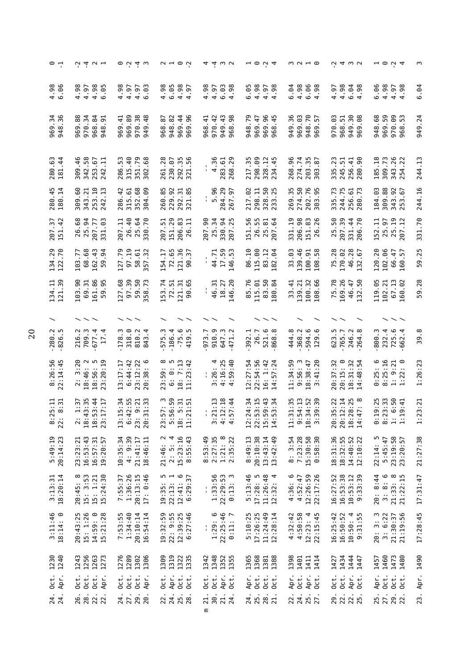| $\circ$ +                            | 0.404                                                                      | $\circ$ $\circ$ $\circ$ $\circ$                                                                     | $\sim$ $ \sim$ $\sim$                               | 4400                                                        | $\mathbf{u} \circ \mathbf{v} \cdot \mathbf{q}$                               | m N H O                                                | $\dot{u}$ 4 $\omega$ $\omega$                                                                  | $ \circ$ $\circ$ $\circ$                                                | m                     |
|--------------------------------------|----------------------------------------------------------------------------|-----------------------------------------------------------------------------------------------------|-----------------------------------------------------|-------------------------------------------------------------|------------------------------------------------------------------------------|--------------------------------------------------------|------------------------------------------------------------------------------------------------|-------------------------------------------------------------------------|-----------------------|
| $4.98$<br>6.96                       | 4.98<br>$4.98$<br>$6.05$<br>4.97                                           | 4.98<br>4.98<br>4.97<br>4.03<br>6.03<br>.93                                                         | 6.05<br>4.97<br>4.97<br>57                          | 4.98<br>4.97<br>$6.03$<br>4.98                              | 6.05<br>4.98<br>$4.97$<br>$4.98$<br>.98                                      | 6.04<br>4.98<br>$6.96$<br>4.98                         | 4.98<br>$6.04$<br>4.98<br>4.97                                                                 | 6.06<br>4.98<br>$4.97$<br>$4.98$                                        | 6.04                  |
| 969.34<br>948.36                     | 969.88<br>968.84<br>970.34<br>$\sigma$<br>948.                             | 969.89<br>970.38<br>949.48<br>969.41<br>29<br>968.                                                  | 969.44<br>82<br>96<br>948.<br>969                   | 970.42<br>949.43<br>968.98<br>968.41                        | 969.96<br>948.79<br>969.47<br>ਦ੍<br>968                                      | 949.36<br>969.03<br>948.70<br>969.57                   | $\sqrt{3}$<br>$_{\rm 68}$<br>970.03<br>51<br>949.<br>969.<br>968.                              | 969.59<br>948.68<br>970.09<br>968.53                                    | 949.24                |
| 280.63<br>181.44                     | .46<br>342.58<br>253.67<br>금<br>309<br>242                                 | 286.53<br>315.40<br>.79<br>.68<br>.28<br>351.<br>261<br>302                                         | 292.35<br>230.07<br>56<br>321                       | 4.36<br>268.29<br>283.61                                    | 298.09<br>217.35<br>328.12<br>$-45$<br>234                                   | 268.96<br>.74<br>$\frac{35}{8}$<br>274.<br>203<br>303  | .23<br>51<br>256.41<br>.90<br>245.<br>335<br>280                                               | .18<br>309.73<br>26<br>343.<br>185<br>254                               | 244.13                |
| 280.45<br>180.14                     | .60<br>$\overline{10}$<br>$\ddot{5}$<br>.21<br>343.<br>253.<br>309<br>242  | $-42$<br>352.68<br>.09<br>260.85<br>315.61<br>286.<br>304                                           | $\frac{1}{8}$<br>229.92<br>292.<br>321.             | 284.29<br>5.96<br>267.97                                    | $50\,$<br>.25<br>217.02<br>298.11<br>328.                                    | 269.35<br>274.50<br>202.76<br>303.95                   | 335.73<br>244.75<br>256.61<br>280.73                                                           | 184.03<br>309.88<br><b>92</b><br>67<br>343.<br>253.                     | 244.16                |
| 207.37<br>151.42                     | 26.68<br>34<br>ස<br>$\overline{7}$<br>207.<br>25.<br>$\overline{31}$       | 26.40<br>207.11<br>64.70<br>51<br>25.<br>207                                                        | 29<br>83<br>$\Xi$<br>151.<br>206.<br>26             | <b>225</b><br>225<br>န္တ<br>207.9<br>$25$ .<br>330.<br>207. | 56<br>55<br>$\overline{8}$<br>$\mathfrak{g}$<br>$\frac{1}{2}$<br>25.7<br>26. | 331.19<br>98<br><b>83</b> 26<br>206.<br>151.<br>26.    | 39<br>50<br>$\frac{4}{4}$<br>70<br>207.<br>331.<br>25.<br>206                                  | $\Xi$<br>22<br>57<br>25.5<br>152                                        | 331.70                |
| 134.29<br>122.70                     | 68.68<br>162.43<br>103.77<br>59.94                                         | 97.19<br>127.79<br>58.61<br>357.32<br>154.17                                                        | 72.65<br>121.36<br>$\overline{5}$<br>90             | 17.59<br>146.53<br>44.71                                    | 86.10<br>115.00<br>83.12<br>182.04                                           | 139.46<br>33.03<br>100.91<br>108.58                    | 46.28<br>75.28<br>170.02<br>132                                                                | 102.06<br>120.20<br>66.47<br>160.57                                     | 59.25                 |
| 134.11<br>121.39                     | 103.90<br>161.86<br>95<br>69.31<br>59.                                     | 127.68<br>.39<br>္ဘ<br>58.73<br>153.74<br>59.<br>57                                                 | 65<br>72.51<br>121.31<br>இ                          | 18.27<br>146.20<br>46.31                                    | 85.76<br>83.50<br>80.84<br>115.01                                            | 100.32<br>108.66<br>33.41<br>139.21                    | 169.26<br>75.78<br>S0<br>46.47<br>32.                                                          | 119.05<br>$67.13$<br>$160.02$<br>102.21                                 | 59.28                 |
|                                      |                                                                            |                                                                                                     | m                                                   |                                                             |                                                                              | ိ.                                                     |                                                                                                |                                                                         |                       |
| $-280.2$<br>$-826.5$                 | ن<br>677.4<br>Ċ<br>216<br>709<br>$\overline{17}$                           | <u>୍</u><br>ù.<br>$\ddot{\phantom{0}}$<br>ن.<br>$\overline{4}$<br>819.<br>843.<br>575<br>I78<br>318 | $-186.4$<br>$-75.6$<br>419                          | ာ.<br>647.3<br>471.2<br><b>.</b><br>910<br>973              | 26.7<br>$521.6$<br>868.8<br>392.1                                            | 368.2<br><u>م</u> .<br>444.8<br>594<br>129             | 623.5<br>765.7<br>246.2<br>264.8                                                               | 725.6<br>232.4<br>800.3                                                 | 39.8                  |
| 8:26:56<br>22:14:45                  | $2: 3:20$<br>18:46: 2<br>18:56: 5<br>18:20:19                              | $23:12:22$<br>$20:38:6$<br>13:17:17<br>6:44:42                                                      | 23:59: 8<br>6: 0: 5<br>18: 7:13<br>11:23:42         | $3:26:4$<br>$4:16:25$<br>$4:59:40$                          | 12:27:54<br>$22:54:56$<br>16: 1:42<br>14:57:24                               | 11:34:59<br>: 41:20<br>9:56:3<br>$18:38:47$<br>3:41:20 | 20:15:0<br>20:37:32<br>$: 31:32$<br>$: 48:54$<br>$\frac{48}{5}$<br>$\frac{1}{9}$ $\frac{1}{4}$ | $0:25:6$<br>$8:25:16$<br>$1: 9:21$<br>$1:22: 0$<br>$\frac{1}{\sqrt{2}}$ | 1:26:23               |
| $\frac{11}{12}$<br>$8:25:$<br>22: 8: | $\begin{array}{c} 2: 1:37 \\ 18:43:35 \\ 18:53:44 \\ 23:17:17 \end{array}$ | 5:34<br>2:55<br>1:33<br>23: 9:21<br>20:31<br>6:42<br>13:1                                           | 23:57: 3<br>5:56:59<br>18: 5:31<br>11:21:51         | $3:21:13$<br>$4:12:18$<br>$4:57:44$<br>$\frac{1}{2}$        | 12:24:34<br>22:53:15<br>15:59:43<br>14:53:34                                 | 11:31:35<br>9:54:13<br>18:34:52<br>3:39:39             | 20:35:22<br>20:12:14<br>20:28:25<br>18:28:25                                                   | $0:19:25$<br>8:23:33<br>1: 6:50<br>1:19:41                              | 3:21<br>$\frac{1}{2}$ |
| 5:49:19<br>20:14:23                  | 23:23:21<br>16:53:43<br>19:20:57<br>16:57:31                               | $10:35:34$<br>4: 9:39<br>21:41:17<br>18:46:11                                                       | 21:46: 2<br>2: 5: 4<br>15:23:16<br>15:23:16         | 8:53:49<br>2:27:35<br>1:21: 8<br>2:35:22                    | 20:10:38<br>8:49:13<br>$13:43:14$<br>$13:42:49$                              | 8: 3:54<br>7:23:28<br>15:30:58<br>0:58:30              | 18:31:36<br>18:32:55<br>$14:40:52$<br>$12:10:22$                                               | 22:14: 5<br>5:45:47<br>5:19:58<br>23:20:57                              | 21:27:38              |
| $3:13:31$<br>$18:20:14$              | 20:45: 8<br>15: 3:53<br>15: 1:21<br>15:24:30                               | 7:55:37<br>1:36:26<br>$20:13:15$<br>$17: 0:46$                                                      | $19:35: 5$<br>$22:13: 1$<br>$12:41: 6$<br>$6:29:37$ | $1:33:56$<br>$22:29:53$<br>$0:13:3$<br>$\mathbf{I}$         | $17:28:5$<br>$11:26:48$<br>$12:32:4$<br>5:13:46                              | $4:36:6$<br>$4:52:47$<br>12:26:59<br>22:17:26          | 16:27:52<br>16:53:38<br>$10:53:12$<br>$9:33:39$                                                | $20: 8:44$<br>3:8:6<br>3:33:8<br>21:33:15                               | 17:31:47              |
| $3:11:46$<br>$18:14:0$               | 20:43:25<br>15: 1:26<br>$14:59:0$<br>$15:21:28$                            | 7:53:55<br>1:34:40<br>20:10:14<br>19:32:59<br>16:54:14                                              | 22: 9:55<br>$12:39:25$<br>$6:27:46$                 | 1:29:6<br>$22:25:46$<br>0:11:7<br>ı,                        | 5:10:25<br>17:26:25<br>11:24:49<br>12:28:14                                  | $4:32:42$<br>$4:50:58$<br>$12:23:45$<br>$22:15:45$     | 16:25:42<br>16:50:52<br>10:50:4<br>9:31:55                                                     | 20:3:3<br>21:30:37<br>21:19:56<br>3: 6:22                               | 17:28:45              |
| 1240<br>1230                         | 1256<br>1243<br>1263<br>1273                                               | 1276<br>1289<br>1302<br>1306                                                                        | 1309<br>1319<br>1322<br>1335                        | 1348<br>1342<br>1352<br>1355                                | 1365<br>1368<br>1388<br>1381                                                 | 1398<br>1414<br>1401<br>1411                           | 1434<br>1444<br>1427<br>1447                                                                   | 1460<br>1473<br>1480<br>1457                                            | 1490                  |
| Apr.<br>$0$ ct.                      | Oct.<br>Oct.<br>Oct.<br>Apr.                                               | $0$ ct.<br>Oct.<br>Oct.<br>Apr.<br>oct.                                                             | Apr.<br>Oct.<br>Oct.                                | Oct.<br>Apr.<br>Oct.<br>$0$ ct.                             | Apr.<br>$0$ ct.<br>Oct.<br>Oct.                                              | $0$ ct.<br>Apr.<br>Apr.<br>Oct.                        | 0ct.<br>$0$ ct.<br>Apr.<br>$0$ ct.                                                             | Oct.<br>Apr.<br>$\frac{1}{2}$                                           | Apr.                  |
| 24.                                  | 22.<br>28.<br>26.                                                          | 29.<br>24.<br>27.<br>20.                                                                            | 22.<br>24.<br>25.28                                 | 21.<br>30.<br>21.<br>24.<br>Ε                               | 28.<br>24.<br>25.<br><b>Z1</b>                                               | 25.<br>27.<br>22.<br>24.                               | 29.<br>22.<br>22.                                                                              | 25.<br>27.<br>29.<br>22.                                                | 23.                   |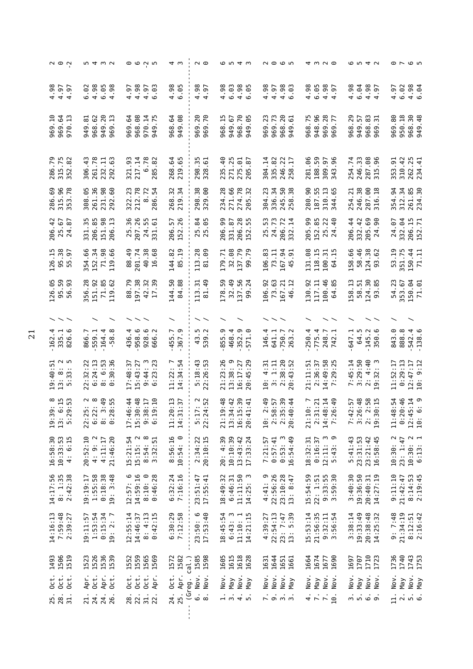| $\sim$ $\circ$ $\sim$                                     | 10 4 W V                                                                                                                                                                                                                                                                                                                                 | $\circ\circ\circ$ w                                           | ⊄ ო                                                                       | $\overline{\phantom{a}}$ $\overline{\phantom{a}}$      | <b>654w</b>                                           | <b>NOON</b>                                                                                                 |                                                                      | 6 5 4 7                                                                                    | $\circ$ $\sim$ $\circ$ $\circ$                         |
|-----------------------------------------------------------|------------------------------------------------------------------------------------------------------------------------------------------------------------------------------------------------------------------------------------------------------------------------------------------------------------------------------------------|---------------------------------------------------------------|---------------------------------------------------------------------------|--------------------------------------------------------|-------------------------------------------------------|-------------------------------------------------------------------------------------------------------------|----------------------------------------------------------------------|--------------------------------------------------------------------------------------------|--------------------------------------------------------|
| $4.90$<br>$4.97$<br>$4.97$                                | 4.98<br>6.05<br>98<br>6.02<br>$\dot{4}$                                                                                                                                                                                                                                                                                                  | 4.98<br>4.97<br>4.03<br>6.03                                  | $4.98$<br>$6.95$                                                          | $4.98$<br>$4.97$                                       | $4.98$<br>6.03<br>$4.98$<br>6.95                      | 4.98<br>4.97<br>$4.98$<br>$6.98$                                                                            | 4.98<br>6.05<br>4.98<br>97<br>$\overline{4}$                         | 4.98<br>6.04<br>4.98<br>4.97                                                               | 6.02<br>$4.98$<br>6.94<br>4.97                         |
| 969.10<br>969.64<br>970.13                                | 949.20<br>969.13<br>949.81<br>968.62                                                                                                                                                                                                                                                                                                     | 969.64<br>968.08<br>970.14<br>m<br>Ē.<br>Ō<br>$\overline{5}$  | 949.08<br>968.64                                                          | 969.70<br>969.70<br>Ē.<br>969                          | 968.70<br>949.05<br>ഥ<br>949.67<br>968.1<br>ڥ         | m<br>969.73<br>968.20<br>949.61<br>969.23                                                                   | 968.75<br>948.96<br>969.28<br>969.77                                 | 968.29<br>.83<br>949.57<br>ن.<br>968.<br>969                                               | 950.18<br>968.30<br>949.48<br>969.80                   |
| 286.79<br>315.75<br>352.82<br>286                         | 261.78<br>.63<br>$-43$<br>232.11<br>306<br>292                                                                                                                                                                                                                                                                                           | 217.14<br>321.93<br>.78<br>$\ddot{8}$<br>$\dot{\circ}$<br>285 | .65<br>.64<br>268<br>219                                                  | $-35$<br>$-51$<br>298<br>328                           | 271.25<br>$\frac{6}{4}$<br>275.01<br>67<br>235<br>205 | $\frac{2}{1}$<br>304.14<br>335.82<br>246.<br>258.                                                           | 188.59<br>309.97<br>281.06<br>96<br>343                              | 246.33<br>.08<br>254.74<br>96<br>287.<br>315                                               | 310.42<br>262.25<br>.91<br>$\dot{A}$<br>353.<br>234    |
| 286.69<br>315.96<br>.78<br>53<br>ന                        | -95<br>261.36<br>231.98<br>292.60<br>308                                                                                                                                                                                                                                                                                                 | 322.23<br>212.78<br>.72<br>$-54$<br>$\infty$<br>286           | 219.34<br>32<br>268                                                       | 298.38<br>329.00                                       | 271.66<br>274.78<br>.28<br>32<br>234<br>205           | .23<br>336.34<br>58<br>38<br>304.<br>245.<br>258.                                                           | 310.13<br>280.90<br>187.55<br>.65<br>344                             | 246.38<br>287.00<br>.21<br>$-18$<br>254<br>316                                             | .94<br>312.34<br>261.85<br>$\cdot$ 30<br>354.<br>234   |
| 206.42<br>25.67<br>24.87                                  | 206.85<br>98<br>$\mathbf{u}$<br>35<br>151.<br>206.<br>331                                                                                                                                                                                                                                                                                | 96<br>207.26<br>55<br>61<br>24.<br>25<br>331                  | 57<br>26<br>206.<br>152.                                                  | 84<br>65<br>25<br>25                                   | 28<br>ဓ္တ<br>67<br>55<br>331.<br>206.<br>206.<br>152  | 24.73<br>υ<br>206.72<br>25<br>332                                                                           | 90<br>152.85<br>$\overline{2}$<br>$-40$<br>205.<br>25.7              | 206.44<br>332.42<br>69<br>န္တ<br>$205.$<br>$24.$                                           | 206.15<br>332.04<br>$\overline{7}$<br>67<br>24.<br>152 |
| 95.38<br>$\frac{15}{1}$<br>97<br>126.<br>LO<br>m          | .9.66<br>354.66<br>152.34<br>71.98<br>흡                                                                                                                                                                                                                                                                                                  | 88.49<br>201.74<br>40.38<br>16.68                             | 144.82<br>85.19                                                           | 113.28<br>81.09                                        | 32.08<br>137.79<br>99.79<br>179.71                    | 106.83<br><b>94</b><br>91<br>73.11<br>167.9                                                                 | 131.08<br>118.15<br>100.31<br>64.15                                  | 158.66<br>58.46<br>124.38<br>62<br>S<br>σ                                                  | 53.19<br>351.75<br>150.44<br>71.11                     |
| L26.05<br>95.59<br>m<br>$\overline{a}$<br>126<br>56       | 356.28<br>51.92<br>71.85<br>119.62                                                                                                                                                                                                                                                                                                       | 86.79<br>197.38<br>42.32<br>17.39                             | 84.88<br>144.50                                                           | 81.49<br>113.31                                        | 178.59<br>32.49<br>137.56<br>99.24                    | 06.92<br>73.63<br>167.21<br>$\overline{12}$<br>46                                                           | 30.92<br>100.46<br>117.11<br>LO,<br>$\overline{5}$<br>$\mathfrak{A}$ | L58.13<br>30<br>58.51<br>$\infty$<br>124.<br>$\overline{9}$                                | 54.23<br>150.04<br>153.67<br>71.01                     |
| $\smallsmile\smallsmile$                                  |                                                                                                                                                                                                                                                                                                                                          |                                                               |                                                                           |                                                        |                                                       |                                                                                                             |                                                                      |                                                                                            |                                                        |
| $-162.4$<br>335.1<br>826.6                                | 559.1<br>164.4<br>$\infty$<br>866.7<br>58                                                                                                                                                                                                                                                                                                | 958.6<br>928.6<br>666.2<br>436.4                              | ن<br>ب<br>455.7<br>367                                                    | ن ن<br>ت<br>43<br>539                                  | 352.9<br>855.9<br>4.<br>ာ.<br>571<br>468              | 4.<br>750.7<br>641.1<br>146<br>263                                                                          | 775.4<br>250.4<br>248.7<br>742.1                                     | 64.5<br>145.2<br><u>ِ</u><br>647.1<br>350                                                  | $-542.4$<br>$-138.6$<br>888.8<br>843.0                 |
| u w<br>5<br>: 40:<br>- 11<br>$\infty$<br>ന<br>m<br>$\sim$ | 6:24:13<br>: 6:53<br>:30:36<br>22:32:22<br>$\infty$                                                                                                                                                                                                                                                                                      | $: 44: 3$<br>$: 23: 23$<br>$17:48:37$<br>$15:43:27$<br>თ დ    | 4<br>$\overline{ }$<br>11:22:54:54                                        | :43<br>:26:53<br>5:18<br>22                            | $16:17:27$<br>$20:45:29$<br>21:23:26<br>13:38:9       | 2:38:20<br>20:43:52<br>$10: 4:31$<br>3: 1:11                                                                | $2:36:37$<br>14:49:58<br>7:29:25<br>21:11:51                         | 4:40<br>7:45:14<br>3:29:50<br>m<br>$\ddot{\phantom{a}}$<br>$\frac{32}{2}$<br>$\frac{1}{2}$ | 0:29:13<br>11:52:17<br>$12:47:17$<br>$10:9:12$         |
| $\frac{8}{11}$ 53<br>$19:39$<br>$13:29$<br>$5:29$         | $\frac{1}{2}$ $\frac{1}{2}$ $\frac{1}{2}$ $\frac{1}{2}$ $\frac{1}{2}$ $\frac{1}{2}$ $\frac{1}{2}$ $\frac{1}{2}$ $\frac{1}{2}$ $\frac{1}{2}$ $\frac{1}{2}$ $\frac{1}{2}$ $\frac{1}{2}$ $\frac{1}{2}$ $\frac{1}{2}$ $\frac{1}{2}$ $\frac{1}{2}$ $\frac{1}{2}$ $\frac{1}{2}$ $\frac{1}{2}$ $\frac{1}{2}$ $\frac{1}{2}$<br>22 : 25<br>6 : 27 | $17:46:44$<br>15:30:48<br>9:38:17<br>9:19:10                  | $\frac{13}{2}$<br>$\frac{1}{2}$<br>$\circ$ $\dashv$<br>14:3<br>11:20<br>ţ | $\frac{2}{5}$<br>$\ddot{\phantom{1}}$<br>5:17<br>22:24 | 42<br>21:19:48<br>13:34:42<br>16:15:39<br>20:41:41    | $\frac{1}{4}$<br>57<br>$5:39$<br>0:44<br>$\begin{array}{r} 10:2:58\\ 2:58:3\\ 2:35\\ 2:3\\ 2\\ \end{array}$ | 21:10: 7<br>2:31:21<br>14:48:14<br>7:26:49                           | 7:42:57<br>3:26:48<br>2: 2:58<br>19:30:15<br>19:30                                         | 11:48:54<br>0:20:46<br>12:45:14<br>12:45:14            |
| $16:58:30$<br>$10:33:53$<br>$4:6:15$                      | 21:46:20<br>20:52:10<br>4:11:17<br>4: 9: 2                                                                                                                                                                                                                                                                                               | 15:21:54<br>15:15:2<br>$\infty$<br>3:32:51<br>8:54:           | $8:56:16$<br>$10:54:0$                                                    | $2:34:22$<br>$20:10:15$                                | 20: 4:39<br>10:10:39<br>$13:43:42$<br>$17:33:24$      | $0:53:3$<br>16:54:49<br>7:21:57<br>0:57:41                                                                  | 18:32:31<br>ო თ<br>0:16:37<br>12:11:<br>5:43:                        | 5:41:43<br>23:31:53<br>23:21:42<br>16:58:45                                                | $10:30:2$<br>$23:1:47$<br>$10:30:2$<br>$6:13:1$        |
| 14:17:56<br>$8: 1:35$<br>2:42:38                          | 1:55:58<br>3:48<br>0:18:38<br>19:19:17<br>19:                                                                                                                                                                                                                                                                                            | $12:57:6$<br>$14:59:16$<br>8:10:0<br>0:46:28                  | 6:32:24<br>7:16:16                                                        | $23:51:47$<br>$17:55:41$                               | 11:11:50<br>18:49:32<br>6:46:31<br>m<br>14:25:        | $4:41:9$<br>$22:56:26$<br>$23:10:28$<br>$13:8:47$                                                           | 15:54:59<br>$22: 1:51$<br>9:33:55<br>3:59:30                         | 19:36:50<br>3:40:30<br>14:27:19<br>20:40:31                                                | 9:11:10<br>$8:14:53$<br>$2:19:45$<br>21:42:47          |
| 14:16:13<br>7:59:48<br>2:39:27                            | 1:53:54<br>0:15:34<br>19:11:57<br>19:2:7                                                                                                                                                                                                                                                                                                 | 12:55:14<br>14:46:37<br>8: 4:13<br>0:42:15                    | 6:30:29<br>7:12:58                                                        | 23:50:6<br>17:53:40                                    | 6:43:3<br>18:45:54<br>$11:10:1$<br>$14:21:15$         | 22:54:13<br>4:39:27<br>23: 7:47<br>13: 5:39                                                                 | 15:53:14<br>21:56:35<br>56:54<br>9:32:11<br>$\ddot{ }$               | 3:38:14<br>19:33:49<br>20:38:48<br>14:25:32                                                | $9:7:48$<br>21:34:19<br>8:12:51<br>2:16:42             |
| 1506<br>1519<br>1493                                      | 1526<br>1536<br>1523<br>1539                                                                                                                                                                                                                                                                                                             | 1552<br>1559<br>1565<br>1569                                  | 1572<br>1582<br>$cal.$ )                                                  | 1585<br>1598                                           | 1605<br>1615<br>1618<br>1628                          | 1644<br>1631<br>1651<br>1661                                                                                | 1664<br>1674<br>1690<br>1677                                         | 1710<br>1707<br>1723<br>1697                                                               | 1736<br>1740<br>1743<br>1753                           |
| $0$ ct.<br>Oct.<br>Oct.                                   | Oct.<br>Apr.<br>Apr.<br>Oct.                                                                                                                                                                                                                                                                                                             | Oct.<br>Oct.<br>Oct.<br>Apr.                                  | 24. Oct.<br>25. Apr.<br>(Greg.                                            | Nov.<br>Nov.                                           | Nov.<br>Nov.<br>Nay<br>Nay                            | Nov.<br>Nov.<br>Nov.<br>May                                                                                 | Nov.<br>Nov.<br>Nov.<br>Nay                                          | Nov.<br>Nov.<br>Nov.<br>$\n  Map\n$                                                        | Nov.<br>$Y$ eM<br>Nov.<br>$Y$ ay                       |
| 25.<br>28.<br>31.                                         | 24.<br>26.<br>24.<br>21.                                                                                                                                                                                                                                                                                                                 | 28.<br>22.<br>31.<br>22                                       |                                                                           | .<br>ق<br>$\dot{\infty}$                               | 1.4.1                                                 | $\frac{1}{2}$                                                                                               | 4779                                                                 | .<br>ຕໍ່ຕໍ່ຜ່ <del>ດັ</del>                                                                |                                                        |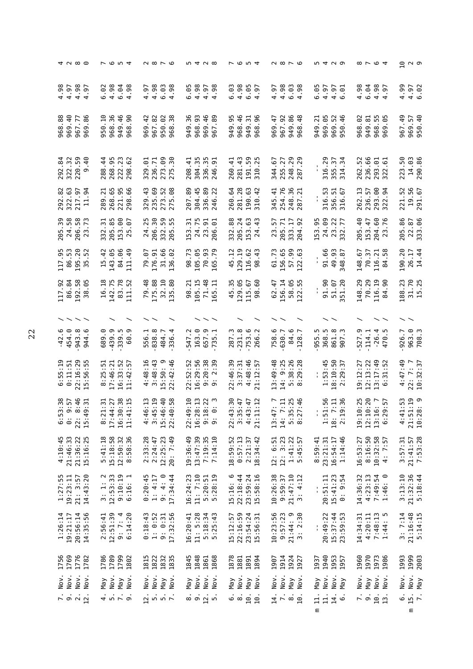|                                                                                                   |                  | <b>⊄ ∧ ∞ ⊙</b>                 |                       |            | <b>7654</b>                                                                         |                          |                               |                      | $\sim$ $\sim$ $\sim$ $\sim$                        |                                                           |                       |              |                     | $m \nightharpoonup N$ $\infty$                                              |                 |                             | r o v 4                             |                      |                          |                          |         |                                          |                                                                                                                |                         |                                   | n 4 U Q                                                     |                                |                         |                                  | ∞ ⊢ © ⊄                    |                                                 | ΘŢ         |          | പ മ                                  |
|---------------------------------------------------------------------------------------------------|------------------|--------------------------------|-----------------------|------------|-------------------------------------------------------------------------------------|--------------------------|-------------------------------|----------------------|----------------------------------------------------|-----------------------------------------------------------|-----------------------|--------------|---------------------|-----------------------------------------------------------------------------|-----------------|-----------------------------|-------------------------------------|----------------------|--------------------------|--------------------------|---------|------------------------------------------|----------------------------------------------------------------------------------------------------------------|-------------------------|-----------------------------------|-------------------------------------------------------------|--------------------------------|-------------------------|----------------------------------|----------------------------|-------------------------------------------------|------------|----------|--------------------------------------|
| 4.98                                                                                              | $4.97$<br>$4.98$ | $6^{\circ}$<br>$\overline{a}$  | 6.02                  | 4.98       | 6.04                                                                                | .98                      | $4.97$<br>$4.98$              |                      | $6.03$<br>4.98                                     |                                                           | 6.05                  | 4.98         |                     | $4.97$<br>$4.98$<br>$-98$                                                   | 6.03            |                             | 4.98                                | 6.05                 | .6<br>$\overline{a}$     | 4.97                     | 4.98    | $6.03$<br>4.98                           | 98                                                                                                             | .<br>ه                  | 4.97                              |                                                             | $4.97$<br>$6.97$               | 4.98                    | 6.04                             |                            | 4.98<br>4.97                                    | 4.99       |          | 4.97<br>6.02                         |
| 968.88<br>969.40                                                                                  |                  | 967.77<br>969.86               | 950.10                | 968.36     | 949.46                                                                              | 90<br>968                | 969.42                        | 967.82               | $\frac{2}{3}$<br>950.                              | 968                                                       | 36<br>949.            | $93$<br>968. | 969.46              | 89<br>967                                                                   | 949.95          |                             | 968.46                              |                      | 949.31<br>968.96         | 969.47                   | 967.92  | 86<br>48<br>949.                         | 968                                                                                                            | $\overline{21}$<br>949. | 969.0                             | <b>9246</b><br>696                                          | 950                            | 968.02                  |                                  | 949.81<br>968.55<br>969.05 |                                                 | 967.49     |          | 969.57<br>950.40                     |
| 84<br>292.                                                                                        | 322.32<br>220.59 | $\frac{6}{4}$<br>σ             | 288.44                | 268.95     | 222.23                                                                              | .62<br>298               | 5<br>329                      | 236.71               | စ္ပ<br>273.                                        | 30<br>275                                                 | $\overline{4}$<br>208 |              | 304.35<br>336.35    | 51<br>246                                                                   | 260.41          |                             | 281.43                              | 191.59<br>310.25     | $\sim$                   | 344.67                   | 255.27  | 248                                      | 29<br>67                                                                                                       |                         | თ<br>316.2                        | 355.37                                                      | m<br>314.                      | 52<br>262.              | 236.66                           | 293.01                     | 61<br>322                                       | 223.50     |          | 14.03<br>290.86                      |
| .63<br>$\ddot{\mathbf{8}}$<br>292.<br>322.                                                        | 217.97           | 54<br>$\overline{11}$          | 289.21                | 268.65     | 221.95                                                                              | 298.66                   | 329.43                        | 235.69               | 52                                                 | .88<br>273.5                                              | 207.89                | 304.45       | $^{\rm 9}$<br>336.  | 22<br>246                                                                   | 260.64          |                             | 281.28                              | .63<br>190.          | $-42$<br>310.            | $-41$<br>345.            | 254.76  |                                          | $36$<br>$71$<br>248                                                                                            |                         | ω<br>ъ<br>316.                    | 51<br>356.                                                  | 316.67                         | 262.13                  | 57<br>236.                       | 8<br>293.<br>322.          | 54                                              | 221.52     | 19.56    | .67<br>291                           |
| 39<br>58<br>205.                                                                                  | $58$             | 73<br>$206$<br>$23 -$          | 51<br>332.            | 85<br>205. | 8<br>153.<br>25.                                                                    | ΘJ                       | 25<br>24.                     | 30<br>206.           | 59<br>332.                                         | Ъ,<br>205                                                 | 31<br>153             | 75           | 51<br>24.           | ದ<br>206                                                                    | 88<br>332.      |                             | $\overline{24}$<br>205.             | යි<br>153.<br>24.    | $\ddot{a}$               | 57<br>23.                | 205.71  | H                                        | 92<br>333.<br>204.                                                                                             | 55<br>153               | 69<br>24.                         | 22                                                          | $\overline{7}$<br>23.<br>332   | 205.40                  | $\ddot{4}$                       | 60<br>$\frac{153}{204}$ .  | 76                                              | 86<br>205. |          | 22.87<br>333.06                      |
| 117.95<br>86.53<br>117                                                                            | 195.20           | 52<br>LO<br>S                  | $-42$<br>15           | 143.05     | 84.06                                                                               | $-49$<br>$\overline{11}$ | 79.07                         | 176.91               | 31.66<br>136.02                                    |                                                           | 98.73                 |              |                     | 105.05<br>70.93<br>165.79                                                   | 45.12           |                             | 129.19                              | 116.62               | 43<br>98                 | 61.73                    | 156.65  |                                          | 57.99<br>122.63                                                                                                | ı.                      | 91.66                             | 49.93                                                       | 348.87                         | 148.67                  |                                  |                            | $70.37$<br>116.21<br>84.58                      | 190.20     |          | 26.17<br>14.44                       |
| 117.92<br>86.84                                                                                   |                  | 192.58<br>38.05                | .18<br>91             | 142.75     | 83.78                                                                               | $-52$<br>$\Xi$           | 79.48<br>175.88               |                      | 32.10                                              | .80<br>$\ddot{3}$                                         | .21<br>88             | 105.15       | 71.48               | 글<br>65                                                                     |                 | 45.35<br>129.05             |                                     | 115.67               | .60<br>98                | 62.47                    | 156.14  | 58.05<br>122.55                          | π,<br>22                                                                                                       |                         | 91.90                             | 51.07                                                       | 351.20                         | 148.29                  | 70.29                            | 116.19                     | .90<br>$\approx$                                | 188.23     |          | 31.70<br>15.25                       |
|                                                                                                   |                  | ヘヘヘヘ                           |                       |            |                                                                                     |                          |                               |                      |                                                    |                                                           |                       |              |                     |                                                                             |                 |                             |                                     |                      |                          |                          |         |                                          |                                                                                                                |                         |                                   |                                                             |                                |                         |                                  |                            |                                                 |            |          |                                      |
| $-42.6$<br>454.0                                                                                  | 943.8            | ە.<br>944                      | 689.0                 | 439.9      | 339.5                                                                               | ၜ<br>60                  | 556.1                         | 838.8                |                                                    | 484.7<br>336.4                                            | 547.2                 | 163.0        | 657.9               | $\overline{\phantom{0}}$<br>m<br>52                                         | <u>ო</u><br>287 |                             | 231.8                               | 753.6                | $\ddot{\sim}$<br>266     | 758.6<br>630.7           |         | 84.6                                     | $\overline{a}$<br>128                                                                                          | ĩ.<br>955               | 368.5                             | 861.8                                                       | <u>ن</u><br>907                | 527.9                   | 114.1                            | $-26.4$<br>470.5           |                                                 | 926.7      |          | 963.9<br>708.3                       |
| $0:55:19$<br>$0:11:51$                                                                            |                  | 22:16:29<br>15:56:55           | :25:51<br>$\infty$    | 17:46:21   | 16:33:52                                                                            | :42:57<br>$\mathbf{I}$   | 4:48:16<br>3:48:43            |                      | თ<br>15:50:2:42:4                                  | .46                                                       | 52:52<br>22           | 16:29:56     | :20:38              | 39<br>$\sim$<br>ത ത                                                         | 22:46:39        |                             | $3:37:31$<br>$4:48:46$              |                      | $\overline{57}$<br>21:12 | 13:49:48<br>14: 9:25     |         | 38:26<br>$\mathsf{m} \, \mathsf{\omega}$ | 29:28                                                                                                          | I.                      | 53:45<br>$\overline{\phantom{0}}$ | : 10:50<br>$\infty$                                         | $\overline{5}$<br>29<br>$\sim$ |                         |                                  |                            | 19:12:27<br>12:13:22<br>13:17:49<br>13:152      | 4:47:49    |          | $22:7:7$<br>10:32:37                 |
| 38<br>57<br>ကြံ့ စက္တာ<br>ကို စက္တာ<br>$rac{1}{6}$<br>$rac{1}{6}$                                 |                  | $46$<br>31<br>$22:49$<br>15:49 | $3.34$<br>$17.4$      |            | $1.37$<br>$1.28$<br>$1.58$<br>$1.5$<br>$1.5$<br>$1.5$<br>$1.5$<br>$16:36$<br>$11:4$ |                          | $\frac{4}{4}$ : $\frac{4}{4}$ |                      | $0.0000$<br>$0.0000$<br>$0.0000$<br>$15:4$<br>22:4 |                                                           | 22:4                  |              |                     | $2.72$<br>$3.72$<br>$3.72$<br>$3.7$<br>$3.7$<br>$16:36$<br>$9:16$<br>$9:16$ |                 |                             | $23.34.1$<br>$23.34.1$<br>$24.34.1$ |                      | $\overline{12}$          | 13:4                     | $14$ :  |                                          | 773346<br>773346<br>77346<br>$\frac{1}{2}$<br>$\frac{1}{2}$<br>$\frac{1}{2}$<br>$\frac{1}{2}$<br>$\frac{1}{2}$ | 0                       | 1:5                               | $7:36$<br>$7:36$<br>18:                                     | 2:1                            |                         | $\frac{1}{12}$<br>$\frac{1}{12}$ | 13:2                       |                                                 |            |          | $4:41:53$<br>$21:51:19$<br>$10:28:9$ |
| 4:10:45<br>21:46:33                                                                               |                  | 21:36:22<br>15:16:25           | $5:41:18$<br>15:18:58 |            | 12:50:32<br>8:58:36                                                                 |                          | $2:33:28$<br>$2:24:47$        |                      | 12:25:23                                           | 20: 7:49                                                  | 19:36:49              |              | 13:47:39<br>7:19:35 | 7:14:10                                                                     | 18:59:52        |                             | 0:57:13                             | 2:21:37              | 18:34:42                 | $12: 6:51$<br>$12: 3:23$ |         |                                          | $1:41:22$<br>5:45:57                                                                                           | 8:59:41                 | 23:21:31                          | 16:54:17                                                    | 1:14:46                        | 16:53:27                | 8:16:50                          | 10:32:58                   | 57<br>4:7:                                      | 3:57:31    | 21:41:57 | 7:53:28                              |
| $1:27:55$<br>$19:23:11$                                                                           | 21: 3:57         | 14:43:20                       |                       |            | $3: 1: 2$<br>12:53:33<br>9:10:19<br>6:16: 1                                         |                          |                               | $0:20:45$<br>1: 4:17 | 9: 4: 0                                            | 17:34:44                                                  | 16:24:23              | 11: 7:10     |                     | 5:20:51<br>5:28:19                                                          | 15:16: 6        |                             | 22:18:44                            | 23:59:24<br>15:58:16 |                          | 10:26:38                 | 9:59:37 | 21:47:10                                 | 3: 4:12                                                                                                        | ţ.                      | 20:51:11                          | 15:41:23                                                    | 0: 9:54                        | $14:36:32$<br>$4:23:13$ |                                  | 7:49:54                    | ⊙<br>1:46:                                      | 3:13:10    | 21:32:36 | 5:18:44                              |
| 1:26:14<br>19:21:17                                                                               | 20:56:14         | 14:35:56                       | 2:56:41<br>12:51:39   |            | 9:7:4                                                                               | 6:14:20                  | $0:18:43$<br>1: $0:52$        |                      |                                                    | $9: 0:31$<br>17:32:56                                     | 16:20:41              | 11: 5:28     |                     | 5:18:34<br>5:25:43                                                          | 15:12:57        |                             | 22:16:59                            | 23:54:24             | 15:56:31                 | 10:23:56                 | 9:57:23 | 21:44: 9                                 | 3: 2:30                                                                                                        | l.                      | 20:49:22                          | 15:37:44                                                    | 23:59:53                       | 14:34:31                | 4:20:11                          | 7:48:13                    | m<br>1:44:                                      | 3:7:14     |          | 21:16:48<br>5:14:15                  |
| 1756<br>1769                                                                                      | 1776             | 1782                           | 1786                  | 1789       | 1799                                                                                | 1802                     | 1815<br>1822                  |                      | 1832                                               | 1835                                                      | 1845                  | 1848         | 1861                | 1868                                                                        | 1878            |                             | 1881                                | 1891                 | 1894                     | 1907                     | 1914    | 1924                                     | 1927                                                                                                           | 1937                    | 1940                              | 1953<br>1957                                                |                                | 1960                    | 1970                             | 1973                       | 1986                                            | 1993       |          | 1999<br>2003                         |
| Nov.                                                                                              | Nov.<br>Nov.     | Nov.                           | Мау                   | Nov.       | $Y$ lay                                                                             | Nov.                     | Nov.                          | Nov.                 | $Y$ FM                                             | Nov.                                                      | $\gamma$ eM           | Nov.         | Nov.                | Nov.                                                                        | $Y$ FM          |                             | Nov.                                | Nay                  | Nov.                     | Nov.                     | Nov.    | $\gamma$ eM                              | Nov.                                                                                                           | $Y$ e                   | Nov.                              | Nov.                                                        | $\n  Map\n$                    | Nov.                    | $Y$ lay                          | Nov.                       | Nov.                                            | Nov.       | Nov.     | Ma <sub>V</sub>                      |
| $\begin{array}{c}\n\cdot & \cdot & \cdot \\ \cdot & \circ & \circ & \cdot \\ \hline\n\end{array}$ |                  |                                |                       |            | $\frac{1}{4}$ in $\frac{1}{2}$ in $\frac{1}{2}$                                     |                          |                               |                      |                                                    | $\begin{array}{ccc}\n2 & 5 & 5 \\ 1 & 5 & 5\n\end{array}$ |                       |              |                     | $\frac{1}{\infty}$ $\frac{1}{\infty}$ $\frac{1}{\infty}$                    |                 | $\frac{1}{6}$ $\frac{1}{6}$ |                                     | 10.                  | 10.                      |                          |         |                                          | $\frac{1}{4}$ $\sim$ $\frac{3}{4}$                                                                             | Ε                       |                                   | $\frac{1}{11}$ $\frac{1}{11}$ $\frac{1}{10}$ $\frac{1}{10}$ |                                |                         |                                  |                            | $\frac{1}{2}$ or $\frac{1}{2}$ or $\frac{1}{2}$ | .<br>ف     | Ε        | 15.                                  |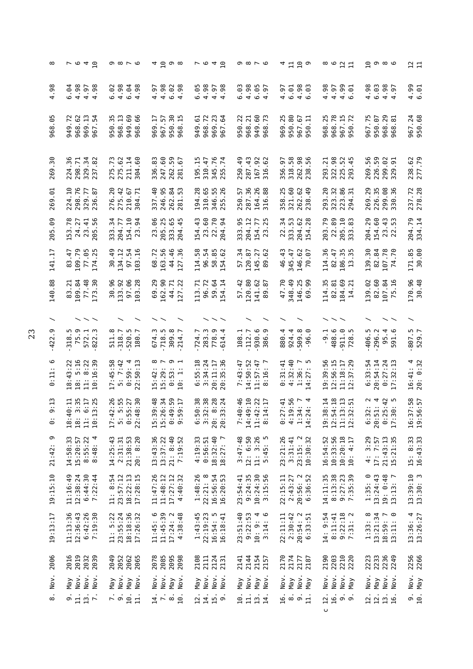| ∞                     | <b>てゅ4日</b>                                                                    | $\circ$ $\circ$ $\sim$ $\circ$                                         | ⊲ ဌ ၈ ∞                                                                            | r e 4 a                                                                     | 0 ∞ 7 ∞                                                                                           | 母 11 10 0                                         | ∞ ७ ¤ ¤                                                                                                               | ဌာစစ                                                                                       | $\frac{2}{11}$                           |
|-----------------------|--------------------------------------------------------------------------------|------------------------------------------------------------------------|------------------------------------------------------------------------------------|-----------------------------------------------------------------------------|---------------------------------------------------------------------------------------------------|---------------------------------------------------|-----------------------------------------------------------------------------------------------------------------------|--------------------------------------------------------------------------------------------|------------------------------------------|
| .98<br>$\overline{a}$ | 6.04<br>4.98<br>4.97<br>98<br>$\overline{a}$                                   | 4.98<br>6.02<br>6.04<br>4.98                                           | 4.98<br>$6.02$<br>4.98<br>4.97<br>.98                                              | 6.05<br>4.98<br>4.98                                                        | 6.03<br>4.98<br>$6.05$<br>4.97<br>$-97$                                                           | $4.98$<br>6.03<br>4.97<br>6.01                    | 4.98<br>$4.99$<br>$6.01$<br>4.97                                                                                      | 4.98<br>6.03<br>4.98<br>$-97$<br>$\overline{a}$                                            | $4.99$<br>$6.99$                         |
| m<br>୕ୄ<br>968        | 949.72<br>968.62<br>969.13<br>$\overline{5}$<br>967                            | 950.35<br>968.13<br>949.69<br>968.66                                   | $\overline{3}0$<br>967.57<br>$^{15}$<br>969.17<br>950.<br>968                      | 968.72<br>969.23<br>967.64<br>949.61                                        | 950.22<br>$60\,$<br>968.21<br>$\overline{73}$<br>949.<br>968                                      | 950.80<br>969.25<br>967.67<br>950.11              | 968.78<br>967.15<br>950.72<br>m<br>968.2                                                                              | 968.29<br>968.81<br>967.75<br>950.07                                                       | 967.24<br>950.68                         |
| .30<br>269            | 36<br>$\overline{71}$<br>34<br>82<br>224<br>298<br>329<br>237                  | .73<br>211.14<br>.60<br>275<br>275<br>304                              | .60<br>59<br>.83<br>67<br>262<br>247<br>336<br>281                                 | 345.76<br>-15<br>310.47<br>.74<br>195<br>255                                | 287.43<br>$-92$<br>$\ddot{a}$<br>167<br>250<br>316                                                | 318.58<br>262.98<br>50<br>56<br>356<br>238        | 322.98<br>$\overline{21}$<br>52<br>45<br>4<br>225<br>293<br>293                                                       | 269.56<br>226.59<br>299.02<br>329.91                                                       | $67$<br>$79$<br>238.<br>277.             |
| 269.01                | 224.10<br>298.76<br>329.77<br>-87<br>236.                                      | 20<br>275.42<br>67<br>$\overline{5}$<br>210.<br>276.<br>304            | 246.95<br>337.40<br>262.84<br>53<br>281                                            | 194.28<br>310.65<br>55<br>.26<br>346.<br>255                                | 287.36<br>26<br>88<br>57<br>250.<br>164<br>316                                                    | 321.60<br>262.62<br>358.25<br>49<br>238           | 20<br>32<br>86<br>$\overline{31}$<br>323.<br>223.<br>294.<br>293                                                      | $_{\rm 68}$<br>269.29<br>226.35<br>36<br>299.<br>330.                                      | 237.72<br>278.28                         |
| .09<br>205            | 153.78<br>56<br>24.27<br>41<br>23.<br>205                                      | 34<br>204.77<br>$\Xi$<br>3<br>154.<br>23.<br>333                       | 23.06<br>205.25<br>333.65<br>45<br>204                                             | 23.60<br>22.70<br>154.43<br>34<br>204.                                      | 333.95<br>204.12<br>77<br>25<br>154.<br>23.                                                       | S<br>62<br>34<br>28<br>333.<br>204.<br>154.<br>22 | 89<br>203.79<br>$\overline{10}$<br>83<br>22.<br>205.<br>333.                                                          | 204.29<br>154.60<br>$\ddot{4}$<br>53<br>23<br>22                                           | 204.79<br>334.14                         |
| LT.<br>141            | 109.79<br>77.05<br>174.25<br>83.47                                             | 30.49<br>134.12<br>97.54<br>103.16<br>103                              | 163.56<br>44.46<br>127.36<br>72<br>68.                                             | 114.58<br>96.54<br>85<br>62<br>$-58.$                                       | 57.34<br>120.87<br>145.27<br>.62<br>89                                                            | 46.43<br>146.62<br>70.07<br>345.47                | 114.36<br>186.35<br>13.35<br>82.47                                                                                    | 139.30<br>82.84<br>.70<br>$\overline{74}$                                                  | 171.85<br>30.00                          |
| 140.88                | .21<br>109.84<br>.48<br>30<br>83<br>$\overline{7}$<br>173                      | 30.96<br>97.06<br>133.92<br>.28<br>103                                 | 162.90<br>.29<br>$\overline{5}$<br>.22<br>$\frac{4}{4}$<br>69<br>27                | 96.72<br>59.64<br>54.14<br>113.71                                           | 120.80<br>57.42<br>.62<br>.87<br>141.<br>89                                                       | 47.70<br>348.49<br>146.25<br>99<br>69             | 184.69<br>14.21<br>114.35<br>82.81                                                                                    | 82.60<br>139.02<br>107.84<br>.16<br>75                                                     | 170.96<br>30.48                          |
|                       |                                                                                |                                                                        |                                                                                    |                                                                             |                                                                                                   |                                                   |                                                                                                                       |                                                                                            |                                          |
| σ<br>$-422$           | 75.9<br>ഗ<br>572.3<br>318.                                                     | 511.8<br>520.5<br>180.7                                                | 718.5<br>309.8<br>$\frac{3}{4}$<br>67.                                             | 283.3<br>778.9<br>614.4<br>.724.7                                           | 930.6<br>108.1<br>112.7<br>386.9                                                                  | 509.8<br>880.4<br>924.4<br>6.0<br>ခု              | 488.6<br>$911.0$<br>$728.5$<br>$-1$<br>$\mathbf{I}$                                                                   | 95.4<br>406.5<br>296.2<br><u>م</u> .<br>591                                                | 807.5<br>529.7                           |
| $\circ$<br>0:11:      | 5:16<br>8:22<br>39<br>:43:22<br>$\circ$<br>$\frac{18}{18}$ :<br>$\frac{1}{10}$ | 17:45:58<br>5:7:42<br>$0:59:4$<br>22:50:13<br>22                       | $\infty$ $\sim$<br>ാ പ<br>$15:42:$<br>$15:29:$<br>$\frac{3}{1}$<br>$\circ$ $\circ$ | 55:18<br>$3:34:24$<br>$20:11:17$<br>35:36<br>:-<br>ف<br>20:                 | 7:43:47<br>14:50:52<br>$\ddot{\cdot}$<br>11:57:47<br>$\frac{16}{1}$<br>$\infty$                   | 4:32:40<br>$1:36:7$<br>$14:27:5$<br>0:31:41       | $\begin{array}{c} 12:56:15 \\ 11:18:17 \\ 12:37:29 \end{array}$<br>39:56<br>$\begin{array}{c} 1.1 \\ 2.1 \end{array}$ | 6:33:54<br>$20:54:14$<br>$0:27:24$<br>$17:32:13$                                           | $11 : 4$<br>0:32<br>$16:41:$<br>$20:0:3$ |
| $\ddot{1}$<br>$\circ$ | e we we<br>e we we<br>18:4<br>10:1<br>18:<br>$\ddot{z}$                        | 26.55<br>$\frac{27}{30}$<br><br>$0:5:4$<br>22:48<br>17:4<br>$\ddot{5}$ | $9:48$<br>$6:34$<br>$9:59$<br>$9:17$<br>15 : 20<br>0:4<br>9:5                      | 0 7 8 9<br>0 8 9 9 4<br>0 9 9 9 4<br>5 : 5<br>5 : 5<br>5 : 5<br>20:3<br>20: | :46<br>$0.40$<br>$0.21$<br>$0.21$<br>$0.41$<br>$0.41$<br>14:49<br>11:4<br>7:4<br>$\overline{8}:1$ | $7944$<br>$7957$<br>$7974$<br>$7974$              | $24915$<br>$315$<br>$315$<br>$315$<br>19:52<br>$11:3$<br>$12:3$                                                       | $v \, 4 \, 7 \, 10$<br>$\sim$ $\overline{ }$<br>ഗ⊙<br>8<br>8<br>8<br>8<br>8<br>7<br>8<br>7 | 16:37:58<br>19:56:57                     |
| ၜ<br>21:42            | 8:55:22<br>14:58:33<br>15:20:57<br>4<br>8:48:                                  | $21:38:53$<br>$20:8:20$<br>14:25:43<br>2:31:31                         | 21: 8:40<br>13:43:36<br>13:37:22<br>7:19:52                                        | $4:19:33$<br>$0:56:51$<br>$18:32:40$<br>$\overline{ }$<br>18:27:            | $3:47:48$<br>12: 6:50<br>11: 3:26<br>ഥ<br>$\ddot{5}$<br>5:4                                       | 23:21:26<br>3:31:41<br>$23:15:2$<br>$10:30:32$    | 16:54:52<br>10:33:56<br>10:20:18<br>: 4:17<br>10                                                                      | $21:43:13$<br>$15:21:35$<br>4: 3:29<br>17:7:57                                             | 15: 8:33<br>16:43:33                     |
| 19:15:10              | 12:38:24<br>6:44:30<br>11:16:49<br>7:22:44                                     | $18:22:13$<br>$17:28:15$<br>11: 8:54<br>23:57:12                       | 11:47:26<br>11:48:12<br>17:27:12<br>4:40:32                                        | 22:21:8<br>16:56:54<br>16:20:53<br>1:48:26                                  | $23:54:41$<br>9:24:35<br>$10:24:30$<br>$3:15:56$                                                  | 20:56: 2<br>6:36:52<br>$22:15:11$<br>$2:43:27$    | $14:11:35$<br>8:13:38<br>$9:27:23$<br>7:35:39                                                                         | $1:35:0$<br>$13:24:43$<br>$19:0:48$<br>$13:13:7$                                           | 13:39:10<br>13:30:3                      |
| 19:13:17              | 7:19:30<br>11:13:36<br>12:36:43<br>6:42:26                                     | 23:55:24<br>18:18:36<br>11: 5:22<br>17:26:32                           | 11:45:39<br>9<br>17:24:2<br>4:38:48<br>11:45:                                      | 1:43:45<br>22:19:23<br>$16:54:5$<br>$16:18:41$                              | 23:51:40<br>9:22:53<br>4 0<br>10: 9:<br>3:14                                                      | $22:11:11$<br>$2:30:42$<br>$20:54:2$<br>$6:33:51$ | 8:11:41<br>$9:22:18$<br>7:31: 2<br>14: 9:54                                                                           | $\begin{array}{r} 1:33:8\\ 13:21:34\\ 18:59:7\\ 13:11:0 \end{array}$                       | $13:36:4$<br>$13:26:27$                  |
| 2006                  | 2019<br>2016<br>2032<br>2039                                                   | 2049<br>2052<br>2062<br>2065                                           | 2078<br>2085<br>2095<br>2098                                                       | 2124<br>2108<br>2111<br>2131                                                | 2144<br>2154<br>2141<br>2157                                                                      | 2174<br>2170<br>2177<br>2187                      | 2203<br>2190<br>2210<br>2220                                                                                          | 2223<br>2233<br>2236<br>2249                                                               | 2256<br>2266                             |
| Nov.                  | Nov.<br>Nov.<br>Nov.<br>$Y$ la                                                 | Nov.<br>Nay<br>$\sum_{i=1}^{n}$<br>$\frac{N}{N}$                       | Nov.<br>Nov.<br>$Y$ ay<br>Nov                                                      | Nov.<br>Nov.<br>Y<br>Nov                                                    | Nov.<br>$Y \in N$<br>Y<br>Nov                                                                     | Nay<br>$\geq$<br>Nov<br>May                       | Nov.<br>Nov.<br>Nov.<br>Y                                                                                             | Nov.<br>Nov.<br>$Y$ FM<br>Nov                                                              | Nov.<br>May                              |
| $\infty$              | $\frac{13}{7}$ .<br>$\frac{9}{11}$                                             | $\overline{D}$ , $\overline{D}$<br>$\overline{10}$<br>$\mathbf{1}$     | $\frac{14}{7}$ .<br>$\frac{1}{2}$                                                  | 12.<br>$\frac{14}{15}$ .                                                    | $\overline{a}$ .<br>$\frac{13}{14}$ .<br>$\Xi$                                                    | $\ddot{a}$ $\ddot{a}$ $\dot{b}$ $\ddot{c}$        | 16.<br>12.<br>ာ တ<br>$\mathsf{\cup}$                                                                                  | 12.<br>$\begin{array}{c}\n 2.1 \\  \hline\n 1.9\n \end{array}$                             | $\frac{1}{10}$ .                         |
|                       |                                                                                |                                                                        |                                                                                    |                                                                             |                                                                                                   |                                                   |                                                                                                                       |                                                                                            |                                          |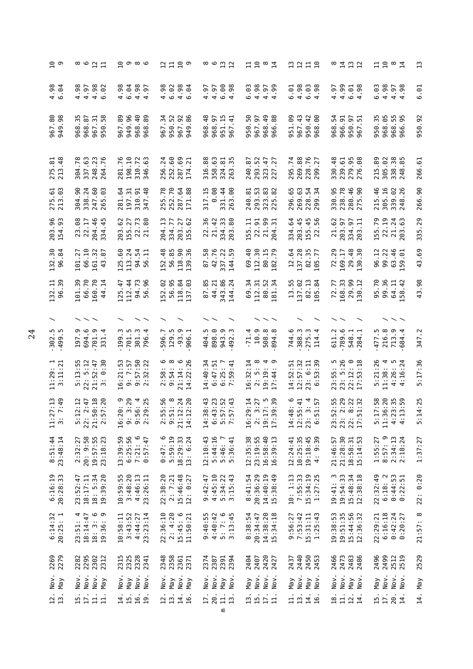|                                                                  | 8<br>6<br>9<br>2<br>1<br>2<br>4<br>9<br>2<br>2<br>1                                        | ဌာစစ                                                                                 | 2720                                                                                                           |                                                                                                                 | $\Xi \stackrel{\circ}{\Box}$ $\stackrel{\circ}{\Box}$                                                                                    | 2212                                                                 | ∞¤¤¤                                                                      | $\Xi$ ឌ ៓ $\Xi$                                                                           | $\mathbf{u}$          |
|------------------------------------------------------------------|--------------------------------------------------------------------------------------------|--------------------------------------------------------------------------------------|----------------------------------------------------------------------------------------------------------------|-----------------------------------------------------------------------------------------------------------------|------------------------------------------------------------------------------------------------------------------------------------------|----------------------------------------------------------------------|---------------------------------------------------------------------------|-------------------------------------------------------------------------------------------|-----------------------|
| $4.98$<br>6.94                                                   | ∞<br>4.97<br>4.98<br>.02<br>$rac{5}{4}$<br>$\circ$                                         | 4.98<br>6.04<br>4.98<br>$-97$<br>$\overline{a}$                                      | $4.98$<br>6.92<br>$4.98$<br>6.94<br>$\ddot{9}$                                                                 | 4.97<br>6.98<br>4.97                                                                                            | 6.03<br>4.98<br>$4.97$<br>$4.99$<br>.99                                                                                                  | 4.98<br>$6.03$<br>$4.98$<br>6.01                                     | 4.99<br>4.97<br>$6.98$<br>$4.98$                                          | w<br>4.98<br>$4.97$<br>$4.98$<br>ق.<br>ق                                                  | 5.<br>6               |
| 967.80<br>949.98                                                 | m<br>967.31<br>950.58<br>$\overline{8}$<br>m<br>968.<br>968.<br>950.                       | 949.96<br>99<br>967.89<br>968.<br>968                                                | 34<br>52<br>967.92<br>949.86<br>967.<br>950.                                                                   | 968.48<br>968.97<br>951.15<br>967.41                                                                            | $49$ 88<br>္ပြ<br>967.97<br>968.<br>950.<br>966                                                                                          | 951.09<br>967.43<br>950.42<br>968.00                                 | 54<br>966.91<br>950.97<br>967.51<br>968.                                  | m<br>968.05<br>968.55<br>966.95<br>950.3                                                  | 950.92                |
| $\frac{3}{48}$<br>275.<br>213.                                   | .78<br>$\ddot{6}$<br>23<br>.76<br>304<br>248<br>337<br>264                                 | $\overline{10}$<br>.76<br>$\overline{z}$<br>63<br>198<br>281<br>310<br>346           | .69<br>$\overline{24}$<br>.60<br>$\overline{21}$<br>252<br>287<br>256<br>174                                   | .88<br>.63<br>$\frac{1}{25}$<br>m<br>358<br>324<br>316<br>263                                                   | $\overline{52}$<br>47<br>-87<br>.27<br>293<br>240<br>323<br>227                                                                          | 269.88<br>76<br>.74<br>$\overline{27}$<br>295<br>228<br>299          | $\frac{8}{4}$<br>239.61<br>279.95<br>276.08<br>330                        | 305.02<br>.89<br>38<br>œ<br>215<br>338.<br>248.                                           | .61<br>266            |
| 275.61<br>213.03                                                 | 304.90<br>.60<br>338.24<br>63<br>247<br>265                                                | .64<br>310.91<br>347.48<br>197.31<br>281                                             | 252.70<br>$\overline{78}$<br>.88<br>287.<br>255                                                                | 0.08<br>317.15<br>331.44<br>.00<br>263                                                                          | 293.53<br>$\overline{8}$<br>82<br>240.81<br>323.<br>225.                                                                                 | 296.65<br>269.63<br>54<br>34<br>228.                                 | 330.95<br>238.78<br>280.46<br>275.90                                      | 215.46<br>305.16<br>339.02<br>248.26                                                      | 266.90                |
| <b>96</b><br>203.4                                               | 89<br>22.17<br>$\frac{6}{5}$<br>45<br>204.<br>23.<br>334                                   | 29<br>27<br>52<br>8<br>22.3<br>203.<br>155.                                          | IJ<br>77<br>27<br>62<br>204.<br>203.<br>155.<br>334.                                                           | 36<br>33<br>42<br>8<br>22.<br>21.<br>334.<br>203                                                                | 99<br>155.11<br>51<br>51<br>22.<br>204.                                                                                                  | 3<br>45<br>45<br>203.<br>$155$<br>$22$<br>334.                       | 29<br>5<br>57<br>는<br>$\overline{21}$ .<br>203.<br>334.<br>203.           | $\overline{a}$<br>155.79<br>740<br>22.<br>$\frac{21}{203}$                                | 335.29                |
| 132.30<br>96.84                                                  | 66.10<br>101.27<br>161.32<br>.87<br>$\overline{4}$                                         | 125.60<br>113.24<br>94.54<br>$\overline{11}$<br>56                                   | 118.90<br>139.36<br>152.48<br>56.85                                                                            | $\frac{8}{3}$ .<br>42.76<br>337.22<br>144.59<br>67                                                              | 69.40<br>112.30<br>80.15<br>182.79                                                                                                       | .64<br>137.28<br>82.35<br>105.77<br>$\overline{12}$                  | 72.29<br>169.17<br>29.48<br>130.30                                        | 99.22<br>63.46<br>L59.01<br>96.12                                                         | 69.<br>43             |
| 132.11<br>96.39                                                  | 101.39<br>66.70<br>160.70<br>$\cdot$ 14<br>$\overline{4}$                                  | 94.73<br>-47<br>112.44<br>96<br>56.<br>125                                           | L52.02<br>56.95<br>118.84<br>137.03                                                                            | 343.86<br>85.<br>44.21<br>.24<br>52<br>144                                                                      | 69.34<br>112.31<br>80.52<br>$\frac{1}{2}$<br>$\overline{8}$                                                                              | 55.<br>137.02<br>82.13<br>.84<br>IJ<br>105                           | 168.33<br>29.99<br>130.12<br>72.77                                        | 95.70<br>99.36<br>64.11<br>58.42                                                          | $-98$<br>43           |
|                                                                  |                                                                                            |                                                                                      |                                                                                                                |                                                                                                                 |                                                                                                                                          |                                                                      |                                                                           |                                                                                           |                       |
| ن<br>ت<br>$-302$ .                                               | 197.9<br>694.6<br>701.9<br>331                                                             | 301.3<br>199.3<br>m<br>4<br>796<br>701                                               | 129.5<br>$-93.9$<br>906.1<br>596.7<br>906                                                                      | 898.0<br>943.9<br>492.3<br>404.5                                                                                | $\begin{array}{c} 10.9 \\ 508.8 \\ 894.8 \end{array}$<br>$-71.4$                                                                         | 744.6<br>388.3<br>$275.3$<br>114.4                                   | 789.6<br>611.2<br>548.1<br>284.1                                          | 216.8<br>713.9<br>684.4<br>477.5                                                          | Σ.<br>347.            |
| $11:29:1$<br>$3:11:21$                                           | 5:12<br>:13:55<br>$21:52:47$<br>3: 0:30<br>22:<br>S                                        | 57:50<br>16:21:53<br>32:22<br>: 7:57<br>00N                                          | ڡ<br>$\infty$<br>$: 14: 6$<br>$: 22:26$<br>$\begin{array}{c} 2:58\\ 9:54\\ 2:14\\ 21:14\\ 14:22\\ \end{array}$ | 14:40:34<br>6:47:51<br>$6:25:7$<br>7:59:41<br>59:41                                                             | :32:14<br>$\begin{array}{c}\n5 \\ \vdots \\ \vdots \\ \end{array}$<br>:44<br>$\frac{6}{1}$<br>$\begin{array}{c} 2 \\ 2 \\ 1 \end{array}$ | 14:52:51<br>12:57:32<br>39<br>: 6:11<br>$\sim$<br>۱<br>$\frac{2}{3}$ | m<br>: 5:26<br>$: 12: 0$<br>$: 53:18$<br>55<br>55<br>23<br>23<br>22<br>17 | :21:26<br>38 : 4<br>26 : 5<br>16 : 24<br>11:38:<br>: 26:<br>5<br>44                       | 5:17:36               |
| $\frac{25}{11}$<br>$\overline{C}$<br>$\frac{1}{3}$ $\frac{2}{3}$ | $7.148$<br>$7.148$<br>$7.128$<br>$7.128$<br>$7.128$<br>$\frac{1}{5}$<br>21:5<br>2:5<br>22: | 0 0 1 1<br>0 2 1 1<br>0 1 0 0<br>0 1 0 0<br>$9:5$<br>$2:2$<br>16:2<br>$\ddot{\circ}$ | <b>58228</b><br>5 5 5 5 5<br>5 5 6 7<br>2<br>2011<br>2012                                                      | :43<br>$3:23$<br>7:52<br>7:43<br>52 43<br>$\infty$<br>$\frac{1}{4}$ $\frac{4}{9}$ $\frac{1}{10}$ $\frac{1}{10}$ | $0.0170$<br>$0.0170$<br>$0.000$<br>$0.000$<br>16:2<br>$\frac{1}{17}$<br>$\frac{1}{3}$<br>$\ddot{\sim}$                                   | 0440<br><br>∞ n m ⊣<br>14 : 48<br>12 : 5:<br>23:5                    | 2.2021<br>2.2021<br>2.2021<br>23:57<br>$22:8$<br>17:57<br>23:             | $\frac{1}{2}$<br>:20<br>35<br>59<br>$\omega$ m m<br>L<br>$5:36:12$<br>$1:36:21$<br>$4:12$ | 4:25<br>$\frac{1}{5}$ |
| 8:51:44<br>23:48:14                                              | 20: 9:58<br>$19:57:55$<br>$23:18:23$<br>2:32:27                                            | $7:21:6$<br>0:57:47<br>13:39:59<br>6:25:56                                           | $0:47:6$<br>5:59:19<br>18:29:33<br>13: 6:24                                                                    | 12:10:43<br>5:44:16<br>5:46: 7<br>5:36:41                                                                       | 12:35:38<br>23:19:55<br>16:58:40<br>16:39:13                                                                                             | 12:24:41<br>10:25:35<br>$19:18:45$<br>4: 9:39<br>$\ddot{4}$          | 21:28:30<br>$18:58:31$<br>$15:14:53$<br>21:46:57                          | თ<br>$2:34:13$<br>$2:18:24$<br>1:55:27<br>8:57:                                           | 1:37:27               |
| 6:16:19<br>20:28:33                                              | 18: 5:34<br>19:39:20<br>18:17:11<br>23:52:47                                               | 3:48:20<br>4:46:13<br>10:59:55<br>23:26:11                                           | $2: 7:21$<br>15:46:48<br>12: 0:27<br>22:38:20                                                                  | 4:45:10<br>$5:34:22$<br>$3:15:43$<br>9:42:47                                                                    | 8:41:54<br>20:36:29<br>14:40:19<br>15:38:49                                                                                              | 7:55:33<br>$15:34:19$<br>$1:27:25$<br>10:1:13                        | 19:54:33<br>m<br>15:48:34<br>12:38:18<br>19:41:                           | $6:18:2$<br>$0:44:53$<br>$0:22:51$<br>22:32:49                                            | 22: 0:20              |
| $6:14:32$<br>$20:25:1$                                           | $18:36:9$<br>$19:36:$<br>4<br>18:14:47<br>23:51:                                           | 3:43:52<br>10:58:11<br>4:44:27<br>23:23:14                                           | 22:36:10<br>2: 4:20<br>15:45: 6<br>11:50:21                                                                    | 9:40:55<br>4:40:42<br>$5:7:6$<br>3:13:45                                                                        | 8:38:54<br>14:38:20<br>15:34:18<br>20:34:47                                                                                              | 9:56:27<br>7:53:42<br>$15:31:11$<br>$1:25:43$                        | 19:38:53<br>19:51:35<br>15:44:56<br>12:36:32                              | 6:16:18<br>$0:42:24$<br>$0:20:27$<br>22:29:21                                             | 21:57: 8              |
| 2279<br>2269                                                     | 2295<br>2302<br>2282<br>2312                                                               | 2315<br>2325<br>2328<br>2341                                                         | 2358<br>2348<br>2361<br>2371                                                                                   | 2374<br>2394<br>2387<br>2391                                                                                    | 2404<br>2420<br>2407<br>2427                                                                                                             | 2440<br>2450<br>2453<br>2437                                         | 2473<br>2466<br>2483<br>2486                                              | 2496<br>2499<br>2512<br>2519                                                              | 2529                  |
| Nov.<br>$Y$ la                                                   | Nov.<br>Nov.<br>Nov.<br>May                                                                | Nov.<br>Nov.<br>Nov.<br>$\n  Map\n$                                                  | Nov.<br>Nov.<br>$Y$ FM<br>Nay                                                                                  | Nov.<br>Nov.<br>Nay<br>Nov                                                                                      | Nov.<br>Nov.<br>Nov.<br>$Y$ lay                                                                                                          | Nov.<br>Y<br>Nov<br>YeM                                              | Nov.<br>Nov.<br>$Y$ FM<br>Nov                                             | Nov.<br>Nov.<br>Nov.<br>Y                                                                 | <b>May</b>            |
| 12.1                                                             | $\frac{1}{11}$<br>15.                                                                      | 16.<br>14.<br>$\overline{19}$                                                        | 14.<br>$\frac{12}{13}$ .                                                                                       | $\frac{1}{1} \cdot \frac{1}{2}$<br>20.<br>17.<br>Ε                                                              | $17.$<br>$\Xi$<br>$\overline{1}$<br>$\mathbf{1}$                                                                                         | 14.<br>$\Xi$<br>$\mathbf{1}$<br>16                                   | 11.<br>14.<br>$\frac{18}{1}$                                              | 17.<br>20.<br>15<br>$\overline{1}$                                                        | 14.                   |
|                                                                  |                                                                                            |                                                                                      |                                                                                                                |                                                                                                                 |                                                                                                                                          |                                                                      |                                                                           |                                                                                           |                       |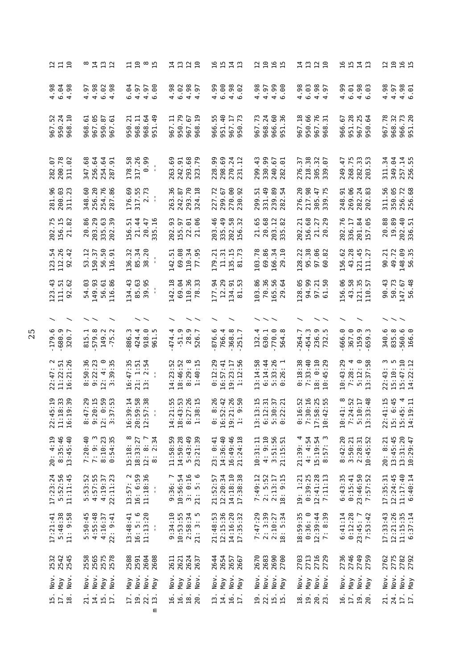| 219                                                      | 8 7 7 7<br>8 7 7 9                                                                                                  | 19°5                                                                                           | 1328                                                                         | <b>10113</b>                                                                       | $\frac{2}{10}$<br>16<br>15                                         | はいひの                                                            | <b>1913</b>                                                              | 2255                                                         |
|----------------------------------------------------------|---------------------------------------------------------------------------------------------------------------------|------------------------------------------------------------------------------------------------|------------------------------------------------------------------------------|------------------------------------------------------------------------------------|--------------------------------------------------------------------|-----------------------------------------------------------------|--------------------------------------------------------------------------|--------------------------------------------------------------|
| $4.98$<br>$4.98$<br>.98                                  | 4.98<br>6.02<br>.98<br>4.97<br>$\overline{ }$                                                                       | .64<br>.00<br>4.97<br>4.97<br>$\circ$                                                          | 4.98<br>6.02<br>$4.98$<br>$4.97$                                             | 6.00<br>4.99<br>4.98<br>$-62$                                                      | 4.99<br>4.98<br>4.97<br>.eo                                        | 4.98<br>6.03<br>$4.98$<br>$4.97$                                | 4.99<br>$4.98$<br>6.83<br>6.01                                           | 4.98<br>$4.98$<br>$6.98$<br>4.97                             |
| $52 \over 24$<br>$\Xi$<br>950.<br>968<br>967             | 967.05<br>5<br>950.87<br>$\overline{.}$<br>968<br>967                                                               | 64<br>-21<br>968.11<br>49<br>950.<br>968.<br>951                                               | .79<br>$\overline{5}$<br>።<br>67<br>950.<br>967.<br>967<br>968               | $-40$<br>55<br>$\overline{73}$<br>$\overline{17}$<br>966.<br>951<br>967<br>950     | 60<br>.73<br>.24<br>36<br>968.<br>966.<br>967<br>951               | 66<br>76<br>967.18<br>$\overline{3}1$<br>950.<br>967.<br>968    | 951.28<br>$75$<br>$64$<br>5<br>966.<br>967.<br>950                       | 967.78<br>.73<br>968.32<br>966.<br>951                       |
| 282.07<br>200.78<br>$-67$<br>311.02                      | 256.64<br>347.68<br>254.64<br>287.91                                                                                | 178.58<br>317.26<br>0.99<br>$\mathbf{I}$                                                       | 293.68<br>263.69<br>242.91<br>323.79                                         | 228.99<br>298.69<br>270.24<br>231.12                                               | 330.99<br>299.43<br>240.67<br>61<br>282                            | 218.38<br>57<br>305.32<br>339.07<br>276.                        | 268.75<br>282.33<br>203.53<br>249.47                                     | 349.04<br>257.14<br>311.34<br>256.55                         |
| 281.96<br>200.03<br>.23<br>311                           | 256.20<br>254.76<br>287.86<br>348.60                                                                                | 176.69<br>317.55<br>2.73                                                                       | 293.70<br>263.36<br>$\frac{18}{18}$<br>242.87<br>324                         | .00<br>227.72<br>.92<br><b>67</b><br>270.<br>299.<br>230.                          | 331.49<br>239.89<br>282.54<br>299.51                               | 276.20<br>217.98<br>47<br>75<br>305.<br>339.                    | 248.91<br>269.06<br>282.24                                               | 311.56<br>350.05<br>256.72                                   |
| 202.75<br>156.15<br>.82<br>$\overline{21}$               | .86<br>.29<br>$\ddot{6}$<br>39<br>20<br>203<br>335.<br>202.                                                         | $\overline{5}$ .<br>21.44<br>20.47<br>5<br>156<br>335                                          | 93<br>155.97<br><u>ය</u> ළ<br>$\frac{22}{1}$<br>202                          | 203.46<br>49<br>58<br>32<br>335<br>202<br>156                                      | 20.68<br>21.65<br>203.12<br>82<br>335                              | 156.68<br>ಸ<br>22<br>29<br>202<br>$71$<br>$20$                  | 202.76<br>$\div$ 21<br>65<br>336.<br>201<br>157                          | 20.88<br>19.89<br>202.40<br>336.51                           |
| 123.54<br>112.26<br>$-42$<br>92                          | .12<br>150.37<br>50<br>$\overline{5}$<br>56.<br>53<br>116                                                           | 38.20<br>136.32<br>85.34                                                                       | 69.08<br>110.34<br>.95<br>142.51<br>77                                       | $\frac{15}{1}$<br>.73<br>179.21<br>11.31<br>35<br>$\overline{8}$                   | .78<br>69.86<br>166.34<br>$\overline{10}$<br>103<br>29             | 128.22<br>95.38<br><b>82</b><br>$\frac{5}{6}$                   | 43.28<br>156.62<br>45<br>$121$<br>$111$                                  | 148.09<br>$-21$<br>49.72<br><br>56<br>90                     |
| $\ddot{4}$<br>.62<br>111.51<br>123<br>92                 | 149.93<br>.86<br>54.03<br>56.61<br>116                                                                              | 134.43<br>85.63<br>39.95                                                                       | 142.18<br>69.04<br>110.36<br>$\cdot$ 33<br>$\overline{78}$                   | 177.94<br>12.29<br>53<br>134.91<br>ದ                                               | 70.36<br>103.86<br>165.56<br>54<br>29                              | 128.05<br>94.99<br>.50<br>57<br>61                              | 156.06<br>43.58<br>35<br>$\overline{5}$<br>121<br>110                    | 90.43<br>50.73<br>56.48<br>147.67                            |
|                                                          |                                                                                                                     |                                                                                                |                                                                              |                                                                                    |                                                                    |                                                                 |                                                                          |                                                              |
| $-179.6$<br>$-680.9$<br>$\overline{\phantom{a}}$<br>320. | 579.8<br>Ë.<br>$\ddot{\sim}$<br><u>ب</u><br>149.<br>815<br>m<br>Ķ                                                   | 918.0<br>886.3<br>424.4<br>961                                                                 | 28.9<br>526.7<br>4.<br>$-51.9$<br>474.<br>526                                | 876.6<br>766.4<br>368.8<br>251                                                     | 770.0<br>4.<br>630.1<br>$\infty$<br>132<br>564                     | 236.9<br>732.5<br>264.7<br>454.3                                | 666.0<br>159.9<br>367.0<br>659                                           | 560.6<br>166.0<br>340.6<br>835.8                             |
| $22:47:2$<br>11:22:51<br>16:21:26                        | 8:50:36<br>9:22:23<br>4:0<br>3:39:35<br>12:                                                                         | 16:47:35<br>2:54<br>1:51<br>$21:$<br>$13:$                                                     | $\infty$<br>4:23:52<br>18:46:52<br>:40:15<br>: 29:<br>$\infty$ $\rightarrow$ | 0:12:29<br>16:57:41<br>$19:23:17$<br>$1:12:56$                                     | 5:33:26<br>0:26:1<br>3:14:58<br>6:14:44                            | $0:18:38$<br>7:33:40<br>0:10<br>10:45:29<br>$\ddot{\circ}$      | 10:43:29<br>$7:28:4$<br>5:12:0<br>13:37:58                               | $15:47:10$<br>$14:22:12$<br>$22:43:3$<br>15:10:5             |
| 15:33<br>8:33<br>9:39<br>22:4<br>111<br>16:1             | 7:29<br>0:15<br>0:59<br>7:53<br>$\frac{4}{3}$ $\frac{5}{3}$ $\frac{1}{3}$ $\frac{1}{3}$ $\frac{3}{3}$ $\frac{1}{3}$ | $9.14$<br>$-1.58$<br>$-1.58$<br>$-1.58$<br>$-1.58$<br>16:39<br>20:59<br>12:5<br>$\blacksquare$ | 155<br>1573<br>1973<br>14:2<br>18:4<br>$8:3$<br>$1:3$                        | 8:26<br>$2:36$<br>$3:36$<br>$9:50$<br>16:5<br>19:2<br>$\ddot{\circ}$<br>$\ddot{=}$ | 3:15<br>2:31<br>$0:37$<br>$2:21$<br>11182<br>11182<br>110          | 0:16<br>6:52<br>8:25<br>2:55<br>$0:10$<br>7:50<br>17:50<br>10:4 | 10:41: 8<br>7:24:52<br>5:10:17<br>5:10:17<br>13:33:48                    | 1:15<br>6:45<br>$-9:11$<br>22:4<br>$15:4!$<br>$14:19$<br>15: |
| 20: 4:19<br>8:35:46<br>13:45:40                          | 7:20:40<br>7: 9: 3<br>8:10:23<br>0:54:35                                                                            | $15:18:8$<br>$18:33:27$<br>$12: 8: 7$<br>8: 2:34                                               | 14:50:28<br>11:58:59<br>5:43:49<br>23:21:39                                  | 23: 0:41<br>14:36:40<br>16:49:46<br>21:24:18                                       | $4: 9:10$<br>3:51:56<br>21:15:51<br>10:31:11<br>21:15:             | 4: 4:54<br>15:19:54<br>8:57:3<br>21:39:4                        | $\begin{array}{r} 8:42:20 \\ 3:50:21 \\ 2:28:31 \\ 10:45:52 \end{array}$ | 13:45:45<br>$13:31:20$<br>$10:29:47$<br>20: 8:21             |
| 17:23:24<br>5:52:56<br>11:11:45                          | 5:53:52<br>4:57:55<br>4:19:37<br>22:11:23                                                                           | $13:57:2$<br>$16:6:59$<br>11:18:36<br>$\blacksquare$                                           | 9:36: 7<br>10:56:54<br>$3: 0:16$<br>21: 5: 6                                 | $12:20:34$<br>$14:18:10$<br>$17:38:38$<br>21:52:57                                 | $2: 5:52$<br>$2:13:17$<br>$18: 9:15$<br>7:49:12<br>18.             | $0:39:25$<br>12:41:28<br>7:11:13<br>19: 1:21                    | $0:15:41$<br>23:46:50<br>7:57:52<br>6:43:35                              | 11:17:40<br>12:24:45<br>6:40:14<br>17:35:31                  |
| $17:21:41$<br>5:48:38<br>11: 9:58                        | 4:55:48<br>4:16:37<br>5:50:45<br>22: 9:41                                                                           | 16: 5: 6<br>11:13:20<br>13:48:41<br>$\blacksquare$                                             | 10:53:55<br>9:34:10<br>$2:58:34$<br>$21:3:5$                                 | 12:15:36<br>14:16:20<br>17:35:32<br>21:48:53                                       | 7:47:29<br>$2: 3:39$<br>$2:10:27$<br>$18: 5:34$<br>$\frac{18}{18}$ | 0:36:0<br>18:59:35<br>$12:39:44$<br>7: 8:39                     | 6:41:14<br>0:12:28<br>23:45:7<br>7:53:42                                 | 12:21:26<br>17:33:43<br>$11:15:35$<br>6:37:14                |
| 2532<br>2542<br>2545                                     | 2558<br>2565<br>2575<br>2578                                                                                        | 2588<br>2591<br>2604<br>2608                                                                   | 2621<br>2624<br>2637<br>2611                                                 | 2654<br>2657<br>2667<br>2644                                                       | 2670<br>2683<br>2690<br>2700                                       | 2703<br>2713<br>2716<br>2729                                    | 2736<br>27449<br>2755<br>2755                                            | 2762<br>2775<br>2782<br>2792                                 |
| Nov.<br>Nov.<br>$\sqrt{e}N$                              | Nov.<br>Nov.<br>$Y$ lay<br>Nov.                                                                                     | Nov.<br>Nov.<br>$Y$ e<br>M<br>Ye <sub>M</sub>                                                  | Nov.<br>Nov.<br>Nov.<br>$Y$ ay                                               | Nov.<br>Nov.<br>$Y$ ay<br>$Y$ ay                                                   | Nov.<br>Nov.<br>Nov.<br>Nay                                        | Nov.<br>Nov.<br>Nov.<br>Nay                                     | Nov.<br>Nov.<br>YeM<br>Nay                                               | Nov.<br>Nov.<br>Nov.<br>Y                                    |
| 15.<br>18.                                               | 21.<br>14.1                                                                                                         | 22.<br>$\frac{17}{19}$ .<br>ε                                                                  | 16.<br>18.20<br>16.                                                          | 13.<br>14.<br>16.<br>17.                                                           | .<br>225.                                                          | 19.<br>20.<br>23.<br>18.                                        | 16.<br>17.<br>$\frac{19}{20}$ .                                          | 24.<br>$\frac{17}{17}$ .<br>21.                              |
|                                                          |                                                                                                                     |                                                                                                |                                                                              |                                                                                    |                                                                    |                                                                 |                                                                          |                                                              |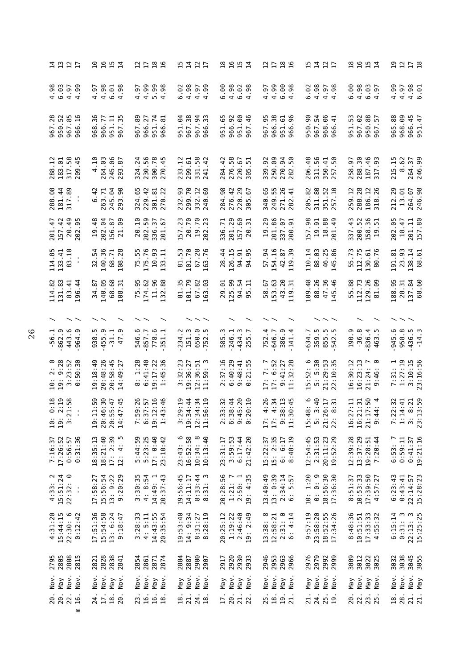| はいひけ                                                                                       | <b>2252</b>                                                                  | $2799$                                                              | にはいけ                                                                                       | 2954<br>2954                                                      | $2799$                                                                               | <b>1111</b>                                                                                                 | <b>2957</b>                                                   | 2212                                                                                                                                                                                                                                                                                                                                                  |
|--------------------------------------------------------------------------------------------|------------------------------------------------------------------------------|---------------------------------------------------------------------|--------------------------------------------------------------------------------------------|-------------------------------------------------------------------|--------------------------------------------------------------------------------------|-------------------------------------------------------------------------------------------------------------|---------------------------------------------------------------|-------------------------------------------------------------------------------------------------------------------------------------------------------------------------------------------------------------------------------------------------------------------------------------------------------------------------------------------------------|
|                                                                                            | $4.97$<br>$4.98$<br>$6.01$<br>4.98                                           | 909899<br>ခ်္ခံ ခဲ<br>.97<br>4                                      | $6.02$<br>$4.98$<br>$4.97$<br>$4.99$                                                       |                                                                   | 4.99<br>98<br>4.97<br>$\circ$ 4                                                      | 6.02                                                                                                        | 4.98<br>6.00<br>$6.03$<br>4.97                                | 4.99<br>$4.98$<br>$6.98$<br>4.97                                                                                                                                                                                                                                                                                                                      |
| 967.<br>950.<br>967.<br>966                                                                | 36<br>966.77<br>$7\frac{1}{2}$<br>951<br>968<br>967                          | .89<br>966.27<br>951.74<br>966.81<br>967                            | 64<br>967.38<br><b>94</b><br>33<br>951.<br>967<br>966                                      | 92<br>$\rm ^{\circ}$<br>65<br>46<br>951.<br>966.<br>951<br>967    | $38$<br>56<br>$\frac{1}{96}$<br>966.<br>951.<br>966.<br>967                          | 90<br>54<br>96<br>$\overline{4}$<br>967.<br>968.<br>950.<br>966                                             | 53<br>967.02<br>88<br>57<br>951.<br>950.<br>967.              | 88<br>968.09<br>966.45<br>951.47<br>965.                                                                                                                                                                                                                                                                                                              |
| 288.12<br>183.61<br>317.58<br>209.45                                                       | 264.03<br>245.06<br>293.87<br>.10<br>4                                       | 230.56<br>300.78<br>.24<br>324                                      | $\frac{12}{61}$<br>$-58$<br>299<br>331<br>233<br>241                                       | $\frac{8}{5}$<br>$\ddot{ }$<br>$-51$<br>276.<br>220<br>284<br>305 | 250.09<br>92<br>3 PO<br>270.5<br>339                                                 | 311.56<br>$\frac{8}{4}$<br>$\frac{4}{9}$<br>206<br>350<br>257                                               | 288.30<br>$46$<br>$93$<br>5<br>െ<br>187.<br>258<br>517        | .62<br>$\frac{15}{1}$<br>264.37<br>246.99<br>215<br>$\infty$                                                                                                                                                                                                                                                                                          |
| 288.08<br>181.44<br>317.89<br>$\blacksquare$<br>$\blacksquare$                             | 263.71<br>245.04<br>293.90<br>$\overline{4}$<br>.<br>ف                       | 324.65<br>229.42<br>301.81<br>270.22                                | 299.70<br>93<br>332.12<br>232.                                                             | 284.98<br>220.29<br>276.42                                        | 55<br>.65<br>26<br>$\overline{4}$<br>249.<br>340<br>271.                             | 82<br>$\rm ^{8}$<br>$\frac{2}{10}$<br>311.<br>351.<br>205.                                                  | 288.28<br>259.12<br>186.12<br>318.26                          | 246.98<br>29<br>264.07<br>13.01<br>212                                                                                                                                                                                                                                                                                                                |
| 201.47<br>157.42<br>20.49                                                                  | $48$<br>19.48<br>156.87<br>21.09                                             | $50\,$<br>$\overline{.10}$<br>57<br>67<br>202.<br>336.<br>20<br>201 | 157.23<br>78.23<br>19.<br>202.                                                             | 29<br><b>60 H</b><br>51<br>$201.1$<br>$157.1$<br>336              | 201.86<br>337.07<br>200.91<br>29<br>$\overline{5}$                                   | 157.98<br>$\begin{array}{c} 19.91 \\ 18.88 \\ 201.49 \end{array}$                                           | 337.43<br>52<br><b>ន</b> ភ<br>200.<br>158.<br>19.             | .80<br>202.05<br>$t$ .<br>201.11<br>157.80<br>$\overline{a}$                                                                                                                                                                                                                                                                                          |
| $\circ$<br>114.85<br>133.41<br>83.1<br>$\blacksquare$<br>$\blacksquare$                    | 32.54<br>140.36<br>68.71<br>108.28                                           | 175.76<br>55<br>$10.93$<br>$13.11$<br>$-5.7$                        | 81.53<br>101.70<br>28<br>$67.7$<br>163.                                                    | 28.44<br>126.15<br>94.91<br>94.95                                 | 57.94<br>154.16<br>42.87<br>119.39<br>119                                            | 88.03<br>46.25<br>145.86<br>110.14<br>145                                                                   | 55.73<br>112.75<br>130.61<br>80.76                            | 23.93<br>138.14<br>68.61<br>191.81                                                                                                                                                                                                                                                                                                                    |
| 114.82<br>131.83<br>83.41<br>$\frac{4}{4}$<br>196                                          | 140.05<br>68<br>.87<br>34<br>$\rm ^{68}$<br>108                              | $62$<br>$96$<br>.95<br>.88<br>174<br>75<br>$\Xi$<br>132             | .79<br>$\frac{8}{2}$<br>.35<br>2<br>101<br>67<br>163                                       | 125.99<br>54<br>ីឲ<br>94.<br>29<br>56                             | 153.63<br>$20^{15}$<br>.67<br>58<br>$\begin{array}{c} 43 \\ 119 \end{array}$         | 109.48<br>88.26<br>47.36<br>.46<br>145                                                                      | .88<br>112.73<br>.89<br>129<br>55<br>$\overline{8}$           | 28.31<br>137.84<br>.60<br>188.95<br>89                                                                                                                                                                                                                                                                                                                |
| $\widehat{\phantom{a}}$                                                                    |                                                                              |                                                                     |                                                                                            |                                                                   |                                                                                      |                                                                                                             |                                                               |                                                                                                                                                                                                                                                                                                                                                       |
| 862.9<br>443.6<br>964.9<br>$-56.1$                                                         | 5<br>55<br>55<br>55<br>55<br>55<br>55<br>55<br>55<br>55<br>55<br>5           | 778.6<br>546.6<br>857.7                                             | 234.2<br>151.3<br>650.0                                                                    | 246.1<br>434.3<br>255.7<br>5.3<br>58                              | 386.9<br>141.4<br>752.4<br>646.7                                                     | 359.5<br>855.5<br>542.5<br>634.7                                                                            | $-36.8$<br>190.9<br>836.4<br>463.5<br>$\sim$                  | 958.8<br>436.5<br>945.6                                                                                                                                                                                                                                                                                                                               |
| $2:8$<br>9:28<br>$3:23:52$<br>$0:50:30$<br>$\begin{array}{c} 1.61 \\ 1.91 \end{array}$     | 19:18:49<br>20:48:26<br>58:45<br>49:27<br>$\ddot{49}$<br>20:7                | 1:28<br>6:41:40<br>$19:17:22$<br>$1:45:36$<br>$\infty$              | $\begin{array}{c} 3:32:23 \\ 19:36:27 \\ 12:36:51 \\ 11:59:3 \end{array}$<br>36:51<br>59:3 | 2:37:16<br>6:40:29<br>$9:48:41$<br>$0:21:55$                      | 6:52<br>$9:41:27$<br>$11:32:28$<br>7:7<br>$\frac{1}{2}$                              | 15:52:6<br>5:53<br>5:29:53<br>21:29:53<br>22:10:35                                                          | 30:12<br>16:23:13<br>$\sim$ $\circ$<br>21:24:<br>9:46:<br>16: | 7:31: 1<br>1:27:19<br>3:10:15<br>3:16:56                                                                                                                                                                                                                                                                                                              |
| <u></u><br><br>$O$ $N$ $H$ $I$<br>$\ddot{\cdot}$<br>$\blacksquare$<br>19:<br>10:<br>$\sim$ | :30<br>$\frac{1}{4}$ in<br>w<br>$19:11:$<br>$20:46:$<br>$20:55:$<br>$14:47:$ | $3.588$<br>$3.588$<br>$O \cap N$                                    | $$<br>$3440$<br>9440<br>$12:36$<br>$11:56$<br>ה מֵ<br>מֵ<br>פֵ                             | $$<br>$0.400$<br>m ∞ in ⊙<br>22333<br>23333                       | :26<br>$\ddot{34}$<br>$\frac{13}{145}$<br>44 80 9<br>$9:3$<br>11:3<br>$\frac{1}{17}$ | $\frac{6}{4}$<br>$\frac{17}{13}$<br>$\infty$ m $\infty$ $\infty$<br>$21:26$<br>$22:8$<br>$\frac{43}{5}$ : 4 | 16:27:11<br>16:21:31<br>21:17:50<br>9:44: 4                   | <br>$\sim$ 4 $\infty$ $\sim$<br>$7.1$ $\frac{3}{1}$ $\frac{3}{1}$ $\frac{3}{1}$ $\frac{3}{1}$ $\frac{3}{1}$ $\frac{3}{1}$ $\frac{3}{1}$ $\frac{3}{1}$ $\frac{3}{1}$ $\frac{3}{1}$ $\frac{3}{1}$ $\frac{3}{1}$ $\frac{3}{1}$ $\frac{3}{1}$ $\frac{3}{1}$ $\frac{3}{1}$ $\frac{3}{1}$ $\frac{3}{1}$ $\frac{3}{1}$ $\frac{3}{1}$ $\frac{3}{1}$ $\frac{3$ |
| 0:56:57<br>0:31:36<br>17:26:52<br>7:16:37                                                  | $18:35:13$<br>$18:21:40$<br>$17: 2:39$<br>$12: 4: 5$                         | $5:44:59$<br>$5:23:25$<br>$17:0:40$<br>23:10:42                     | $23:43:6$<br>$16:52:58$<br>$10:34:8$<br>$10:13:40$                                         | 23:31:17<br>3:59:53<br>$6:17:44$<br>21:42:20                      | 15:22:37<br>15: 2:35<br>6: 6:17<br>6:48:19                                           | $12:54:45$<br>$2:31:53$<br>20:11:23<br>19:52:29                                                             | 12:39:28<br>13:37:29<br>19:28:51<br>7:20:44                   | 0:59:11<br>$0:41:37$<br>19:21:16<br>6:53:7                                                                                                                                                                                                                                                                                                            |
| $4:33:2$<br>15:51:24<br>22:32:0<br>$\blacksquare$<br>$\blacksquare$                        | 15:56:54<br>$13: 9:22$<br>$9:20:29$<br>17:58:27                              | $3:30:35$<br>4:8:54<br>20:37:43<br>14:49:1                          | 19:56:45<br>14:11:17<br>$8:33:44$<br>$8:31:3$                                              | 20:28:56<br>1:21:7<br>$2:50:1$<br>19: 4:35                        | 13: 0:39<br>13:40:49<br>$2:34:14$<br>6: 5:57                                         | 0: 0: 9<br>18:56:30<br>10:1:20<br>17:36:30                                                                  | 8:51:37<br>10:53:33<br>17:39:50<br>4:57:27                    | $22:14:57$<br>$15:28:23$<br>6:23:43<br>0:43:41                                                                                                                                                                                                                                                                                                        |
| 4:31:20<br>15:44:15<br>$22:30:6$<br>$0:12:42$                                              | 17:51:36<br>15:54:58<br>$13: 6:24$<br>9:18:47                                | $4: 5:11$<br>$14:43:55$<br>$20:35:54$<br>3:28:33                    | 19:53:40<br>14: 9:34<br>8:31:27<br>8:28:19                                                 | 1:19:22<br>2:46:40<br>20:25:12<br>19: 2:49                        | $\begin{array}{c} 13:38:8\\ 12:58:21\\ 2:31:0 \end{array}$<br>$2:31:0$<br>$6:4:14$   | 9:57:19<br>23:58:20<br>18:52:55<br>17:34:26                                                                 | 8:48:36<br>10:51:51<br>$17:33:33$<br>4:55:32                  | $22:13:3$<br>15:25:25<br>6:15:14<br>$\boldsymbol{\omega}$<br>0:31:                                                                                                                                                                                                                                                                                    |
| 2795<br>2805<br>2808<br>2815                                                               | 2821<br>2828<br>2838<br>2841                                                 | 2854<br>2871<br>2874<br>2861                                        | 2900<br>2884<br>2887<br>2907                                                               | 2920<br>2938<br>2933<br>2917                                      | 2946<br>2953<br>2963<br>2966                                                         | 2976<br>2979<br>2998<br>2998                                                                                | 3009<br>3012<br>3025                                          | 3032<br>30345<br>3055<br>3053                                                                                                                                                                                                                                                                                                                         |
| Nov.<br>Nov.<br>Nov.<br>Y                                                                  | Nov.<br>Nov.<br>Nov.<br>$Y$ el                                               | Nov.<br>Nov.<br>Nov.<br>Nay                                         | Nov.<br>Nov.<br>Nov.<br>May                                                                | Nov.<br>Nov.<br>Nay<br>Y                                          | Nov.<br>Nov.<br>Nov.<br>$Y$ la                                                       | Nov.<br>Nov.<br>Nov.<br>Y                                                                                   | Nov.<br>Nov.<br>$Y$ el<br>$Y$ e                               | Nov.<br>Nov.<br>Nov.<br>$Y$ lay                                                                                                                                                                                                                                                                                                                       |
| $\frac{20}{20}$ .<br>22.<br><b>16.</b><br>ε                                                | 24.<br>$\frac{18}{20}$ .                                                     | 23.<br>16.<br>16.<br>18.                                            | 21.<br>$\frac{24}{18}$ .<br>$\overline{a}$                                                 | I7.<br>20.<br>21.<br>22.                                          | 25.18<br>19.1                                                                        | 21.<br>24.<br>25.                                                                                           | 20.<br>22.<br>23.<br>25.                                      | 28.<br>21.<br>$\overline{18}$ .                                                                                                                                                                                                                                                                                                                       |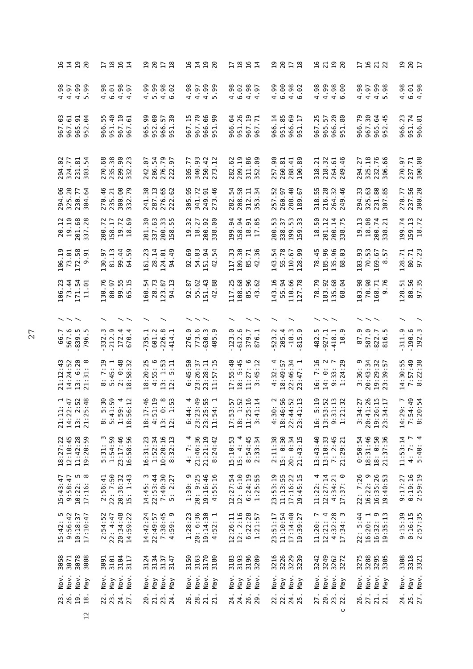| <b>21222</b>                                 |      |                               |                                           |          |                     | <b>Dation</b>                                                                    |                      |           | <b>2878</b><br>287                                     |                   |                            |                       | <b>2122</b>                                      |                              |                            |                             |                        | けいいは                   |                                                                                              |                        |                      | <b>2878</b><br>287   |                                   |                       |                    | <b>2798</b>                          |                            |                |          | <b>1922</b>  |                                                                            |          | <b>287</b> |                                 |
|----------------------------------------------|------|-------------------------------|-------------------------------------------|----------|---------------------|----------------------------------------------------------------------------------|----------------------|-----------|--------------------------------------------------------|-------------------|----------------------------|-----------------------|--------------------------------------------------|------------------------------|----------------------------|-----------------------------|------------------------|------------------------|----------------------------------------------------------------------------------------------|------------------------|----------------------|----------------------|-----------------------------------|-----------------------|--------------------|--------------------------------------|----------------------------|----------------|----------|--------------|----------------------------------------------------------------------------|----------|------------|---------------------------------|
| $4.98$<br>$4.97$                             |      |                               | $4.99$<br>5.99                            | 4.98     | 6.01                | 4.98<br>4.97                                                                     | <b>.e.</b>           |           | $4.99$<br>5.99                                         |                   | $4.98$<br>6.92             | 4.98                  |                                                  |                              | $6.98$<br>$4.99$<br>$5.99$ | 4.98                        | 6.02                   |                        | $4.98$<br>$4.97$                                                                             | 4.99                   | 6.00                 |                      | $4.98$<br>$6.02$                  | 4.98                  | 4.99               | $4.98$<br>$6.98$                     |                            | 4.98           | 4.97     | 4.99<br>5.98 |                                                                            | 4.98     |            | $6.01$<br>4.98                  |
| $rac{3}{6}$<br>967<br>967                    |      | 51<br>965.                    | $\ddot{9}$<br>52<br>თ                     | m<br>966 | 951.40              | $\overline{10}$<br>967                                                           | 5<br>967             | 90<br>965 | 952.00                                                 | 57<br>966.        | 30<br>$\overline{5}$       | $\frac{15}{1}$<br>967 | 967.70                                           | 66<br>966.                   | န္တ<br>$\overline{5}$<br>ത | 64<br>966                   | 951.26                 | $\overline{19}$<br>967 | $\overline{5}$<br>967                                                                        | $\frac{1}{4}$<br>966   | 951.85               | 966                  | $\frac{69}{17}$<br>$\overline{5}$ | .25<br>967            | 57<br>965          | 20                                   | <u>. ස</u><br>966.<br>951. | 966.79         | 967.30   | 965.64       | $-45$<br>$\overline{52}$                                                   | 966.23   |            | 951.74<br>966.81                |
| 294.02<br>324.77                             |      | 2<br>231.                     | 54<br>303                                 | 270.68   | 235.38              | 299.90<br>332.23                                                                 |                      | 242.07    | 286.54                                                 | 276.79            | 222.97                     | 305.77                | 340.93                                           | 250.42                       |                            | 282.62                      | 209.19                 | 311.86                 | .09<br>352                                                                                   | 257.90                 | 260.81               | 288.41               | 89<br>190                         | $\overline{2}$<br>318 | $\cdot$ 32<br>218. | $\ddot{\circ}$<br>264.               | .46<br>249                 | -27<br>294.    |          | 325.18       | 66<br>306                                                                  | 270.97   |            | 237.71<br>300.08                |
| 294.06<br>325.20                             |      | 230.77                        | .64<br>304                                |          | 270.46              | 300.00<br>332.79                                                                 |                      | 241.38    | 287.13                                                 | 276.65            | .62<br>222                 | .95<br>305            |                                                  |                              | 341.72<br>249.91<br>273.46 | 282.54                      | 208.58                 |                        | 312.11<br>353.34                                                                             | 257.52                 | 260.97               | 40                   | 67<br>288.<br>189                 | 318.55                | 216.28             | .32<br>264<br>249                    | $-46$                      | 294.33         | 325.63   |              | 231.80<br>307.85                                                           |          |            | 270.77<br>237.56<br>300.20      |
| $20.12$<br>$19.10$                           |      |                               | 201.68<br>337.28                          |          | 200.72<br>158.17    | $19.72$<br>$18.69$                                                               |                      | ೫<br>201. | 337.63                                                 | 33                | 55<br>200.<br>158.         | 32<br>$\overline{5}$  | 27<br>$\frac{8}{18}$                             | 92<br>200.                   | 8<br>338                   | 34<br>199.                  | 34<br>58.              | 51                     | 85<br>$\frac{18}{17}$ .                                                                      | SS.<br>200.            | 57<br>338.           |                      | 53<br>199.<br>159.                | 50<br>$\frac{18}{1}$  | 201.12             | $\mathbf{z}$                         | 75<br>$\frac{1}{200}$      | 19.13          | 18.08    | 200.74       | $\overline{2}$<br>338                                                      | 199.74   |            | 159.13<br>18.72                 |
| 106.19<br>73.01                              |      | 172.58                        | 5<br>ၜ                                    | 130.97   | 81.13               | 99.44                                                                            | 59<br>$\mathfrak{p}$ | 161.23    | 28.14                                                  | 124.01            | 49<br>94                   | .69<br>92             | 54.83                                            | 151.94                       | 54<br>$\overline{4}$       | 117.33                      | 109.30                 |                        | 85.71<br>42.36                                                                               | 54<br>143.             | 55.78                | 67<br>110.           | 99<br>128                         | 78.45                 | 185.96             | 135.96                               | ය<br>89                    | 103.93         | 70.53    | 169.67       | 57<br>$\infty$                                                             | 128.71   |            | 80.71<br>97.23                  |
| $\cdot$ 23<br>106<br>73.                     | .44  | 171.54                        | $-5$<br>$\Xi$                             | .30.76   | 80.97               | 99.55<br>65.15                                                                   |                      | 160.54    | 28.73                                                  | 123.87            | <u>ي</u><br>$\overline{a}$ | $\ddot{8}$<br>92      | .62<br>55                                        | .51.43                       | 88<br>$\overline{4}$       | $-25$<br>117                | 108.68                 | 85.96                  | .62<br>$\frac{1}{4}$                                                                         | 143.16                 | 55.94                |                      | .66<br>06.<br>110<br>127          | .79<br>78             | 183.92             | 135.68                               | .64<br>89                  | 103.98         | 70.98    | 168          | .71<br>თ                                                                   | 128.51   |            | 80.56<br>97.35                  |
| $\overline{\phantom{a}}$                     |      |                               |                                           |          |                     |                                                                                  |                      |           |                                                        |                   |                            |                       |                                                  |                              |                            |                             |                        |                        | $\widehat{\phantom{a}}$                                                                      |                        |                      |                      |                                   |                       |                    |                                      |                            |                |          |              |                                                                            |          |            |                                 |
| 66.7<br>567.6                                |      | 839.5<br>796.5                |                                           | 332.3    | 212.9               | 172.4                                                                            | 670                  | E<br>735  | 601.2                                                  | 226.8             | 414                        | 276.0                 | 773.6                                            | 630.3                        | <u>ო</u><br>405            | 123.0                       | 612.6                  | 379.7                  | 876                                                                                          | 523.2                  | 205.4                |                      | $-18.3$<br>815.9                  | 482                   | 927.1              | 418.1                                | $\overline{10}$            | <u>ო</u><br>87 | 587.0    | 822.7        | 816                                                                        | 311.9    |            | $.190.6$<br>$192.3$             |
| 21:12:43<br>14:24:52                         |      | 13: 6:20                      | $\infty$<br>$\ddot{3}$<br>$\overline{21}$ |          |                     | $8:7:19$<br>5:45: 1<br>2: 0:48                                                   | :58:32<br>$\infty$   | 18:20:25  | 4:55:6                                                 | $1:53$<br>$5:11$  | 13:12                      | ္က<br>:45:<br>6       | 23:26:37                                         | $23:28:11$<br>$11:57:15$     |                            | 17:55:40                    | 5:45<br>$\ddot{\circ}$ |                        | $11:27:6$<br>$3:45:12$                                                                       |                        | $4:32:4$<br>18:49:57 |                      | $22:46:34$<br>$23:47:1$           | 16: 7:16              | 0:2<br>$14$ :      | $9:33:7$<br>1:24:29                  |                            | თ<br>3:36:     | 20:43:34 |              | 19:29:32<br>23:39:57                                                       | 14:30:55 |            | $7:57:49$<br>8:22:38            |
| 21:11: 1<br>14:22:47<br>13: 2:52<br>21:25:48 |      |                               |                                           |          |                     | $\begin{array}{r} 8:5:30 \\ 5:41:59 \\ 1:59:4 \\ 1:59:4 \\ 18:56:12 \end{array}$ |                      |           | 18:17:46<br>4:51:19<br>4:51:19<br>13: 0: 8<br>12: 1:53 |                   |                            | $\sim$                |                                                  | $\frac{9}{45}$ $\frac{1}{1}$ |                            | $\overline{5}$<br>w<br>17:5 |                        |                        | $\frac{2}{1}$ 52<br>$\frac{1}{2}$ 52<br>$\begin{array}{c} 18:1 \\ 11:25 \\ 3:41 \end{array}$ | $4:30:2$<br>$18:46:56$ |                      |                      | $\frac{2}{1}$ 52<br>22:44::       | $\frac{1}{2}$         |                    | $\frac{53}{11} \frac{2}{11}$         |                            |                |          |              | $\begin{array}{c} 3:34:27 \\ 20:41:26 \\ 19:26:15 \\ 23:34:17 \end{array}$ |          |            | $14:29:7$<br>7:54:49<br>8:20:54 |
| 18:27:22<br>12:10:45                         |      |                               | 11:42:28<br>19:20:59                      |          | 5:31: 3<br>1:54:59  |                                                                                  | 23:17:46<br>16:58:56 | 16:31:23  | 1:52:34                                                | 10:20:16          | 8:32:13                    | 4:7:4                 | 21:46:36                                         | 21:21:19                     | 8:24:42                    | 15:10:53                    | 15: 4: 4               |                        | 8:54:45<br>2:33:34                                                                           | 2:11:38                | 15: 0:30             | 20: 0:34<br>21:43:15 |                                   | 13:43:40              |                    | $13:10:33$<br>$7:2:45$<br>$21:29:21$ |                            | 0:50:54        | 18:31:46 | 18: 0:50     | 21:37:36                                                                   | 11:53:14 |            | $4:7:7$<br>5:40:4               |
| $15:43:47$<br>9:58:47                        |      | $\frac{5}{10}$ $\frac{8}{10}$ | $10:22:$<br>$17:16:$                      |          | 2:56:41<br>22: 7:50 | $20:36:32$<br>15: 1:43                                                           |                      |           | $14:45:3$<br>$22:53:44$                                | 7:40:30           | 5: 2:27                    |                       | $1:30:9$<br>$20:9:25$<br>$19:16:46$<br>$4:55:16$ |                              |                            | 12:27:54                    | 12: 6:10               |                        | $6:24:19$<br>$1:25:55$                                                                       | 23:53:19<br>11:13:55   |                      |                      | $17:16:22$<br>$19:45:15$          | 11:22:4               | 12:27:14           |                                      | $4:34:21$<br>17:37: 0      | 22: 7:26       |          |              | $16:22:9$<br>$16:35:26$<br>$19:40:53$                                      | 9:17:27  |            | $0:19:16$<br>2:59:19            |
| $15:42:5$<br>9:56:42<br>$10:18:37$           |      |                               | 17:10:47                                  | 2:54:52  | 22: 4:47            | 20:34:48                                                                         | 14:59:22             | 14:42:24  | 22:49:57                                               | 7:38:45<br>4:59:9 | 59                         | :23<br>1:28           | 20: 6:36                                         | 19:14:30                     | $\overline{a}$<br>4:52     | 12:26:11                    | 12: 2:16               | 6:22:28                | 1:21:57                                                                                      |                        | 23:51:17<br>11:10:54 |                      | 17:14:40<br>19:39:27              | 11:20:7               |                    | $12:21: 4$<br>$4:32:28$<br>$17:34:3$ |                            | 22: 5:44       |          |              | 16:20: 1<br>16:32: 9<br>19:35:13                                           |          |            | 9:15:39<br>0:16:15<br>2:57:35   |
| 3058<br>3071<br>3078<br>3088                 |      |                               |                                           | 3091     | 3101                | 3104<br>3117                                                                     |                      | 3124      | 3134                                                   | 3137              | 3147                       | 3150                  |                                                  |                              | 3163<br>3170<br>3180       | 3183                        |                        |                        | 3193<br>3196<br>3209                                                                         |                        | 3216<br>3226         | 3229<br>3239         |                                   | 3242                  |                    | 3249<br>3262<br>3272                 |                            |                |          |              | 3275<br>3285<br>3285<br>3385                                               | 3308     |            | 3318                            |
| Nov.                                         | Nov. | Nov.                          | $Y$ la                                    | Nov.     | Yey                 | Nov.                                                                             | Nov.                 | Nov.      | Nay                                                    | Nov.              | $Y$ FM                     | Nov.                  | Nov.                                             | Nov.                         | Nay                        | Nov.                        | $Y$ el                 | Nov.                   | Nov.                                                                                         | Nov.                   | $Y$ la               | Nov.                 | Nay                               | Nov.                  | Nov.               | Nov.                                 | Nay                        | Nov.           | Nov.     | Nov.         | $\n  Na\n$                                                                 | Nov.     | $Y$ la     | Nov.                            |
| 28.<br>28.<br>29.                            |      |                               | 18.                                       |          | 22.<br>23.          | 24.<br>27.                                                                       |                      |           | 20.                                                    | 23.               |                            |                       | 28.1.72                                          |                              |                            |                             | 24.<br>24.             |                        | 26.<br>29.                                                                                   |                        | 22.                  |                      | 24.                               | 27.                   | 20.                | 23.                                  |                            | 26.            | 27.      | 21.<br>21.   |                                                                            | 24.      |            | 25.<br>27.                      |
|                                              |      |                               | $\overline{12}$                           |          |                     |                                                                                  |                      |           |                                                        |                   |                            |                       |                                                  |                              |                            |                             |                        |                        |                                                                                              |                        |                      |                      |                                   |                       |                    |                                      | C                          |                |          |              |                                                                            |          |            |                                 |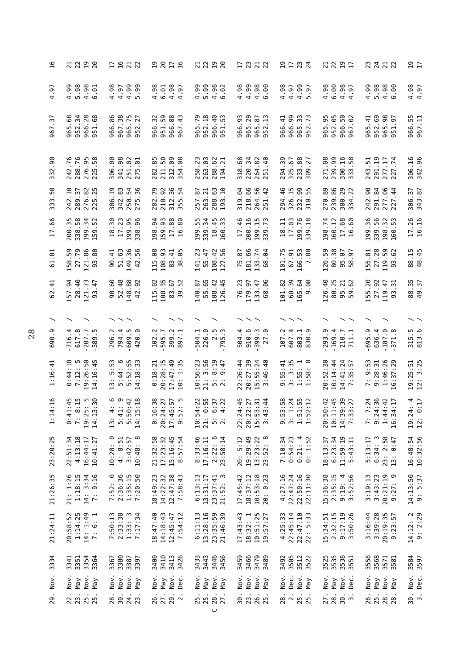| $\mathfrak{a}$         | $\overline{a}$<br>21<br>22<br>20                                                      | <b>1922</b>                                                                                                                                                                                                                                                                                                                                                                                                                                                                                                                                                                              | 20<br>$\overline{5}$<br>$\frac{17}{16}$                                 | $\frac{9}{20}$<br>21<br>22                                                                                        | 17 <sub>23</sub><br>71                                               | ロロスは                                                           | $\overline{2}1$<br>22<br>19                                |                                                                         | 2<br>17                 |
|------------------------|---------------------------------------------------------------------------------------|------------------------------------------------------------------------------------------------------------------------------------------------------------------------------------------------------------------------------------------------------------------------------------------------------------------------------------------------------------------------------------------------------------------------------------------------------------------------------------------------------------------------------------------------------------------------------------------|-------------------------------------------------------------------------|-------------------------------------------------------------------------------------------------------------------|----------------------------------------------------------------------|----------------------------------------------------------------|------------------------------------------------------------|-------------------------------------------------------------------------|-------------------------|
| $-97$<br>4             | 5.98<br>4.99<br>4.98<br>$\ddot{\circ}$                                                | 4.99<br><b>99</b><br>4.98<br>4.97                                                                                                                                                                                                                                                                                                                                                                                                                                                                                                                                                        | 4.98<br>4.98<br>6.01<br>$-6$                                            | 4.99<br>5.99<br>4.98<br>.92                                                                                       | 4.99<br>4.98<br>$4.98$<br>6.98                                       | 4.98<br>4.99<br>5.97<br>4.97                                   | 6.00<br>4.98<br>$4.98$<br>$4.97$                           | 5.98<br>4.99<br>4.98<br>90.                                             | 4.98<br>4.97            |
| $\cdot$ 57<br>967      | 952.34<br>.68<br>28<br>.68<br>966.<br>965<br>951                                      | 967.38<br>86.<br>75<br>965.<br>966<br>952                                                                                                                                                                                                                                                                                                                                                                                                                                                                                                                                                | 951.59<br>32<br>$_{88}$<br>$-43$<br>966.<br>966<br>967                  | 952.18<br>.79<br>966.40<br>m<br>LO<br>965<br>951                                                                  | 965.29<br>93<br>67<br>Ч.<br>966.<br>965<br>952                       | 966.99<br>965.33<br>$\ddot{=}$<br>r.<br>966.<br>952            | 952.05<br>$50\,$<br>56<br>.62<br>965.<br>966.<br>967       | 952.69<br>965.98<br>965.41<br>$\overline{9}$<br>951                     | 966.55<br>967.11        |
| .90<br>332             | ڡ<br>288.76<br>276.95<br>225.58<br>242.7                                              | 98<br>306.00<br>251.02<br>275.01<br>341.9                                                                                                                                                                                                                                                                                                                                                                                                                                                                                                                                                | 282.85<br>211.50<br>312.09<br>.88<br>354                                | 288.62<br>194.21<br>258.23<br>263.03                                                                              | 318.68<br>220.34<br>264.82<br>$-40$<br>251.                          | 233.88<br>309.27<br>294.39<br>325.67                           | 271.08<br>239.99<br>300.16<br>.58<br>333.                  | 291.19<br>277.17<br>277.74<br>243.51                                    | 306.16<br>342.96        |
| .50<br>333             | 242.10<br>276.82<br>225.25<br>289.37                                                  | 342.83<br>250.54<br>36<br>306.19<br>275                                                                                                                                                                                                                                                                                                                                                                                                                                                                                                                                                  | 282.79<br>210.92<br>36<br>$\overline{5}$<br>312.<br>355                 | 288.63<br>$-10$<br>263.21<br>257.87<br>193                                                                        | 218.66<br>56<br>319.04<br>$-42$<br>264.<br>251                       | 294.46<br>326.15<br>232.99<br>55<br>310                        | 239.86<br>270.89<br>300.29<br>334.22                       | 291.84<br>277.06<br>.90<br>$\overline{4}$<br>242.<br>227                | 306.37<br>343.87        |
| .66<br>LI              | 338.58<br>$\frac{35}{5}$<br>34<br>52<br>199<br>200<br>159                             | 18.30<br>17.23<br>199.95<br>96<br>338                                                                                                                                                                                                                                                                                                                                                                                                                                                                                                                                                    | 159.93<br>.88<br>34<br>80<br>17.16<br>198                               | 199.55<br>339.34<br>18.45<br>33<br>160                                                                            | 200.16<br>17.46<br>$-15$<br>.73<br>199<br>339                        | 17.03<br>199.76<br>$\frac{8}{10}$<br>Ę<br>$\frac{8}{1}$<br>339 | .74<br>160.12<br>.68<br>60<br>198<br>$17$<br>$16$          | 199.36<br>339.56<br>32<br>S<br>198<br>160                               | 17.26<br>16.16          |
| $\overline{3}$ .<br>5  | 59.<br>27.79<br>86<br>.80<br>$\overline{21}$ .<br>158<br>93                           | 51.63<br>149.36<br>$-1$<br>56<br>90<br>$\overline{4}$                                                                                                                                                                                                                                                                                                                                                                                                                                                                                                                                    | 108.93<br>115.08<br>65<br>83.41<br>38                                   | 141.23<br>55.47<br>108.42<br>$-56$<br>127                                                                         | 181.66<br>75.87<br>133.74<br>68.04<br>.64                            | 166.53<br>101.75<br>67.91<br>80                                | 126.59<br>80.38<br>G7<br>57<br>958.                        | 27.28<br>119.59<br>155.81<br>.62<br>93                                  | 88.15<br>48.45          |
| 11<br>1<br>62          | 28.40<br>157.94<br>121.73<br>$-47$<br>93                                              | 52.48<br>148.88<br>90.60<br>92<br>42                                                                                                                                                                                                                                                                                                                                                                                                                                                                                                                                                     | 108.35<br>115.02<br>83.67<br>52<br>39                                   | 55.65<br>108.42<br>-45<br>140.87<br>126                                                                           | 76.23<br>179.97<br>133.47<br>°.<br>$8^{\circ}$                       | 68.39<br>165.64<br>89<br>101.82<br>G                           | 126.40<br>80.25<br>.62<br>95.21<br>59                      | 155.20<br>27.92<br>119.47<br>$\frac{1}{2}$<br>93                        | 88.35<br>49.37          |
|                        |                                                                                       |                                                                                                                                                                                                                                                                                                                                                                                                                                                                                                                                                                                          |                                                                         |                                                                                                                   |                                                                      |                                                                |                                                            |                                                                         |                         |
| ာ.<br>690              | 617.8<br>.716.4<br>207.7<br>389                                                       | 296.2<br>794.4<br>609.5<br>଼<br>420                                                                                                                                                                                                                                                                                                                                                                                                                                                                                                                                                      | 399.2<br>102.2<br>595.7<br>897                                          | 2.5<br>504.1<br>226.0<br>795.3                                                                                    | $-910.6$<br>504.4<br>$-399.3$<br><u>ි</u><br>27                      | 4.<br>ာ.<br>803.1<br>830<br>107<br>607                         | $-293.9$<br>169.4<br>210.7<br>711.1                        | 695.9<br>636.4<br>187.0<br>$\infty$<br>371                              | 315.5<br>813.6          |
| 1:16:41                | $0:44:18$<br>7:12: 5<br>19:26:50<br>14:16:45                                          | $13: 5:53$<br>$5:44: 6$<br>$5:52:55$<br>$14:18:33$                                                                                                                                                                                                                                                                                                                                                                                                                                                                                                                                       | 20:28:15<br>17:47:49<br>10: 1:35<br>0:18:21                             | 3:56<br>8:19<br>10:56:23<br>9:47<br>21:<br>$\frac{1}{2}$                                                          | 22:26:44<br>$15:55:24$<br>3:4                                        | $9:55:41$<br>3:35<br>$1:55:1$<br>$1:58:8$                      | 20:52:30<br>10:14:44<br>14:41:24<br>7:35:57                | $9:28:31$<br>$1:46:26$<br>9:53<br>16:37:29<br>$\ddot{z}$                | $19:25:51$<br>$12:3:25$ |
| 4:16<br>$\frac{1}{11}$ | $\frac{5}{10}$<br>$\frac{1:45}{8:15}$<br>LO.<br>$\sim$<br>$0:4$<br>7:<br>19:2<br>14:1 | : 42<br>4 4 © 10<br>$\begin{array}{c} 1 \text{ and } \\ \text{and } \\ \text{and } \\ \text{and } \\ \text{and } \\ \text{and } \\ \text{and } \\ \text{and } \\ \text{and } \\ \text{and } \\ \text{and } \\ \text{and } \\ \text{and } \\ \text{and } \\ \text{and } \\ \text{and } \\ \text{and } \\ \text{and } \\ \text{and } \\ \text{and } \\ \text{and } \\ \text{and } \\ \text{and } \\ \text{and } \\ \text{and } \\ \text{and } \\ \text{and } \\ \text{and } \\ \text{and } \\ \text{and } \\ \text{and } \\ \text{and } \\ \text{and } \\ \text{and } \\ \text{and } \\ \$ | 6:38<br>4:27<br>15:57<br>17:5<br>0:20:2<br>17:4<br>9:5                  | $0:37$<br>$0:37$<br>$4:22$<br>4:22<br>10:5<br>$\begin{array}{c}\n\vdots \\ \hline\n\vdots \\ \hline\n\end{array}$ | $4:45$<br>$2:27$<br>$-3:34$<br>$22:2$<br>$20:2$<br>$15 : 4.$<br>3:4. | $0.131$<br>$0.131$<br>$0.131$<br>$0.21$                        | 1:45<br>$9:39$<br>$3:27$<br>0:42<br>$20:5$<br>10:1<br>14:3 | 7: 7:24<br>9:24:36<br>1:44:42<br>1.44:42<br>16:34:17                    | $19:24:4$<br>$12:0:17$  |
| 23:20:25               | 22:51:34<br>4:13:18<br>16:44:17<br>10:41:27<br>22:51:                                 | $4: 8:51$<br>3:42:57<br>10:48: 8<br>$\circ$<br>10:28:<br>10:48:                                                                                                                                                                                                                                                                                                                                                                                                                                                                                                                          | $\mathsf{S}^{\mathsf{S}}$<br>17:23:32<br>15:16:45<br>8:57:54<br>21:32:1 | 8:33:46<br>17:16:11<br>$2:22:6$<br>$23:58:14$                                                                     | 20: 5:12<br>19:29:49<br>$13:23:22$<br>$23:52:8$                      | 0:54:23<br>7:10:34<br>$0:21:4$<br>$0:1:52$                     | 6:23:34<br>11:59:19<br>5:43:11<br>57<br>18:13:             | $6:34:3$<br>23: 2:58<br>5:13:17<br>0:47<br>$\ddotsc$<br>$\overline{13}$ | 16:48:54<br>10:32:56    |
| 21:26:35               | 14: 3:34<br>7: 9:16<br>$21: 1:26$<br>$1:18:15$                                        | 7:52: 0<br>2:36:36<br>$1:35:15$<br>7:20:50                                                                                                                                                                                                                                                                                                                                                                                                                                                                                                                                               | 18:49:23<br>14:22:32<br>$12:47:38$<br>7:58:43                           | $\begin{array}{c} 6:13:13\\ 13:31:17\\ 23:37:41\\ 21:52:3 \end{array}$                                            | $10:53:18$<br>$20:0:23$<br>$17:45:42$<br>$18:37:12$                  | 4:27:16<br>22:47:24<br>22:50:16<br>22:11:30                    | 15:36:38<br>2:35:15<br>9:19:4<br>3:52:56                   | 3:19:13<br>3:43:23<br>20:21:19<br>9:27: 9                               | $14:13:50$<br>9: 5:37   |
| 21:24:11               | $20:58:52$<br>1:14:25<br>14: 1:49<br>6:1<br>$\ddot{z}$                                | 7:50:13<br>2:33:38<br>1:33: 3<br>7:17:34                                                                                                                                                                                                                                                                                                                                                                                                                                                                                                                                                 | 18:47:40<br>14:18:43<br>$12:45:47$<br>7:54:12                           | $6:11:13$<br>$13:28:16$<br>23:35:59<br>21:46:39                                                                   | $17:43:43$<br>$18:32:1$<br>$10:51:25$<br>$19:57:27$                  | 22:45:14<br>$22:47:10$<br>$22:5:33$<br>4:25:33                 | 15:34:51<br>2:32:15<br>9:17:19<br>3:50:26                  | $3:16:44$<br>$3:39:28$<br>20:19:35<br>9:23:57                           | $14:12:2$<br>9:2:29     |
| 3334                   | 3351<br>3341<br>3354<br>3364                                                          | 3367<br>3380<br>3387<br>3397                                                                                                                                                                                                                                                                                                                                                                                                                                                                                                                                                             | 3419<br>3413<br>3426<br>3400                                            | 5<br>2 4 4 4 5<br>3 4 4 5<br>3 7 4 6<br>3 7 4 7 8                                                                 | 3459<br>3466<br>3479<br>3489                                         | 3492<br>3502<br>3522<br>3522                                   | 35<br>3538<br>3555<br>3555                                 | 3558<br>3568<br>3571<br>3581                                            | 3584<br>3597            |
| 29. Nov.               | Nov.<br>Nov.<br>$Y$ lay<br>May                                                        | Nov.<br>Nov.<br>Nov.<br>Y                                                                                                                                                                                                                                                                                                                                                                                                                                                                                                                                                                | Nov.<br>Nov.<br>Dec.<br>YeN                                             | Nov.<br>Nov.<br>$Y$ la<br>YeN                                                                                     | Nov.<br>Nov.<br>Nov.<br>$Y$ FM                                       | Dec.<br>Nov.<br>Nov.<br>May                                    | Nov.<br>Nov.<br>ن<br>ق<br>$Y$ ay                           | Nov.<br>Nov.<br>Мау<br>$Y$ ay                                           | 30. Nov.<br>3. Dec.     |
|                        | 22.<br>23.<br>25.<br>25.                                                              | 28.<br>30.<br>24.<br>23                                                                                                                                                                                                                                                                                                                                                                                                                                                                                                                                                                  | 26.<br>27.<br>29.2                                                      | 25.<br>27.<br>25<br>$\cup$                                                                                        | 30.<br>23.<br>26.<br>25.                                             | 28.<br>25.                                                     | 28.<br>27.<br>30.7                                         | 25.28<br>26.<br>28                                                      |                         |
|                        |                                                                                       |                                                                                                                                                                                                                                                                                                                                                                                                                                                                                                                                                                                          |                                                                         |                                                                                                                   |                                                                      |                                                                |                                                            |                                                                         |                         |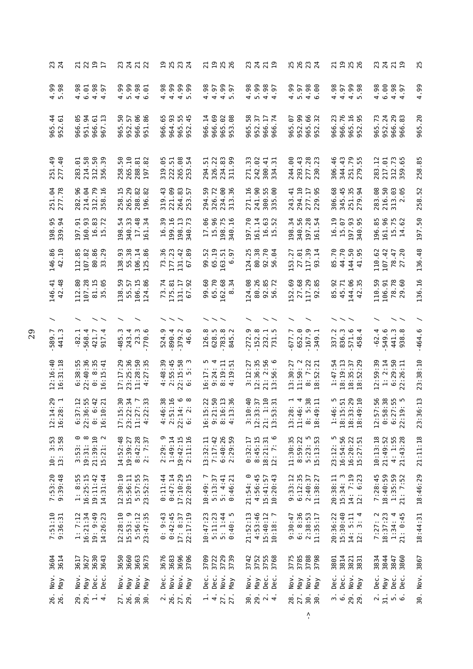| 23<br>24                                                     | <b>2237</b>                                                                       | 25<br>25<br>25<br>24<br>2322                                                                                                                                                                   |                                                                                                | 5<br>2<br>2<br>2<br>2<br>2<br>2<br>2<br>2<br>2<br>2<br>2122                                                                 |                                                                                                           | 25<br>22192                                                                    |
|--------------------------------------------------------------|-----------------------------------------------------------------------------------|------------------------------------------------------------------------------------------------------------------------------------------------------------------------------------------------|------------------------------------------------------------------------------------------------|-----------------------------------------------------------------------------------------------------------------------------|-----------------------------------------------------------------------------------------------------------|--------------------------------------------------------------------------------|
| $4.99$<br>5.98                                               | 4.98<br>4.97<br>4.97<br>6.01<br>$-6$                                              | 00001<br>00001<br>0000<br>$4.98$<br>$4.99$                                                                                                                                                     | $4.99$<br>5.99<br>∞<br>4.99<br>5.97<br>4.97<br>$rac{5}{4}$                                     | 4.98<br>5.98<br>4.99<br>4.97                                                                                                | 4.98<br>$4.99$<br>5.98<br>4.97                                                                            | 4.98<br>6.00<br>4.99<br>4.98<br>4.97                                           |
| $\frac{4}{9}$ $\frac{6}{9}$<br>965<br>952                    | 966.05<br>951.94<br>966.61<br>967.13                                              | 88<br>86<br>50<br>57<br>m<br>964.93<br>966.6<br>952.<br>965.<br>966.<br>951                                                                                                                    | n w<br>966.14<br>966.69<br>965.02<br>953.08<br>965.5<br>952.45                                 | 58<br>952.37<br>966.17<br>966.74<br>952.99<br>66<br>32<br>965.07<br>965.<br>952.<br>965.                                    | ٥<br>965.16<br>952.95<br>w<br>$\ddot{\sim}$<br>966.7<br>966.                                              | 965.20<br>w<br>952.24<br>966.29<br>966.83<br>965.7                             |
| 251.49<br>277.40                                             | 50<br>58<br>39<br>$-0.1$<br>214<br>312<br>283<br>56                               | $-10$<br>္ဂ<br>$\overline{8}$<br>82<br>.05<br>$\ddot{5}$<br>265<br>222<br>288<br>58<br>319<br>$\overline{9}$                                                                                   | .08<br>.22<br>83<br>99<br>54<br>5<br>265<br>326<br>234<br>ြိ<br>294<br>$\Xi$                   | .02<br>$-41$<br>ී.<br>$-43$<br>.28<br>51<br>m<br>300<br>271<br>242<br>244<br>293<br>277<br>230<br>$\mathcal{L}$             | 251.79<br>279.55<br>$\frac{6}{4}$<br>.43<br>306<br>344                                                    | 258.85<br>.12<br>217.01<br>$\frac{2}{3}$<br>283<br>312<br>59                   |
| 251.04<br>277.78                                             | 312.79<br>282.96<br>214.04<br>$-16$<br>358                                        | 258.15<br>265.29<br>$-43$<br>221.09<br>288.82<br>196.82<br>319                                                                                                                                 | .57<br>.59<br>326.72<br>$rac{6}{36}$<br>294<br>264<br>253<br>234<br>313                        | 294.10<br>271.16<br>90.<br>55<br>8<br>$-41$<br>277.17<br>229.95<br>300.<br>335.<br>241<br>243                               | 306.68<br>345.45<br>251.35<br>279.94                                                                      | 283.08<br>216.50<br>258.52<br>313.03                                           |
| 55<br>198.<br>339.                                           | 93<br>83<br>51<br>72<br>197.<br>160.<br>16.7                                      | $\overline{a}$<br>54<br>33<br>$\frac{8}{3}$<br>30<br>$\mathcal{L}$<br>$\frac{17}{161}$ .<br>199.<br>340.<br><b>16.</b><br>198.                                                                 | 90<br>96<br>$\Xi$<br>75<br>73<br>17.<br>$\frac{1}{12}$<br>-<br>340.<br>340<br>198.<br>340.     | 56<br>70<br>ය<br>34<br>284<br>$\overline{1}$<br>52<br>197.<br>$161.$<br>198.<br>340.<br>$16$ .<br>197<br>161                | $\overline{5}$<br>93<br>CO<br>55<br>16.<br>$15.1$<br>$197.1$<br>$340.1$                                   | 197.50<br>96<br>85<br><b>75</b><br>62<br>196.<br>161.<br>15.14.                |
| $86$<br>$10$<br>146.<br>42.                                  | 112.85<br>107.82<br>80.86<br>.29<br>$\epsilon$<br>m                               | 73.36<br>177.23<br>138.93<br>55.38<br>106.14<br>125.86                                                                                                                                         | .89<br>99.52<br>65.19<br>131.42<br>163.51<br>6.97<br>67                                        | 124.25<br>86.38<br>92.70<br>56.04<br>153.27<br>117.39<br>93.14<br>27.01                                                     | 44.70<br>85.70<br>144.50<br>41.95                                                                         | 136.48<br>107.42<br>.47<br>110.62<br>78.                                       |
| 146.41<br>42.48                                              | .80<br>107.28<br>81.15<br>35.05<br>112                                            | 138.59<br>55.57<br>106.15<br>124.86<br>.74<br>175.81<br>73                                                                                                                                     | 99.60<br>65.70<br>162.68<br>8.34<br>131.17<br>92<br>67                                         | 124.08<br>80.26<br>52.69<br>27.68<br>117.29<br>92.85<br>56.72<br>$-85$<br>92                                                | 85.92<br>45.71<br>144.06<br>42.35                                                                         | 136.16<br>110.59<br>106.91<br>78.78<br>29.60                                   |
| $\checkmark$                                                 |                                                                                   |                                                                                                                                                                                                | $\widehat{\phantom{a}}$                                                                        |                                                                                                                             |                                                                                                           |                                                                                |
| -589.7<br>441.3                                              | $-82.1$<br>568.4<br>421.7<br>917.4                                                | 23.3<br>890.4<br>379.2<br>485.3<br>4<br>770.6<br>524.9<br>243.                                                                                                                                 | 126.8<br>628.5<br>783.8<br>845.2<br>⊙<br>6<br>4                                                | 152.8<br>652.0<br>167.9<br>349.1<br>272.9<br>$-1.5$<br>677.7<br><b>232</b><br>731                                           | 836.3<br>337.2<br>571.6<br>4<br>$\infty$<br>$\ddot{4}$                                                    | $-62.4$<br>549.6<br>441.3<br>938.8<br>$-464.6$                                 |
| $: 16:40$<br>$: 31:18$<br>29                                 | 22:40:36<br>38:55<br>: 8:35<br>:41<br>$\ddot{5}$<br>$\mathbf 0$<br>் பு           | 17:17:29<br>23:25:36<br>$11:28:50$<br>$4:27:35$<br>48:39<br>:55:45<br>$\frac{1}{27}$<br>4020                                                                                                   | $: 15:58$<br>$: 5:3$<br>: 24: 4<br>: 19: 11<br>: 19: 51<br>$\overline{17}$ :<br>$\overline{a}$ | 12:36:35<br>21: 2:56<br>13:56: 6<br>11:50:2<br>: 12:27<br>13:30:27<br>$: 7:22$<br>$: 52:21$<br>$\sim$<br>$\frac{\infty}{1}$ | :47:54<br>: 19:13<br>$: 35 : 37$<br>$: 52 : 29$<br>$\overline{\phantom{0}}$<br>$\infty$<br>$\frac{8}{18}$ | 23:38:10<br>12:59:39<br>1: 2:14<br>$6:29:50$<br>$22:26:11$                     |
| $4:29$<br>8:1<br>$12 : 78$<br>$16 : 28$                      | $37:12$<br>$36:55$<br>$6:42$<br>$6:21$<br>$6:3$<br>22:3<br>16:1<br>$\ddot{\circ}$ | $\frac{331}{34}$ , $\frac{331}{7}$ , $\frac{331}{7}$ , $\frac{331}{7}$<br>$6.142$<br>$6.142$<br>$6.142$<br>17 : 12<br>23 : 22<br>$11:2$<br>4:22<br>$47.7$<br>$77.7$<br>$77.7$<br>$6$<br>$77.7$ | $5:22$<br>$1:50$<br>$6:13$<br>$3:36$<br>$10004$<br>$10004$                                     | $0.013$<br>$0.013$<br>$0.013$<br>$0.013$<br>$\frac{3}{2}:\frac{1}{2}$<br>21:55<br>$13:36$<br>$11:46$<br>$\frac{3}{8}$ : 4   | 0<br>0 1 2 3 1<br>0 1 2 9 1<br>0 1 2 9 1<br>1:4<br>18:1<br>$18:3$<br>$18:4$                               | 6:13<br>$-56$<br>$8.150$<br>$7.55$<br>$9.56$<br>L<br>23:36                     |
| $3:53$<br>3:58<br>$\begin{array}{c} 0.1 \\ 0.01 \end{array}$ | 19:31: 8<br>21:39:10<br>15:21: 2<br>⊙<br>3:53:                                    | $8:42:28$<br>2: 7:37<br>2:29: 9<br>1:49:14<br>19:42:15<br>2:11:16<br>14:52:48<br>19:39:27                                                                                                      | $6:40:26$<br>$2:29:59$<br>7:17:42<br>13:32:11                                                  | 8:45:15<br>18:21:31<br>$\circ$<br>11:30:35<br>8:59:22<br>$5:23:5$<br>15:13:53<br>0:32:17<br>12: 7:                          | 23:12: 5<br>16:54:56<br>$16:20:22$<br>$15:27:51$                                                          | 21:11:18<br>10:13:18<br>$21:49:52$<br>$4:1:55$<br>$21:43:28$                   |
| 7:53:20<br>9:39:48                                           | $1: 8:55$<br>$16:25:15$<br>19:11:42<br>14:31:44                                   | 12:30:10<br>5:57:55<br>23:52:37<br>0:11:44<br>0:47:14<br>15:56:11                                                                                                                              | 17:10:29<br>22:20:15<br>$5: 4:41$<br>$0:46:21$<br>10:49:7<br>5:13:37                           | 21:54: 0<br>4:56:45<br>10:20:43<br>$9:33:12$<br>$6:12:35$<br>15:41:57<br>$2:40:37$<br>11:38:27<br>21:54:                    | 15:34: 3<br>14: 7:19<br>12: 6:23<br>20:38:11                                                              | 18:46:29<br>7:28:45<br>18:40:59<br>1:35:59<br>21: 7:52                         |
| 7:51:10<br>9:36:31                                           | 1:7:12<br>16:21:34<br>19: 9:49<br>14:26:23                                        | 12:28:10<br>15:53: 9<br>5:56:12<br>23:47:35<br>$0: 9:43$<br>$0:42:45$                                                                                                                          | 22:17:19<br>10:47:23<br>$5:11:23$<br>$5:1:44$<br>$0:40:5$<br>17: 8:37<br>0:40:                 | 21:52:13<br>4:53:46<br>6: 8:36<br>$15:40:12$<br>$10:18:7$<br>$2:38:53$<br>11:35:17<br>9:30:47                               | 15:30:40<br>20:36:22<br>$14: 5:11$<br>$12: 3: 4$                                                          | $\sim$<br>18:37:23<br>18:44:31<br>$\overline{a}$<br>21: 0:45<br>1:34:<br>7:27: |
| 3604<br>3614                                                 | 3630<br>3643<br>3617<br>3627                                                      | 3660<br>3676<br>3683<br>3650<br>3663<br>3673                                                                                                                                                   | 3729<br>3696<br>3706<br>3709<br>3722<br>3739                                                   | 3775<br>3785<br>3742<br>3752<br>3755<br>3768<br>3788<br>3798                                                                | 3814<br>3801<br>3821<br>3831                                                                              | 3834<br>3844<br>3847<br>3860<br>3867                                           |
| Nov.<br>$Y$ lay                                              | Nov.<br>Dec.<br>Dec.<br>$\gamma$ eM                                               | Nov.<br>Nov.<br>Nov.<br>Dec.<br>M <sub>B</sub><br>$\n  Na\n$                                                                                                                                   | Nov.<br>Dec.<br>Dec.<br>Nov.<br>Nay<br>$\n  Map\n$                                             | Nov.<br>Nov.<br>Dec.<br>Dec.<br>Nov.<br>Y<br>$\n  Map\n$<br>$Y$ FM                                                          | Dec.<br>Dec.<br>Nov.<br>Nay                                                                               | 30. Nov.<br>Dec.<br>Dec.<br>Dec.<br>$Y$ lay                                    |
| 26.<br>26.                                                   | $\frac{1}{4}$<br>29.<br>29.                                                       | 30.<br>$\frac{2}{6}$ .<br>27.<br>26.<br>30.                                                                                                                                                    | 27.<br>27.<br>$\frac{1}{4}$<br>29.                                                             | 29.<br>$\overline{Q}$ $\overline{q}$<br>27.<br>30.<br>30.<br>28.<br>30.                                                     | ີ່ 6<br>29.<br>29.                                                                                        | 31.<br>$\sim$                                                                  |
|                                                              |                                                                                   |                                                                                                                                                                                                |                                                                                                | $\mathbf{v}^{\prime}_{\mathbf{u}}$                                                                                          |                                                                                                           |                                                                                |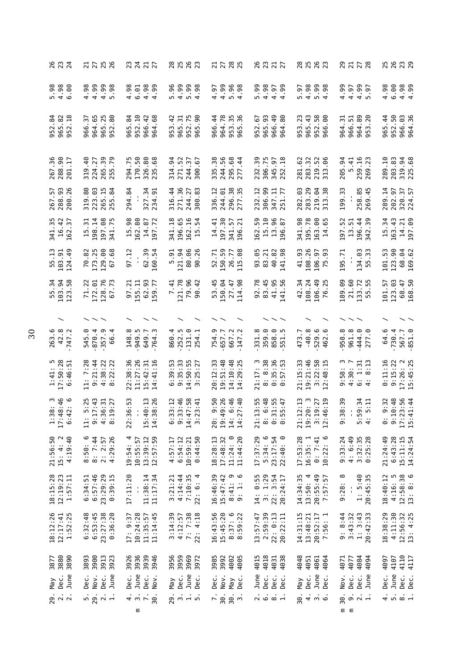| 26<br>23<br>24<br>$\sim$                                                                                                                     | 275<br>275                                                                     |                                                                           | 8<br>2<br>2<br>2<br>2<br>2<br>2<br>2<br>3                     | 2785<br>2785                                                     | 28117<br>2312                                               | 8<br>8<br>8<br>8<br>8<br>8<br>8<br>$\sim$                 |                                                                                   | <u> ന ര ന ത</u><br>$\sim$<br>$\sim$ $\sim$                                        |
|----------------------------------------------------------------------------------------------------------------------------------------------|--------------------------------------------------------------------------------|---------------------------------------------------------------------------|---------------------------------------------------------------|------------------------------------------------------------------|-------------------------------------------------------------|-----------------------------------------------------------|-----------------------------------------------------------------------------------|-----------------------------------------------------------------------------------|
| .00                                                                                                                                          | .99<br>.99<br>$98$ .<br>.98<br>440<br>4                                        | $4.98$<br>$4.99$<br>$4.98$<br>$6.98$<br>99                                | .99<br>98<br>0.98<br>.96<br>4 IV 4<br>m.                      | 99<br>998<br>4 10 4<br>96<br>0.98<br>$-6$<br>4                   | 99.<br>r.                                                   | $\overline{6}$ .<br>n.                                    | .99<br><b>00.</b><br>10.<br>4.97<br>4<br>4 <sub>W</sub>                           | 4.98<br>6.00<br>$4.98$<br>$4.99$                                                  |
| $\mathfrak{g}$<br>$\frac{8}{2}$ $\frac{8}{2}$<br>965.<br>952<br>52<br>ᡡ                                                                      | .25<br>80.<br>57<br>م<br>965.<br>964<br>966<br>52<br>თ                         | $\overline{8}$<br>952.10<br>966.42<br>$68$<br>965<br>964                  | 51<br>90<br>$\overline{4}$<br>952.75<br>965.<br>953           | 964.78<br>۱<br>$\overline{4}$<br>m<br>ო<br>953.<br>966<br>965    | 966.49<br>67<br>965.93<br>80<br>952<br>964                  | $-43$<br>8<br>m<br>$\sim$<br>952.<br>953<br>965<br>966    | .89<br>20<br>51<br>5<br>966<br>964<br>964<br>$\overline{5}3$                      | 952.50<br>966.03<br>$\overline{4}$<br>36<br>965<br>964                            |
| 267.36<br>288.90<br>$\overline{17}$<br>201.                                                                                                  | 319.40<br>224.27<br>39<br>5.79<br>265.<br>$\bar{5}$                            | 294.75<br>170.50<br>326.80<br>$\frac{8}{2}$<br>235.                       | 52<br>54<br>57<br>67<br>314.<br>271.<br>244.<br>300           | 335.38<br>244.56<br>295.68<br>277.44                             | 232.39<br>306.75<br>345.97<br>252.18                        | 29<br>32<br>52<br>96<br>281.<br>283.<br>219.<br>313       | 205.94<br>$\frac{5.41}{259.16}$                                                   | 289.10<br>203.83<br>319.94<br>225.68                                              |
| 267.57<br>288.93<br>200.26                                                                                                                   | 319.80<br>223.03<br>265.15<br>255.84                                           | 294.84<br>327.34<br>$-5$<br>234                                           | 316.44<br>271.36<br>244.27<br>.83<br>300                      | 296.38<br>336.12<br>244.01<br>بي<br>277                          | $\ddot{5}$<br>306.99<br>347.11<br>251.77<br>232<br>251      | 283.29<br>282.03<br>64<br>$\overline{38}$<br>219.<br>313. | m<br>258.85<br>199.3                                                              | 289.14<br>320.37<br>224.57<br>202.97                                              |
| $\frac{35}{42}$<br>57<br>16.<br>162<br>341                                                                                                   | 197.08<br>341.75<br>198.14<br>ಸ<br>$\overline{1}$                              | 15.98<br>162.80<br>$\overline{z}$<br>14.87<br>$\overline{6}$              | -65<br>$\overline{5}$<br>.18<br>54<br>196<br>162<br>15<br>341 | 197.30<br>41<br>57<br>ನ<br>14<br>341<br>196                      | $\frac{15}{13}.\frac{10}{96}$<br>13.96<br>.<br>59<br>162    | 8<br>.78<br>8<br>65<br>195<br>163<br>14<br>341            | $\overline{4}$<br>197.52<br>39<br>5<br>13.<br>196.<br>342                         | 163.43<br><b>eo</b><br>$\cdot$ <sup>34</sup><br>14.21<br>197.09<br>$\overline{1}$ |
| 55.13<br>103.91<br>124.49                                                                                                                    | 173.25<br>.82<br>129.00<br>.68<br>70<br>67                                     | 62.39<br>.54<br>$\frac{12}{1}$<br>$\frac{1}{4}$<br>160<br>57              | .26<br>121.94<br>80.06<br>5.91<br>90                          | 150.59<br>52.71<br>.88<br>26.77<br>115                           | -95<br>83.21<br>40.82<br>98<br>93<br>141                    | 41.93<br>108.26<br>$-6$ .<br>$\sigma$<br>106<br>75        | 134.03<br>195.71<br>m<br>$\ddot{u}$<br>LO<br>LO <sub>1</sub>                      | 123.90<br>101.53<br>68.64<br>169                                                  |
| 55.34<br>103.94<br>$-58$<br>123                                                                                                              | .22<br>128.76<br>.73<br>5.<br>172<br>$\overline{7}$<br>67                      | 62.93<br>$\ddot{5}$<br>.77<br>155.11<br>59<br>57                          | 121.78<br>79.96<br>$-42$<br>7.41<br>இ                         | 53.45<br>50.04<br>27.47<br>.98<br>114                            | 92.78<br>83.45<br>41.95<br>$-56$<br>141                     | 42.34<br>108.24<br>$^{49}$<br>.25<br>106<br>76            | 89.09<br>21.60<br>.72<br>LO <sub>1</sub><br>$\mathfrak{Z}$<br>m<br>m              | 123.03<br>68.47<br>-57<br>101<br>168                                              |
| ヽ                                                                                                                                            |                                                                                | $\widehat{\phantom{a}}$                                                   |                                                               |                                                                  |                                                             |                                                           |                                                                                   |                                                                                   |
| $42.8$<br>747.2<br>ڢ<br>263<br>747                                                                                                           | $870.4$<br>357.9<br>଼<br>545<br>99                                             | $\frac{8}{1}$<br>949.5<br>649.7<br>148<br>764                             | 252.5<br>131.0<br>860<br>254                                  | ن ن<br>754<br>657<br>667<br>147                                  | 359.0<br>858.0<br>$\infty$<br>331                           | $-40.8$<br>529.6<br>ە<br>Γ.<br>473.<br>462                | ∾.<br>961.8<br>444.0<br>958<br>277                                                | 64.6<br>730.4<br>଼<br>567.7<br>851                                                |
| $1:41:5$<br>$17:50:28$<br>$6:46:51$<br>:46:51                                                                                                | $9:21:44$<br>$4:38:22$<br>$8:22:22$<br>11: 7:28                                | 22:38:36<br>11:27:26<br>$-16$<br>15:42:31<br>$\ddot{=}$<br>$\overline{1}$ | $6:39:53$<br>$9:35:33$<br>14:50:55<br>3:25:27                 | $19:51:48$<br>$14:10:48$<br>$14:29:25$<br>20:12:33               | 8: 8:38<br>0:35:36<br>0:57:53<br>21:17                      | 9:21:46<br>$3:22:58$<br>$12:48:15$<br>21:15:33            | 9:58: 3<br>4:30: 7<br>4: 30: 1<br>4: 8:13<br>$1:31$<br>8:13                       | $17:26:2$<br>$15:45:25$<br>0:11:16<br>9:15:22                                     |
| $\begin{array}{c}\n 0 \\  \hline\n 0 \\  \hline\n 1 \\  \hline\n 0 \\  \hline\n 1 \\  \hline\n 0\n \end{array}$<br>$1:38$<br>17:48:<br>6:42: | :43<br>:25<br>$4:36:31$<br>8:19:27<br>$11: 5:$<br>9:17:<br>4:36:<br>$\ddot{a}$ | 6:53<br>15:40:13<br>:26<br>$\infty$<br>22:30<br>$\blacksquare$<br>14:3    | $6:33:12$<br>9:33:46<br>14:47:58<br>14:47:58                  | 20: 9:50<br>19:49:26<br>14: 6:46<br>14:27:40                     | 21:13:55<br>8:6:48<br>8:31:55<br>0:55:47<br>21:1            | $21:12:13$<br>$19:20:3$<br>$3:19:27$<br>$12:46:19$        | 39<br>$\frac{34}{11}$<br>חו ה<br>∞<br>$\frac{5}{9}$<br>$\mathbf{I}$<br>5:5        | $0: 9:32$<br>$9:10:48$<br>$17:23:56$<br>$15:41:44$                                |
| 4:19:40<br>21:56:50<br>15: 4: 2                                                                                                              | 8: 7:44<br>8:50:6<br>4:29:26<br>2: 2:57                                        | 13:39:12<br>12:57:59<br>19:54: 4<br>10:55:57                              | 0:44:50<br>$4:57:17$<br>$6:54:12$<br>10:59:21                 | 11:24:0<br>11:44:20<br>18:28:13<br>17:48:32                      | 17:37:29<br>5:34:6<br>23:17:54<br>22:40: 0                  | 17:53:28<br>$0:7:41$<br>10:22:6<br>16:35:1                | $4: 6:49$<br>$3:32:35$<br>9:33:24<br>0:25:28                                      | 6:43:28<br>21:24:49<br>15:11:15<br>14:24:54                                       |
| $18:15:28$<br>$12:19:23$<br>1:57:11                                                                                                          | 6:57:46<br>$23:29:29$<br>$0:39:15$<br>6:34:51                                  | 17:11:20<br>11:38:14<br>11:17:34                                          | 4:14:44<br>7:10:35<br>22: 6: 4<br>3:21:21                     | 16:46:39<br>$15:47:42$<br>8:41: 9<br>9: 1: 6                     | $14: 0:55$<br>3: 1:29<br>22: 3:54<br>20:24:17               | 20:55:49<br>7:57:57<br>14:34:35<br>13:50:4                | $\frac{8}{11}$<br>$1: 5:40$<br>$20:45:35$<br>9:28                                 | $12:58:38$<br>$13:8:6$<br>18:40:12<br>4:16: 5                                     |
| 18:12:26<br>12:17:41<br>1:52:25                                                                                                              | 6:32:48<br>$6:53:45$<br>$23:27:38$<br>0:36:20                                  | 10:24:28<br>11:14:45<br>17: 9:37<br>11:35:57                              | 3:14:39<br>7: 7:38<br>22: 4:18<br>4:12:57                     | $15:45:20$<br>8:37:6<br>8:59:22<br>16:43:56                      | 2:59:39<br>22: 0:13<br>13:57:47<br>20:22:11                 | 14:31:15<br>13:48:21<br>20:52:17<br>7:56:1                | 9: 8:44<br>3:43:32<br>3:43:43<br>20:42:33                                         | 4:11:30<br>18:38:29<br>$12:56:32$<br>$13:4:25$                                    |
| 3880<br>3890<br>3877                                                                                                                         | 3900<br>3913<br>3893                                                           | 3936<br>3939<br>3946                                                      | 3956<br>3959<br>3969<br>3972                                  | 385<br>3902<br>3905<br>4905                                      | 4015<br>4018<br>4031<br>4038                                | 4048<br>4051<br>4061<br>4064                              | 4077<br>4084<br>4094<br>4071                                                      | 4110<br>4097<br>4107<br>4117                                                      |
| June<br>Dec.<br>May                                                                                                                          | June<br>Nov.<br>Dec.<br>Dec.                                                   | June<br>Dec.<br>Dec.<br>Nov.                                              | June<br>Dec.<br>Dec.<br>$Y$ ay                                | Dec.<br>Nov.<br>Dec.<br>$Y$ ay                                   | June<br>Dec.<br>Dec.<br>Dec.                                | Dec.<br>June<br>Dec.<br>$Y$ la                            | June<br>Nov.<br>Dec.<br>Dec.                                                      | June<br>Dec.<br>Dec.<br>Dec.                                                      |
| 29.72                                                                                                                                        | $\frac{1}{2}$ $\frac{1}{2}$ $\frac{1}{2}$ $\frac{1}{2}$                        | $4 \times 7$<br>30.<br>Ε                                                  | 29.111                                                        | $\begin{array}{c}\n 30 \\  75\n \end{array}$<br>$\overline{r}$ . | $\ddot{\circ}$ $\ddot{\circ}$ $\ddot{\circ}$ $\ddot{\circ}$ | $4 \dot{m}$ $6$<br>30.                                    | 30.<br>$\overline{0}$ $\overline{1}$ $\overline{1}$<br>$\mathsf{m}$<br>$\epsilon$ | $\frac{1}{4}$ in $\frac{1}{80}$ in                                                |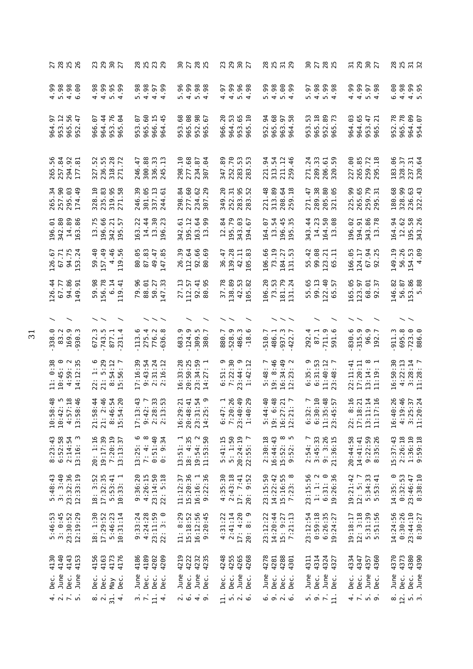|                                                                                | 23<br>29<br>$rac{6}{27}$                                     | 8<br>8<br>8<br>8<br>8<br>8<br>8                                                              | 8785<br>8785                                                                      |                                                                    | 8<br>8<br>8<br>8<br>8<br>8<br>8                                                               | 8785<br>8785                                                         |                                                             | 8<br>8 5 7 8<br>8                                  |
|--------------------------------------------------------------------------------|--------------------------------------------------------------|----------------------------------------------------------------------------------------------|-----------------------------------------------------------------------------------|--------------------------------------------------------------------|-----------------------------------------------------------------------------------------------|----------------------------------------------------------------------|-------------------------------------------------------------|----------------------------------------------------|
|                                                                                |                                                              | 88558<br>53559<br>5444                                                                       | 86<br>0.98                                                                        |                                                                    | .99<br>$3000$<br>$4000$<br>$400$<br>$\frac{6}{6}$<br>w                                        | $98$ .<br>99<br>98<br>5.97<br>404                                    | 4.99<br>99.<br>90.6<br>4<br>$n \sim$                        | <u>ී</u><br>4.98<br>4.99<br>5.95<br>6              |
| 965.56<br>964.97<br>953.12<br>47<br>952                                        | 964.44<br>76<br>-6.<br>$\mathfrak{g}$<br>953.<br>965.<br>966 | 965.60<br>966.15<br>-6.<br>ਦ੍<br>953<br>964                                                  | .68<br>965.08<br><b>88</b><br>952.<br>965.<br>953                                 | w<br>.65<br>20<br>$\frac{1}{2}$<br>m<br>953.<br>965.<br>966<br>964 | 54<br>.68<br>57<br>LO<br>965.<br>963.<br>964.<br>952                                          | 965.18<br>89<br>m<br>$\overline{ }$<br>952.1<br>965.<br>953          | 964.03<br>964.65<br>47<br>$\overline{2}1$<br>953<br>965     | 965.78<br>964.09<br>954.07<br>.78<br>952           |
| 84<br><b>S</b> 2<br>56<br>257.<br>294 .<br>177 .<br>265                        | 327.52<br>236.55<br>318.28<br>271                            | 300.88<br>33<br>13<br>246.47<br>336.<br>245.                                                 | 298.10<br>277.68<br>$\overline{\phantom{0}}$<br>.94<br>234.1<br>307               | 252.70<br>53<br>347.89<br>in.<br>283.<br>283                       | 54<br>$\overline{12}$<br>54<br>221.<br>313.<br>211.<br>259                                    | 289.33<br>271.24<br>59<br>206.61<br>320.                             | 227.00<br>265.85<br>.72<br>259.<br>295.                     | 183.06<br>57<br>320.64<br>237.31<br>328            |
| 265.34<br>257.90<br>295.03<br>$-49$<br>174                                     | $\overline{.10}$<br>235.83<br>319.95<br>271.58<br>328        | 246.39<br>301.05<br>337.13<br>.61<br>244                                                     | 298.84<br>277.60<br>62.9<br>234<br>307                                            | .20<br>283.95<br>283.52<br>$\ddot{3}$<br>349.<br>252.              | 221.48<br>313.89<br>.64<br>$-18$<br>208.<br>259.                                              | 289.38<br>205.80<br>.65<br>271.47<br>321                             | 225.99<br>265.65<br>259.79<br>295.31                        | 180.68<br>328.99<br>236.63<br>322.43               |
| 196.01<br>342.80<br>89<br>86<br>14.<br>163                                     | 196.66<br>75<br>$\frac{5}{2}$<br>342.<br>195.<br>$\Xi$       | $\frac{4}{3}$<br>30<br>22<br>23<br>14.7<br>163.<br>196                                       | 195.12<br>64<br>99<br>5<br>342.<br>163<br>13                                      | 195.79<br>343.03<br>84<br>67<br>12.<br>194                         | 54<br>45<br>67<br>164.<br>13.<br>196.<br>195.                                                 | 23<br>50<br>$\frac{4}{3}$<br>88<br>14.<br>164.<br>13.<br>343         | 86<br>9<br>194.91<br>78<br>196.<br>343<br>13                | 58<br>26<br>12.62<br>34<br>195.<br>343.<br>164.    |
| 126.67<br>67.71<br>94.75<br>L53.24<br>153                                      | 157.49<br>46<br>56<br>$-40$<br>50<br>4<br>119                | $-65$<br>87.83<br>.85<br>49.47<br>80<br>147                                                  | $\overline{.}$<br>.69<br>112.64<br>66<br>26<br>92<br>80                           | 139.28<br>83<br>-47<br>42.11<br>36<br>105                          | .66<br>.19<br>27<br>73.<br>106<br>184<br>$\overline{131}$                                     | 99.08<br>.42<br>123.21<br>65.11<br>55                                | 166.05<br>54<br>25<br>124.17<br>67<br>92                    | 56.26<br>154.53<br>4.09<br>149.19                  |
| $126.44$<br>67.77<br>94.86<br>$-5$<br>149<br>126                               | 59.98<br>56.78<br>$\overline{4}$<br>$\circ$<br>Ō,            | 79.96<br>88.01<br>50.27<br>$\ddot{ }$<br>147                                                 | 27.13<br>.95<br>112.57<br>92.41<br>80                                             | 138.89<br>37.78<br>42.53<br>.82<br>105                             | .53<br>.20<br>.79<br>106<br>$\overline{7}3$<br>$\begin{array}{c} 181 \\ 131 \end{array}$      | 55.65<br>99.13<br>122.40<br>57<br>65                                 | 165.05<br>123.97<br>$\overline{0}$ .<br>57<br>89<br>92      | 53.86<br>146.82<br>56.87<br>.88<br>LO <sub>1</sub> |
|                                                                                |                                                              |                                                                                              |                                                                                   |                                                                    | $\smallsmile\smallsmile$                                                                      |                                                                      |                                                             |                                                    |
| 169.9<br>83.2<br><u>୍</u><br>930.3<br>338                                      | 672.3<br>877.1<br>231.4                                      | 275.4<br>776.2<br>$\infty$<br>113.6<br>636.                                                  | 124.9<br>683.9<br>r.<br>309.<br>380.                                              | 528.9<br>486.3<br>ە.<br>880.7<br>$-18$                             | 486.1<br>937.3<br>510.7<br>422                                                                | 711.9<br>4<br>87.1<br><u>ی</u><br>292<br>591                         | $830.6$<br>315.9<br>96.9<br>192                             | 695.8<br>723.0<br>886.0<br>911.3                   |
| 11: $0:38$<br>10:45: 0<br>4:59: 2<br>$\frac{2}{35}$<br>14:12                   | $1:30$<br>5:29<br>$8:54:12$<br>$5:56:7$<br>21:<br>22         | $9:43:54$<br>$2:31:24$<br>$2:16:12$<br>17:16:39                                              | 16:33:28<br>20:50:25<br>$23:34:59$<br>$14:27:1$                                   | $6:51:9$<br>7:22:30<br>23:44:9<br>$\ddot{5}$<br>1:42               | 9: 8:46<br>$16:34:49$<br>$12:23:2$<br>5:48:7                                                  | 6:31:53<br>თ<br>11:40:12<br>23:48: 7<br>6:35:<br>3:48                | 22:11:41<br>17:20:11<br>13:14:19                            | 16:50:30<br>4:22:13<br>$3:28:14$<br>11:28: 7       |
| ن.<br><br>$\frac{18}{146}$<br>$10:58$<br>$10:42$<br>$4:57$<br>$\infty$<br>13:5 | $\frac{1}{4}$ 46<br>$\frac{154}{20}$                         | $\ddot{5}$<br>$\frac{33}{23}$<br>$\begin{array}{c} 17:13\\ 9:42\\ 2:28\\ 2:13\\ \end{array}$ | $\frac{1}{11}$ $\frac{1}{21}$ $\frac{1}{20}$<br>$16:29:21$<br>$20:48:41$<br>23:31 | $6:47:1$<br>7:20:26<br>$23:40:49$<br>1:40:29                       | $\frac{1}{4}$<br>.48<br>$\frac{21}{7}$<br>$5:44$<br>9:6<br>$16:27$<br>$12:21$<br>$\ddot{9}$ : | $\frac{10}{1}$<br>1.57<br>$6:32:$<br>$6:30:$<br>$11:35:$<br>$23:45:$ | :16<br>$\frac{14}{10}$<br>$\ddot{5}$<br>$22:8:$<br>$17:18:$ | 16:40:26<br>4:19:46<br>3:25:37<br>11:20:24         |
| $8:23:43$<br>$6:52:58$<br>$2:14:54$<br>$13:16:3$                               | 19:17:39<br>20: 1:16<br>7:20:19<br>13:13:37                  | $7: 4: 8$<br>$0:51:40$<br>13:25:6<br>0:9:34                                                  | $13:51:1$<br>$18:4:35$<br>$19:54:2$<br>$11:53:50$                                 | 5:41:15<br>5: 1:50<br>20:24:19<br>22:55: 7                         | $2:30:18$<br>$16:44:43$<br>$15:52:8$<br>$9:52:5$                                              | 2:54: 7<br>3:45:33<br>9: 3:26<br>21:36:15                            | $9:22:59$<br>$8:35:26$<br>20:44:58<br>14:41:41              | 15:37:43<br>2:26:18<br>1:36:10<br>9:59:18          |
| $5:48:43$<br>3:3:40<br>23:32:36<br>12:33:19                                    | 17:32:35<br>18: 3:52<br>$5:53:41$<br>$10:33:1$               | 9:36:20<br>$4:26:15$<br>$23:14:50$<br>$22:5:18$                                              | 11:12:37<br>15:20:36<br>16:16:1<br>9:22:36                                        | $4:35:30$<br>$2:43:18$<br>$17: 7:41$<br>$20: 9:52$                 | $14:22:42$<br>15:16:55<br>7:23:8<br>23:15:50                                                  | 23:15:56<br>$1: 1: 2$<br>6:31: 0<br>19:26:36                         | 5:34:33<br>5:53:41<br>$19:21:42$<br>$12:5:7$                | 0:32:53<br>14:35: 0<br>23:46:47<br>8:38:10         |
| 5:46:53<br>3:0:45<br>23:30:52<br>23:19:29                                      | 17:29:52<br>5:46:23<br>10:31:14<br>18: 1:30                  | 9:33:24<br>$4:24:28$<br>$23:11:59$<br>$\frac{1}{2}$<br>22:3                                  | 16:12:56<br>9:20:45<br>11: 8:29<br>15:18:52                                       | $4:31:22$<br>$2:41:14$<br>$17: 4:20$<br>$20: 8: 9$                 | 23:12:22<br>14:20:44<br>15: 9:27<br>7:21:13                                                   | 23:12:54<br>0:59:18<br>$6:26:35$<br>19:24:27                         | 12: 3:18<br>5:31:39<br>5:51:56<br>19:18:17                  | 14:24:56<br>0:30:26<br>$23:44:10$<br>8:30:27       |
| 4140<br>4143<br>4153<br>4130                                                   | 4156<br>4163<br>4173<br>4176                                 | 4189<br>4186<br>4202<br>4209                                                                 | 42335<br>4219<br>4222                                                             | 4255<br>4265<br>4248<br>4268                                       | 4288<br>4301<br>4278<br>4281                                                                  | 4314<br>4324<br>4327<br>4311                                         | 4334<br>4347<br>4360<br>4357                                | 4370<br>4373<br>4380<br>4390                       |
| June<br>Dec.<br>June<br>Dec.                                                   | Dec.<br>Dec.<br>Dec.<br>Ye <sub>M</sub>                      | June<br>Dec.<br>Dec.<br>Dec.                                                                 | June<br>Dec.<br>June<br>Dec.                                                      | Dec.<br>June<br>Dec.<br>Dec.                                       | June<br>Dec.<br>ci<br>Deci<br>De                                                              | June<br>Dec.<br>June<br>Dec.                                         | Dec.<br>Dec.<br>June<br>Dec.                                | June<br>June<br>Dec.<br>Dec.                       |
| 4.7.5.                                                                         | 31.<br>$\frac{3}{2}$<br>4                                    | $\frac{1}{2}$ $\frac{1}{2}$ $\frac{1}{4}$                                                    | $\frac{1}{2}$<br>$\frac{1}{9}$ o                                                  | $\frac{1}{4}$ in $\alpha$ is .                                     | $\ddot{\circ} \ddot{\circ} \ddot{\circ}$                                                      | $5 - 71$                                                             | $4 - 100$                                                   | $\frac{1}{2}$ is in $\frac{1}{2}$                  |
|                                                                                |                                                              |                                                                                              |                                                                                   |                                                                    |                                                                                               |                                                                      |                                                             |                                                    |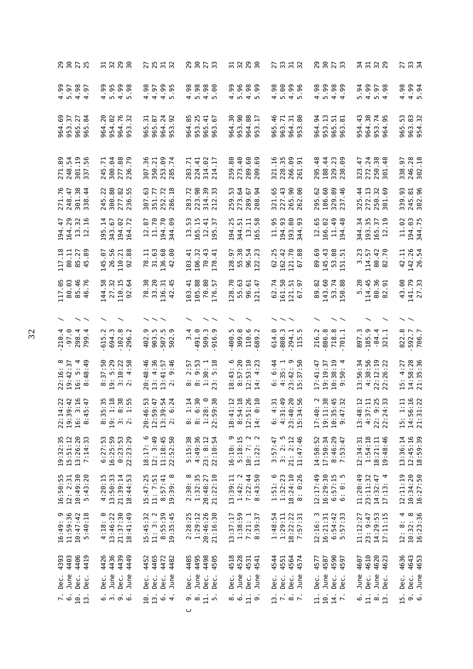|                                                                   |                                                                        | 25<br>25<br>25<br>22                                           |                                                                                      |                                                                                          | $\frac{27}{33}$<br>$\frac{1}{2}$ $\frac{1}{2}$                                                                     |                                                                     | 31<br>312<br>32                                                                                                                                                                                                                                                                                                                              | 2<br>3<br>2<br>3<br>3<br>4                       |
|-------------------------------------------------------------------|------------------------------------------------------------------------|----------------------------------------------------------------|--------------------------------------------------------------------------------------|------------------------------------------------------------------------------------------|--------------------------------------------------------------------------------------------------------------------|---------------------------------------------------------------------|----------------------------------------------------------------------------------------------------------------------------------------------------------------------------------------------------------------------------------------------------------------------------------------------------------------------------------------------|--------------------------------------------------|
| 57                                                                | .98                                                                    | $4.99$<br>5.95<br>4.98<br>4.97                                 | $4.98$<br>5.98<br>$4.98$<br>5.90                                                     | $5.38$<br>$4.39$<br>$5.39$<br>4.99                                                       | 5.00<br>4.98<br>$4.99$<br>5.96                                                                                     | 5.99<br>4.98<br>$4.98$<br>$4.99$                                    | 4.99<br>5.97<br>5.94<br>.98                                                                                                                                                                                                                                                                                                                  | 4.98<br>4.994                                    |
| 69<br>37<br>27<br>$\frac{4}{3}$<br>964<br>953<br>965.<br>LO<br>96 | 20<br>62<br>76<br>32<br>964.<br>954.<br>964<br>953                     | 51<br>$\overline{24}$<br>92<br>5<br>965.<br>964.<br>965<br>953 | 953.25<br>85<br>965.41<br>963.67<br>$67$<br>964.                                     | 90<br>88<br>δg<br>$\overline{17}$<br>953.<br>964.<br>964.<br>953                         | 965.46<br>963.71<br>80<br>51<br>964.<br>953.                                                                       | 94<br>953.13<br>51<br>ದ<br>965.<br>963.<br>964.                     | 964.38<br>954.43<br>$\overline{74}$<br>95<br>953.<br>964                                                                                                                                                                                                                                                                                     | S<br>963.83<br>954.32<br>965.                    |
| 301.19<br>337.56<br>271.89<br>248.54                              | 300.04<br>277.88<br>$\overline{.71}$<br>245<br>236                     | .09<br>307.36<br>350.21<br>.74<br>253.<br>285.                 | 314.02<br>214.17<br>283.71<br>224.41                                                 | 289.60<br>259.80<br>273.40<br>69.<br>209                                                 | 321.16<br>228.35<br>266.09<br>$\overline{9}$<br>261                                                                | $\frac{8}{4}$<br>188.44<br>329.23<br>295                            | 272.24<br>250.38<br>301.48<br>323.47                                                                                                                                                                                                                                                                                                         | 246.28<br>302.18<br>338.97                       |
| 301.38<br>271.76<br>248.47<br>338.44                              | 300.80<br>277.82<br>236.55<br>245.22                                   | .72<br>$-18$<br>.63<br>.77<br>351<br>252<br>286<br>307         | .72<br>.98<br>$\overline{39}$<br>33<br>223<br>314.<br>283<br>212                     | 259.53<br>273.64<br>67<br>94<br>289<br>208                                               | 321.65<br>$\ddot{4}$<br><b>9.</b><br>9.<br>9.<br>227.<br>265<br>262                                                | 295.62<br>60<br>329.89<br>237.46<br>$-46$<br>186.                   | $\ddot{1}$<br>$\ddot{3}$<br>$\frac{44}{1}$<br>.69<br>272.<br>250<br>325<br>301                                                                                                                                                                                                                                                               | 339.93<br>245.81<br>302.96                       |
| 194.47<br>164.29<br>$\mathfrak{Z}$<br>$\overline{16}$<br>13.      | $\overline{1}$<br>67<br>9<br>343.43.43.4<br>195                        | 11.70<br>194.70<br>.09<br>5<br>$\overline{1}$<br>344           | مبر<br>م<br>$12.41$<br>$.95.37$<br>m<br>5<br>$\Xi$<br>165                            | 25<br>58<br>51<br>급<br>344<br>194<br>$\Xi$<br>165                                        | 11.95<br>194.93<br>.80<br><b>93</b><br>193<br>344                                                                  | 12.65<br>11.49<br>166.02                                            | $\ddot{3}$<br>.35<br>$\overline{5}$<br>57<br>344<br>193<br>165.<br>12                                                                                                                                                                                                                                                                        | 194.03<br>11.02<br>344.75                        |
| 117.18<br>85.27<br>45.89                                          | 26.56<br>145.07<br>88<br>110.21<br>92                                  | 31.63<br>136.68<br><b>90.</b><br>Ę<br>78<br>42                 | 106.32<br>70.43<br>$-1$<br>$\overline{4}$<br>103<br>178                              | 55.38<br>54<br>.23<br>128.97<br>96.<br>122                                               | .25<br>162.42<br>121.70<br>67.88<br>62                                                                             | 89.69<br>145.43<br>$53.58$<br>$.51.51$                              | .23<br>80.42<br>.70<br>114.57<br>m<br>82                                                                                                                                                                                                                                                                                                     | 142.26<br>42.11<br>26.54                         |
| 117.05<br>80.03<br>85.46<br>.76<br>46                             | 27.32<br>110.15<br>144.58<br>.64<br>92                                 | 78.38<br>33.20<br>.45<br>136.31<br>$\overline{4}$              | 105.88<br>70.80<br>103.41<br>57<br>176                                               | 55.63<br>128.70<br>$-47$<br>96.61<br>121                                                 | 161.50<br>62.74<br>$\frac{5}{9}$<br>121.1                                                                          | 143.60<br>53.74<br>150.88<br>89.82                                  | 114.45<br>80.36<br>5.20<br>5.<br>82                                                                                                                                                                                                                                                                                                          | 43.08<br>141.79<br>27.33                         |
| $\overline{\phantom{a}}$                                          |                                                                        |                                                                |                                                                                      |                                                                                          |                                                                                                                    |                                                                     |                                                                                                                                                                                                                                                                                                                                              |                                                  |
| $-97.014$<br>298.4<br>799.4                                       | 102.8<br>Ŋ.<br>694<br>615<br>296                                       | ņ<br>507.5<br>502.9<br>903<br>402                              | 491.0<br>509.3<br>4.<br><u>ო</u><br>m<br>916                                         | ņ<br>309.8<br>$\ddot{\circ}$ and<br>10.<br>400<br>689                                    | ್.<br>$\ddot{\cdot}$<br><u></u><br>614.<br>808<br>294<br>115                                                       | Ċ<br>$\infty$<br>718.8<br>Ч.<br>886<br>216<br>701                   | 185.9<br>$-84.4$<br>321.1<br>897                                                                                                                                                                                                                                                                                                             | 822.8<br>592.7<br>706.7                          |
| $22:16:8$<br>$19:42:37$<br>16: 5: 4<br>66:36:3<br>$\infty$        | $\begin{array}{c} 8:37:50 \\ 19:5:29 \\ 3:10:22 \\ 2:4:58 \end{array}$ | 20:48:46<br>13: 4:36<br>9:46<br>13:41:57<br>2: 9:46            | $\begin{array}{cc}\n8: & 2:57 \\ 8: & 9:53 \\ 1:30: & 1 \\ 2:3: & 5:18\n\end{array}$ | :43:<br>8:57:20<br>$12:53:10$<br>$14:4:23$<br>$\frac{8}{1}$                              | $23:42:9$<br>15:37:50<br>6:44<br>4:35:1<br><br>ف                                                                   | $10:38:19$<br>9:50: 4<br>17:41:47<br>19:19:37                       | 4:38:56<br>22:12:19<br>22:26:22<br>13:56:34                                                                                                                                                                                                                                                                                                  | 14:58:28<br>21:35:36<br>4:27<br>$\overline{1}$   |
| $49.47$<br>$49.47$<br>$49.47$<br>22:1<br>19:3<br>8:4<br>16:       | $5.188$<br>$5.188$<br>$5.185$<br>$5.185$                               | 6 0 0 0<br>0 1 0 1 0<br>0 1 0 1 0<br>20:4<br>12:5<br>13:3      | $1:14$<br>$6:30$<br>9:38                                                             | $11.12$<br>$11.18$<br>$11.10$<br>$0.10$<br>$0.10$<br>18:4<br>$3:5$<br>32<br>$\ddot{4}$ : | $4 - 3 - 5$<br>$-3 - 3 - 5$<br>$-3 - 5$<br>$-3 - 5$<br>$-3 - 5$<br>$-3 - 5$<br>$-3 - 5$<br>6.3<br>$23:3$<br>$15:3$ | $10:2$<br>$1:38$<br>5:45<br>7:32<br>17:4<br>19:1<br>$10:3$<br>$9:4$ | $\frac{3}{2}$<br>$\frac{1}{2}$<br>$\frac{1}{2}$<br>$\frac{1}{2}$<br>$\frac{1}{2}$<br>$\frac{1}{2}$<br>$\frac{1}{2}$<br>$\frac{1}{2}$<br>$\frac{1}{2}$<br><br>$\frac{1}{2}$<br><br><br><br><br><br><br><br><br><br><br><br><br><br><br><br><br><br><br><br><br><br><br><br><br><br><br><br><br><br><br><br><br><br>13:4<br>4:3<br>22:2<br>22: | 1:11<br>56:16<br>51:22<br>14:5<br>21:3<br>$15$ : |
| 19:32:35<br>15:51:12<br>13:26:20<br>7:14:33                       | 6:27:53<br>16:25:59<br>0:23:53<br>22:23:29                             | 18:17: 6<br>12: 3:49<br>11:18:45<br>22:52:50                   | 5:15:38<br>4:49:36<br>$23: 8:12$<br>$22:10:54$                                       | တ<br>$5:18:15$<br>10: 7: 2<br>11:22: 2<br>$10:7:$<br>$11:22:$<br>16:10:                  | $3:57:47$<br>$3:2:5$<br>$21:2:12$<br>$11:47:46$                                                                    | 8:46:29<br>7:53:47<br>14:58:52<br>17:50:34                          | $1:54:18$<br>$18:21:11$<br>12:34:31<br>19:48:46                                                                                                                                                                                                                                                                                              | 13:36:14<br>12:45:16<br>18:59:39                 |
| 10:49:30<br>5:43:20<br>16:50:55<br>12: 2:31                       | $4:20:15$<br>$13:50:33$<br>21:39:14<br>18:44:53                        | 15:47:25<br>11: 7:51<br>$8:57:41$<br>19:39:8                   | $2:30:8$<br>$1:32:35$<br>21:22:10<br>20:48:27                                        | $1:42:2$<br>7:22:44<br>8:43:50<br>13:39:11                                               | $1:51:6$<br>$1:32:23$<br>$18:24:10$<br>$8:0:26$                                                                    | 16:29:30<br>12:17:49<br>$6:57:15$<br>$6: 0: 5$                      | 11:20:49<br>23:11:32<br>$14:32:47$<br>17:13: 4                                                                                                                                                                                                                                                                                               | 12:11:19<br>10:34:20<br>16:27:50                 |
| 16:49: 9<br>11:59:36<br>$10:47:42$<br>5:40:18                     | $4:18:0$<br>$13:46:22$<br>21:37:30<br>18:41:49                         | 11: 3: 2<br>8:55:39<br>19:35:45<br>15:45:32                    | $2:28:25$<br>$1:29:12$<br>20:46:26<br>21:16:30                                       | $1:38:59$<br>7:21: 1<br>8:39:37<br>13:37:17                                              | 1:48:54<br>1:29:11<br>$18:22:22$<br>7:57:31                                                                        | 12:16: 3<br>16:21:31<br>$6:54:42$<br>$5:57:33$                      | $14:29:53$<br>$17:11:15$<br>11:12:27<br>23: 9:47                                                                                                                                                                                                                                                                                             | 12:8:4<br>$10:32:8$<br>$16:23:36$                |
| 4393<br>4403<br>4406<br>4419                                      | 4436<br>4449<br>4449<br>4426                                           | 4452<br>4465<br>4472<br>4482                                   | $4444$<br>$444$<br>$440$<br>$440$<br>$440$                                           | 4518<br>4528<br>4531<br>4541                                                             | 4544<br>4551<br>4564<br>4574                                                                                       | 4590<br>4587<br>4577<br>4597                                        | 4610<br>4620<br>4623<br>4607                                                                                                                                                                                                                                                                                                                 | 4636<br>4643<br>4653                             |
| June<br>Dec.<br>Dec.<br>Dec.                                      | June<br>June<br>Dec.<br>Dec.                                           | June<br>Dec.<br>Dec.<br>Dec.                                   | June<br>Dec.<br>Dec.<br>Dec.                                                         | June<br>June<br>Dec.<br>Dec.                                                             | Dec.<br>Dec.<br>Dec.<br>June                                                                                       | June<br>Dec.<br>Dec.<br>Dec.                                        | June<br>June<br>Dec.<br>Dec.                                                                                                                                                                                                                                                                                                                 | Dec.<br>June<br>Dec.                             |
| ن<br>ة<br>10.<br>$\frac{3}{1}$                                    | $\ddot{\circ}$ m $\ddot{\circ}$ $\ddot{\circ}$                         | 10.1<br>$\frac{1}{6}$ $\frac{1}{4}$                            | 11.5.<br>െ ∞                                                                         | $\circ$ $\circ$ $\frac{1}{1}$<br>்                                                       | $\frac{13}{7}$ .<br>$\ddot{\circ}$ $\ddot{\sim}$                                                                   | 10.<br>$\frac{1}{7}$ .<br>$\overline{11}$ .                         | $\circ$ $\frac{1}{2}$ $\circ$ $\frac{1}{2}$                                                                                                                                                                                                                                                                                                  | 15.<br>் க                                       |
|                                                                   |                                                                        |                                                                | ں                                                                                    |                                                                                          |                                                                                                                    |                                                                     |                                                                                                                                                                                                                                                                                                                                              |                                                  |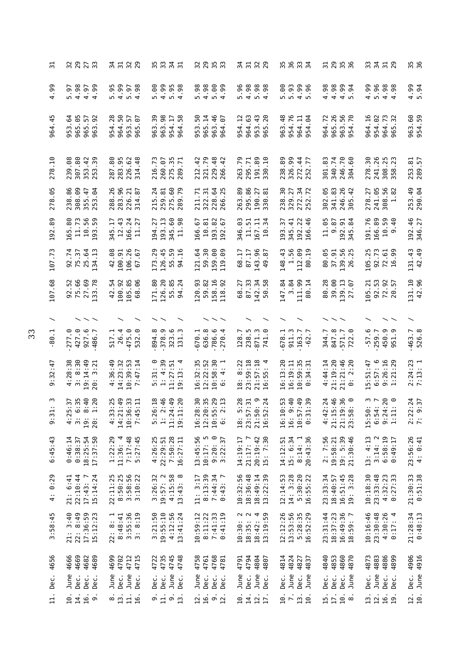| ಸ                               | 32<br>29<br>$\frac{27}{33}$                                                        | 21<br>2129                                                              | 35<br>33<br>$\frac{5}{2}$ $\frac{1}{2}$                                              |                                                                          | 31<br>31<br>32<br>29                                                     |                                                                         |                                                                                                  |                                                                                                                 | 35<br>36                |
|---------------------------------|------------------------------------------------------------------------------------|-------------------------------------------------------------------------|--------------------------------------------------------------------------------------|--------------------------------------------------------------------------|--------------------------------------------------------------------------|-------------------------------------------------------------------------|--------------------------------------------------------------------------------------------------|-----------------------------------------------------------------------------------------------------------------|-------------------------|
| 99.<br>4                        | 4.98<br>99.<br>$-97$<br>5<br>$\frac{1}{2}$<br>4                                    | 4.99<br>5.95<br>5.97<br>.98<br>$\overline{4}$                           | 4.99<br>5.00<br>$5.95$<br>4.98<br>.98                                                | 5.99<br>5.98<br>4.98<br>99                                               | 4.98<br>5.96<br>.98<br>98<br>$\omega$ 4                                  | 5.00<br>5.93<br>$4.99$<br>5.96<br>96.                                   | 4.98<br>4.98<br>$4.99$<br>5.94<br>.94                                                            | 4.99<br>5.96<br>4.98<br>98<br>$\overline{4}$                                                                    | $4.99$<br>5.94          |
| Ļ<br>4.<br>964                  | 965.05<br>64<br>57<br>$-92$<br>965.<br>953<br>963                                  | 50<br>28<br>57<br>67<br>953.<br>964.<br>954<br>965                      | 98<br>$\frac{8}{5}$<br>50<br>$\overline{1}$<br>954.<br>963.<br>963<br>964            | 965.14<br>963.46<br>ၵိ<br>.07<br>953.<br>964.                            | 964.63<br>43<br>$\ddot{5}$<br>20<br>954.<br>953<br>965                   | 954.76<br>.48<br>964.11<br>.64<br>963<br>954                            | 965.26<br>.72<br>56<br>.70<br>964<br>963<br>954                                                  | 964.16<br>954.02<br>964.73<br>$\overline{3}$<br>965                                                             | 963.60<br>954.59        |
| $-10$<br>278                    | 307.80<br>239.08<br>353.42<br>253.39                                               | 287.80<br>283.95<br>226.62<br>314.48                                    | 275.35<br>260.07<br>$\overline{5}$<br>216.7<br>289                                   | 321.79<br>229.48<br>212.42<br>266                                        | 191.89<br>263.79<br>295.71<br>.10<br>330                                 | 326.99<br>238.89<br>272.44<br>252.77                                    | 246.70<br>301.83<br>340.74<br>.60<br>304                                                         | 278.30<br>241.26<br>308.25<br>358.23<br>358                                                                     | 253.81<br>289.57        |
| -95<br>278                      | 238.86<br>308.09<br>$-47$<br>253.04<br>355.                                        | 283.96<br>.26<br>226.21<br>5<br>288.<br>314                             | .24<br>60<br>.79<br>259.81<br>275.<br>215<br>289                                     | .64<br>322.31<br>.25<br>r.<br>228<br>266<br>211                          | 295.86<br>263.89<br>-27<br>330.81<br>190                                 | .34<br>$\ddot{3}$<br>.27<br>$\overline{z}$<br>272.<br>329<br>238<br>252 | 302.05<br>341.83<br>.26<br>.42<br>246<br>305                                                     | 241.05<br>308.56<br>$\ddot{\mathrm{g}}$<br>278.27<br>$\blacksquare$                                             | 253.49<br>290.04        |
| .89<br>192                      | 11.73<br>56<br>.80<br>59<br>$\frac{1}{2}$<br>165<br>93                             | $-43$<br>166.24<br>ŗ.<br>27<br>$\overline{L}$<br>345<br>$\overline{11}$ | 193.13<br>60<br>98<br>27<br>345.<br>194                                              | 193.82<br>192.67<br>10.81<br>166.67                                      | $\frac{1}{2}$<br>346.03<br>11.51<br>Ę<br>167.<br>$\overline{10}$         | 192.22<br>166.46<br>345.41<br>ιś.<br>193                                | 11.05<br>9.87<br>192.91<br>345.84                                                                | 191.76<br>166.89<br>10.59<br>-40<br>ာ                                                                           | 192.46<br>346.27        |
| .73<br>107                      | .74<br>34.13<br>75.37<br>25.64<br>92                                               | 106.26<br><br>100.91<br>-67<br>42<br>67                                 | 126.45<br>.29<br>59<br>55.<br>173<br>54                                              | 59.30<br>159.00<br>119.09<br>121.64                                      | 143.96<br>L.<br>87.17<br>$\overline{8}$ .<br>89<br>49                    | 1.56<br>112.09<br>$\frac{43}{5}$<br>$\overline{19}$<br>148<br>80        | 80.05<br>37.91<br>56<br>139.<br>26                                                               | 105.25<br>92.73<br>59.<br>ဓ္တ<br>72                                                                             | 131.43<br>42.49         |
| .68<br>107                      | 75.66<br>92.52<br>27.69<br>133.78                                                  | 100.92<br>42.54<br>105.85<br>°.<br>68                                   | 126.20<br>171.80<br>55.85<br>.24<br>$\mathfrak{A}$                                   | 158.16<br>120.93<br>59.82<br>92<br>118                                   | 87.33<br>50.58<br>68.27<br>142.34                                        | 147.84<br>3.84<br>111.99<br>$\overline{1}$<br>80                        | 80.28<br>39.00<br>139.13<br>$-97$<br>27                                                          | 92.53<br>72.92<br>57<br>105.21<br>20.                                                                           | 42.96<br>131.10         |
|                                 |                                                                                    |                                                                         |                                                                                      |                                                                          |                                                                          |                                                                         |                                                                                                  |                                                                                                                 |                         |
| न.<br>$-80$                     | 427.0<br><u>م</u><br><u>ා</u><br>Γ.<br>927<br>486<br>277                           | 26.4<br>475.0<br>଼<br>517.1<br>532                                      | 378.9<br>$323.3$<br>$131.3$<br>∾ฺ<br>894                                             | 636.8<br>786.6<br>270.4<br>670.1                                         | 238.5<br>871.3<br>741.0<br><b>.</b><br>128                               | $678.1$<br>911.3<br>163.7<br>$\overline{\phantom{a}}$<br>$-62$          | 847.8<br>571.7<br>344<br>722                                                                     | $-57.6$<br>450.9<br>259.7<br>951                                                                                | $-463.7$<br>526.8       |
| $\ddot{1}$<br>9:32              | 19:14:49<br>$4:28:38$<br>3:8:30<br>3:21<br>20:                                     | 10:39:53<br>4:36:49<br>14:23:32<br>7:47:14                              | 4:39<br>$5:31:0$<br>$1:4:39$<br>11:27:51<br>19:13                                    | 16:32:35<br>10:58:30<br>12:22:52<br>4<br>$\ddot{\phantom{0}}$<br>$\circ$ | 23:59:18<br>21:57:18<br>16:55:4<br>18: 8:22                              | 10:59:35<br>16:13:20<br>16:19:11<br>$\ddot{u}$<br>$\frac{3}{4}$<br>⊙    | 21:19:20<br>4:44:14<br>$21:21:46$<br>$0:2:20$                                                    | 57:6<br>26:16<br>:29<br>5:51:47<br>$\overline{21}$<br>$\frac{1}{6}$ $\frac{1}{6}$ $\frac{1}{6}$                 | $2:24:23$<br>7:13: 1    |
| $\overline{\phantom{0}}$<br>9:3 | 5:37<br>6:35<br>8:40<br>1:20<br>$\frac{1}{4}$ : $\frac{1}{2}$<br>$\ddot{5}$<br>20: | $3:25$<br>$1:49$<br>$6:33$<br>$5:11$<br>$4:3$<br>$14:2$<br>10:3<br>7:4  | $0.618$<br>2:46<br>$4:49$<br>$1:20$<br>$\frac{5}{1}$ : $\frac{2}{1}$<br>11:2<br>19:1 | 8:30<br>20:35<br>5:29<br>2:13<br>16:2<br>12:2<br>10:5<br>$\ddot{\circ}$  | 5:28<br>5:31<br>$0.24$<br>$24$<br>23:5<br>$71.5$<br>$16.5$<br>$\ddot{a}$ | 0<br>0 0 1 0 0<br>0 0 1 0 0<br>0 0 1 0 0<br>16:1<br>10:5<br>0:3<br>16:  | $\vec{a}$ is $\vec{a}$ is $\vec{a}$ is $\vec{a}$ is $\vec{a}$<br>4:4<br>21:1<br>21 : 5<br>23 : 5 | $0, 4, 4, 1$<br>$0, 4, 4, 1$<br>$0, 4, 4, 1$<br>15:5<br>$\frac{5}{6}$ $\frac{5}{6}$ $\frac{1}{6}$ $\frac{1}{6}$ | $2:24$<br>9:37<br>2:2   |
| 6:45:43                         | 0:46:14<br>0:38:37<br>18:25:54<br>17:37:50                                         | 7:17:48<br>$1:22:29$<br>$11:36:4$<br>5:27:45                            | 7:50:28<br>16:27:11<br>4:26:25<br>22:29:51                                           | 13:45:56<br>n o<br>$9:20:0$<br>3:22:37<br>10:17:                         | 7:30<br>20:19:42<br>14:19:17<br>21:17: 7<br>$\frac{15}{15}$              | 20:43:36<br>15: 6:34<br>8:14:1<br>14:12:51                              | 2:7:56<br>19: 5:39<br>19:58:21<br>21:30:46                                                       | $3:14:2$<br>6:58:19<br>6:49:17<br>13: 4:13                                                                      | 23:56:26<br>4: 0:41     |
| 0:29<br>$\ddot{4}$              | 22:10:44<br>15:14:24<br>21: 6:41<br>17:43: 7                                       | 22:11:25<br>8:50:25<br>3:58:56<br>3:10:22                               | $4:15:58$<br>$13:43:8$<br>$3:26:32$<br>19:57: 2                                      | 8:13:39<br>7:44:34<br>0:43:7<br>11: 3:17                                 | 10:32:56<br>18:36:48<br>18:49:14<br>13:22:39                             | 12:14:53<br>14: 3:28<br>5:30:20<br>16:55:22                             | 23:33:34<br>16:51:45<br>19:3:28<br>18:40:57                                                      | 10:18:30<br>23:33:48<br>$4:32:23$<br>$0:27:33$                                                                  | $21:30:33$<br>$0:51:38$ |
| 3:58:45                         | 22: 8:49<br>17:36:59<br>3:40<br>15:12:23<br>21:                                    | $3:55:36$<br>$3:8:19$<br>$22: 8: 1$<br>$8:48:41$                        | 19:55:10<br>3:21:50<br>4:12:56<br>13:41:24                                           | 10:59:12<br>8:11:22<br>7:41:33<br>7:41:19                                | $\sim$ $\sim$<br>$18:42:4$<br>$13:19:59$<br>18:35:<br>10:30:             | 12:12:26<br>13:53:56<br>5:28:35<br>16:52:29                             | 18:37:23<br>16:49:36<br>18:59:7<br>23:31:44                                                      | 10:16:46<br>23:30:48<br>4:30:26<br>$\overline{4}$<br>0:17:                                                      | $21:28:34$<br>$0:48:13$ |
| 4656                            | 4666<br>4669<br>4682<br>4689                                                       | 4699<br>4702<br>4713                                                    | 4735<br>4745<br>4748<br>4722                                                         | 4758<br>4761<br>4768<br>4781                                             | 4794<br>4791<br>4804<br>4807                                             | 4824<br>4814<br>4827<br>4837                                            | 4853<br>4860<br>4870<br>4840                                                                     | 4883<br>4886<br>4873<br>4899                                                                                    | Dec. 4906<br>June 4916  |
| Dec.                            | June<br>Dec.<br>Dec.<br>Dec.                                                       | June<br>June<br>Dec.<br>Dec.                                            | June<br>Dec.<br>Dec.<br>Dec.                                                         | June<br>Dec.<br>Dec.<br>Dec.                                             | June<br>June<br>Dec.<br>Dec.                                             | June<br>Dec.<br>June<br>Dec.                                            | June<br>Dec.<br>Dec.<br>Dec.                                                                     | June<br>Dec.<br>Dec.<br>Dec.                                                                                    |                         |
| $\overline{a}$ .                | 10.<br>14.<br>16.<br>G                                                             | $\frac{8}{13}$ .<br>$\overline{11}$ .<br>16.                            | $\frac{9}{11}$ .<br>9.13.                                                            | 16.<br>$\frac{9}{12}$ .<br>12.                                           | 14.<br>12.<br>$\overline{10}$ .<br>$\overline{17}$                       | $\overline{r}$ .<br>13.<br>10.<br>$\overline{10}$                       | 15.<br>17.<br>$\frac{10}{8}$ .                                                                   | 12.<br>16.<br>13.<br>$\overline{19}$                                                                            | $\overline{2}$ .<br>10. |
|                                 |                                                                                    |                                                                         |                                                                                      |                                                                          |                                                                          |                                                                         |                                                                                                  |                                                                                                                 |                         |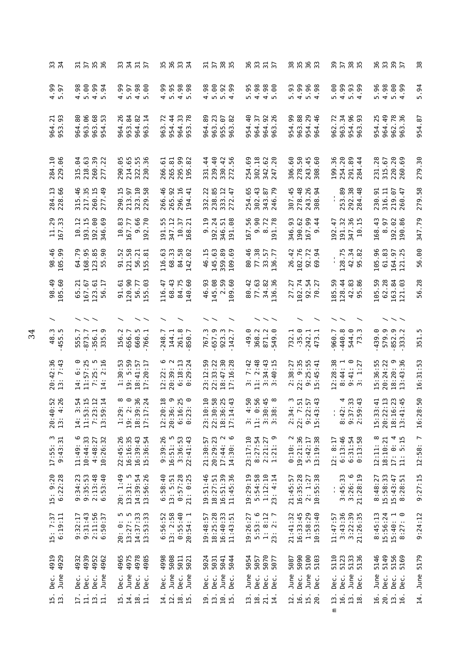| 32<br>34                                         | $\frac{1}{2}$ $\frac{1}{2}$ $\frac{1}{2}$ $\frac{1}{2}$ $\frac{1}{6}$                                            | 3315<br>335                                                  |                                                                                                                                                                                                                                                                                                                                                                                                                                                                                                                                                                                             | 3585<br>3585                                                 | 8<br>8<br>8<br>8<br>8<br>8<br>9<br>8<br>9                                                   | 85683                                                          |                                                                                          | 8<br>8<br>8<br>8<br>8<br>8<br>8<br>8<br>9<br>8<br>9<br>8<br>9<br>9<br>9<br>9<br>9<br>9<br>1       | 38                      |
|--------------------------------------------------|------------------------------------------------------------------------------------------------------------------|--------------------------------------------------------------|---------------------------------------------------------------------------------------------------------------------------------------------------------------------------------------------------------------------------------------------------------------------------------------------------------------------------------------------------------------------------------------------------------------------------------------------------------------------------------------------------------------------------------------------------------------------------------------------|--------------------------------------------------------------|---------------------------------------------------------------------------------------------|----------------------------------------------------------------|------------------------------------------------------------------------------------------|---------------------------------------------------------------------------------------------------|-------------------------|
| 99<br>19<br>4 ™                                  | $30033$<br>$4040$<br>94                                                                                          | 4.99<br>5.97<br>$4.98$<br>5.00                               |                                                                                                                                                                                                                                                                                                                                                                                                                                                                                                                                                                                             | .98<br>$0.900$<br>$0.900$<br>$0.900$<br>4                    | 5. 8. 8. 8.<br>5. 9. 8. 8.<br>5. 9. 9. 9.                                                   |                                                                | $3999$<br>$-199$<br>$-199$                                                               | 5.96<br>$3889$<br>$404$                                                                           | 5.94                    |
| $\frac{21}{93}$<br>964<br>953                    | 80<br>$66\,$<br>963.68<br>53<br>963.<br>964.<br>954                                                              | 964.26<br>84<br>$rac{2}{14}$<br>953.<br>964<br>963           | $\overline{4}$<br>964.33<br>953.78<br>$\overline{z}$<br>954<br>963                                                                                                                                                                                                                                                                                                                                                                                                                                                                                                                          | 964.89<br>963.23<br>955.07<br>963.82                         | 954.40<br>92<br>$\overline{5}$<br>26<br>964.<br>964.<br>963                                 | 954.99<br>88<br>29<br>963.<br>954.<br>964.                     | 34<br>96<br>72<br>93<br>963.<br>954.<br>963.<br>962                                      | 964.49<br>954.25<br>962.78<br>963.36                                                              | 954.87                  |
| 284.10<br>229.06                                 | $\mathfrak{g}$<br>.63<br>260.39<br>.22<br>218<br>315<br>277                                                      | 290.05<br>.65<br>$\frac{55}{36}$<br>214<br>322<br>230        | 295.99<br>.61<br>53<br>82<br>266<br>265<br>195                                                                                                                                                                                                                                                                                                                                                                                                                                                                                                                                              | 239.40<br>330.42<br>272.56<br>331.44<br>۱<br>272             | 302.18<br>254.69<br>.62<br>.20<br>342<br>247                                                | 306.60<br>278.50<br>$45$<br>$-60$<br>243<br>308                | 254.20<br>96<br>291.89<br>$\frac{44}{1}$<br>199<br>284                                   | .28<br>.89<br>.67<br>231<br>315<br>220<br>260                                                     | 279.30                  |
| 284.13<br>228.66                                 | -46<br>217.35<br>49<br>277.<br>5<br>믔                                                                            | 323.10<br>229.58<br>290.15<br>213.97                         | 266.46<br>296.16<br>265.92<br>$-41$<br>194                                                                                                                                                                                                                                                                                                                                                                                                                                                                                                                                                  | .22<br>238.85<br>333.12<br>272.47<br>332                     | 254.65<br>302.43<br>343.87<br>246.79                                                        | 278.48<br>.26<br>307.45<br>.94<br>243.<br>308.                 | 253.89<br>292.38<br>284.48                                                               | 230.91<br>316.11<br>219.07<br>260.47                                                              | 279.58                  |
| 11.29<br>167.33                                  | 51<br>193.15<br>192.00<br>346.69<br>$\overline{5}$                                                               | 99<br>83<br>.70<br>$10.83$<br>$167.77$<br>$-9.6$             | 55<br>$\overline{\mathbf{r}}$<br>57<br>ನ<br>191.<br>347.<br>10.168                                                                                                                                                                                                                                                                                                                                                                                                                                                                                                                          | $\overline{5}$<br>192.24<br>8<br>51<br>ெ<br>346.<br>191.     | 56<br>$\mathbb S$<br>$9.90$<br>8.72<br>191.78<br>167.                                       | 346.93<br>99<br>190.62<br>$\overline{4}$<br>$\frac{36}{167}$ . | 32<br>86<br>15<br>47<br>192.<br>$\frac{191}{347}$ .                                      | 168.43<br>38<br>5<br>$\frac{8}{190}$                                                              | 347.79                  |
| 98.46<br>105.99                                  | 64.79<br>168.95<br>123.85<br>90<br>55                                                                            | 121.58<br>91.52<br>56.21<br>155.81                           | 68.33<br>84.58<br>142.02<br>116.63                                                                                                                                                                                                                                                                                                                                                                                                                                                                                                                                                          | m<br>145.63<br>359.89<br>109.69<br>69<br>46.1                | 80.46<br>77.38<br>33.57<br>136.77                                                           | 26.42<br>102.76<br>92.72<br>69.94                              | m<br>42.34<br>95.82<br>128.7                                                             | 105.96<br>61.83<br>164.97<br>121.25                                                               | 56.00                   |
| 98.49<br>105.60                                  | .67<br>123.61<br>$\overline{1}$<br>$\overline{c}$ .<br>9G<br>65<br>167                                           | 120.90<br>.03<br>91.61<br>56.77<br>155                       | 68.43<br>84.75<br>.60<br>116.47<br>140                                                                                                                                                                                                                                                                                                                                                                                                                                                                                                                                                      | 46.93<br>145.08<br>59<br>$\frac{1}{2}$<br>109                | 77.63<br>80.42<br>34.82<br>136.36                                                           | 102.74<br>27.27<br>92.54<br>70.27                              | 128.44<br>$42.83$<br>95.86<br>185.59                                                     | 50<br>62.28<br>$\frac{6}{3}$<br>105<br>163<br>121                                                 | 56.28                   |
|                                                  |                                                                                                                  |                                                              |                                                                                                                                                                                                                                                                                                                                                                                                                                                                                                                                                                                             |                                                              |                                                                                             |                                                                |                                                                                          | $\smallsmile\smallsmile$                                                                          |                         |
| ن<br>ت<br>455.                                   | 555.7<br>873.7<br>875.9<br>335.9                                                                                 | 156.2<br>656.7<br>660.5                                      | 144.1<br>261.8<br>850.7<br>248.7                                                                                                                                                                                                                                                                                                                                                                                                                                                                                                                                                            | 657.9<br>767.3<br>923.3                                      | 368.2<br>871.2<br>549.0<br>$-49.0$                                                          | $732.1$<br>$-35.0$<br>$242.1$<br>$473.1$                       | 440.8<br>544.0<br>$\ddot{\phantom{1}}$<br>960.7<br>$\mathsf{c}$<br>$\overline{ }$        | 579.9<br>852.9<br>333.2<br>439.0                                                                  | r.<br>351               |
| 20:42:36<br>13:7:43                              | $\frac{\circ}{\cdot \cdot}$<br>$11:57:25$<br>$7:25:5$<br>$14:2:16$<br>$\circ$<br>$\overline{1}$                  | 1:30:53<br>19: 5:59<br>::41:57<br>:20:17<br>$\frac{18}{11}$  | $6:18:13$<br>$0:29:24$<br>$12:22:6$<br>$20:39:2$                                                                                                                                                                                                                                                                                                                                                                                                                                                                                                                                            | $18:47:30$<br>$17:16:28$<br>12:59<br>22:33:22<br>23:         | 2:48<br>:42<br>: 34:43<br>: 40:15<br>$\overline{ }$<br>$\frac{1}{2}$<br>$\frac{1}{11}$<br>w | $2:38:27$<br>$22:9:35$<br>$9:25:55$<br>15:45:41                | $\frac{6}{27}$<br>: 28:38<br>: 44: 1<br>$9:41:7$<br>3: 1:2<br>$\infty$<br>$\overline{C}$ | ഥ<br>20:24:22<br>$\frac{96}{10}$<br>36:5<br>20:<br>$\frac{4}{3}$<br>15:<br>$\frac{3}{13}$ :       | 31:53<br><br>16         |
| $\frac{52}{126}$<br>$\circ$ 4<br>$20:4$<br>$13:$ | $\ddot{u}$ $\ddot{u}$ $\ddot{u}$ $\ddot{u}$ $\ddot{u}$<br>mmmm<br>$11.58$<br>$7.25$<br>$13.58$<br>$\overline{1}$ | 8<br>8 9 8 9 7<br>8 9 8 9 7<br>13 : 30 : 11<br>1:2<br>$19$ : | $\begin{smallmatrix} 2 & 0 \\ 1 & 0 \end{smallmatrix}$<br>$\begin{array}{c} 0 & \text{if} \ \text{if} \ \text{if} \ \text{if} \ \text{if} \ \text{if} \ \text{if} \ \text{if} \ \text{if} \ \text{if} \ \text{if} \ \text{if} \ \text{if} \ \text{if} \ \text{if} \ \text{if} \ \text{if} \ \text{if} \ \text{if} \ \text{if} \ \text{if} \ \text{if} \ \text{if} \ \text{if} \ \text{if} \ \text{if} \ \text{if} \ \text{if} \ \text{if} \ \text{if} \ \text{if} \ \text{if} \ \text{if} \ \text{if} \ \text{if} \$<br>$\circ \circ \circ \circ$<br>$28.38$<br>$28.38$<br>$6.38$<br>$6.38$ | $13:36$<br>$17:14$<br>23:3<br>22:3                           | $40.98$<br>$0.048$<br>$0.048$<br>$0.068$<br>$31.36$<br>$11.36$<br>$33.38$                   | 34: 3<br>7:51<br>$2:57$<br>$3:43$<br>9:3:4<br>2:3<br>22:       | $7.79$<br>$7.79$<br>$4.79$<br>$4.79$<br>$4.79$<br>3.5000<br>$\mathbf{L}_{\mathrm{c}}$    | $\ddot{5}$<br>$\frac{23}{145}$<br>$\ddot{=}$<br><b>m N G H</b><br>$15 : 22$<br>$20 : 22$<br>18:14 | .50<br>$\infty$<br>16:2 |
| $17:55:3$<br>9:43:31<br>17:55:                   | ڡ<br>10:44:33<br>10:26:32<br>4:48:27<br>11:49:                                                                   | 22:45:26<br>16:16:35<br>16:39:43<br>15:36:54                 | $9:39:26$<br>16:51:5<br>$3:36:53$<br>$22:41:43$                                                                                                                                                                                                                                                                                                                                                                                                                                                                                                                                             | $20:29:23$<br>17:44: 2<br>14:30: 6<br>21:30:57               | 23:17:10<br>8:27:54<br>$2:21:27$<br>$1:21:9$                                                | $0:10:2$<br>$19:21:36$<br>$5:42:17$<br>$13:19:38$              | 6:13:46<br>6:31:54<br>0:13:58<br>: 8:17<br>$\overline{1}$                                | $\infty$<br>18:10:21<br>$17: 0: 4$<br>$11: 5:15$<br>$\frac{1}{2}$<br>$\overline{1}$               | 12:58: 7                |
| $15: 9:20$<br>$6:22:28$                          | $9:34:23$<br>$9:35:53$<br>$2:13:48$<br>$6:53:40$                                                                 | 13:31:5<br>14:39:54<br>13:56:26<br>20: 1:49                  | 6:58:40<br>$13: 5:51$<br>$0:57:28$<br>$21: 0:25$                                                                                                                                                                                                                                                                                                                                                                                                                                                                                                                                            | 16:51:39<br>19:51:46<br>18:27:51<br>11:45:36                 | 19:29:19<br>5:54:58<br>1:12:10<br>23: 4:14                                                  | 16:35:28<br>$2: 1:27$<br>$10:55:38$<br>21:45:57                | $3:45:33$<br>$3:26:6$<br>$21:28:19$<br>ţ.                                                | 15:58:33<br>$15:43:47$<br>8:28:51<br>8:48:27                                                      | 9:27:15                 |
| $15:7:37$<br>$6:19:11$                           | $9:32:17$<br>$9:31:43$<br>$2:11:56$<br>$6:50:37$                                                                 | 20: 0: 5<br>13:27: 5<br>14:37:33<br>13:53:33                 | $6:56:52$<br>13: 2:58<br>$0:55:40$<br>$20:54:1$<br>20:54:                                                                                                                                                                                                                                                                                                                                                                                                                                                                                                                                   | 57<br>18:25:28<br>$16:40:33$<br>$11:43:51$<br>19:48:         | 5:53:6<br>$1: 8:12$<br>23: 2: 7<br>19:26:27                                                 | 21:41:32<br>16:33:45<br>1:58:29<br>10:53:40                    | 3:43:36<br>$3:22:39$<br>$21:26:35$<br>11:47:57                                           | 8:45:13<br>15:56:24<br>$\overline{a}$<br>15:40:<br>:27:<br>$\infty$                               | 9:24:12                 |
| 4919<br>4929<br>June<br>Dec.                     | 4939<br>4952<br>4962<br>4932<br>June<br>Dec.<br>Dec.<br>Dec.                                                     | 4978<br>4965<br>4975<br>4985<br>June<br>Dec.<br>Dec.<br>Dec. | 5008<br>4998<br>5011<br>5021<br>June<br>June<br>Dec.<br>Dec.                                                                                                                                                                                                                                                                                                                                                                                                                                                                                                                                | 5024<br>5041<br>5044<br>5031<br>June<br>Dec.<br>Dec.<br>Dec. | 5054<br>5070<br>5057<br>5077<br>June<br>Dec.<br>Dec.<br>Dec.                                | 5090<br>5100<br>5087<br>5103<br>June<br>June<br>Dec.<br>Dec.   | 5110<br>5123<br>5133<br>5136<br>Dec.<br>June<br>Dec.<br>Dec.                             | 5146<br>5149<br>5156<br>5169<br>June<br>Dec.<br>Dec.<br>Dec.                                      | 5179<br>June            |
| 15.                                              | $\overline{a}$<br>$\Xi$<br>$\frac{1}{11}$<br>$\overline{L}$                                                      | 18.<br>15.<br>$\mathbf{1}$                                   | 12.<br>$\frac{18}{15}$ .<br>$\vec{a}$                                                                                                                                                                                                                                                                                                                                                                                                                                                                                                                                                       | $\frac{19}{13}$ .<br>19.15                                   | $\frac{8}{18}$<br>21.<br>13.<br>$\overline{14}$ .                                           | <b>16.</b><br>15.<br>12.<br>20                                 | 16.<br>13.<br>$\frac{13}{18}$ .<br>Ε                                                     | 20.<br>16.<br>$\frac{13}{16}$ .                                                                   | $\frac{4}{1}$           |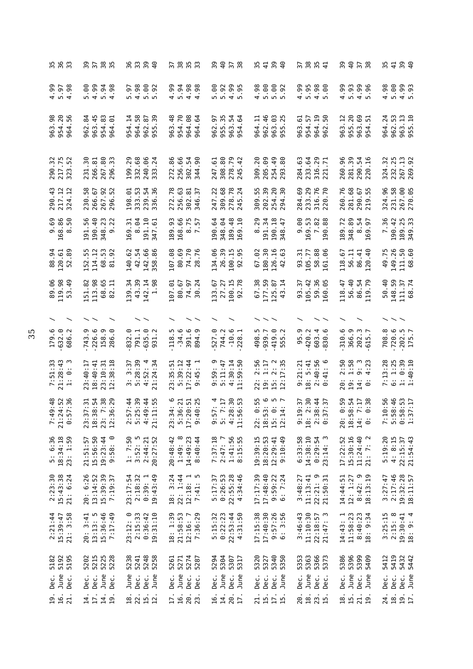| 55<br>55<br>35<br>m                          |                                                                                  | 93<br>939<br>94                                                          |                                                                                    | 8<br>8<br>8<br>8<br>8<br>8<br>8<br>8<br>8                    |                                                                                                            | 37<br>38<br>37 <sup>1</sup>                                      | 8<br>8<br>8<br>8<br>8<br>8<br>8<br>8                                                                         |                                                                                               |
|----------------------------------------------|----------------------------------------------------------------------------------|--------------------------------------------------------------------------|------------------------------------------------------------------------------------|--------------------------------------------------------------|------------------------------------------------------------------------------------------------------------|------------------------------------------------------------------|--------------------------------------------------------------------------------------------------------------|-----------------------------------------------------------------------------------------------|
| $4.99$<br>$4.98$<br>$4.38$<br>.98            | 4.99<br>ම.<br>5.94<br>.98<br>w<br>$\overline{a}$                                 | 4.98<br><b>eo.</b><br>$-92$<br>$-6$ .<br>r.<br><u>ഗ ഗ</u>                | 5.94<br>4.99<br>$4.98$<br>$4.98$                                                   | 5.00<br>$3.95$<br>$-4.95$<br>$-5.95$<br>99<br>195            | 5.00<br>5.92<br>4.98<br>$-92$                                                                              | 5.95<br>4.99<br>$4.98$<br>5.00                                   | 5.93<br>4.99<br>96<br>96<br>4 <sub>10</sub>                                                                  | 5.00<br>$4.99$<br>5.93<br>4.98                                                                |
| 963.98<br>954.20<br>56<br>964                | $-45$<br>83<br>$\frac{4}{3}$<br>5<br>954.<br>963<br>962<br>964                   | 964.58<br>$\frac{14}{1}$<br>$\overline{8}$ .<br>39<br>962.<br>954<br>955 | .70<br>$\frac{8}{4}$<br>$\rm ^{68}$<br>$\mathfrak{g}$<br>954.<br>964<br>963<br>964 | 35<br>5<br>54<br>$\ddot{6}$<br>955.<br>963.<br>962.<br>954   | $-46$<br>ල<br>Ę<br>25<br>962<br>963<br>964<br>955                                                          | 5<br>$\overline{5}$<br>50<br>57<br>954<br>963<br>964<br>962      | 20<br>69<br>$\approx$<br>51<br>955<br>963<br>963<br>954                                                      | .24<br>962.53<br>$\begin{array}{c} 1.5 \\ -1.5 \end{array}$<br>963.<br>955.<br>964            |
| 290.32<br>217.75<br>323.52                   | 267.80<br>231.30<br>266.81<br>$\overline{33}$<br>296.                            | 199.29<br>332.68<br>240.06<br>24<br>333                                  | 86<br>256.66<br>90<br>54<br>272.<br>302.<br>344                                    | 308.80<br>278.79<br>245.42<br>247.61                         | 205.09<br>254.49<br>309.20<br>80<br>293                                                                    | 29<br>71<br>284.63<br>233.64<br>316.<br>221.                     | 260.96<br>281.39<br>290.54<br>$-16$<br>220                                                                   | m<br>267.13<br>324.32<br>232.2                                                                |
| 290.43<br>217.12<br>$\cdot$ 12<br>324        | 267.92<br>52<br>58<br>266.67<br>230.<br>296                                      | 333.53<br>54<br>198.01<br>36<br>239.<br>336.                             | 272.78<br>256.63<br>302.81<br>346.37                                               | 309.68<br>278.78<br>247.22<br>.24<br>245                     | 254.20<br>202.39<br>309.55<br>δg<br>294                                                                    | 233.29<br>316.76<br>220.70<br>284.69                             | 260.76<br>281.68<br>290.67<br>.55<br>219                                                                     | 231.58<br>267.00<br>270.05<br>324.96                                                          |
| $9.69$<br>168.86<br>50<br>$\infty$           | 56<br>੩<br>23<br>22<br>191.<br>190.<br>348.<br>ၜ                                 | S4<br>191.10<br>51<br>5<br>$\dot{\infty}$<br>169<br>347                  | 168.66<br>189.93<br>8.75<br>7.57                                                   | .48<br>190.64<br>348.04<br>$-10$<br>189.<br>169.             | 8.29<br>191.34<br>190.18<br>$\ddot{t}$<br>348                                                              | $53\,$<br>ၜ<br>88<br>8<br>.<br>စ<br>169.<br>$\ddot{\sim}$<br>190 | 189.72<br>89<br>24<br>57<br>348.<br>$\infty$<br>169                                                          | 7.36<br>189.25<br>349.33<br>190.42                                                            |
| 88.94<br>120.61<br>8<br>8<br>52              | 55<br>114.12<br>53<br>92<br>152.<br>68.<br>$\overline{8}$                        | 42.54<br>142.66<br>.86<br>140.62<br>358                                  | 107.08<br>80.69<br>74.70<br>28.76                                                  | 134.06<br>26.39<br>100.15<br>.95<br>92                       | 180.30<br>126.16<br>67.02<br>ය<br>42                                                                       | 51<br>105.77<br>96<br>93.<br>$58\,$<br>$\overline{6}$            | $-40$<br>. 67<br>56.11<br>86.41<br>18 <sub>1</sub><br>120                                                    | 149.26<br>111.50<br>68.60<br>49.75                                                            |
| 119.98<br>. 06<br>.49<br>89<br>S             | 113.98<br>68.65<br>51.82<br>Ę<br>82                                              | 43.39<br>139.34<br>142.14<br>1.98                                        | .24<br>107.01<br>80.67<br>74.97<br>30                                              | 100.15<br>.78<br>133.67<br>27.27<br>92                       | 177.59<br>67.38<br>$\overline{3}$ .<br>$\overline{1}$<br>125<br>$\frac{3}{4}$                              | 105.42<br>59.36<br>160.05<br>93.37<br>160                        | 56.40<br>86.54<br>.79<br>118.47<br>119                                                                       | 148.59<br>50.40<br>111.37<br>68.74                                                            |
|                                              |                                                                                  |                                                                          |                                                                                    |                                                              |                                                                                                            |                                                                  |                                                                                                              |                                                                                               |
| 179.6<br>632.0<br>$\ddot{\sim}$<br>686       | 226.6<br>.743.9<br>158.9<br>୍<br>286                                             | 635.0<br>832.0<br>791.1<br>931.2                                         | ņ<br>ڢ<br>391.6<br>ာ.<br>$-34$<br>118<br>894                                       | 527.0<br>$-10.6$<br>744.2<br>228                             | ņ<br>419.0<br>$\ddot{\sim}$<br>939.7<br>498<br>555                                                         | 95.9<br>420.2<br>603.4<br><u>م</u> .<br>830                      | 310.6<br>366.9<br>202.3<br>$\overline{\phantom{0}}$<br>615                                                   | 720.6<br>$.202.5$<br>$175.7$<br>708.8                                                         |
| 7:51:33<br>21:28:43<br>1: 0: 3               | $23:10:31$<br>$12:38:18$<br>23:40:17<br>18:40:41                                 | $3:37$<br>5:28:39<br>4:52:4<br>21:24:34                                  | 5:39:12<br>17:22:44<br>23:35:51<br>$\overline{4}$<br>ၜ                             | $9:59:9$<br>5:11:47<br>5:11:47<br>4:30:14<br>11:59:50        | 2:56<br>$\begin{array}{c} 1:17 \\ 2:3 \\ 17:35 \end{array}$<br>CT:<br>2<br>2<br>2<br>2<br>2<br>2<br>2<br>2 | $2:40:56$<br>$0:41:6$<br>9:21:21<br>8: 5:41                      | 2:50<br>1:58<br>9:3<br>$\ddot{5}$<br>$\overline{4}$<br>$\frac{1}{2}$<br>19:<br>$\frac{1}{4}$ $\circ$         | :13:28<br>1:25<br>$1: 0:39$<br>$1:40:10$<br>$\ddot{\phantom{1}}$<br>$\circ$<br>$\overline{ }$ |
| 19:48<br>14:52<br>17:36<br>7:4<br>21:2       | $\frac{8}{2}$ 7.38<br>7.38<br>7.99<br>7:31<br>23:3<br>18:3<br>12:3<br>$\ddot{2}$ | r n o 4<br>4 3 4 5<br>4 9 4 5<br>$0.04$<br>$0.04$<br>21:1                | 23:34:6<br>5:36:21<br>$0:51$<br>$0:25$<br>5:3<br>17:20<br>9:4                      | 57:4<br>7:17<br>28:30<br>6:53<br>11:5                        | 22: 0:55<br>18:53: 6<br>15: 0: 5<br>12:14: 7<br>15:                                                        | 2:30<br>9:37<br>18:44<br>1:<br>18<br>19<br>$2:3$<br>0:3          | 8<br>8 1 1 1 1<br>8 1 1 1 8<br>8 1 1 8 9<br>18:5<br>$\begin{array}{c}\n\vdots \\ \infty\n\end{array}$<br>20: | 0.845<br>0.845.94<br>0.845.94<br>1<br>11001<br>11001                                          |
| 5: 6:36<br>18:34:18<br>23: 1:59              | 15:56:50<br>19:23:44<br>9:58: 0<br>21:51:57                                      | 1: 7:50<br>3:52:5<br>2:44:21<br>20:27:52                                 | 1:49:8<br>14:49:23<br>8:40:44<br>20:48:42                                          | $2:47:7$<br>$1:41:56$<br>7:37:18<br>55<br>8:15:3             | 18:20:53<br>19:39:15<br>$12:29:41$<br>9:10:49                                                              | 6:33:58<br>14:38:10<br>$0:29:54$<br>$23:14:3$                    | 15:30:16<br>11:24:40<br>$\sim$<br>17:22:52<br>21: 7:                                                         | 5:19:20<br>$4: 8:15$<br>$22:15:37$<br>$21:54:43$                                              |
| $2:23:30$<br>15:43:38<br>21: 6:24            | 20: 6:26<br>13:14:52<br>15:39:39<br>7:19:37                                      | 23:17:54<br>2:18:32<br>$0:39:1$<br>19:43:49                              | 18: 3:24<br>22: 1:44<br>$12:18:1$<br>7:41: 5                                       | 5:17:37<br>0:26:53<br>22:55:28<br>4:34:46                    | 17:17:39<br>17:48:40<br>9:59:22<br>6:7:24                                                                  | $22:21:9$<br>$21:50:31$<br>11:13:41<br>3:48:27                   | 14:44:51<br>12: 1:27<br>8:42:9<br>18:13:19                                                                   | $3:27:47$<br>$2:17:46$<br>$19:32:28$<br>$18:11:57$                                            |
| 21: 3:58<br>2:21:44<br>15:39:47              | 15:36:46<br>7:17:49<br>13:13: 5<br>20: 3:41                                      | 23:12: 0<br>2:15:33<br>$0:36:42$<br>19:31:10                             | 12:16: 7<br>7:36:29<br>18: 1:39<br>21:58:53                                        | 5:15:32<br>0:22:23<br>22:53:44<br>4:31:50                    | $9:57:26$<br>$6:3:56$<br>17:15:38<br>17:40:30                                                              | 11:10:30<br>3:46:43<br>$22:18:57$<br>$21:47:3$                   | 14:43:1<br>11:58:23<br>8:40:23<br>18: 9:34                                                                   | $3:25:15$<br>$2:15:8$<br>$19:30:41$<br>$18:9:4$                                               |
| 5182<br>5192<br>5195<br>June<br>Dec.<br>Dec. | 5215<br>5225<br>5228<br>5202<br>June<br>Dec.<br>Dec.<br>Dec.                     | 5248<br>5238<br>5241<br>June<br>Dec.<br>June<br>Dec.                     | 5271<br>5274<br>5287<br>5261<br>June<br>Dec.<br>Dec.<br>Dec.                       | 5294<br>5304<br>5307<br>5317<br>June<br>June<br>Dec.<br>Dec. | 5340<br>5320<br>5327<br>5350<br>Dec.<br>June<br>Dec.<br>Dec.                                               | 5353<br>5366<br>5373<br>5373<br>June<br>Dec.<br>Dec.<br>Dec.     | 5386<br>5396<br>5399<br>5409<br>June<br>June<br>Dec.<br>Dec.                                                 | 5419<br>5432<br>5442<br>5412<br>June<br>Dec.<br>Dec.<br>Dec.                                  |
| <b>16.</b><br>21.<br>19.                     | 17.<br>14.<br>14.<br>$\overline{19}$ .                                           | 18.<br>22.<br>15.                                                        | 16.<br>20.<br>23.<br>$\overline{17}$                                               | 14.<br>20.<br>16.<br>$\overline{1}$                          | $\frac{1}{15}$ .<br>$\overline{1}$                                                                         | 18.<br>23.<br>20                                                 | 15.<br>21.<br>18.<br>$\overline{19}$                                                                         | $\overline{18}$ .<br>19.1<br>24.                                                              |
|                                              |                                                                                  |                                                                          |                                                                                    |                                                              |                                                                                                            |                                                                  |                                                                                                              |                                                                                               |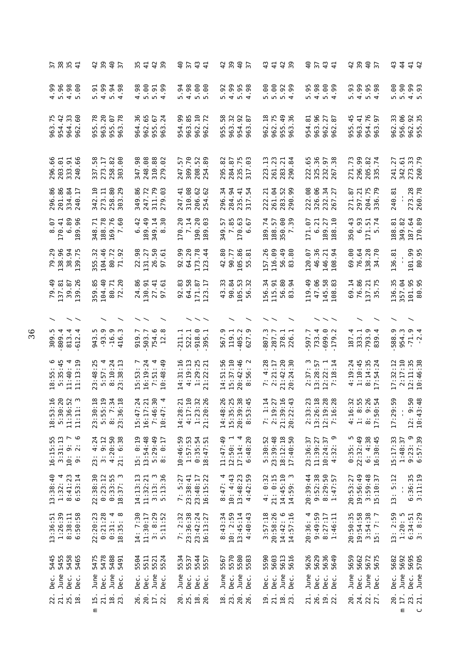| $\frac{2}{3}$<br>$\frac{5}{4}$                                                                                | 4.9<br>$rac{6}{3}$                                           | 54295                                                                                      | $rac{6}{3}$<br>$\begin{array}{c} 4 \\ 4 \end{array}$                  | 429<br>40                                                                           | $\frac{2}{3}$<br>$\frac{1}{4}$                                                          | 40<br>3741                                                                       |                                                                                                                                 | 4 4 4 4<br>3 4 4 5                                                     |
|---------------------------------------------------------------------------------------------------------------|--------------------------------------------------------------|--------------------------------------------------------------------------------------------|-----------------------------------------------------------------------|-------------------------------------------------------------------------------------|-----------------------------------------------------------------------------------------|----------------------------------------------------------------------------------|---------------------------------------------------------------------------------------------------------------------------------|------------------------------------------------------------------------|
| .00                                                                                                           | 4.99<br>$5.94$<br>$4.98$<br>$\ddot{5}$<br>in.                | 8 8 5 5 8<br>4 0 0 4                                                                       | $38888$<br>$39888$                                                    |                                                                                     | 5.00<br>$0.30$<br>$-4.30$                                                               |                                                                                  | .93<br>$30.95$<br>$4.98$<br>$4.98$<br>m.                                                                                        | $5.90$<br>$5.90$<br>$4.99$<br>5.93                                     |
| $\frac{75}{42}$<br>m<br>$\mathbb{G}^0$<br>Ē.<br>964.33<br>963.<br>954<br>962                                  | .78<br>963.20<br>$-78$<br>955<br>963<br>5<br>56              | 36<br>65<br>67<br>$\overline{24}$<br>962.<br>955.<br>964<br>963                            | 954.99<br>963.85<br>$\frac{10}{7}$<br>962<br>962                      | 58<br>$\frac{5}{8}$<br>32<br>954.<br>963.<br>۱<br>m<br>$\bar{5}$<br>.<br>و          | $\frac{18}{1}$<br>962.75<br>$\overline{4}$<br>36<br>955.<br>963.<br>962                 | 96<br>53<br>27<br>67<br>963.<br>954<br>962<br>962                                | $-45$<br>$76$<br>$97$<br>$\cdot$ 41<br>963.<br>955.<br>954.<br>963.                                                             | 956.06<br>962.92<br>955.35<br>33<br>962                                |
| 66<br>203.01<br>333.91<br>240.66<br>296                                                                       | 280<br>58<br>273.17<br>258<br>337<br>303                     | 248.08<br>88<br>82<br>347.98<br>310.1<br>279                                               | 309.70<br>52<br>89<br>57<br>208<br>247<br>254                         | 235.75<br>317.03<br>82<br>67<br>295.<br>284                                         | 261.23<br>$\frac{13}{2}$<br>$\overline{z}$<br>$\frac{8}{4}$<br>283<br>223<br>290        | 325.36<br><b>58</b><br>222.65<br>232.<br>267                                     | 296.99<br>$\frac{2}{7}$<br>271.73<br>205<br>335                                                                                 | 273.33<br>$-5$<br>27<br>241.<br>342.<br>260                            |
| 296.86<br>201.86<br>334.84<br>$\overline{17}$<br>240                                                          | $_{\rm 80}$<br>29<br>342.10<br>273.11<br>258.<br>303.        | .86<br>.72<br>.79<br>ය<br>349<br>247<br>311<br>279                                         | 310.08<br>$\ddot{4}$<br>62<br>206.<br>254.<br>247                     | 34<br>$\overline{94}$<br>$\frac{4}{1}$ $\frac{1}{2}$<br>296.<br>284<br>235.<br>317. | $\overline{6}$<br>$\overline{21}$<br>52<br>261<br>283<br>290<br>222                     | .08<br>66<br>34<br>27<br>222.<br>326.<br>282.<br>267.                            | 7,79<br>.87<br>271<br>204<br>336<br>297                                                                                         | 273.28<br>260.78<br>240.81                                             |
| 89<br>96<br>170.41<br>$\ddot{\circ}$<br>189.                                                                  | 188.78<br>169.76<br>7.60<br>$\cdot$ .71<br>348               | 6.42<br>189.49<br>349.14<br>8.30                                                           | 170.20<br>7.14<br>20<br>ස<br>190.0                                    | 85<br>63<br>57<br>67<br>349.7<br>$\circ$ $\circ$<br>$\overline{17}$                 | 189.74<br><b>e</b> #<br>188.57<br>$-50.1$<br>m                                          | 27<br>$\Xi$<br>21<br>171.07<br>$\ddot{\circ}$<br>189.<br>188.                    | 350.43<br>93<br>57<br>$\ddot{\circ}$<br>171.5                                                                                   | 187.64<br>2<br>82<br>188.<br>349.                                      |
| 79.29<br>138.96<br>38.94<br>139                                                                               | 104.46<br>355.32<br>80.72                                    | 98<br>50<br>131.27<br>61<br>26.<br>22<br>57                                                | 92.99<br>64.20<br>173.78<br>.44<br>123                                | .80<br>105.86<br>90.77<br>ದ<br>42<br>55                                             | 157.26<br>116.09<br>$49$<br>88<br>56<br>83                                              | 46.36<br>146.21<br>54<br>120.07<br>108                                           | 69.00<br>76.64<br>138.28<br>34.70                                                                                               | 101.99<br>80.95<br>136.81                                              |
| 79.49<br>137.81<br>39.87<br>.26<br>139                                                                        | .85<br>104.40<br>80.71<br>72.20<br>359                       | 24.86<br>27.41<br>130.91<br>$\ddot{6}$<br>57                                               | $\ddot{8}$<br>64.58<br>LT.<br>171.87<br>92<br>123                     | 43.33<br>90.84<br>105.53<br>32<br>56                                                | 56.34<br>8 g<br>115.91<br>.<br>56<br>83                                                 | 119.49<br>47.06<br>145.58<br>.83<br>108                                          | .14<br>76.86<br>137.21<br>35.75<br>69                                                                                           | 136.35<br>357.04<br>101.95<br>80.95                                    |
| $\widehat{\phantom{a}}$                                                                                       |                                                              |                                                                                            |                                                                       |                                                                                     |                                                                                         |                                                                                  |                                                                                                                                 |                                                                        |
| 309.4<br>813.4<br>612.4                                                                                       | 943.5<br>- 93.9<br>$-16.9$<br>$\circ$<br>$\overline{4}$      | $7503.7$<br>$754.6$<br>$12.8$<br>919.7                                                     | $918.0$<br>$395.1$<br>211.1<br>522.1                                  | 567.9<br>119.1<br>405.2<br>627                                                      | 807.3<br>287.7<br>378.1<br>226.1                                                        | 733.4<br>699.0<br>597.7<br>$\sigma$<br>$\overline{1}$                            | 333.1<br>187.4<br>4.<br>793.4                                                                                                   | 588.9<br>954.3<br>$-71.9$<br>$-2.4$                                    |
| 18:55:6<br>5:35:45<br>$\frac{4}{1}$ $\frac{5}{1}$<br>11:40:<br>11:13:                                         | 5:57:4<br>8:10:24<br>23:38:13<br>ഥ<br>$\ddot{\cdot}$<br>3:48 | $16:19:24$<br>7:51: 4<br>10:48:49<br>53:7<br>$\ddot{0}$                                    | 4:19:13<br>$1:29:25$<br>$21:22:21$<br>14:31:16                        | 56<br>15:37:10<br>20:42:46<br>8:56:2<br>$\frac{11}{51}$<br>14:                      | 4:28<br>21:42:20<br>20:24:30<br>2:21:17<br>20:24<br>$\ddot{\sim}$                       | 2:37:3<br>13:28:57<br>$12:22:1$<br>7:18:14<br>$\overline{18}$                    | 4:19:24<br>1:10:45<br>8:14:35<br>17:54:24                                                                                       | 2:17:10<br>12:11:35<br>10:46:38<br>:12<br>17:32                        |
| 1.20<br>$\frac{52}{12}$<br>$m \circ \circ -1$<br>$\begin{array}{c} 18.5 \\ 5.3 \end{array}$<br>$\frac{1}{11}$ | :19<br>: 18<br>$\frac{34}{18}$                               | 15:47:24<br>$\frac{1}{2}$ 30<br>$\overline{a}$<br>16:17<br>7:46:<br>10:47:<br>16:1<br>10:4 | $14:28:21$<br>$4:17:10$<br>$\frac{2}{3}$ $\frac{2}{5}$<br>1:23:20:20: | $\frac{26}{25}$<br>$\frac{38}{11}$                                                  | $\frac{14}{1}$<br>$\overline{5}$<br>$\frac{16}{143}$<br>$7:13$<br>$2:19:23$<br>$20:22:$ | : 23<br>$\ddot{5}$<br>$\frac{28}{128}$<br>$2:33$<br>$13:26$<br>$12:19$<br>$7:16$ | $\frac{3}{2}$ $\frac{1}{2}$<br>$\frac{26}{154}$<br>$4:16$ :<br>$1:8$ :<br>$8:9$ :<br>$9:30$ :<br>$17:50$ :<br>$\frac{1}{4}$ : 1 | $12: 9:50$<br>$10:43:48$<br>$\frac{50}{2}$<br>17:29:<br>$\blacksquare$ |
| $16:15:55$<br>$3:31:13$<br>$\frac{6}{10}$                                                                     | 23: 4:24<br>3: 9:12<br>$4:20:50$<br>$21:6:38$<br>21:<br>23:  | 15: 0:19<br>13:54:48<br>5:29:49<br>8:0:17                                                  | 10:46:59<br>1:57:53<br>$0:35:54$<br>18:47:51                          | $12:50: 1$<br>$17:14: 4$<br>6:48:20<br>11:47:49                                     | 5:30:52<br>23:39:48<br>18:12:18<br>17:40:50                                             | 23:36:37<br>10:24:37<br>32: 9<br>11:39:27<br>$\frac{1}{4}$                       | $0:35:5$<br>$22:32:49$<br>$6: 4:38$<br>16:30:45                                                                                 | 15:17:33<br>$9:23:9$<br>$6:57:39$<br>1:48:37                           |
| 13:38:40<br>1:32:4<br>8:41:23<br>6:53:14                                                                      | 22:38:30<br>$0:23:12$<br>$0:33:55$<br>$18:37:3$              | 14:13:13<br>$3:13:36$<br>$5:13:36$<br>11:32:21                                             | 23:38:41<br>23:48:17<br>16:15:22<br>7:5:27                            | 8:47:4<br>10: 4:43<br>$13:48:23$<br>4:42:59                                         | 4: $0:32$<br>$21: 0:15$<br>$14:45:10$<br>$14:59:3$                                      | $9:52:38$<br>8:29:50<br>1:47:57<br>20:39:44                                      | 19:56:49<br>3:59:48<br>15:10:37<br>20:53:27                                                                                     | 13: 5:12<br>6:36:35<br>3:11:19                                         |
| 1:26:39<br>8:38:11<br>6:50:58<br>13:36:51                                                                     | 0:21:28<br>22:20:23<br>$4\,$ $\infty$<br>18:35:<br>0:31:     | 14: 7:30<br>$3:8:29$<br>$5:11:52$<br>11:30:17                                              | 7: 2:32<br>23:36:38<br>23:42:24<br>16:13:27                           | :43:34<br>10: 2:59<br>13:45:14<br>4:40:43<br>$\infty$                               | 3:57:18<br>20:58:26<br>$\circ$<br>14:57:16<br>14:42:                                    | 4<br>9:49:59<br>8:27:17<br>1:46:11<br>20:36:                                     | 20:50:35<br>19:54:58<br>$3:54:38$<br>15: 7: 7                                                                                   | 6:34:51<br>3:8:29<br>13: 2:59<br>1:20:5                                |
| 5445<br>5455<br>5458<br>5465<br>June<br>Dec.<br>Dec.<br>Dec.                                                  | 5475<br>5478<br>5488<br>5491<br>June<br>June<br>Dec.<br>Dec. | 5521<br>5504<br>5511<br>5524<br>June<br>Dec.<br>Dec.<br>Dec.                               | 5534<br>5544<br>5537<br>5557<br>June<br>Dec.<br>Dec.<br>Dec.          | 5570<br>5580<br>5583<br>5567<br>June<br>June<br>Dec.<br>Dec.                        | 5603<br>5590<br>5613<br>5616<br>Dec.<br>June<br>Dec.<br>Dec.                            | 5626<br>5629<br>5636<br>5649<br>June<br>Dec.<br>Dec.<br>Dec.                     | 5659<br>5662<br>5672<br>5675<br>June<br>Dec.<br>June<br>Dec.                                                                    | 5682<br>5692<br>5695<br>5705<br>June<br>June<br>Dec.<br>Dec.           |
| 22.<br>$\frac{25}{18}$ .                                                                                      | 15.<br>$\frac{18}{23}$ .<br>Ε                                | 20.<br>17.<br>26.<br>22.                                                                   | 20.<br>25.<br>18.<br>20                                               | $\frac{18}{23}$ .<br>$\frac{20}{26}$ .                                              | 21.<br>$\frac{18}{23}$ .<br>$\overline{5}$                                              | 21.<br>26.<br>19.2                                                               | 24.<br>20.<br>22.                                                                                                               | 20.<br>17.<br>23.<br>Ε<br>$\cup$                                       |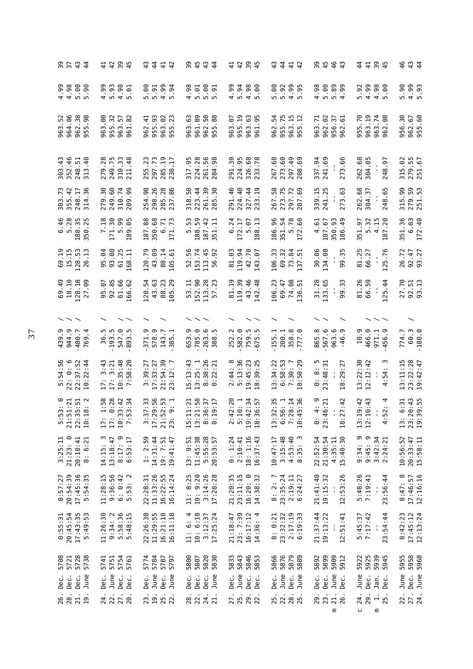| 37<br>37                                                         | $\begin{array}{c} 4 \\ 4 \end{array}$ | 4434<br>4434                                                        | 44<br>$\frac{1}{4}$                                                                                                                                                                                                                                                                                                                                                                    | 85454<br>8554                                                                           | 44<br>44<br>44                                                                                                     | $\frac{4}{4}$<br>43                                                   | 9<br>9 4 4 4<br>9 4 4 9                                     | 4 4 9 4<br>4 4 9 4                                                      | 46<br>$\begin{array}{c} 4 \\ 4 \end{array}$                       |
|------------------------------------------------------------------|---------------------------------------|---------------------------------------------------------------------|----------------------------------------------------------------------------------------------------------------------------------------------------------------------------------------------------------------------------------------------------------------------------------------------------------------------------------------------------------------------------------------|-----------------------------------------------------------------------------------------|--------------------------------------------------------------------------------------------------------------------|-----------------------------------------------------------------------|-------------------------------------------------------------|-------------------------------------------------------------------------|-------------------------------------------------------------------|
|                                                                  | .90                                   | 5.93<br>4.99<br>$4.98$<br>5.01                                      | 5.00<br>4.99<br>5.91<br>$-94$                                                                                                                                                                                                                                                                                                                                                          | 4.98<br>$5.90$<br>$5.91$<br>5.01                                                        | 4.99<br>$3.88$<br>$-4.0$                                                                                           | 5.00<br>5.92<br>$4.99$<br>5.95                                        | 5.00<br>4.98<br>$\frac{6}{3}$ . 39<br><b>99</b>             | 4.99<br>5.92<br>4.98<br><b>eo.</b>                                      | $4.99$<br>5.93<br>5.90                                            |
| 963.52<br>964.06                                                 | $38$<br>98<br>962.<br>LO<br>ā,        | 90<br>32<br>57<br>82<br>963.<br>955.<br>963.<br>961                 | 955.93<br>$\frac{1}{4}$<br>92<br>23<br>962.<br>963.<br>ഥ<br>55                                                                                                                                                                                                                                                                                                                         | 63<br>89<br>SO.<br>88<br>963.<br>961.<br>962.<br>LO<br>ā,                               | 955.19<br>963.63<br>95<br>67<br>963.<br>961                                                                        | 54<br>955.75<br>963.15<br>955.12<br>962.                              | 962.02<br>963.71<br>57<br>5<br>956.<br>962                  | 955.70<br>963.19<br>963.74<br>89<br>962                                 | 30<br>962.67<br>955.60<br>956.                                    |
| 303.43<br>352.46                                                 | $\frac{51}{40}$<br>248.<br>313        | .28<br>249.75<br>310.33<br>211.48<br>279                            | ო ო<br>285.19<br>$\overline{17}$<br>297.73<br>ÿ<br>255<br>238                                                                                                                                                                                                                                                                                                                          | 224.28<br>261.56<br>284.98<br>317.95                                                    | 224.95<br>326.68<br>291.30<br>.78<br>233                                                                           | 273.60<br>297.49<br>267.68<br>69<br>208                               | 337.94<br>241.69<br>273.66                                  | 262.68<br>304.05<br>248.97                                              | 315.02<br>279.55<br>251.67                                        |
| 303.73<br>355.42                                                 | 248.17<br>.36<br>314                  | $\ddot{3}$<br>60<br>74<br>99<br>249.<br>279<br>310<br>209           | .26<br>28<br>254.98<br>86<br>298.<br>285<br>237                                                                                                                                                                                                                                                                                                                                        | $\mathsf{S}^{\mathsf{c}}$<br>50<br>$\overline{4}$<br>30<br>261<br>318<br>223<br>285     | 224.40<br>.44<br>46<br>$-19$<br>291.<br>327<br>233                                                                 | 58<br>.75<br>.72<br>273<br>267<br>297<br>207                          | 339.15<br>241.25<br>273.63                                  | 262.68<br>304.37<br>248.65                                              | 315.99<br>279.59<br>251.53                                        |
| 6.46<br>5.28                                                     | 188.35<br>350.25                      | 171.30<br>7.18<br>5.99<br>-95<br>189                                | 187.88<br>350.68<br>$\overline{5}$<br>F.<br>$\circ$<br>171                                                                                                                                                                                                                                                                                                                             | 188.59<br>187.42<br>$\ddot{5}$<br>F<br>m<br>51                                          | .24<br>$\ddot{c}$<br>172.17<br>$-6$<br>9<br>$\mathsf{L}\cap$<br>188                                                | 186.96<br>5.78<br>151.54                                              | 150.93<br>우.<br>187.67<br>4.61<br>86                        | $\ddot{3}$<br>ب<br>د<br>.20<br>151.97<br>$n \sim$<br>187<br>w           | 351.36<br>6.03<br>172.40                                          |
| 69.19<br>15.15                                                   | 128.53<br>د.<br>-<br>26               | 93.00<br>.64<br>61.25<br>56<br>168                                  | 43.09<br>120.79<br>88.14<br>$-5$<br>105                                                                                                                                                                                                                                                                                                                                                | 52.56<br>153.74<br>113.45<br>92<br>56                                                   | 81.03<br>119.94<br>42.70<br>-67<br>143                                                                             | 106.33<br>69.32<br>51<br>73                                           | 30.06<br>34.08<br>99.3                                      | 81.25<br>125.76<br>66.27                                                | 26.72<br>92.47<br>93.27                                           |
| 69.49<br>18.10                                                   | 128.18<br><b>eo</b> .<br>27           | 92.85<br>61.66<br>166.62<br>95.07                                   | 43.63<br>88.23<br>105.29<br>120.54                                                                                                                                                                                                                                                                                                                                                     | 152.90<br>113.28<br>23<br>53.11<br>57                                                   | 43.46<br>81.19<br>119.39<br>.48<br>142                                                                             | 106.23<br>74.08<br>69.47<br>$\overline{51}$<br>136                    | 31.28<br>133.65<br>99.33                                    | 81.26<br>66.59<br>125.44                                                | 27.70<br>$92.51$<br>$93.13$                                       |
| $\smallsmile\smallsmile$                                         |                                       |                                                                     |                                                                                                                                                                                                                                                                                                                                                                                        |                                                                                         |                                                                                                                    |                                                                       |                                                             |                                                                         |                                                                   |
| 439.9<br>944.9                                                   | 480.7<br>4.<br>769                    | 547.0<br>ņ<br>193.5<br>r.<br>893<br>36                              | 371.9<br>578.9<br>143.7<br>385.1                                                                                                                                                                                                                                                                                                                                                       | $-785.0$<br>263.6<br>ە.<br>.<br>653<br>388                                              | 582.0<br><u>ب</u><br>759.5<br>252                                                                                  | 358.8<br>155.1<br>200.1                                               | 567.6<br>œ.<br>963.6<br><u>ო</u><br>865<br>$-46$            | 466.0<br>10.9<br><u>ო</u><br>971.1<br>456                               | 60.3<br>$-180.0$<br>774.7                                         |
| 5:54:56<br>22: 0: 6                                              | 22:37:52<br>10:22:44                  | $\ddot{4}$<br>10:35:48<br>7:58:20<br>3:21<br>w<br>17 :<br>17 :      | 54:39<br>3:39:27<br>17:33:27<br>21:54:<br>23:12:                                                                                                                                                                                                                                                                                                                                       | $13:25:1$<br>$8:38:26$<br>$0:22:21$<br>15:13:43                                         | $2:44:8$<br>5:13:36<br>19:45:23<br>::39:25<br>$\frac{8}{10}$                                                       | 13:34:22<br>6:58:53<br>30:7<br>50:29<br>$\overline{C}$                | $0:8:5$<br>23:48:31<br>ë<br>.29<br>$\frac{8}{10}$           | $13:22:30$<br>$12:12:42$<br>.54<br>4                                    | 13:11:15<br>23:22:28<br>19:42:47                                  |
| $0.711$<br>$0.711$<br>$0.711$<br>$0.08$<br>5.5.3<br>23.3<br>23.7 | 10:1                                  | $100000$<br>$100000$<br>$100000$<br>$10:3$<br>7:5:<br>$17$ :<br>17: | $\frac{3}{2}$<br>$\frac{3}{2}$<br>$\frac{3}{2}$<br>$\frac{3}{2}$<br>$\frac{3}{2}$<br>$\frac{3}{2}$<br>$\frac{3}{2}$<br>$\frac{3}{2}$<br>$\frac{3}{2}$<br>$\frac{3}{2}$<br>$\frac{3}{2}$<br>$\frac{3}{2}$<br>$\frac{3}{2}$<br>$\frac{3}{2}$<br>$\frac{3}{2}$<br>$\frac{3}{2}$<br>$\frac{3}{2}$<br>$\frac{3}{2}$<br>$\frac{3}{2}$<br>$\frac{3}{2}$<br><br>$3:2$<br>$17:2$<br>21:5<br>23: | $1:21$<br>$1:58$<br>$0:37$<br>$9:17$<br>$1, 0, 0, 0,$<br>$1, 0, 0, 0,$<br>$0, 0, 0, 0,$ | 16176<br>1917<br>1917<br>$\frac{4}{2}$<br>$\frac{1}{2}$<br>$\frac{1}{2}$<br>$\frac{1}{2}$<br>$\frac{1}{2}$<br>18:3 | $2:35$<br>$6:1$<br>$18:14$<br>$-5:36$<br>13:3<br>$6:5$<br>7:2<br>10:4 | $4:21$<br>$16:21$<br>7:42<br>23:4<br>18:2<br>$\ddot{\circ}$ | $0.43$<br>$0.43$<br>$\sim$<br>13 : 1<br>12 : 1<br>$\blacksquare$<br>4:5 | $0:43$<br>$9:55$<br>6:31<br>$23:3$<br>$19:3$<br>$\overline{13}$ : |
| $3:25:11$<br>$21:23:0$                                           | 20:10:41<br>8: 6:21                   | $8:17:9$<br>$6:53:17$<br>$14:15:3$<br>$13:18:47$                    | 1: 2:59<br>14:31:44<br>19: 7:51<br>19:41:47                                                                                                                                                                                                                                                                                                                                            | 11:45:38<br>5:55:28<br>20:53:57<br>9:51<br>$\frac{13}{2}$                               | 18: 1:16<br>0: 1:24<br>2:10:41<br>16:37:43                                                                         | $10:47:17$<br>3:15:48<br>4:53:40<br>4:53:35:                          | 21:30:54<br>22:52:54<br>$4:35:11$<br>$15:40:30$             | $9:34:9$<br>$9:45:9$<br>$3:42:34$<br>$3:34:21$                          | $10:56:52$<br>$20:33:47$<br>$15:58:11$                            |
| 20:54:39<br>0:57:27                                              | 17:45:36<br>5:54:35                   | 11:28:15<br>$9:36:56$<br>$6:0:42$<br>$5:53:2$                       | 22:28:31<br>11:33:26<br>16:22:55<br>16:14:24                                                                                                                                                                                                                                                                                                                                           | 9:20<br>11: 8:25<br>$3:14:26$<br>17:28:28<br>$10$ :                                     | 21:20:35<br>$23:11:15$<br>$16:20:0$<br>$14:38:32$                                                                  | 8: 2: 7<br>23:35:24<br>$2:19:11$<br>$6:24:27$                         | 21:41:40<br>19:15:32<br>12:53:26                            | 5:48:26<br>7:19:41<br>23:56:44<br>$\blacksquare$                        | 8:47:8<br>17:46:57<br>12:16:16                                    |
| 20:45:54<br>0:55:31                                              | 17:43:35<br>5:49:53                   | 11:26:30<br>$9:34:2$<br>5:58:36<br>5:48:15                          | 22:26:38<br>11:29:55<br>16:21:10<br>16:11:18                                                                                                                                                                                                                                                                                                                                           | 10: 6:18<br>11: 6: 4<br>$3:12:37$<br>17:25:24                                           | $23:7:39$<br>16:17:12<br>14:36: 4<br>21:18:47                                                                      | $2:17:19$<br>$6:19:33$<br>8: 0:21<br>23:32:32                         | 21:37:44<br>19:13:22<br>12:51:41                            | 5:45:37<br>7:17:42<br>23:54:44<br>$\blacksquare$                        | 8:42:23<br>17:45:12<br>12:13:24                                   |
| 5708<br>Dec.<br>Dec.                                             | 5721<br>5728<br>5738<br>June<br>Dec.  | 5741<br>5751<br>5754<br>5761<br>June<br>Dec.<br>Dec.<br>Dec.        | 5784<br>5774<br>5787<br>5797<br>June<br>June<br>Dec.<br>Dec.                                                                                                                                                                                                                                                                                                                           | 5807<br>5820<br>5830<br>5800<br>June<br>Dec.<br>Dec.<br>Dec.                            | 5833<br>5845<br>5855<br>5855<br>June<br>Dec.<br>Dec.<br>Dec.                                                       | 5876<br>5866<br>5879<br>5889<br>June<br>Dec.<br>Dec.<br>June          | 589<br>889<br>589<br>595<br>June<br>Dec.<br>Dec.<br>Dec.    | June<br>Dec.<br>Jan.<br>Dec.                                            | 5955<br>5958<br>5968<br>Dec.<br>June<br>June                      |
| 26.<br>28.                                                       | 21.<br>19.                            | 27.<br>20.<br>22.<br>24.                                            | 19.<br>25.<br>23.<br>22.                                                                                                                                                                                                                                                                                                                                                               | 22.<br>24.<br>21.<br>28                                                                 | 27.<br>25.<br>29.<br>22.                                                                                           | 25.<br>22.<br>28.<br>25.                                              | 23.<br>21.<br>29.<br>26<br>Ε                                | 29.<br>24.<br>$\frac{1}{25}$ .<br>$\cup$<br>Ε                           | 27.<br>22.                                                        |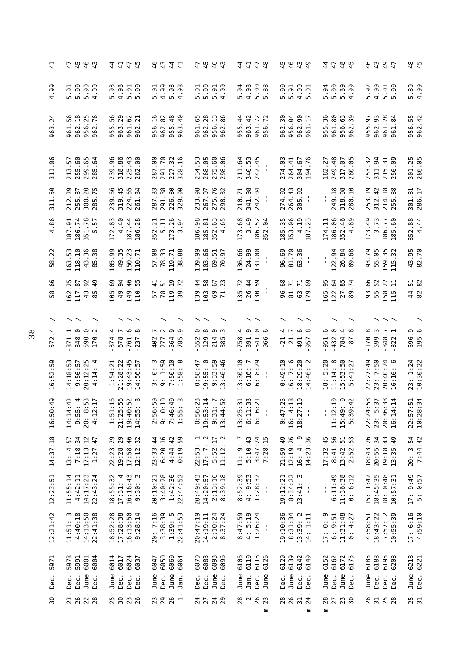| $\frac{1}{4}$ | 45<br>49                                                                         | $\overline{4}$<br>$\frac{45}{4}$<br>4 4<br>4                                                                                                                                                                                                                             | 4 q<br>4 q<br>$4\frac{4}{1}$                                                          | 494<br>47                                                                           | 4 4<br>4<br>$47$ $48$                                                  | 4 4 4 4<br>4 4 4 4                                                | 48<br>$\frac{4}{4}$<br>47                                                                                                                                                                                                                                                            | 4 4 4 4<br>4 4 4 4                                           | 45                           |
|---------------|----------------------------------------------------------------------------------|--------------------------------------------------------------------------------------------------------------------------------------------------------------------------------------------------------------------------------------------------------------------------|---------------------------------------------------------------------------------------|-------------------------------------------------------------------------------------|------------------------------------------------------------------------|-------------------------------------------------------------------|--------------------------------------------------------------------------------------------------------------------------------------------------------------------------------------------------------------------------------------------------------------------------------------|--------------------------------------------------------------|------------------------------|
| .99<br>4      | 1<br>0<br>0<br>0 0 0 1<br>0<br>.01<br>.99                                        | $5.93$<br>4.98<br>$5.01$<br>$5.00$                                                                                                                                                                                                                                       | 4.99<br>$5.93$<br>4.98<br>$-5$<br>.98<br>n,                                           | $\frac{1}{6}$ $\frac{6}{6}$ $\frac{5}{6}$ $\frac{5}{6}$ $\frac{3}{6}$ $\frac{3}{6}$ | 5.94<br>4.98<br>5.88                                                   | 8585<br>6585                                                      | $0.800$<br>$-4.400$<br>5.94                                                                                                                                                                                                                                                          | 5.92<br>4.99<br>$5.01$<br>$5.00$                             | $5.89$<br>4.99               |
| Ņ<br>963      | $\overline{18}$<br>56<br>25<br>.76<br>962<br>956<br>961<br>962                   | 56<br>50.<br>961.62<br>962.21<br>963.<br>955                                                                                                                                                                                                                             | $\overline{16}$<br>82<br>48<br>$\overline{4}$<br>962.<br>955.<br>956<br>963           | 962.28<br>956.13<br>86<br>.65<br><b>S61</b><br>962                                  | 955.44<br>963.42<br>72<br>961<br>956                                   | 30<br>.64<br>.90<br>$\overline{17}$<br>956.<br>962.<br>962<br>961 | 36<br>961.80<br>63<br>39<br>955.<br>956.<br>962.                                                                                                                                                                                                                                     | 962.93<br>961.28<br>.97<br>84<br>955.<br>961                 | 956.55<br>962.42             |
| .06<br>311    | 60<br>65<br>57<br>285.64<br>255.<br>213.<br>299.                                 | 239.96<br>318.86<br>225.43<br>239.                                                                                                                                                                                                                                       | 287.00<br>291.70<br>227.32<br>328.16                                                  | 268.05<br>275.60<br>0.06<br>53<br>234.<br>298                                       | 211.64<br>340.53<br>242.45                                             | 304.67<br>274.03<br>264.41<br>194                                 | 249.48<br>65<br>05<br>27<br>317.<br>182<br>280                                                                                                                                                                                                                                       | 32<br><b>219</b><br>311.<br>215.<br>253.<br>256              | 301.25<br>286.05             |
| .50<br>31.    | .29<br>20<br>.75<br>$\overline{\epsilon}$<br>255.<br>300.<br>212<br>285          | 239.66<br>319.45<br>224.65<br>.84<br>261.                                                                                                                                                                                                                                | $_{88}$<br>33<br>80<br>80<br>291.<br>287<br>329                                       | 275.76<br>233.98<br>267.97<br>32<br>298.                                            | 341.98<br>242.04<br>210.71<br>$\mathbf{u}$                             | 264.43<br>305.02<br>274.02                                        | 249.18<br>318.08<br>280.10<br>$\mathbf{I}$                                                                                                                                                                                                                                           | 253.19<br>312.42<br>214.18<br>88<br>$\sqrt{ }$<br>25         | 301.81<br>286.17             |
| .86<br>4      | 186.74<br>151.78<br>5.57<br>187.91<br>m                                          | 4.40<br>172.83<br>187.44<br>28<br>186                                                                                                                                                                                                                                    | $\begin{array}{r} .21 \\ 5.11 \\ 173.26 \\ 3.6 \end{array}$<br>$\overline{2}$<br>352. | 8<br>$185.81$<br>$352.63$<br>$4.65$<br>186.                                         | 173.68<br>3.49<br>186.52<br>$\ddot{9}$<br>52                           | 185.35<br>353.06<br>4.19<br>.23<br>187                            | 186.06<br>46<br>174.11<br>89<br>52.3                                                                                                                                                                                                                                                 | 173.49<br>3.73<br><b>.60</b><br>186.77<br>185                | 352.88<br>4.44               |
| .22<br>58     | 163.53<br>118.10<br>36<br>38<br>43.<br>85                                        | 105.99<br>49.35<br>150.23<br>.71<br>110                                                                                                                                                                                                                                  | 57.08<br>78.33<br>.88<br>119.71<br>$\frac{8}{3}$                                      | 139.99<br>103.66<br>51<br>$\overline{9}$<br>69.<br>70.                              | 136.66<br>131.00<br>24.99                                              | 81.70<br>63.36<br>96.69                                           | 122.94<br>26.84                                                                                                                                                                                                                                                                      | 93.79<br>55.05<br>159.35<br>32<br>115                        | 43.95<br>82.70               |
| .66<br>58     | 162.25<br>92<br>$-49$<br>$\overline{3}$<br>117<br>$\boldsymbol{\vartheta}$<br>59 | 149.46<br>105.69<br>49.94<br>55<br>110                                                                                                                                                                                                                                   | 119.19<br>57.41<br>78.51<br>.72<br>39                                                 | $\frac{4}{4}$<br>103.58<br>23<br>67<br>69<br>39<br>$\mathbf{z}$                     | 130.59<br>135.72<br>26.44                                              | 96.68<br>81.71<br>.69<br>63.71<br>179                             | -95<br>122.64<br>$\frac{85}{14}$<br>165<br>27<br>89                                                                                                                                                                                                                                  | 93.66<br>55.52<br>22<br>급<br>58.<br>115                      | 44.51<br>82.82               |
|               |                                                                                  |                                                                                                                                                                                                                                                                          |                                                                                       |                                                                                     |                                                                        |                                                                   |                                                                                                                                                                                                                                                                                      |                                                              |                              |
| 4.<br>572     | 871.1<br>348.0<br>590.0<br>0.2<br>Ē                                              | 761.6<br>374.4<br>678.7<br>$\infty$<br>237                                                                                                                                                                                                                               | 564.9<br>277.2<br><u>ი</u><br>402.7<br>785                                            | 129.8<br>214.9<br>652.0<br><u>ن</u><br>385                                          | 891.9<br>$-541.0$<br>966.6<br>758.4                                    | $-21.4$<br>491.6<br>21.7<br>957                                   | 432.0<br>951.6<br>784.4<br>$\infty$<br>67                                                                                                                                                                                                                                            | 599.3<br>170.8<br>848.7<br>322                               | 596.9<br>195.6               |
| .59<br>16:52  | 14:18:53<br>9:56:57<br>20:12:25<br>4:14                                          | 21:28:22<br>19:43:45<br>$\overline{.}57$<br>54:21<br>56<br>$\frac{14}{1}$<br>Ĥ                                                                                                                                                                                           | $3: 0: 3$<br>$9: 1:59$<br>$7:50:10$<br>$1:58: 8$                                      | $0:58:47$<br>$0:55:0$<br>9:33:59<br>3:46:46                                         | 3:30:10<br>: 29<br>6:16:7<br>$\infty$<br>$\circ$                       | 16: 7: 6<br>$18:29:20$<br>$14:46:2$<br>0:49:10<br>14:46           | 11:14: 8<br>15:53:50<br>5:41:27<br>18: 5:20                                                                                                                                                                                                                                          | 23: 7:50<br>22:27:49<br>$20:40:24$<br>$16:16:6$              | 23: 1:24<br>10:30:22         |
| .49<br>16:50  | $-53$<br>Ë.<br>$\ddot{a}$<br>$14:14$<br>9:55:<br>20:<br>$\sim$<br>4:1            | 1.56<br>$\frac{52}{10}$ $\frac{8}{10}$<br>$1:51:35:35:19:40:55:140:55:140:55:140:55:140:55:140:55:140:55:140:55:140:55:140:55:140:55:140:55:140:55:140:55:140:55:140:55:140:55:140:55:140:55:140:55:140:55:140:55:140:55:140:55:140:55:140:55:140:55:140:55:140:55:140:$ | 0:59<br>0:10<br>$7:46:40$<br>$1:55:8$<br>$7.5$<br>$9.5$                               | $0:56:23$<br>19:53:14<br>9:31:7<br>13:44:52                                         | $13:25:31$<br>$6:11:33$<br>$6:6:21$<br>$\blacksquare$                  | :25<br>$16: 4:18$<br>$18:27:19$<br>0:47<br>$\mathbf{I}$           | :10<br>$\frac{6}{11}$<br>$11:12:139:51:39:51:39:51:39:51:39:51:39:51:39:51:39:51:39:51:39:51:39:51:39:51:39:51:39:51:39:51:39:51:39:51:39:51:39:51:39:51:39:51:39:51:39:51:39:51:39:51:39:51:39:51:39:51:39:51:39:51:39:51:39:51:39:51:39:51:39:51:39:$<br>$\mathbf{I}_{\mathbf{r}}$ | 22:24:58<br>23: 5:37<br>20:36:38<br>16:14:14                 | 22:57:51<br>10:28:34         |
| 14:37:18      | $13: 4:57$<br>7:18:34<br>17:13:12<br>1:27:47                                     | 19:28:29<br>17:58:46<br>22:23:29<br>12:12:32                                                                                                                                                                                                                             | 23:33:44<br>6:20:16<br>$4:44:42$<br>$0:19:59$                                         | $\begin{array}{cc} 22:53: & 1 \\ 17: & 7: & 2 \\ 5:52:17 \\ 11:12: & 2 \end{array}$ | 11: 9: 7<br>5:10:43<br>3:47:24<br>7:28:15                              | 21:59:49<br>12:19:26<br>$16: 4: 9$<br>$14:23:36$                  | 17:32:45<br>8:41:56<br>$13:42:51$<br>$2:52:53$                                                                                                                                                                                                                                       | 18:43:26<br>20:55:34<br>19:18:43<br>13:35:49                 | 20:3:54<br>7:44:42           |
| 12:23:51      | 11:55:14<br>14:17:23<br>22:43:24<br>4:42:11                                      | $18:55:32$<br>$17:31:4$<br>$16:16:43$<br>9:30: 3                                                                                                                                                                                                                         | 3:40:28<br>1:42:36<br>22:44:52<br>20:10:21                                            | 20:49:43<br>$2:13:16$<br>$8:39:18$<br>39:18<br>14:20:57                             | $8:52:39$<br>$4:9:53$<br>$1:28:32$<br>$\blacksquare$<br>$\blacksquare$ | 19:12:21<br>8:34:22<br>m<br>13:41:<br>$\blacksquare$              | 6:11:49<br>$11:36:38$<br>$0:6:12$<br>$\frac{1}{1}$                                                                                                                                                                                                                                   | 15: 1:42<br>18:45:35<br>18: 0:48<br>10:57:31                 | 17: 9:49<br>5: 0:57          |
| 12:21:42      | 11:51: 3<br>4:40:18<br>14:13:50<br>22:41:38<br>11:51:                            | 17:28:38<br>16:13:50<br>18:52:28<br>: 28:14<br>σ                                                                                                                                                                                                                         | 20: 7:16<br>3:38:39<br>$1:39:5$<br>$22:41:53$                                         | 20:47:19<br>2:10:24<br>37:24<br>14:19:11<br>$\infty$                                | $4:47:59$<br>$4:5:19$<br>1:26:24<br>$\blacksquare$<br>$\blacksquare$   | 19:10:36<br>8:31:34<br>$13:39:2$<br>$14:1:11$                     | $11:31:48$<br>0: 4:27<br>$17: 0: 9$<br>$6: 9:51$                                                                                                                                                                                                                                     | $18:43:22$<br>$17:57:2$<br>$10:55:39$<br>14:58:51            | $17: 6:16$<br>$4:59:10$      |
| 5971<br>Dec.  | 5978<br>5991<br>6001<br>6004<br>June<br>Dec.<br>Dec.<br>Dec.                     | 6024<br>6014<br>6017<br>6037<br>June<br>Dec.<br>Dec.<br>Dec.                                                                                                                                                                                                             | 6050<br>6060<br>6064<br>6047<br>June<br>Dec.<br>June<br>Jan.                          | 6070<br>6083<br>6093<br>6096<br>June<br>Dec.<br>Dec.<br>Dec.                        | 6106<br>6110<br>6116<br>6126<br>June<br>Jan.<br>June<br>Dec.           | 6129<br>6139<br>6142<br>6149<br>June<br>Dec.<br>Dec.<br>Dec.      | 6152<br>6162<br>6172<br>6175<br>June<br>Dec.<br>June<br>Dec.                                                                                                                                                                                                                         | 6185<br>6188<br>6195<br>6208<br>June<br>Dec.<br>Dec.<br>Dec. | 6218<br>6221<br>June<br>Dec. |
| 30.           | 23.<br>26.<br>22.<br>28                                                          | 25.<br>30.<br>23.<br>26.                                                                                                                                                                                                                                                 | 29.<br>26.<br>$\vec{r}$<br>23                                                         | 27.<br>24.<br>24.<br>29.                                                            | 28.<br>26.<br>23<br>Ε                                                  | 31.<br>26.<br>28.<br>24.<br>Ε                                     | 27.<br>28.<br>$\frac{23}{30}$ .<br>Ε                                                                                                                                                                                                                                                 | 31.<br>26.<br>25.<br>28                                      | 25.<br>31.                   |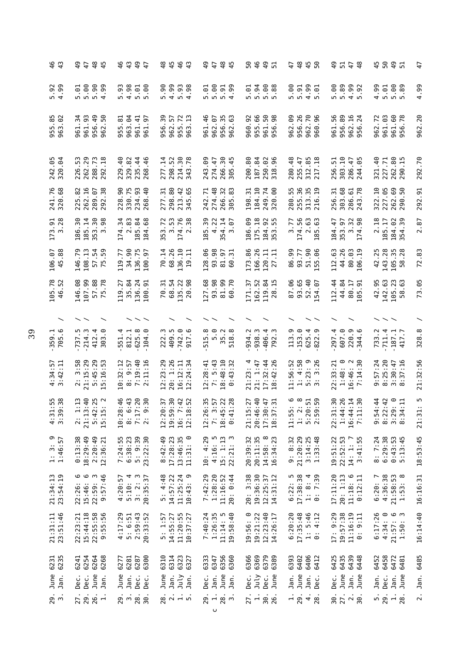| 49                                                                              | <b>97859</b><br>9785                                                                                    | <b>44444</b>                                                                                                        | 8<br>8<br>4<br>4<br>4<br>4<br>4<br>4                                                          | <b>9785</b><br>9785                                                                                                                                | <b>6991</b><br>6991                                                                 | 47<br>450                                                                                        | <b>9 1 1 8<br/>9 1 1 9 8</b>                                                                | 4 5 <del>9 1</del><br>4 5 9 1                                                                      | $\ddot{t}$              |
|---------------------------------------------------------------------------------|---------------------------------------------------------------------------------------------------------|---------------------------------------------------------------------------------------------------------------------|-----------------------------------------------------------------------------------------------|----------------------------------------------------------------------------------------------------------------------------------------------------|-------------------------------------------------------------------------------------|--------------------------------------------------------------------------------------------------|---------------------------------------------------------------------------------------------|----------------------------------------------------------------------------------------------------|-------------------------|
| $5.92$<br>4.99                                                                  | $\frac{1}{6}$ $\frac{6}{6}$ $\frac{6}{6}$ $\frac{6}{6}$ $\frac{6}{6}$ $\frac{6}{6}$ $\frac{6}{6}$<br>99 | $5.93$<br>4.98<br>$5.01$<br>$5.00$                                                                                  | $0.000000$<br>$0.404$                                                                         | $5.99$<br>$5.99$<br>$-6.$                                                                                                                          | $\frac{1}{6}$ $\frac{3}{6}$ $\frac{8}{6}$ $\frac{8}{6}$ $\frac{8}{6}$ $\frac{8}{6}$ | 80.<br>$4.99$<br>5.01<br>$5.91$<br>5.91                                                          |                                                                                             | 4.99<br>$\frac{1}{5}$ .89                                                                          | .99<br>4                |
| $85$<br>$-82$<br>955<br>963                                                     | 961.93<br>956.49<br>50<br>34<br>961.<br>962                                                             | .64<br>955.81<br>$\frac{4}{9}$<br>963.<br>961<br>961                                                                | 30<br>57<br>72.3<br>962.<br>955.<br>956<br>ë                                                  | 46<br>35<br>63<br>962.07<br>956.<br>962.<br>961                                                                                                    | 66<br><b>SO</b> 8<br>92<br>960.<br>961.<br>956.<br>955.                             | 26<br>962.09<br>P 86<br>956.<br>962.<br>960                                                      | $_{\rm 80}$<br>962.16<br>956.24<br>56<br>956.<br>961                                        | 962.72<br>961.03<br>961.60<br>956.78                                                               | 962.20                  |
| 242.05<br>320.04                                                                | .29<br>53<br>73<br>226<br>262<br>288<br>292                                                             | 329.82<br>$-40$<br>$44$<br>$46$<br>229<br>235<br>268                                                                | 14 <sub>52</sub><br>$\overline{\epsilon}$<br>.78<br>214<br>277<br>298<br>343                  | 30<br><b>eo.</b><br>274.47<br>45<br>243<br>266<br>305                                                                                              | 200.80<br>187.84<br>250.02<br>318.96                                                | 280.48<br>-47<br>$85$ 38<br>255<br>312<br>217                                                    | $-10$<br>51<br>$-47$<br>$-5$<br>303.<br>286<br>256<br>244                                   | 227.71<br>262.80<br>290.15<br>$\frac{40}{5}$<br>321                                                | .70<br>292              |
| 241.76<br>320.68                                                                | 5.82<br>262.16<br>38<br>289.07<br>292<br>$\bar{2}$                                                      | 228.90<br>330.75<br>234.93<br>$-40$<br>268                                                                          | 298.80<br>42.65<br>$\overline{31}$<br>277<br>m <sub>1</sub><br>$\frac{1}{2}$ $\frac{1}{2}$    | $\overline{.71}$<br>$\frac{48}{5}$<br>32<br>.83<br>274.<br>242.<br>266.<br>305.                                                                    | 184.10<br>$\overline{74}$<br>198.31<br>.00<br>249.<br>320.                          | 280.55<br>255.36<br>$\frac{35}{19}$<br>313.<br>216.                                              | .68<br>$61$<br>$78$<br>51<br>303.<br>256.<br>286.<br>243.                                   | $\frac{10}{1}$<br>227.05<br><b>89</b><br>322.<br>262<br>290                                        | 292.91                  |
| 173.91<br>3.28                                                                  | ೫<br>185.14<br>353.30<br>3.98<br>186.                                                                   | 174.34<br>83<br>89<br>84<br>185.1<br>$\overline{\mathbf{c}}$                                                        | 72<br>53<br><b>P</b> 88<br>$\frac{3}{2}$ $\frac{3}{2}$ $\frac{4}{2}$ $\frac{3}{2}$<br>E.<br>m | 50<br>4.22<br>$\overline{4}$<br>67<br>54.<br>$\overline{0}$<br>$\frac{8}{1}$<br>$\sim$                                                             | 186.09<br>175.18<br>184.92<br>353.55                                                | 56<br>77<br><b>G</b> C<br>$\frac{3}{174}$ $\frac{2}{185}$                                        | $\mathfrak{Z}$<br>98<br>$\ddot{4}$<br>5<br>184.<br>$353.5$<br>$174.$                        | $\mathbf{S}$<br>185.17<br>88<br>$\overline{\mathbf{z}}$<br>184.<br>354.                            | 2.87                    |
| $-88$<br>106<br>45                                                              | 146.79<br>108.13<br>57.54<br>75.59                                                                      | 34.90<br>136.75<br>100.97<br>119.77                                                                                 | 70.14<br>68.26<br>136.10<br>큰<br>19                                                           | 128.06<br>93.98<br>81.97                                                                                                                           | 166.26<br>173.86<br>$120.11$<br>$27.11$                                             | 86.99<br>န္တ<br>93.77<br>.06<br>$\frac{51}{55}$ .                                                | 44.26<br>80.03<br>112.63<br>106                                                             | 42.25<br>143.28<br>105.35<br>58.28                                                                 | 72.83                   |
| 105.78<br>46.52                                                                 | 146.08<br>107.99<br>57.88<br>75.78                                                                      | 35.84<br>136.24<br>119.27<br>100.91                                                                                 | 54<br>$\overline{5}$<br>135.22<br>20.98<br>$98$<br>70.<br>68.                                 | 127.68<br>93.98<br>99.70<br>$\Xi$<br>ම                                                                                                             | 162.52<br>.34<br>171.37<br>119<br>28                                                | 87.06<br>93.65<br>52.40<br>.07<br>$\overline{5}$                                                 | $\frac{44}{1}$<br>44.84<br>80.17<br>51<br>$\overline{11}$<br>105                            | 142.63<br>42.95<br>105.23                                                                          | 73.05                   |
| $\overline{\phantom{0}}$                                                        |                                                                                                         |                                                                                                                     |                                                                                               |                                                                                                                                                    |                                                                                     |                                                                                                  |                                                                                             |                                                                                                    |                         |
| 765.6                                                                           | $737.5$<br>$214.3$<br>412.4<br>303.0                                                                    | 5.8<br>551.4<br>812.1<br>104.0<br>62                                                                                | 222.3<br>409.5<br>742.0<br>917.6                                                              | $\overline{0}$ $\overline{0}$ $\overline{0}$ $\overline{0}$ $\overline{0}$<br>$\overline{0}$ $\overline{0}$ $\overline{0}$<br>5.8<br>m<br>12<br>51 | 934.2<br>938.3<br>406.4<br>792.3                                                    | 113.9<br>153.0<br>$15.9$<br>$2.9$<br>ີ $\overline{\phantom{a}}$<br>$\overline{5}$ $\overline{8}$ | 220.9<br>297.4<br>607.0                                                                     | 733.2<br>$-711.4$<br>$-187.1$<br>$417.7$                                                           | 328.8                   |
| $4:34:57$<br>3:42:11                                                            | 21:15:29<br>5:45:29<br>15:16:53<br>3:58<br>$\sim$                                                       | 7:19:40<br>2:11:16<br>10:32:12<br>: 9:57<br>$\infty$                                                                | : 29<br>20: 1:26<br>$16:12:11$<br>$12:24:34$<br>23<br>57                                      | : 5:43<br>: 48:10<br>$\frac{1}{4}$<br>$\ddot{3}$<br>28<br>$\ddot{4}$<br>$\frac{2}{7}$<br>$\frac{8}{18}$                                            | $21: 1:47$<br>$17:32:44$<br>:26<br>21:23:4<br>$\div$<br>$\frac{8}{18}$              | 1: 4:58<br>11:56:52<br>$\frac{9}{20}$<br>$-3.23$<br>in m                                         | $\circ$<br>$\frac{2}{3}$<br>$\frac{3}{2}$<br>33:21<br>1:48:<br>16:46:<br>7:14:3<br>22:      | $9:57:24$<br>8:25:20<br>8:30:47<br>8:37:16                                                         | 21:32:56                |
| $\begin{smallmatrix} 1.58 \ 1.38 \end{smallmatrix}$<br>⊣ ത<br>$\frac{1}{4}$ : 3 | $\ddot{z}$<br>$rac{6}{4}$ $rac{1}{2}$ $rac{1}{2}$<br>10N<br>21:1<br>$5:1$<br>$15:1$<br>$\sim$           | $\frac{46}{4}$<br>$\frac{20}{20}$<br>$\infty$ $\sim$ $\sim$ $\infty$<br>7:1<br>10:2<br>$\ddot{\circ}$<br>$\ddot{2}$ | $\begin{array}{c} 12:20:37\\ 19:59:30\\ 16:7:42\\ 12:18:52 \end{array}$                       | 35<br><b>22</b><br>28<br>$\overline{5}$                                                                                                            | <br><b>5667</b><br>20:4<br>$\frac{17:3}{18:3}$<br>21:1                              | <u>ဖ</u> ထ<br>$\frac{1}{1}$ .59<br><b>500 N</b><br>5:36<br>11:5<br>$\ddot{a}$                    | $\frac{1}{2}$<br>.26<br>$\frac{14}{130}$<br>$-44$<br>$\frac{4}{1}$<br>22:3<br>$16:4$<br>7:1 | $\ddot{4}$<br>$\frac{3}{4}$ $\frac{6}{4}$<br>$\degree$ $\frac{1}{11}$<br>4 7 9 4<br>a 2233<br>2333 | LN<br>21:31             |
| $1:3:9$<br>$1:46:57$                                                            | 0:13:38<br>18:29:49<br>$2:20:49$<br>$12:36:21$                                                          | 7:24:55<br>6:38:23<br>5: 9:39<br>23:22:30                                                                           | 42:49<br>17:28:23<br>$13:46:35$<br>$11:31:0$<br>11:31:<br>$\infty$                            | 10:4:29<br>$4:16:5$<br>$15:1:13$<br>$22:21:3$                                                                                                      | 20:11:35<br>20:39:32<br>$14:58:8$<br>$16:34:23$                                     | 21:20:29<br>9:8:32<br>$3:14:25$<br>$1:33:48$                                                     | 19:51:22<br>22:52:53<br>$14: 1: 7$<br>$3:41:55$                                             | 8:7:24<br>6:29:38<br>$0:43:53$<br>5:13:45                                                          | 18:53:45                |
| 21:34:13<br>23:54:19                                                            | 15:46: 6<br>22:26:6<br>$\boldsymbol{\omega}$<br>9:57:46<br>22:59:                                       | $4:20:57$<br>$5:10:4$<br>$3: 2: 3$<br>$20:35:37$                                                                    | 10:43: 9<br>$5: 4:48$<br>14:57:22<br>11:25:24                                                 | 1:28:20<br>7:42:29<br>11:16:52<br>20: 0:44                                                                                                         | 20: 3:38<br>19:36:30<br>12:25:37<br>14:31:12                                        | $6:22:5$<br>17:38:38<br>1: 8: 4<br>0: 7:39                                                       | 20: 1:13<br>17:11:20<br>11:18: 6<br>0:12:11                                                 | $4:36:38$<br>21:58:53<br>1:53: 8<br>6:20:7                                                         | 16:16:31                |
| 21:31:11<br>23:51:46                                                            | 22:23:21<br>15:44:18<br>22:55:58<br>9:55:56                                                             | $4:17:29$<br>5: 6:51<br>2:59:43<br>20:33:52                                                                         | 11:20:55<br>10:37:27<br>14:55:27<br>5:1:57                                                    | 7:40:24<br>$1:26:35$<br>$11:14:5$<br>$19:58:40$                                                                                                    | $\circ$<br>$19:21:22$<br>$12:23:40$<br>14:26:17<br>19:56:                           | $6:20:20$<br>17:35:48<br>$1: 5:46$<br>0: 4:12<br>$\ddot{\circ}$                                  | 19:57:38<br>17:9:29<br>$11:16:19$<br>$0:9:11$                                               | 6:17:26<br>$\circ$<br>س ص<br>4:34:<br>$21:57:$<br>$1:50:$                                          | 16:14:40                |
| 6231<br>6235<br>Jan.<br>June                                                    | 6241<br>6254<br>6264<br>6268<br>June<br>Dec.<br>Jan.<br>Dec.                                            | 6300<br>6277<br>6281<br>6287<br>Jan.<br>June<br>Dec.<br>Dec.                                                        | 6314<br>6310<br>6323<br>6327<br>July<br>June<br>Jan.<br>Jan.                                  | 6356<br>6333<br>6360<br>6347<br>June<br>Jan.<br>Dec.<br>Jan.                                                                                       | 6366<br>6369<br>6379<br>6389<br>Dec.<br>July<br>June<br>Dec.                        | 6406<br>6393<br>6402<br>6412<br>June<br>Jan.<br>Jan.<br>Dec.                                     | 6435<br>6435<br>6439<br>6448<br>June<br>Jan.<br>Dec.<br>June                                | 6458<br>6452<br>6472<br>6481<br>Jan.<br>Dec.<br>June<br>Jan.                                       | 6485<br>Jan.            |
| 29.7                                                                            | 27.<br>26.<br>29.<br>$\ddot{ }$                                                                         | 28.<br>29.<br>.86                                                                                                   | $\frac{28}{2}$ $\frac{1}{2}$ $\frac{1}{2}$ $\frac{1}{2}$                                      | $\overline{a}$<br>28.<br>29.<br>U                                                                                                                  | 27.<br>$\ddot{ }$<br>30.<br>26.                                                     | 29.<br>$\frac{4}{28}$ .<br>$\dot{+}$                                                             | 27.<br>30.<br>$\ddot{\sim}$<br>30.                                                          | $-5.29$<br>$\frac{1}{28}$ .                                                                        | $\overline{\mathbf{c}}$ |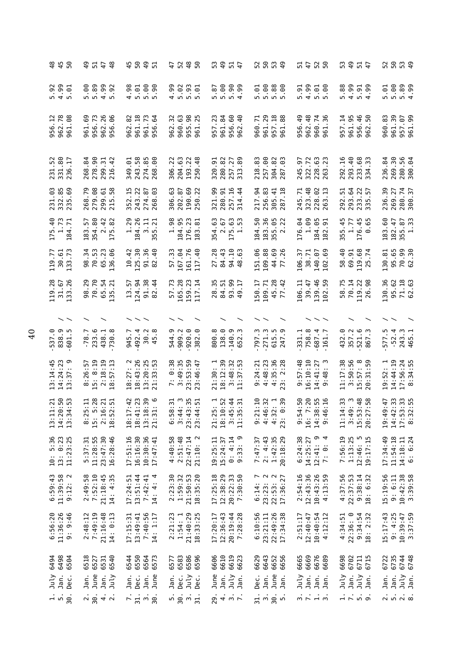| 5.99<br>4.991<br>5.91<br><b>99</b> .<br>5.00<br>4.99<br>5.00<br><u>୍ଚ</u><br>.89<br>.98<br>5.90<br>90.<br>4.99<br>5.02<br>0.56<br>5.90<br>.99<br>$5.88$<br>$5.60$<br>$\frac{6}{10}$<br>$\frac{8}{3}$<br>4.99<br>.92<br>5.01<br>$\ddot{8}$<br>្ទុ<br>်<br>၁<br>$\ddot{5}$<br>$\frac{5}{10}$<br>5.01<br>$\sigma$ m<br>n,<br>n <sub>n</sub><br>ഗ ഗ<br>r.<br>$\overline{a}$<br>LO <sub>1</sub><br>$\frac{12}{78}$<br>960.63<br>962.48<br>961.39<br>.08<br>956.73<br>962.26<br>.06<br>961.18<br>961.73<br>32<br>98<br>LO,<br>.23<br>.60<br>$-40$<br>961.29<br>957.18<br>88<br>956.49<br>$\overline{14}$<br>961.95<br>.46<br>SO,<br>960.83<br>961.69<br>.82<br>$\overline{6}$<br>.84<br>-71<br>957.07<br>.<br>99<br>962.78<br>S<br>$\dot{\mathsf{c}}$<br>L<br>955.<br>561.<br>960.<br>956.<br>956<br>960<br>956<br>956<br>962<br>956<br>962<br>957<br>957<br>962<br>962<br>961<br>961<br>961<br>961<br>961<br>231.52<br>331.80<br>236.17<br>278.90<br>243.58<br>274.85<br>$-16$<br>293.40<br>269.30<br>280.56<br>$\ddot{\phantom{0}}$<br>268.84<br>299.31<br>.42<br><b>eo.</b><br>204.63<br>193.22<br>.48<br>280.82<br>257.27<br>313.89<br>218.83<br>257.00<br>304.82<br>0.3<br>322.72<br>63<br>.68<br>236.84<br>300.04<br>349.01<br>320.91<br>245.97<br>$\dot{\sim}$<br>S<br>228.<br>263.<br>2334.<br>216.<br>268<br>306.<br>292<br>250<br>287<br>231.03<br>332.85<br>235.69<br>279.08<br>.58<br>352.15<br>243.22<br>321.99<br>91.16<br>256.83<br>323.48<br>268.79<br>299.61<br>274.87<br>$\ddot{\theta}$<br>306.63<br>69.22<br>$-94$<br>$-18$<br>245.71<br>$6\overline{1}$<br>$\ddot{5}$<br>$\overline{2}$<br>236.39<br>202.87<br>$\overline{4}$<br>305.41<br>5.<br>$\overline{5}$<br>269.27<br>190.<br>280.<br>292.<br>293<br>250<br>228<br>263<br>233<br>215<br>268<br>257<br>314<br>217<br>335<br>287<br>175.40<br>1.73<br>184.95<br>23<br>183.36<br>1.09<br>354.80<br>42<br>.82<br>.29<br>184.26<br>1.98<br>.63<br>S<br>.<br>.<br>.<br>- 05<br>65<br>-45<br>$-45$<br>183.60<br>$\overline{z}$<br>3.11<br>$\overline{21}$<br>354.63<br>22<br>176.04<br>-65<br>182.47<br>5<br><u>رع</u> .<br>51<br>1.77<br>ದ<br>$\overline{\phantom{0}}$<br>184.<br>184.<br>176<br>$\vec{\mathsf{N}}$<br>355<br>355<br>184<br>183<br>175<br>$\frac{2}{175}$<br>176<br>⊙<br>m<br>$\overline{\phantom{0}}$<br>182<br>$\overline{5}$<br>$\frac{8}{1}$<br>.73<br>125.30<br>167.04<br>$-10$<br>151.06<br>44.69<br>77.26<br>119.77<br>30.61<br>.34<br>70.53<br>°.<br>.42<br>91.36<br>$-40$<br>57.33<br>40<br>.28<br>.43<br>63<br>109.88<br>26<br>57<br>$\frac{6}{4}$<br>119.68<br>95.65<br>70.30<br>62.30<br>65.23<br>38.71<br>5<br>.69<br>.74<br>130.81<br>69.91<br>140<br>$\frac{8}{4}$<br>106<br>136<br>$\Xi$<br>27<br>58<br>133<br>98<br>161<br>82<br>25<br>$\frac{8}{4}$<br>102<br>117<br>119.28<br>31.67<br>.26<br>70.70<br>91.38<br>165.28<br>28.35<br>.99<br>45.28<br>139.46<br>102.59<br>58.75<br>130.36<br>$71.18$<br>62.63<br>. <sup>29</sup><br>65.54<br>$-94$<br>$\cdot$ 44<br>.73<br>159.23<br>117.14<br>L.<br>109.71<br>$-42$<br>106.11<br>39.47<br>70.14<br>119.22<br>.98<br>95.62<br>5.<br>84.51<br>Ľ.<br>93<br>57<br>50<br>133<br>98<br>135<br>$\Xi$<br>124<br>$\overline{a}$<br>26<br>82<br>77<br>838.9<br>$-920.0$<br>$-382.0$<br>138.0<br>271.3<br>357.2<br>ာ.<br>$-78.7$<br>233.6<br>$-492.4$<br>30.2<br>544.9<br>909.2<br>8.008<br>140.9<br>ن<br>س<br><u>ო</u><br>r.<br>ာ.<br>758.8<br>4.<br>$\overline{\phantom{a}}$<br>్.<br>521.6<br>Ċ.<br>577.5<br>$-52.4$<br>243.3<br>465.1<br>438.1<br>730.8<br>945.7<br>331.1<br>615<br>687<br>161<br>432<br>537<br>652<br>797<br>465<br>247<br>867<br>4<br>16:10:10<br>$13:14:45$<br>$14:24:23$<br>$13:37:9$<br>$8:26:57$<br>$5:8:19$<br>18:27: 2<br>18:43:26<br>7: 0:38<br>3:49:35<br>23:53:59<br>18:12:39<br>9:24:21<br>4:48:23<br>4:35:36<br>4:35:28<br>23: 2:28<br>9:57:48<br>11:17:38<br>$3:50:56$<br>15:57:8<br>20:31:59<br>14:44:19<br>: 18:19<br>8:57:13<br>$13:20:25$<br>$21:33:53$<br>: 48:32<br>:37:53<br>$14:41:27$<br>9:48: 3<br>$\ddot{t}$ :<br>21:30:1<br>19:52:1<br>23:46<br>$\sim$<br>$\frac{1}{1}$<br>$1.1300$<br>$1.13000$<br>$1.1301$<br>$6:58:31$<br>3:44: 3<br>23:43:35<br>23:44:51<br>4:50<br>7:20<br>$\frac{1}{6}$ : 53<br>$\div$ 53<br>5:28<br>9:21:10<br>4:46:32<br>4:32:1<br>4:32:1<br>23:0:39<br>$8:55$<br>$6:16$<br>$49.05$<br>$49.05$<br>$49.05$<br>$19:47$<br>$12:33$<br>io io io io<br>1 io io io io<br>1 io io io i<br>$6:21$<br>$2:51$<br>13:1<br>$14:2$<br>$13:3$<br>$14.70$<br>$24.70$<br>$24.70$<br>$24.70$<br>$23:4$<br>$23:4$<br>21:2<br>18:1<br>$3:3$<br>11:3<br>$-9:5$<br>$14:3$<br>9:4<br>11:1<br>3<br>3 13 13<br>3 13 14<br>19:4<br>16:<br>$10: 5:36$<br>$13: 0:23$<br>17:51:16<br>16:16:30<br>10:30:36<br>$4:40:58$<br>$2:51:48$<br>$22:47:14$<br>$21:10:2$<br>7:47:37<br>2:4:43<br>2:42:35<br>1:42:35<br>20:18:29<br>6:24:38<br>7:56:19<br>11:54:18<br>11:23:25<br>5:37:31<br>11:28:55<br>23:47:30<br>16:28:46<br>19:25:11<br>0: 4:14<br>9:33:9<br>14:25:27<br>စ –<br>$1:13:25$<br>$12:46:5$<br>$19:17:15$<br>17:34:49<br>17:47:41<br>15:24:37<br>$12:41:$<br>7: 0:<br>$6:59:43$<br>11:39:58<br>9:12:2<br>2:49:58<br>7:52:10<br>21:18:45<br>14: 4:35<br>13:51:44<br>$2:23:30$<br>1:59:32<br>21:50:53<br>21:56:53<br>12:38:29<br>20:22:33<br>7:30:50<br>2:54:16<br>12:43:36<br>$10:43:26$<br>$4:13:59$<br>4:37:56<br>22:37:53<br>$9:38:14$<br>18: 6:32<br>15:19:56<br>7:42:41<br>14: 4: 4<br>17:25:18<br>$\begin{array}{c} 6:14:7\\ 23:23:2\\ 22:53:2\\ 17:36:27 \end{array}$<br>9:6:11<br>17:24:51<br>18: 6:<br>6:56:20<br>11:36:26<br>9:46<br>$7:49:19$<br>21:16:48<br>14: 0:13<br>7:40:56<br>21:40:29<br>18:33:25<br>22:49:26<br>22:36: 0<br>$9:34:54$<br>18: 2:32<br>2:48:12<br>$2:21:23$<br>$1:54:1$<br>12:36:43<br>20:19:44<br>7:28:28<br>6:10:56<br>23:21:11<br>17:34:38<br>17:15:31<br>13:49:41<br>14: 1:17<br>17:20:17<br>12:40:47<br>10:40:54<br>4:12:12<br>4:34:51<br>2:51:17<br>6498<br>6531<br>6540<br>6544<br>6550<br>6564<br>6573<br>6583<br>6586<br>6596<br>6606<br>6619<br>6619<br>6623<br>6643<br>6652<br>6656<br>665<br>6667<br>66689<br>6698<br>6711<br>6715<br>6722<br>6735<br>6494<br>6504<br>6518<br>6527<br>6629<br>6702<br>6577<br>July<br>Jan.<br>June<br>June<br>July<br>July<br>July<br>July<br>Jan.<br>Jan.<br>June<br>Jan.<br>July<br>Jan.<br>Jan.<br>June<br>Dec.<br>Jan.<br>Jan.<br>July<br>Jan.<br>Dec.<br>Jan.<br>July<br>Jan.<br>Dec.<br>Jan.<br>Jan.<br>Jan.<br>Dec.<br>Jan.<br>Dec.<br>Jan.<br>Jan.<br>$-1.08$<br>$\frac{1}{2}$ $\frac{1}{2}$ $\frac{1}{2}$ $\frac{1}{2}$ $\frac{1}{2}$<br>$-30.4$<br>29.4 m.7<br>30.5<br>$\frac{1}{n}$ $\frac{1}{n}$ $\frac{1}{n}$ $\frac{1}{n}$<br>2523<br>$-51.5$<br>$\frac{1}{2}$ $\frac{1}{2}$ .<br>$-5.50$<br>30. | 8<br>8<br>4<br>5<br>5<br>9 | QÞ<br>748 | 450<br>97 | 47<br>48 | <b>59545</b> | 52<br>ნ შ<br>4 შ | 52<br>5<br>47 | <b>59545</b><br>5954 |                                             |
|---------------------------------------------------------------------------------------------------------------------------------------------------------------------------------------------------------------------------------------------------------------------------------------------------------------------------------------------------------------------------------------------------------------------------------------------------------------------------------------------------------------------------------------------------------------------------------------------------------------------------------------------------------------------------------------------------------------------------------------------------------------------------------------------------------------------------------------------------------------------------------------------------------------------------------------------------------------------------------------------------------------------------------------------------------------------------------------------------------------------------------------------------------------------------------------------------------------------------------------------------------------------------------------------------------------------------------------------------------------------------------------------------------------------------------------------------------------------------------------------------------------------------------------------------------------------------------------------------------------------------------------------------------------------------------------------------------------------------------------------------------------------------------------------------------------------------------------------------------------------------------------------------------------------------------------------------------------------------------------------------------------------------------------------------------------------------------------------------------------------------------------------------------------------------------------------------------------------------------------------------------------------------------------------------------------------------------------------------------------------------------------------------------------------------------------------------------------------------------------------------------------------------------------------------------------------------------------------------------------------------------------------------------------------------------------------------------------------------------------------------------------------------------------------------------------------------------------------------------------------------------------------------------------------------------------------------------------------------------------------------------------------------------------------------------------------------------------------------------------------------------------------------------------------------------------------------------------------------------------------------------------------------------------------------------------------------------------------------------------------------------------------------------------------------------------------------------------------------------------------------------------------------------------------------------------------------------------------------------------------------------------------------------------------------------------------------------------------------------------------------------------------------------------------------------------------------------------------------------------------------------------------------------------------------------------------------------------------------------------------------------------------------------------------------------------------------------------------------------------------------------------------------------------------------------------------------------------------------------------------------------------------------------------------------------------------------------------------------------------------------------------------------------------------------------------------------------------------------------------------------------------------------------------------------------------------------------------------------------------------------------------------------------------------------------------------------------------------------------------------------------------------------------------------------------------------------------------------------------------------------------------------------------------------------------------------------------------------------------------------------------------------------------------------------------------------------------------------------------------------------------------------------------------------------------------------------------------------------------------------------------------------------------------------------------------------------------------------------------------------------------------------------------------------------------------------------------------------------------------------------------------------------------------------------------------------------------------------------------------------------------------------------------------------------------------------------------------------------------------------------------------------------------------------------------------------------------------------------------------------------------------------------------------------------------------------------------------------------------------------------------------------------------------------------------------------------------------------------------------------------------------------------------------------------------------------------------------------------------------------------------------------------------------------------------------------------------------------------------------------------------------------------------------------------------------------------------------------------------------------------------------------------------------------------------------------------------------------------------------------------------------------------------------------------------|----------------------------|-----------|-----------|----------|--------------|------------------|---------------|----------------------|---------------------------------------------|
|                                                                                                                                                                                                                                                                                                                                                                                                                                                                                                                                                                                                                                                                                                                                                                                                                                                                                                                                                                                                                                                                                                                                                                                                                                                                                                                                                                                                                                                                                                                                                                                                                                                                                                                                                                                                                                                                                                                                                                                                                                                                                                                                                                                                                                                                                                                                                                                                                                                                                                                                                                                                                                                                                                                                                                                                                                                                                                                                                                                                                                                                                                                                                                                                                                                                                                                                                                                                                                                                                                                                                                                                                                                                                                                                                                                                                                                                                                                                                                                                                                                                                                                                                                                                                                                                                                                                                                                                                                                                                                                                                                                                                                                                                                                                                                                                                                                                                                                                                                                                                                                                                                                                                                                                                                                                                                                                                                                                                                                                                                                                                                                                                                                                                                                                                                                                                                                                                                                                                                                                                                                                                                                                                                                                                                                                                                                                                                                                                                                                                                                                                                                                                                                                                 |                            |           |           |          |              |                  |               |                      | 5.89<br>4.99                                |
|                                                                                                                                                                                                                                                                                                                                                                                                                                                                                                                                                                                                                                                                                                                                                                                                                                                                                                                                                                                                                                                                                                                                                                                                                                                                                                                                                                                                                                                                                                                                                                                                                                                                                                                                                                                                                                                                                                                                                                                                                                                                                                                                                                                                                                                                                                                                                                                                                                                                                                                                                                                                                                                                                                                                                                                                                                                                                                                                                                                                                                                                                                                                                                                                                                                                                                                                                                                                                                                                                                                                                                                                                                                                                                                                                                                                                                                                                                                                                                                                                                                                                                                                                                                                                                                                                                                                                                                                                                                                                                                                                                                                                                                                                                                                                                                                                                                                                                                                                                                                                                                                                                                                                                                                                                                                                                                                                                                                                                                                                                                                                                                                                                                                                                                                                                                                                                                                                                                                                                                                                                                                                                                                                                                                                                                                                                                                                                                                                                                                                                                                                                                                                                                                                 |                            |           |           |          |              |                  |               |                      |                                             |
|                                                                                                                                                                                                                                                                                                                                                                                                                                                                                                                                                                                                                                                                                                                                                                                                                                                                                                                                                                                                                                                                                                                                                                                                                                                                                                                                                                                                                                                                                                                                                                                                                                                                                                                                                                                                                                                                                                                                                                                                                                                                                                                                                                                                                                                                                                                                                                                                                                                                                                                                                                                                                                                                                                                                                                                                                                                                                                                                                                                                                                                                                                                                                                                                                                                                                                                                                                                                                                                                                                                                                                                                                                                                                                                                                                                                                                                                                                                                                                                                                                                                                                                                                                                                                                                                                                                                                                                                                                                                                                                                                                                                                                                                                                                                                                                                                                                                                                                                                                                                                                                                                                                                                                                                                                                                                                                                                                                                                                                                                                                                                                                                                                                                                                                                                                                                                                                                                                                                                                                                                                                                                                                                                                                                                                                                                                                                                                                                                                                                                                                                                                                                                                                                                 |                            |           |           |          |              |                  |               |                      |                                             |
|                                                                                                                                                                                                                                                                                                                                                                                                                                                                                                                                                                                                                                                                                                                                                                                                                                                                                                                                                                                                                                                                                                                                                                                                                                                                                                                                                                                                                                                                                                                                                                                                                                                                                                                                                                                                                                                                                                                                                                                                                                                                                                                                                                                                                                                                                                                                                                                                                                                                                                                                                                                                                                                                                                                                                                                                                                                                                                                                                                                                                                                                                                                                                                                                                                                                                                                                                                                                                                                                                                                                                                                                                                                                                                                                                                                                                                                                                                                                                                                                                                                                                                                                                                                                                                                                                                                                                                                                                                                                                                                                                                                                                                                                                                                                                                                                                                                                                                                                                                                                                                                                                                                                                                                                                                                                                                                                                                                                                                                                                                                                                                                                                                                                                                                                                                                                                                                                                                                                                                                                                                                                                                                                                                                                                                                                                                                                                                                                                                                                                                                                                                                                                                                                                 |                            |           |           |          |              |                  |               |                      | 280.74<br>300.37                            |
|                                                                                                                                                                                                                                                                                                                                                                                                                                                                                                                                                                                                                                                                                                                                                                                                                                                                                                                                                                                                                                                                                                                                                                                                                                                                                                                                                                                                                                                                                                                                                                                                                                                                                                                                                                                                                                                                                                                                                                                                                                                                                                                                                                                                                                                                                                                                                                                                                                                                                                                                                                                                                                                                                                                                                                                                                                                                                                                                                                                                                                                                                                                                                                                                                                                                                                                                                                                                                                                                                                                                                                                                                                                                                                                                                                                                                                                                                                                                                                                                                                                                                                                                                                                                                                                                                                                                                                                                                                                                                                                                                                                                                                                                                                                                                                                                                                                                                                                                                                                                                                                                                                                                                                                                                                                                                                                                                                                                                                                                                                                                                                                                                                                                                                                                                                                                                                                                                                                                                                                                                                                                                                                                                                                                                                                                                                                                                                                                                                                                                                                                                                                                                                                                                 |                            |           |           |          |              |                  |               |                      | 355.87                                      |
|                                                                                                                                                                                                                                                                                                                                                                                                                                                                                                                                                                                                                                                                                                                                                                                                                                                                                                                                                                                                                                                                                                                                                                                                                                                                                                                                                                                                                                                                                                                                                                                                                                                                                                                                                                                                                                                                                                                                                                                                                                                                                                                                                                                                                                                                                                                                                                                                                                                                                                                                                                                                                                                                                                                                                                                                                                                                                                                                                                                                                                                                                                                                                                                                                                                                                                                                                                                                                                                                                                                                                                                                                                                                                                                                                                                                                                                                                                                                                                                                                                                                                                                                                                                                                                                                                                                                                                                                                                                                                                                                                                                                                                                                                                                                                                                                                                                                                                                                                                                                                                                                                                                                                                                                                                                                                                                                                                                                                                                                                                                                                                                                                                                                                                                                                                                                                                                                                                                                                                                                                                                                                                                                                                                                                                                                                                                                                                                                                                                                                                                                                                                                                                                                                 |                            |           |           |          |              |                  |               |                      | .30                                         |
|                                                                                                                                                                                                                                                                                                                                                                                                                                                                                                                                                                                                                                                                                                                                                                                                                                                                                                                                                                                                                                                                                                                                                                                                                                                                                                                                                                                                                                                                                                                                                                                                                                                                                                                                                                                                                                                                                                                                                                                                                                                                                                                                                                                                                                                                                                                                                                                                                                                                                                                                                                                                                                                                                                                                                                                                                                                                                                                                                                                                                                                                                                                                                                                                                                                                                                                                                                                                                                                                                                                                                                                                                                                                                                                                                                                                                                                                                                                                                                                                                                                                                                                                                                                                                                                                                                                                                                                                                                                                                                                                                                                                                                                                                                                                                                                                                                                                                                                                                                                                                                                                                                                                                                                                                                                                                                                                                                                                                                                                                                                                                                                                                                                                                                                                                                                                                                                                                                                                                                                                                                                                                                                                                                                                                                                                                                                                                                                                                                                                                                                                                                                                                                                                                 |                            |           |           |          |              |                  |               |                      |                                             |
|                                                                                                                                                                                                                                                                                                                                                                                                                                                                                                                                                                                                                                                                                                                                                                                                                                                                                                                                                                                                                                                                                                                                                                                                                                                                                                                                                                                                                                                                                                                                                                                                                                                                                                                                                                                                                                                                                                                                                                                                                                                                                                                                                                                                                                                                                                                                                                                                                                                                                                                                                                                                                                                                                                                                                                                                                                                                                                                                                                                                                                                                                                                                                                                                                                                                                                                                                                                                                                                                                                                                                                                                                                                                                                                                                                                                                                                                                                                                                                                                                                                                                                                                                                                                                                                                                                                                                                                                                                                                                                                                                                                                                                                                                                                                                                                                                                                                                                                                                                                                                                                                                                                                                                                                                                                                                                                                                                                                                                                                                                                                                                                                                                                                                                                                                                                                                                                                                                                                                                                                                                                                                                                                                                                                                                                                                                                                                                                                                                                                                                                                                                                                                                                                                 |                            |           |           |          |              |                  |               |                      |                                             |
|                                                                                                                                                                                                                                                                                                                                                                                                                                                                                                                                                                                                                                                                                                                                                                                                                                                                                                                                                                                                                                                                                                                                                                                                                                                                                                                                                                                                                                                                                                                                                                                                                                                                                                                                                                                                                                                                                                                                                                                                                                                                                                                                                                                                                                                                                                                                                                                                                                                                                                                                                                                                                                                                                                                                                                                                                                                                                                                                                                                                                                                                                                                                                                                                                                                                                                                                                                                                                                                                                                                                                                                                                                                                                                                                                                                                                                                                                                                                                                                                                                                                                                                                                                                                                                                                                                                                                                                                                                                                                                                                                                                                                                                                                                                                                                                                                                                                                                                                                                                                                                                                                                                                                                                                                                                                                                                                                                                                                                                                                                                                                                                                                                                                                                                                                                                                                                                                                                                                                                                                                                                                                                                                                                                                                                                                                                                                                                                                                                                                                                                                                                                                                                                                                 |                            |           |           |          |              |                  |               |                      |                                             |
|                                                                                                                                                                                                                                                                                                                                                                                                                                                                                                                                                                                                                                                                                                                                                                                                                                                                                                                                                                                                                                                                                                                                                                                                                                                                                                                                                                                                                                                                                                                                                                                                                                                                                                                                                                                                                                                                                                                                                                                                                                                                                                                                                                                                                                                                                                                                                                                                                                                                                                                                                                                                                                                                                                                                                                                                                                                                                                                                                                                                                                                                                                                                                                                                                                                                                                                                                                                                                                                                                                                                                                                                                                                                                                                                                                                                                                                                                                                                                                                                                                                                                                                                                                                                                                                                                                                                                                                                                                                                                                                                                                                                                                                                                                                                                                                                                                                                                                                                                                                                                                                                                                                                                                                                                                                                                                                                                                                                                                                                                                                                                                                                                                                                                                                                                                                                                                                                                                                                                                                                                                                                                                                                                                                                                                                                                                                                                                                                                                                                                                                                                                                                                                                                                 |                            |           |           |          |              |                  |               |                      | 17:56:24<br>8:34:55                         |
|                                                                                                                                                                                                                                                                                                                                                                                                                                                                                                                                                                                                                                                                                                                                                                                                                                                                                                                                                                                                                                                                                                                                                                                                                                                                                                                                                                                                                                                                                                                                                                                                                                                                                                                                                                                                                                                                                                                                                                                                                                                                                                                                                                                                                                                                                                                                                                                                                                                                                                                                                                                                                                                                                                                                                                                                                                                                                                                                                                                                                                                                                                                                                                                                                                                                                                                                                                                                                                                                                                                                                                                                                                                                                                                                                                                                                                                                                                                                                                                                                                                                                                                                                                                                                                                                                                                                                                                                                                                                                                                                                                                                                                                                                                                                                                                                                                                                                                                                                                                                                                                                                                                                                                                                                                                                                                                                                                                                                                                                                                                                                                                                                                                                                                                                                                                                                                                                                                                                                                                                                                                                                                                                                                                                                                                                                                                                                                                                                                                                                                                                                                                                                                                                                 |                            |           |           |          |              |                  |               |                      | i3:33<br>32:55                              |
|                                                                                                                                                                                                                                                                                                                                                                                                                                                                                                                                                                                                                                                                                                                                                                                                                                                                                                                                                                                                                                                                                                                                                                                                                                                                                                                                                                                                                                                                                                                                                                                                                                                                                                                                                                                                                                                                                                                                                                                                                                                                                                                                                                                                                                                                                                                                                                                                                                                                                                                                                                                                                                                                                                                                                                                                                                                                                                                                                                                                                                                                                                                                                                                                                                                                                                                                                                                                                                                                                                                                                                                                                                                                                                                                                                                                                                                                                                                                                                                                                                                                                                                                                                                                                                                                                                                                                                                                                                                                                                                                                                                                                                                                                                                                                                                                                                                                                                                                                                                                                                                                                                                                                                                                                                                                                                                                                                                                                                                                                                                                                                                                                                                                                                                                                                                                                                                                                                                                                                                                                                                                                                                                                                                                                                                                                                                                                                                                                                                                                                                                                                                                                                                                                 |                            |           |           |          |              |                  |               |                      | $14:18:11$<br>6: 6:24                       |
|                                                                                                                                                                                                                                                                                                                                                                                                                                                                                                                                                                                                                                                                                                                                                                                                                                                                                                                                                                                                                                                                                                                                                                                                                                                                                                                                                                                                                                                                                                                                                                                                                                                                                                                                                                                                                                                                                                                                                                                                                                                                                                                                                                                                                                                                                                                                                                                                                                                                                                                                                                                                                                                                                                                                                                                                                                                                                                                                                                                                                                                                                                                                                                                                                                                                                                                                                                                                                                                                                                                                                                                                                                                                                                                                                                                                                                                                                                                                                                                                                                                                                                                                                                                                                                                                                                                                                                                                                                                                                                                                                                                                                                                                                                                                                                                                                                                                                                                                                                                                                                                                                                                                                                                                                                                                                                                                                                                                                                                                                                                                                                                                                                                                                                                                                                                                                                                                                                                                                                                                                                                                                                                                                                                                                                                                                                                                                                                                                                                                                                                                                                                                                                                                                 |                            |           |           |          |              |                  |               |                      | $10:42:38$<br>$3:39:58$                     |
|                                                                                                                                                                                                                                                                                                                                                                                                                                                                                                                                                                                                                                                                                                                                                                                                                                                                                                                                                                                                                                                                                                                                                                                                                                                                                                                                                                                                                                                                                                                                                                                                                                                                                                                                                                                                                                                                                                                                                                                                                                                                                                                                                                                                                                                                                                                                                                                                                                                                                                                                                                                                                                                                                                                                                                                                                                                                                                                                                                                                                                                                                                                                                                                                                                                                                                                                                                                                                                                                                                                                                                                                                                                                                                                                                                                                                                                                                                                                                                                                                                                                                                                                                                                                                                                                                                                                                                                                                                                                                                                                                                                                                                                                                                                                                                                                                                                                                                                                                                                                                                                                                                                                                                                                                                                                                                                                                                                                                                                                                                                                                                                                                                                                                                                                                                                                                                                                                                                                                                                                                                                                                                                                                                                                                                                                                                                                                                                                                                                                                                                                                                                                                                                                                 |                            |           |           |          |              |                  |               |                      | 15:17:43<br>9: 4:25<br>10:39:47<br>10:37:59 |
|                                                                                                                                                                                                                                                                                                                                                                                                                                                                                                                                                                                                                                                                                                                                                                                                                                                                                                                                                                                                                                                                                                                                                                                                                                                                                                                                                                                                                                                                                                                                                                                                                                                                                                                                                                                                                                                                                                                                                                                                                                                                                                                                                                                                                                                                                                                                                                                                                                                                                                                                                                                                                                                                                                                                                                                                                                                                                                                                                                                                                                                                                                                                                                                                                                                                                                                                                                                                                                                                                                                                                                                                                                                                                                                                                                                                                                                                                                                                                                                                                                                                                                                                                                                                                                                                                                                                                                                                                                                                                                                                                                                                                                                                                                                                                                                                                                                                                                                                                                                                                                                                                                                                                                                                                                                                                                                                                                                                                                                                                                                                                                                                                                                                                                                                                                                                                                                                                                                                                                                                                                                                                                                                                                                                                                                                                                                                                                                                                                                                                                                                                                                                                                                                                 |                            |           |           |          |              |                  |               |                      | 6744<br>6748<br>Jan.                        |
|                                                                                                                                                                                                                                                                                                                                                                                                                                                                                                                                                                                                                                                                                                                                                                                                                                                                                                                                                                                                                                                                                                                                                                                                                                                                                                                                                                                                                                                                                                                                                                                                                                                                                                                                                                                                                                                                                                                                                                                                                                                                                                                                                                                                                                                                                                                                                                                                                                                                                                                                                                                                                                                                                                                                                                                                                                                                                                                                                                                                                                                                                                                                                                                                                                                                                                                                                                                                                                                                                                                                                                                                                                                                                                                                                                                                                                                                                                                                                                                                                                                                                                                                                                                                                                                                                                                                                                                                                                                                                                                                                                                                                                                                                                                                                                                                                                                                                                                                                                                                                                                                                                                                                                                                                                                                                                                                                                                                                                                                                                                                                                                                                                                                                                                                                                                                                                                                                                                                                                                                                                                                                                                                                                                                                                                                                                                                                                                                                                                                                                                                                                                                                                                                                 |                            |           |           |          |              |                  |               |                      |                                             |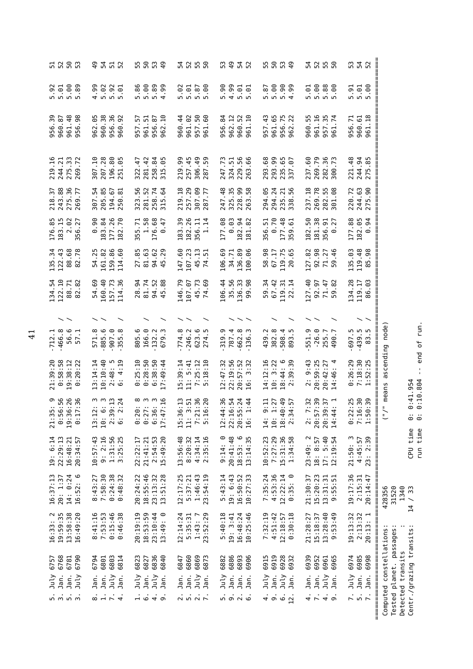|                                                                    |                            |                      |                                  |                       |                                 |                                 |                                 | -- end of run.                         | /" means ascending node)<br>$0:41.954$<br>$0:10.804$      | シ<br>$\ddot{\circ}$<br><u>.</u>                                                  | run time<br>CPU time                            | 1340<br>428356<br>31520<br>/33<br>$\overline{14}$ |                                       | Centr./grazing transits:<br>Computed constellations<br>planet. passages<br>Detected transits | Tested                                                   |
|--------------------------------------------------------------------|----------------------------|----------------------|----------------------------------|-----------------------|---------------------------------|---------------------------------|---------------------------------|----------------------------------------|-----------------------------------------------------------|----------------------------------------------------------------------------------|-------------------------------------------------|---------------------------------------------------|---------------------------------------|----------------------------------------------------------------------------------------------|----------------------------------------------------------|
| 52                                                                 | $5.00$<br>$5.00$           | 961.18<br>960.61     | 244.94<br>275.85<br>  <br>  <br> | 244.63<br>275.90      | 182.05<br><u>ਡ੍ਰ</u><br>$\circ$ | 119.48<br>.98<br>85             | 119.17<br>86.03<br>  <br>  <br> | <br>  <br>  <br>  <br>$-439.5$<br>83.5 | $0:26:29$<br>$7:18:30$<br>$1:52:25$<br>  <br>  <br>  <br> | $22:35$<br>$-6:30$<br>$-6:39$<br>∥<br>$0.75$<br>$0.75$<br>$0.75$<br>  <br>  <br> | 4:45:57<br>23: 2:39<br>  <br>  <br>  <br>  <br> | 20:14:47                                          | 2:13:32<br>20:13:1<br>  <br>  <br>!!  | 6974<br>6985<br>6998<br>Jan.<br>Jan.                                                         | ╎╿╿╿╿╿╿╿╿╿╿╿╿╿╿╿╿╿╿╿╿╿╿╿╿╿╿╿╿╿╿╿╿╿<br>$\frac{1}{2}$ .    |
| 53                                                                 | 5.91                       | 956.71               | 221.48                           | 220.72                | 177.88                          | 135.03                          | 134.28                          | $-697.5$                               |                                                           |                                                                                  | 21:50: 3                                        | 19:17:36<br>2:15:31                               | 19:13:32                              | July                                                                                         | $\ddot{\sim}$                                            |
|                                                                    | .60                        | 961.74               | 300.73                           | .08<br>301            |                                 | .46<br>59                       | 59.82                           |                                        |                                                           | 14:4                                                                             | 12:19:54                                        | 5:51<br>9:5                                       | 9:53:49                               | Jan.                                                                                         |                                                          |
| 5<br>5<br>5<br>5<br>5<br>5<br>5<br>5<br>5<br>5                     | 888<br>588                 | 957.35               | 269.79<br>282.36                 | 282.55                | 181.38<br>356.91<br>0.27        | 92.98<br>71.27                  | 71.47<br>92.97                  | $-26.0$<br>255.7                       | $20:59:25$<br>$20:42:27$<br>$14:46:4$                     | $7.59$<br>$7.59$<br>$7.59$<br>$7.59$<br>$1$<br>20:3                              | $18: 8:57$<br>17: 5:40                          | $15:20:23$<br>$13:31:31$                          | $15:18:37$<br>$13:28:40$              | 6952<br>6961<br>6965<br>July<br>Jan.                                                         | $4 - 40$                                                 |
|                                                                    | 5.01                       | 960.55<br>961.16     | 237.60                           | 269.78<br>237.18      | 182.50                          | 127.82                          | 127.40                          | 551.9                                  | 9:43<br>$\ddot{2}$ :                                      | 20:5<br>$\ddot{\sim}$                                                            | $\sim$<br>23:49:                                | 21:30:37                                          | 21:28:27                              | 6939<br>Jan.                                                                                 |                                                          |
|                                                                    |                            |                      |                                  | 235.21<br>338.56      |                                 |                                 | .14<br>$\overline{2}$           | $\mathsf{L}$<br>893                    | $18:44:6$<br>2:39:39                                      | 10:49<br>14:57<br>$\frac{4}{2}$<br>$\frac{3}{2}$<br>$\frac{3}{2}$                |                                                 |                                                   | 0:30:18                               | Jan.                                                                                         |                                                          |
| ნ<br>40                                                            | $8880$<br>$-40$            | 956.75<br>962.22     | 235.65<br>337.07                 |                       | 177.48<br>359.61                | 119.75                          | 119.31                          | 508.4                                  |                                                           |                                                                                  | 7:27:29<br>15:31:36<br>1:34:58                  | $12:22:14$<br>$0:35:0$                            | 12:18:57                              | 6932<br>July<br>Jan.                                                                         | $\frac{1}{4}$ or $\frac{1}{2}$                           |
| 55                                                                 | 5.87                       | 957.43<br>961.65     | 293.68<br>293.99                 | 294.05<br>294.24      | 0.70<br>356.51                  | .98<br>67.17<br>$\frac{8}{2}$   | 59.34<br>67.42                  | 382.8<br><u>ب</u><br>439               | 14:12:16<br>10:3:22                                       | $9:11$<br>$1:27$<br>10:<br>$\ddot{4}$                                            | 10:52:23                                        | 7:35:24<br>4:53:36                                | 7:32:19<br>4:51:42                    | 6915<br>6919<br>July                                                                         |                                                          |
|                                                                    |                            | 960.52<br>961.10     | 229.56<br>263.66                 | 58<br>263             | 182.94<br>181.82                | 100.06                          | 136.33<br>99.98                 | $-662.3$<br>$-136$                     | 20:57:52<br>16: 3:32                                      | 16:                                                                              | $18:53:6$<br>$13:14:35$                         | $16:50:52$<br>$10:27:33$                          | 10:25:46                              | 6893<br>6906<br>Jan.                                                                         |                                                          |
|                                                                    | $4.99$<br>$5.61$<br>$5.61$ | 962.12               | 324.51                           | 325.35<br>228.99      | 0.03                            | 136.89<br>34.71                 | 35.56                           | 787.4                                  | 22:19:56                                                  | $4.6$ io 14<br>$-4.44$<br>$-4.44$<br>$-4.44$<br>22:1<br>20:5                     | 20:41:48                                        | 19: 6:43                                          | 16:48:24<br>19:3:41                   | 6886<br>Jan.<br>Jan.                                                                         | .<br>.                                                   |
|                                                                    | 90.<br>rU)                 | 956.84               | 247.73                           | $\frac{48}{ }$<br>247 | 177.08                          | 106.69                          | 106.44                          | <u>ი</u><br>319                        | 12:47:32                                                  | 12:4                                                                             | $\circ$<br>9:14:                                | 5:43:14                                           | 5:40:18                               | 6882<br>July                                                                                 |                                                          |
|                                                                    | .00<br>$5.87$<br>$5.00$    | 961.60               | .59<br>287                       | 77<br>287             | .14<br>$\overline{\phantom{0}}$ | $\frac{1}{2}$<br>$\overline{7}$ | .69<br>$\overline{7}$           | 623.6<br>274.5                         | $7:25:12$<br>$5:18:10$                                    | $: 36$<br>$: 6: 20$<br>$7:2$<br>5:1                                              | 4:34:14<br>2:35:16                              | 23:54:19                                          | 23:52:29                              | 6873<br>Jan.                                                                                 |                                                          |
| <b>4 2 5 6 9</b>                                                   | 5.01                       | 957.50<br>961.02     | 257.45<br>306.49                 | 257.29<br>307.09      | 182.26<br>356.11                | 107.23<br>45.13                 | 45.73<br>107.07                 |                                        |                                                           | $\ddot{a}$                                                                       |                                                 | $5:37:21$<br>$1:46:43$                            | 5:35:31<br>1:43:7                     | 6860<br>6869<br>July<br>Jan.                                                                 | $\frac{1}{2}$                                            |
|                                                                    | 5.02                       | 960.44               | 219.99                           | 219.18                | 183.39                          | 147.60                          | 146.79                          | $-774.8$<br>$-246.2$                   | 15:39:14<br>11:5:41                                       | 16:13<br>3:51<br>15:3                                                            | 13:56:48<br>8:20:32                             | 12:17:25                                          | 12:14:24                              | 6847<br>Jan.                                                                                 |                                                          |
|                                                                    |                            | 962.10               | 258.84<br>315.05                 | 315.64                | $-47$<br>$\circ$                | .29<br>45                       | .88<br>45                       | 679.3                                  | 17:49:44                                                  |                                                                                  |                                                 |                                                   |                                       | 6840<br>Jan.                                                                                 |                                                          |
| 5<br>5<br>5<br>5<br>5<br>5<br>5<br>5<br>5<br>5<br>5<br>5<br>2<br>5 | $889$<br>$-49$<br>$-49$    | 956.87<br>51<br>961. | 281.42                           | 281.52<br>258.74      | 1.58<br>176.68                  | 81.63<br>94.62                  | 81.74<br>94.52                  | 166.0<br>132.2                         | $0:25:10$<br>$0:28:50$<br>$6:38:50$                       | $0:20:8$<br>$0:27:3$<br>$0:36:3$<br>$17:47:16$                                   | 21:41:21<br>2:54:53<br>15:49:20                 | $18:55:46$<br>$23:13:32$<br>$13:51:28$            | $18:53:59$<br>$23:10:44$<br>$13:49:0$ | 6827<br>6836<br>July<br>Jan.                                                                 | $-0.40$                                                  |
|                                                                    | .86<br>rU.                 | 57<br>957.           | 322.47                           | 323.56                | 355.71                          | 27.85                           | 28.94                           | <u>م</u> .<br>805                      |                                                           |                                                                                  | 22:22:17                                        | 20:24:22                                          | 20:19:19                              | 6823<br>July                                                                                 |                                                          |
| $\frac{1}{5}$                                                      |                            | 960.92               | -95<br>251                       | .<br>81<br>250        | 177.26<br>182.70                | .60<br>114                      | .36<br>114                      | $\infty$<br>355                        | $\frac{5}{1}$<br>2:48:                                    | $2:3$<br>6:3                                                                     | 1:31:56<br>3:25:25                              |                                                   | $0:15:46$<br>$0:46:38$                | 6803<br>6814<br>Jan.                                                                         |                                                          |
|                                                                    | $0.901$<br>$0.901$         | 960.38<br>956.36     | 196.80<br>207.28                 | 194.67                | 183.84                          | 159.86                          | 160.40<br>157.73                | <u>م</u> .<br>$-907.0$<br>885          |                                                           | 2<br>2 3 3 4<br>2 6 9 7 1<br>$10$ :                                              | 9:2:16                                          | 8:43:27<br>7:58:30<br>0:24:38<br>0:48:32          |                                       | 6801<br>July<br>Jan.                                                                         | $\frac{1}{\infty}$ $\frac{1}{\infty}$ $\frac{1}{\infty}$ |
| <del>ე</del><br>54                                                 | <b>99</b><br>4             | 962.05               | .10<br>307                       | 307.54<br>205.85      | <u>ွ</u><br>$\circ$             | 54.25<br>161.82                 | 54.69                           | 571.8                                  | 13:14:14<br>10:10:40                                      | 13:1                                                                             | 10:57:43                                        |                                                   | 8:41:16<br>7:53:53                    | 6794<br>Jan.                                                                                 |                                                          |
|                                                                    |                            | 956.98               | 275.33<br>269.72<br>269.         | .77<br>269            | ĽZ.<br>56<br>ω                  | .78<br>82                       | .82<br>82                       | $56.6$<br>$57.1$                       | 0:20:22                                                   | $\overline{0}$ :1                                                                |                                                 | $14: 0:24$<br>$16:52: 6$                          | 16:49:20                              | 6790<br>July                                                                                 |                                                          |
| <b>5283</b>                                                        | 37588                      | 961.48<br>960.87     | 244.21                           | 243.88<br>275.36      | 183.15<br>2.02                  | 122.43<br>88.68                 | 122.10<br>88.71                 |                                        | 0:58:58<br>19:38:12                                       | 0<br>5 5 5 5 6<br>5 9 9 9 9 10<br>5 9 9 9 10<br>0:5<br>19:3                      | 22:29:13<br>16:48:21<br>20:34:57                | 20: 1:37                                          | $16:33:2$<br>$19:59:35$<br>$13:58:38$ | 6768<br>6781<br>Jan.<br>Jan.                                                                 |                                                          |
|                                                                    |                            | 39<br>956.           | $-16$<br>219                     | $\cdot$<br>218        | $\frac{85}{3}$<br>176.          | $\cdot$ <sup>34</sup><br>135    | 54<br>134.                      | $-712.1$<br>$-466.8$                   | 21:39:20                                                  | 21:3                                                                             | 6:14<br>$\frac{1}{9}$                           | 16:37:13                                          |                                       | 6757<br>July                                                                                 |                                                          |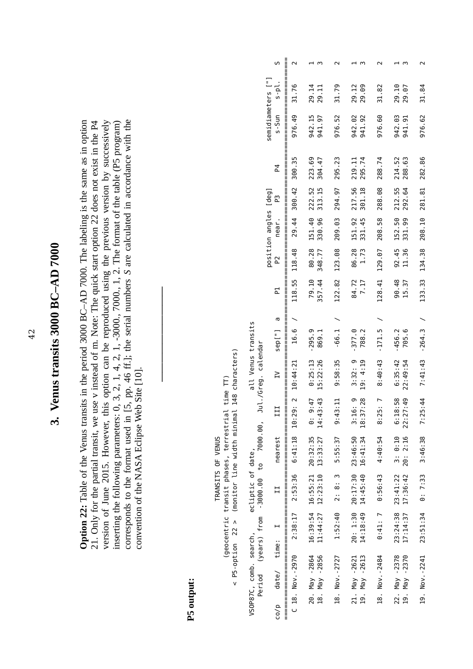## 3. Venus transits 3000 BC-AD 7000 **3. Venus transits 3000 BC–AD 7000**

version of June 2015. However, this option can be reproduced using the previous version by successively inserting the following parameters: 0, 3, 2, 1, 4, 2, 1, -3000., 7000., 1, 2. The format of the table (P5 program) corresponds to the format used in [5, pp. 46 ff.]; the serial numbers S are calculated in accordance with the corresponds to the format used in [5, pp. 46 ff.]; the serial numbers *S* are calculated in accordance with the **Option 22:** Table of the Venus transits in the period 3000 BC-AD 7000. The labeling is the same as in option **Option 22:** Table of the Venus transits in the period 3000 BC–AD 7000. The labeling is the same as in option 21. Only for the partial transit, we use v instead of m. Note: The quick start option 22 does not exist in the P4 21. Only for the partial transit, we use v instead of m. Note: The quick start option 22 does not exist in the P4 version of June 2015. However, this option can be reproduced using the previous version by successively inserting the following parameters: 0, 3, 2, 1, 4, 2, 1, -3000., 7000., 1, 2. The format of the table (P5 program) convention of the NASA Eclipse Web Site [10]. convention of the NASA Eclipse Web Site [10].

**――――――――――**

## **P5 output:**

as the communication of the communication of the communication of the communication of the communication of the communication of the communication of the communication of the communication of the communication of the commu S date of time: I is a parallear of I and I II III II I I I I S-Sun s-Sun s-Sun s-Sun s-Sun s-Sun s- S-Sun s-Sun s-Sun s-Sun s-Sun s-Sun s-Sun s-Sun s-Sun s-Sun s-Sun s-Sun s-Sun s-Sun s-Sun s-Sun s-Sun s-Sun s-Sun s-Sun s C 18. Nov.-2970 2:38:37 2:53:36 6:41:18 10:44:21 16.6 / 16.44:21 118.55 118.55 118.58 118.48 29.44 30.44 30.44 30.49 31.76 200.42 31.76 20. May -2864 16:39:54 16:55:21 20:32:35 0: 9:47 0:25:13 -295.9 79.10 80.28 151.40 222.52 223.69 942.15 29.14 1 11:44:27 12:23:10 14:27 12:23:10 13:33:27 14:43 14:43 14:43 14:43 14:43 14:43 14:43 14:43 14:43 14:4 350.77 330.96 313.15 313.15 304.47 941.97 29.11 18. Nov.-2727 1:52:40 2: 8: 3 5:55:37 9:43:11 9:43:35 -66.1 / 122.82 123.08 209.03 209.03 294.97 295.23 976.52 31.79 21. May -2621 20: 1:30 20:17:30 23:46:50 3:16: 9 3:32: 9 3:32: 9 3:32: 9 9 3:32: 9 9 42.02.02 213.12 12:30 20: 151.92 19. May -2613 14:18:40 14:5:40 16:41:34 18:37:28 19:4:5:40 19:37:28 19:45:45:45:45 19:45:45 18:37:28 19:45:45<br>29. May -2613 14:14:45:40 14:5:40 14:3:41:34 19:37:28 19:4:31:34 19:45:45:45:45 18. Nov.-2484 0:41: 7 0:43 4:40:54 8:25: 7 8:40:43 1:43 1:43 1:43 1:43 1:43 1:49:43 1:40:54 8:40:54 8:40:54 8:40:54 8:40:54 8:43 4:40:43 1:40:54 8:43 4:40:43 1:40:54 8:43 4:40:43 4:40:43 4:40:43 4:40:43 4:40:43 4:40:43 4:4 22. May -2378 23:24:38 23:41:22 3: 0:10 6:18:58 6:35:42 -456.2 90.48 92.45 152.50 212.55 214.52 942.03 29.10 1 19. May -2370 17:14:37 17:36:42 20: 2:16 22:49:54 705.6 15.37 11.36 31.36 331.99 292.64 288.63 941.91 29.07 33 19. Nov.-2241 23:51:34 0: 7:33 3:46:38 7:25:44 7:41:43 -264.3 / 133.33 134.38 208.10 281.81 282.86 976.62 31.84 2 position angles [deg] semidiameters ["] semidiameters ["]  $s-p1$ . 31.76 29.14 31.79 29.12 31.82 29.10 31.84 942.15 942.02<br>941.92 942.03<br>941.91 s-Sun 976.49 941.97 976.52 976.60 976.62 300.35 223.69<br>304.47 219.11<br>295.74 214.52<br>288.63 295.23 288.74 282.86  $\overline{a}$ 222.52<br>313.15 217.56<br>301.18 212.55<br>292.64 300.42 294.97 288.08 281.81 position angles [deg] ່ຕ 151.40<br>330.96 151.92<br>331.45 152.50<br>331.99 near. 29.44 208.10 209.03 208.58 80.28<br>348.77 86.28  $92.45$ <br> $11.36$ 134.38 123.08 129.07 118.48  $\tilde{P}$ 79.10<br>357.44 122.82 118.55 84.72 128.41 90.48<br>15.37 133.33 군  $\sigma$  $\overline{\phantom{0}}$  $\overline{\phantom{0}}$  $\overline{\phantom{0}}$ all Venus transits VSOP87C, comb. search, ecliptic of date, all Venus transits  $-264.3$  $-377.0$ <br> $788.2$  $-171.5$  $-456.2$ <br>705.6 16.6  $-295.9$ <br>869.1  $-66.1$ ["]aes Period (years) from -3000.00 to 7000.00, Jul./Greg. calendar arpderiod (years) from 1900.000 to 700.000 to 700.000, July 2011.00, July 2012.00, July 2012.00, Jul < P5-option 22 > (monitor line width minimal 148 characters)  $<$  P5-option 22  $>$  (monitor line width minimal 148 characters)  $0:25:13$ <br>15:22:26  $3:32:9$ 19: 4:19 8:40:43 7:41:43 9:58:35 6:35:42 22:49:54 10:44:21  $\geq$ (geocentric transit phases, terrestrial time TT) (geocentric transit phases, terrestrial time TT) 6:41:18 10:29: 2  $14:43:43$  $6:18:58$ <br> $22:27:49$  $0: 9:47$ 18:37:28 8:25:7  $3:16:9$ 7:25:44  $9:43:11$ III 20:32:35<br>13:33:27 23:46:50<br>16:41:34  $3: 0:10$ <br> $20: 2:16$ TRANSITS OF VENUS nearest 5:55:37 4:40:54 3:46:38 TRANSITS OF VENUS ecliptic of date,  $12:23:10$ 23:41:22<br>17:36:42  $16:55:21$ 20:17:30 14:45:40  $\sim$ 2:53:36 0:56:43  $0:7:33$  $2:8:$  $\overline{11}$ 16:39:54<br>11:44:27 23:24:38<br>17:14:37 14:18:49  $20: 1:30$ 2:38:17 1:52:40  $0:41:7$ 23:51:34  $\overline{a}$ VSOP87C, comb. search, time: 20. May -2864<br>18. May -2856 C 18. Nov. - 2970 21. May -2621<br>19. May -2613 22. May -2378<br>19. May -2370 19. Nov. -2241 18. Nov. - 2727 18. Nov. -2484  $data/e/$  $CO/D$ ║

 $\parallel$  $\mathsf{S}$ 

 $\sim$ 

 $\overline{m}$ 

 $\sim$ 

 $\overline{m}$ 

 $\sim$ 

 $\overline{m}$ 

 $\sim$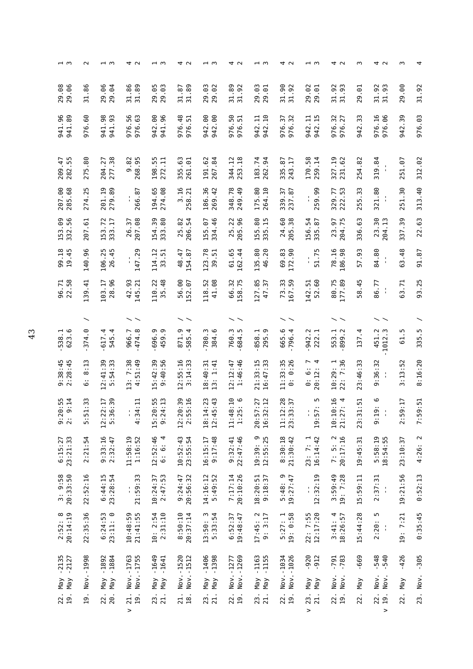| $-1$ $\omega$                      | $\sim$                                                  | ⊣ന                                                   | 4 U                                    | $-1 \, m$                                      | 4 U                                         | ⊣ന                               | 4 U                           | ⊣ന                                 | 4 U                              | ⊣ന                                                                                   | 4 U                                            | w                                                   | 4 U                                        | w                                             | 4               |
|------------------------------------|---------------------------------------------------------|------------------------------------------------------|----------------------------------------|------------------------------------------------|---------------------------------------------|----------------------------------|-------------------------------|------------------------------------|----------------------------------|--------------------------------------------------------------------------------------|------------------------------------------------|-----------------------------------------------------|--------------------------------------------|-----------------------------------------------|-----------------|
| 29.08<br>29.06                     | 86<br>$\frac{1}{2}$                                     | 29.06<br>29.04                                       | 31.86<br>31.89                         | 29.05<br>29.03                                 | 31.89<br>67<br>$\frac{1}{2}$                | 29.03<br>29.02                   | 31.89<br>92<br>31.            | 29.03<br>29.01                     | 31.90<br>92<br>31.               | 29.02<br>29.01                                                                       | 31.92<br>ന<br>31.9                             | 29.01                                               | 31.92<br>31.93                             | 29.00                                         | 31.92           |
| 941.96<br>941.89                   | 60.<br>976                                              | 941.98<br>941.93                                     | 976.56<br>976.63                       | 942.00<br>941.96                               | 976.48<br>$\overline{\phantom{0}}$<br>976.5 | 942.00<br>942.00                 | 976.50<br>⊣<br>976.5          | 942.10<br>942.11                   | $\sim$<br>976.37<br>976.3        | 942.11<br>LO <sub>1</sub><br>942.1                                                   | 976.32<br>976.27                               | ω<br>942.3                                          | 976.16<br>976.06                           | .39<br>942                                    | 976.03          |
| $-47$<br>55<br>282.5<br>209        | .80<br>275                                              | 277.38<br>204.27                                     | 9.85<br>9.95<br>268                    | 198.55<br>272.11                               | 355.63<br>261.01                            | 191.62<br>.84<br>267             | 344.12<br>253.18              | 183.74<br>262.94                   | .87<br>$\ddot{1}$<br>335<br>243  | 170.58<br>259.14                                                                     | 327.19<br>.62<br>51                            | 54.82<br>$\sim$                                     | 319.84<br>$\sim$                           | -67<br>251                                    | 312.02          |
| 207.00<br>285.68                   | 274.25                                                  | 201.19<br>279.89                                     | 266.87                                 | 194.65<br>274.08                               | 3.16<br>258.21                              | 186.36<br>$-42$<br>269           | 348.78<br>249.49              | 175.80<br>264.10                   | 339.37<br>237.87                 | თ<br>0.59.9<br>$\mathbf{r}$<br>ï<br>$\sim$                                           | 329.77<br>m<br>iņ.<br>222                      | m<br>$\omega$<br>55                                 | 321.80<br>$\blacksquare$<br>$\blacksquare$ | $\ddot{.}$<br>51                              | 313.40          |
| 56<br>153.09<br>332.               | 207.61                                                  | 153.72<br>333.17                                     | 207.08<br>57<br>26.                    | 50<br>333.80<br>154.                           | 54<br>82<br><sup>25.1</sup><br>206.         | 334.46<br>155.07                 | 205.96<br>25.22               | 155.80<br>335.15                   | 24.60<br>38<br>205.              | 54<br>335.87<br>156.                                                                 | 204.75<br>5<br>23.                             | ය<br>336                                            | 30<br>204.13<br>23.                        | 50<br>337.                                    | 22.63           |
| 99.18<br>19.45                     | 140.96                                                  | 106.25<br>26.45                                      | 147.29<br>ı<br>п.                      | 114.12<br>33.51                                | 48.47<br>154.87                             | 123.78<br>39.51                  | 61.65<br>162.44               | 135.80<br>46.20                    | 69.83<br>172.90                  | ۱<br>51.7<br>l.                                                                      | 78.16<br>186.98                                | ω<br>57.93                                          | 84.80<br>$\frac{1}{2}$                     | 63.48                                         | 91.87           |
| 96.71<br>22.58                     | $\ddot{=}$<br>39                                        | 28.96<br>103.17                                      | 42.93<br>145.21                        | 110.22<br>.48<br>35                            | 56.00<br>52.07                              | 118.52<br>41.08                  | 66.32<br>58.75                | 127.85<br>$\cdot$ 37<br>$\ddot{t}$ | 73.33<br>167.59                  | 52.60<br>142.51                                                                      | 80.75<br>.89<br>177                            | $-45$<br>58                                         | 86.77<br>$\frac{1}{2}$                     | 63.71                                         | 93.25           |
|                                    | ヽ                                                       |                                                      |                                        |                                                |                                             |                                  |                               |                                    |                                  |                                                                                      |                                                |                                                     |                                            |                                               |                 |
| ە.<br>F.<br>538<br>623             | 374.0                                                   | 617.4<br>4.<br>545                                   | 474.8<br>966.7                         | 6.96.9<br>ၜ<br>459.                            | 871.9<br>$\overline{4}$<br>585              | 780.3<br>ه.<br>.<br>384          | 760.3<br>m<br>684             | 295.9<br>858.1                     | 665.6<br>$\dot{4}$<br>796.       | 942.2<br>222.1                                                                       | 553.2                                          | 4.<br>137                                           | ن ن<br>1012<br>451                         | m<br>5                                        | 335.5           |
| $9:38:45$<br>$2:28:45$             | $\ddot{1}$<br>$\infty$<br>$\ddot{\phantom{a}}$<br>6     | 5:54:33<br>12:41:39                                  | 4:51:49<br>13: 7:38                    | :42:39<br>:40:56<br>LN.<br>ၜ<br>$\blacksquare$ | 12:55:16<br>: 14:33<br>$\infty$             | $18:40:31$<br>$13:1:41$          | 1:46:46<br>12:12:47           | 16:47:33<br>21:33:15               | $11:33:35$<br>0: 0:26            | 4<br>∼<br>$\ddot{\circ}$<br>: 12:<br>⊙<br>20                                         | $\frac{1}{2}$ 36<br>10:29:<br>$\ddot{ }$<br>22 | $\sim$<br>m<br>$\frac{46}{5}$<br>ω                  | :32<br>96<br>σ                             | 52<br>$\ddot{\phantom{0}}$<br>$\ddot{1}$<br>m | 8:16:20         |
| 20:55<br>9:14<br>$\frac{5}{2}$ : 2 | $\ddot{3}$<br>$\overline{\phantom{0}}$<br>$\frac{1}{5}$ | .39<br>2:17<br>$\circ$<br>$\overline{5}$ :3<br>12:22 | $\Xi$<br>$\overline{a}$<br>$rac{3}{4}$ | $0:55$<br>4:13<br>$9:2^{\circ}$<br>15:20       | $0:39$<br>5:16<br>2:5<br>12:20              | $4:23$<br>5:43<br>18:14<br>12:4! | $8:10$<br>5:6<br>1:2<br>11:48 | 7:27<br>2:12<br>20:57<br>16:32     | $11:12:28$<br>$23:33:37$<br>1:37 | Б<br>$\ddot{\phantom{0}}$<br>$\overline{\phantom{0}}$<br>19:57<br>$\mathbf{r}_\perp$ | $10:10:16$<br>$21:27:4$<br>$\ddotsc$<br>21:27  | 51<br>$\cdot$ .<br>$\overline{\phantom{0}}$<br>23:3 | 0<br>$\ddot{\phantom{1}}$<br>9:19          | $\ddot{c}$<br>თ<br>2:5                        | 9:51<br>7:5     |
| $6:15:27$<br>$23:21:33$            | 2:21:54                                                 | 9:33:16<br>2:32:47                                   | 11:58:19<br>1:16:52                    | 12:52:46<br>4<br>$\circ$<br><br>ق              | 10:52:43<br>23:55:54                        | 9:17:48<br>16:15:17              | 22:47:46<br>9:32:41           | 19:39: 9<br>12:55:25               | 8:30:18<br>21:30:42              | $23:7:1$<br>$16:14:42$                                                               | 7: 5: 2<br>20:17:16                            | 19:45:31                                            | 5:58:19<br>18:54:55                        | 23:10:37                                      | $\sim$<br>4:26: |
| 3: 9:58<br>20:33:50                | 22:52:16                                                | $6:44:15$<br>$23:28:54$                              | S<br>21:59:3<br>ţ.                     | $10:24:37$<br>$2:47:53$                        | 20:56:32<br>9:24:47                         | 14:16:12<br>5:49:52              | 7:17:14<br>20:10:26           | $18:20:51$<br>9:18:37              | $5:48:9$<br>19:27:47             | 12:32:19<br>t,                                                                       | 3:59:49<br>19: 7:28                            | 15:59:11                                            | 2:37:31<br>$\frac{1}{2}$                   | 19:21:56                                      | 0:52:13         |
| $2:52:8$<br>$20:14:19$             | 22:35:36                                                | 6:24:53<br>23:11: 0                                  | $10:48:59$<br>$21:41:55$               | 10:2:54<br>2:31:10                             | 8:50:10<br>20:37:14                         | 13:50: 3<br>5:33:54              | 6:52:37<br>19:48:47           | $17:45:2$<br>9: 3:17               | $5:27:1$<br>19: 0:58             | $22:7:55$<br>$12:17:20$                                                              | $3:41:4$<br>$18:26:57$                         | 15:44:28                                            | ъ<br>2:20:<br>Å                            | 19: 7:21                                      | 0:35:45         |
| $-2135$<br>$-2127$                 | $-1998$                                                 | $-1892$<br>$-1884$                                   | Nov. -1763<br>Nov. -1755               | $-1649$<br>$-1641$                             | $-1520$<br>Nov. - 1512                      | $-1406$<br>$-1398$               | Nov. - 1269<br>Nov. - 1277    | $-1163$<br>$-1155$                 | Nov.-1034<br>$-1026$             | $-920$<br>912                                                                        | $-791$<br>$-783$                               | 669                                                 | 548<br>540<br>$\blacksquare$               | 426                                           | $-305$          |
| $Y$ la<br>Nay                      | Nov.                                                    | Y<br>$Y$ e<br>M                                      |                                        | $Y \boxtimes Y$<br>$Y$ ay                      | Nov.                                        | $Y$ el<br>$Y$ lay                |                               | $Y$ EM<br>$Y$ el                   | Nov.                             | $Y$ ay<br>Nay                                                                        | Nov.<br>Nov.                                   | $Y$ e<br>M                                          | Nov.<br>Nov.                               | Nay                                           | Nov.            |
| 22.<br>19.                         | $\overline{a}$                                          | 22.<br>20.                                           | $\frac{21}{19}$ .<br>$\,>$             | 23.<br>21.                                     | 21.<br>$\overline{18}$ .                    | 21.<br>23.                       | 22.<br>$\overline{a}$         | 23.<br>21.                         | 22.<br>$\overline{19}$           | 23.<br>21.<br>>                                                                      | 22.<br>19.                                     | 22                                                  | 22.<br>19.<br>$\,$                         | 22.                                           | 23.             |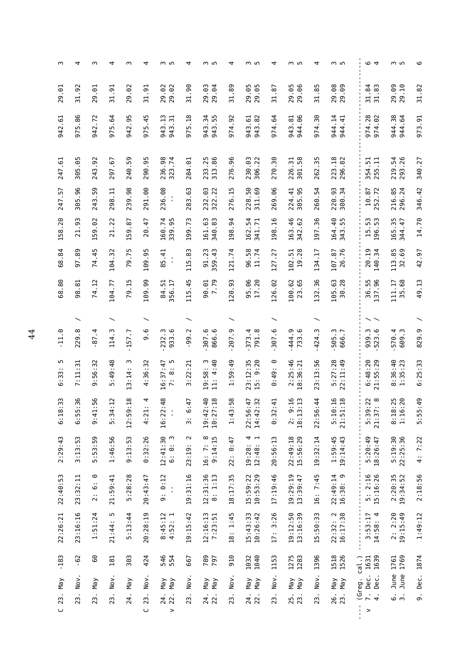| m                     | 4                     | w                                    | 4                     | w                                               | 4                      | ო ഥ                                                      | 4                                       | m in                                            | 4                                     | ო ഥ                               | 4                                    | ო ഥ                                       | 4                                  | m In                                      | <b>ب</b> م                                  | m in                                                       | 6                       |
|-----------------------|-----------------------|--------------------------------------|-----------------------|-------------------------------------------------|------------------------|----------------------------------------------------------|-----------------------------------------|-------------------------------------------------|---------------------------------------|-----------------------------------|--------------------------------------|-------------------------------------------|------------------------------------|-------------------------------------------|---------------------------------------------|------------------------------------------------------------|-------------------------|
| 29.01                 | 31.92                 | 29.01                                | 31.91                 | 29.02                                           | 31.91                  | 29.02<br>29.02                                           | 31.90                                   | 29.03<br>29.04                                  | 31.89                                 | 29.05<br>29.05                    | 31.87                                | 29.05<br>29.06                            | 31.85                              | 29.08<br>29.09                            | 31.84<br>31.83                              | 29.09<br>29.10                                             | 31.82                   |
| $\overline{6}$<br>942 | 5.86<br>57            | 942.72                               | 5.64<br>5             | 942.95                                          | 975.45                 | 943.13<br>$\overline{\phantom{0}}$<br>943.3              | 5.18<br>5                               | 943.34<br>943.55                                | 974.92                                | 943.82<br>943.61                  | 974.64                               | 944.06<br>943.81                          | 974.30                             | 944.14<br>944.41                          | 974.28<br>974.02                            | 944.38<br>944.64                                           | 973.91                  |
| $-61$<br>247          | 305.05                | .92<br>243                           | .67<br>297            | 240.59                                          | 290.95                 | 236.98<br>323.74                                         | 284.01                                  | 233.25<br>313.86                                | 276.96                                | 230.03<br>306.22                  | 270.30                               | 301.58<br>226.31                          | 35<br>262.                         | 223.18<br>296.82                          | 354.51<br>255.11                            | 219.54<br>293.26                                           | 340.27                  |
| -57<br>247            | .96<br>305            | 50<br>243                            | Ę<br>298              | .98<br>239                                      | 291.00                 | 236.08<br>$\blacksquare$<br>$\blacksquare$               | 283.63                                  | 232.03<br>322.22                                | 276.15                                | 228.50<br>.69<br>311              | 269.06                               | 305.95<br>224.41                          | 260.54                             | 220.93<br>300.34                          | 252.72<br>10.87                             | 216.85<br>296.24                                           | 346.42                  |
| .20<br>158            | 3<br>$\overline{c}$   | 159.02                               | 22<br>$\overline{21}$ | .87<br>59<br>$\overline{\phantom{0}}$           | 20.47                  | 160.74<br>339.95                                         | 199.73                                  | 161.63<br>340.83                                | 198.94                                | 54<br>341.71<br>162.              | 198.16                               | 163.46<br>342.62                          | 197.36                             | 164.40<br>343.55                          | S<br>53<br>15.<br>196.                      | 165.35<br>344.47                                           | 14.70                   |
| .84<br>68             | 97.89                 | 74.45                                | 104.32                | m<br>79.7                                       | ۱<br>109.9             | 11, 5.41<br>$\blacksquare$<br>$\blacksquare$<br>$\infty$ | w<br>ioo<br>Lo<br>ᅼ                     | 91.23<br>359.43                                 | 121.74                                | 96.58<br>11.74                    | 127.27                               | 19.28<br>102.51                           | 134.17                             | 26.76<br>107.87                           | 20.19<br>140.34                             | 113.85<br>32.69                                            | 42.97                   |
| 8.<br>68              | $\overline{8}$ .<br>8 | 74.12                                | 104.77                | $\frac{15}{1}$<br>54                            | 109.99                 | 84.51<br>356.17                                          | $-45$<br>115                            | 90.01<br>.79<br>$\overline{ }$                  | 120.93                                | 95.06<br>17.20                    | 126.02                               | 100.62<br>23.65                           | $\frac{36}{5}$<br>132              | 105.63<br>30.28                           | 137.96<br>36.55                             | 35.68<br>111.17                                            | 49.13                   |
|                       |                       |                                      |                       |                                                 |                        |                                                          |                                         |                                                 |                                       |                                   |                                      |                                           |                                    |                                           |                                             |                                                            |                         |
| ာ.<br>H               | 229.8                 | $-87.4$                              | C.<br>14              | $-157.7$                                        | <u>م</u> .<br>Φ        | 232.3<br>933.6                                           | .<br>د<br>99.                           | 307.6<br>866.6                                  | 207.9                                 | 791.8<br>373.4                    | 307.6                                | 444.9<br>733.6                            | $-424.3$                           | $\ddot{ }$ .<br>505.<br>666.              | 523.6<br>939.3                              | 570.4<br>609.3                                             | 829.9                   |
| m<br>33<br>.<br>ق     | 7:11:31               | 56:32<br>$\ddot{\phantom{1}}$<br>Ō   | : 49: 48<br>m         | w<br>$\ddotsc$<br>$\ddot{14}$<br>$\mathbf{L}^2$ | :36:32<br>4            | m<br>16:37:47<br>$\ddotsc$<br>$\infty$<br>$\ddot{\sim}$  | :22:21<br>m                             | $\frac{1}{1}$ $\frac{4}{1}$<br>19:58:<br>11: 4: | $\frac{1}{2}$<br>SQ<br>$\blacksquare$ | $: 12:35$<br>$: 9:20$<br>23<br>15 | ⊙<br>$\ddotsc$<br>$\frac{1}{2}$<br>⊙ | 2:25:46<br>18:36:21                       | $\frac{56}{ }$<br>$\ddot{1}$<br>23 | $5:27:28$<br>$22:11:49$                   | 6:48:20<br>21:55:29                         | 8:36:40<br>35:23<br>$\ddot{\phantom{0}}$<br>$\blacksquare$ | 6:25:33                 |
| 8:33<br>$\frac{1}{6}$ | 5:36<br>i.<br>6       | 1:56<br>9:4                          | 4:12<br>5:3           | 9:18<br>12:55                                   | 4<br>$\ddot{a}$<br>4:2 | 2:48<br>16:27<br>$\blacksquare$                          | 6:47<br>$\ddot{\phantom{0}}$<br>m       | 7:18<br>19:47<br>10:2                           | 3:58<br>1:4                           | 6:47<br>2:32<br>22:56<br>14:47    | 2:41<br>i<br>Si                      | 9:16<br>3:13<br>18:1<br>$\ddot{\tilde{}}$ | 6:44<br>22:50                      | $0:16$<br>$1:18$<br>$\frac{1}{2}$<br>31.5 | $9:22$<br>7:8<br>$\frac{3}{21}$<br>21<br>21 | $8:25$<br>$6:20$<br>$\frac{3}{2}$ . 1                      | 5:49<br>$\frac{5!}{5!}$ |
| 2:29:43               | 3:13:53               | 5:53:59                              | 1:46:56               | 9:13:53                                         | 0:32:26                | 12:41:30<br>m<br>6:0:                                    | $\sim$<br>$\ddot{\phantom{a}}$<br>23:19 | $\infty$<br>9:14:15<br>16: 7:                   | 0:47<br>22:                           | ₹ ⊣<br>19:28:<br>12:48:           | 20:56:13                             | 22:49:18<br>15:56:29                      | 19:32:14                           | 1:59:45<br>19:14:43                       | 5:20:49<br>18:26:47                         | 5:19:30<br>22:25:36                                        | 4: 7:22                 |
| 22:40:53              | 23:32:11              | ⊙<br>$\ddot{\circ}$<br>$\ddot{\sim}$ | 21:59:41              | 5:28:28                                         | 20:43:47               | 9: 0:12<br>$\blacksquare$<br>$\blacksquare$              | 19:31:16                                | 12:31:36<br>8: 1:13                             | 18:17:35                              | 15:59:22<br>10:53:29              | 17:19:46                             | 19:29:19<br>13:39:47                      | 16: 7:45                           | 22:49:14<br>16:38:9                       | 5: 2:16<br>15:16:26                         | 2:20:35<br>19:34:52                                        | 2:18:56                 |
| 22:26:21              | 23:16:16              | 1:51:24                              | m<br>21:44            | 5:13:44                                         | 20:28:19               | 8:45:12<br>$\overline{\phantom{0}}$<br>4:52:             | 19:15:42                                | 12:16:13<br>7:23:51                             | 1:45<br>$\frac{18}{1}$                | 15:43:33<br>10:26:42              | 3:26<br>17:                          | 19:12:50<br>13:16:39                      | 15:50:33                           | $\sim$<br>16:17:38<br>22:32:              | 4<br>3:53:17<br>14:58:                      | $2: 2:20$<br>$19:15:49$                                    | 1:49:12                 |
| 183<br>$\blacksquare$ | $-62$                 | 60                                   | 181                   | 303                                             | 424                    | 546<br>554                                               | 667                                     | 789<br>797                                      | 910                                   | 1040<br>1032                      | 1153                                 | 1275<br>1283                              | 1396                               | 1518<br>1526                              | 1639<br>$cal.$ )<br>1631                    | 1769<br>1761                                               | 1874                    |
| Nay                   | Nov                   | $Y$ e<br>M                           | Nov                   | Nay                                             | Nov                    | $Y$ eM<br>Nay                                            | Nov.                                    | Nay<br>$Y$ e $N$                                | Nov.                                  | Nay<br>Nay                        | Nov.                                 | $Y$ ay<br>$Y$ eM                          | Nov                                | Nay<br>Nay                                | 7. Dec.<br>Dec.<br>(Greg.                   | June<br>June                                               | Dec.                    |
| 23<br>$\cup$          | 23                    | 23.                                  | 23                    | 24.                                             | 23.<br>$\cup$          | 24.<br>22.<br>$\geq$                                     | $\cdot$<br>23                           | 22.<br>24.                                      | 23.                                   | 24.<br>22.                        | 23.                                  | 25.<br>23.                                | 23.                                | 23.<br>26.                                | $\ddot{ }$<br>$\frac{1}{1}$<br>$\,>\,$      | .<br>რ<br>რ                                                | $\overline{5}$          |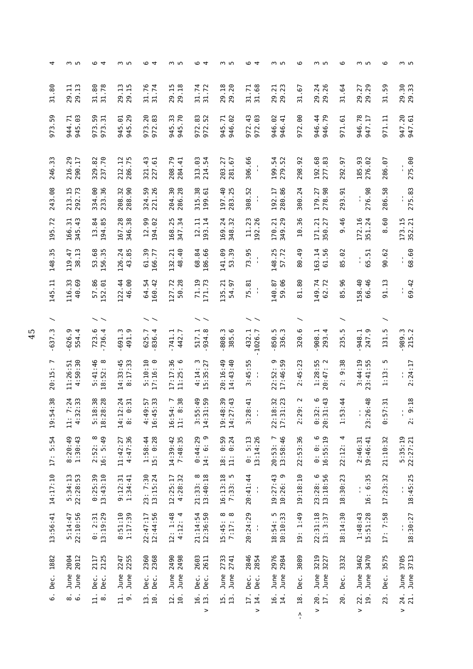| 4                        | ო ഥ                                | © 4                           | ო ഥ                                     | © 4                                  | ო ഥ                           | © 4                                | ო ഥ                                              | © 4                                        | ო ഥ                               | ڡ                                          | ო ഥ                                   | ڡ                                                     | ო ഥ                           | ڡ            | m In                               |
|--------------------------|------------------------------------|-------------------------------|-----------------------------------------|--------------------------------------|-------------------------------|------------------------------------|--------------------------------------------------|--------------------------------------------|-----------------------------------|--------------------------------------------|---------------------------------------|-------------------------------------------------------|-------------------------------|--------------|------------------------------------|
| 31.80                    | 29.11<br>29.13                     | 31.80<br>31.78                | 29.13                                   | 31.76<br>31.74                       | 29.15<br>29.18                | 31.74<br>31.72                     | 29.18<br>29.20                                   | 31.71<br>31.68                             | 29.21<br>29.23                    | 67<br>31.1                                 | 29.26<br>29.24                        | 31.64                                                 | 29.29<br>29.27                | 31.59        | 29.30                              |
| 59.<br>973               | 945.03<br>944.71                   | 973.59<br>973.3               | 945.01<br>945.29                        | 973.20<br>m<br>972.83                | 945.70<br>945.33              | 972.83<br>972.52                   | 946.02<br>945.71                                 | 972.43<br>972.03                           | 946.02<br>946.41                  | 972.00                                     | 946.79<br>946.44                      | 971.61                                                | 946.78<br>947.17              | 971.11       | 947.20<br>947.61                   |
| $\cdot$ 33<br>246        | 216.29<br>290.17                   | 329.82<br>237.70              | 212.12<br>286.75                        | 321.43<br>$-61$<br>227               | 208.79<br>284.41              | 313.03<br>214.54                   | 281.67<br>203.27                                 | 306.66<br>$\blacksquare$<br>$\blacksquare$ | 54<br>279.52<br>199.              | .92<br>298.                                | 192.68<br>277.83                      | 57<br>292                                             | 185.93<br>276.02              | 286.07       | 275.00                             |
| .88<br>243               | 213.15<br>292.73                   | 334.00<br>233.36              | 90.<br>208.32<br>288                    | 324.59<br>221.26                     | 204.30<br>286.28              | 315.38<br>199.61                   | 197.40<br>283.25                                 | 308.52<br>$\blacksquare$<br>$\blacksquare$ | 280.86<br>192.17                  | 300.24                                     | 278.98<br>179.27                      | $\ddot{6}$<br>293                                     | 276.98                        | 286.58       | 275.83                             |
| 195.72                   | 345.43<br>166.31                   | 13.84<br>194.85               | 167.28<br>346.38                        | 12.99<br>194.02                      | 168.25<br>347.34              | 12.11<br>193.14                    | 169.24<br>348.32                                 | 11.23<br>192.26                            | 349.29<br>170.21                  | 36<br>10.                                  | $\overline{21}$<br>27<br>350.<br>171. | 9.46                                                  | 172.16<br>351.24              | 8.60         | 173.15<br>352.21                   |
| $\frac{35}{5}$<br>148    | 38.13<br>119.47                    | 53.68<br>156.35               | 126.24<br>43.85                         | 61.39<br>166.77                      | 48.40<br>132.21               | 68.84<br>186.66                    | 141.09<br>53.39                                  | 73.95<br>$\mathbf{u}$<br>$\blacksquare$    | 148.25<br>57.72                   | .49<br>80                                  | 61.56<br>163.14                       | 5.02<br>$\infty$                                      | 5.51<br>t,<br>م               | 90.62        | 68.60<br>l,                        |
| 145.11                   | 116.33<br>.69<br>$\frac{1}{2}$     | 57.86<br>52.01                | 46.00<br>122.44                         | 64.54<br>160.42                      | 127.72<br>50.28               | 71.19<br>171.73                    | 135.21<br>54.97                                  | 75.81<br>$\mathbf{I}$                      | 59.06<br>140.87                   | 81.80                                      | 149.74<br>62.72                       | 85.96                                                 | 158.40<br>66.46               | 91.13        | 69.42<br>l,                        |
|                          |                                    |                               |                                         |                                      |                               |                                    |                                                  |                                            |                                   |                                            |                                       |                                                       |                               |              |                                    |
| m<br>$-637$              | 6.36.<br>554.4                     | 723.6<br>736.4                | $-691.3$<br>စ<br>491                    | 625.7<br>836.4                       | .741.1<br>442.7               | 934.8<br>517.1                     | 385.6<br>w<br>808                                | 432.1<br>1026.7                            | 850.5<br>336.3                    | 320.6                                      | 908.1<br>4<br>293                     | m<br>235                                              | 247.9<br>948.1                | 131.5        | $.989.3$<br>215.2                  |
| $\overline{ }$<br>20:15: | 4:50:30<br>11:26:51                | $\infty$<br>5:41:46<br>18:52: | $14:33:45$<br>8:17:33                   | 5:10:10<br>ෙ<br>17:16:               | 17:17:36<br>$\circ$<br>11:25: | $4:14:3$<br>15:35:27               | 14:43:40<br>20:16:49                             | $-55$<br>$\ddot{4}$<br>m                   | ာ တ<br>17:46:5<br>22:52:          | :45:23<br>$\sim$                           | $1:28:55$<br>$20:47:2$<br>20          | $\frac{38}{2}$<br>Θ<br>$\ddot{\phantom{0}}$<br>$\sim$ | 3:44:19<br>23:41:55           | m<br>1:13    | 2:24:17                            |
| 4:38<br>19:5             | 7:24<br>32:33<br>4:3<br>$\ddot{a}$ | 5:18:38<br>18:28:28           | 2:24<br>0:31<br>14:12<br>$\ddot{\circ}$ | 4:49:57<br>16:45:33<br>16:45         | $16:54:7$<br>$11:8:38$        | 5:49<br>1:59<br>$\frac{3}{14}$ : 3 | 19:48:39<br>1.43<br>$\overline{ }$<br>$14:2^{-}$ | 8:41<br>3:28<br>$\mathbf{r}$               | 22:18:32<br>17:31:23              | $\sim$<br>$\ddot{\phantom{1}}$<br>െ<br>2:2 | $2:43$<br>$1:43$<br>20:3<br>0:3       | 144<br>$\sim$<br>$\frac{1}{11}$                       | 6:48<br>23:26<br>$\mathbf{I}$ | 7:31<br>6:5  | 2: 9:18<br>I,                      |
| 5:54<br>$17$ :           | 8:20:49<br>1:30:43                 | $\infty$<br>16: 5:49<br>2:52: | 4:47:36<br>11:42:27                     | 1:58:44<br>15: 0:28                  | 14:39:42<br>7:48:35           | $0:44:29$<br>14: 6: 9              | 0:59<br>0:24<br>$\frac{1}{2}$<br>$\frac{18}{1}$  | $0: 5:13$<br>13:14:26                      | 13:58:46<br>L<br>20:53:           | 22:53:36                                   | $0: 0: 6$<br>16:55:19                 | 4<br>22:12                                            | 2:46:31<br>19:46:41           | 21:10:32     | 5:35:19<br>22:27:21                |
| 14:17:10                 | 5:34:13<br>22:28:53                | $0:25:39$<br>13:43:10         | $9:12:31$<br>$1:34:41$                  | 23: 7:30<br>13:15:24                 | 4:28:32<br>12:25:17           | $21:33:8$<br>$13:40:18$            | 16:13:18<br>LO <sub>1</sub><br>7:33:             | 20:41:44<br>$\frac{1}{1}$                  | $19:27:43$<br>$10:26:9$<br>10:26: | 19:18:10                                   | 23:28:6<br>13:18:56                   | 18:30:23                                              | 5<br>16: 6:3<br>٠<br>ı        | 17:23:32     | 18:45:25                           |
| 13:56:41                 | 5:14:47<br>22:10:56                | $0: 2:31$<br>13:19:29         | 8:51:10<br>1:17:39                      | 12:44:56<br>22:47:17                 | 12: 1:48<br>4:12:4            | 21:14:54<br>12:36:50               | $\infty$<br>$\infty$<br>7:17:<br>15:45:          | 20:24:29<br>J,                             | n w<br>10:10:3<br>18:54:          | 1:49<br>Ŀ,<br>$\overline{a}$               | 22:31:18<br>13: 3:37                  | 18:14:30                                              | 15:51:28<br>1:48:43           | 17: 7:58     | 18:30:27                           |
| 1882<br>Dec.             | 2004<br>2012<br>June<br>June       | 2125<br>2117<br>Dec.<br>Dec.  | 2247<br>2255<br>June<br>June            | 2360<br>2368<br>Dec.<br>Dec.         | 2490<br>2498<br>June<br>June  | 2603<br>2611<br>Dec.<br>Dec.       | 2733<br>2741<br>June<br>June                     | 2846<br>2854<br>Dec.<br>Dec.               | 2976<br>2984<br>June<br>June      | 3089<br>Dec.                               | 3219<br>3227<br>June<br>June          | 3332<br>Dec.                                          | 3462<br>3470<br>June<br>June  | 3575<br>Dec. | 3705<br>3713<br>June<br>June       |
| $\circ$                  | ∞ ဖ                                | $\vec{a}$<br>$\infty$         | $\overline{11}$ .<br>$\sigma$           | $\frac{3}{2}$ .<br>$\overline{10}$ . | 12.<br>10.                    | 16.<br>13.<br>>                    | 15.<br>$\mathbf{1}$                              | 17.<br>$\frac{4}{1}$<br>$\,$               | 16.<br>14.                        | $\frac{8}{10}$<br>۸                        | 20.<br>17.<br>$\mathbf{I}$            | 20.                                                   | 22.<br>19.<br>$\geq$          | 23           | 24.<br>$\overline{21}$ .<br>$\geq$ |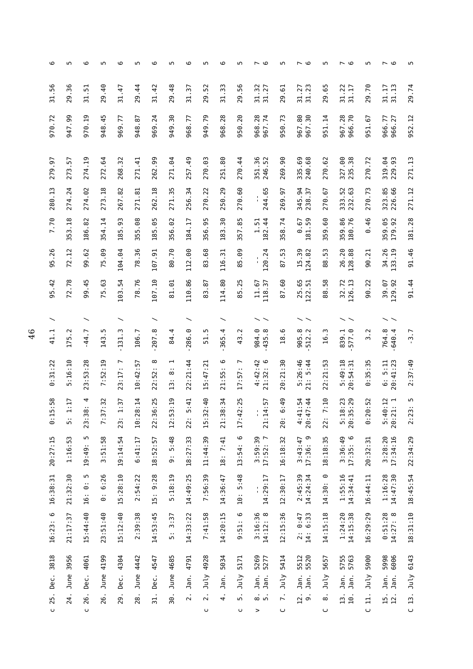| 6                     | м               | 6                     | Б                      | 6                    | ١            | 6                    | LN.                                                     | 6                       | ъ                              | ဖ                 | Б                   | ه ٦                                | LN.                                | ی ہ                                 | S                       | ی ۱                          | ъ                       | ە ~                                   | Б                      |
|-----------------------|-----------------|-----------------------|------------------------|----------------------|--------------|----------------------|---------------------------------------------------------|-------------------------|--------------------------------|-------------------|---------------------|------------------------------------|------------------------------------|-------------------------------------|-------------------------|------------------------------|-------------------------|---------------------------------------|------------------------|
| 31.56                 | 29.36           | 31.51                 | 29.40                  | 31.47                | 29.44        | 31.42                | 29.48                                                   | 31.37                   | 29.52                          | 31.33             | 29.56               | 31.32<br>31.27                     | 29.61                              | 31.27<br>31.23                      | 29.65                   | 31.22<br>31.17               | 29.70                   | 31.13<br>31.17                        | 29.74                  |
| 970.72                | 947.99          | 970.19                | 948.45                 | 969.77               | 948.87       | 969.24               | 949.30                                                  | 968.77                  | 949.79                         | 968.28            | 950.20              | 968.28<br>967.74                   | 950.73                             | 967.80<br>967.30                    | 951.14                  | 967.28<br>966.70             | 951.67                  | 966.27<br>966.77                      | 952.12                 |
| 279.97                | 273.57          | 274.19                | 272.64                 | 268.32               | 271.41       | 262.99               | 271.04                                                  | 257.49                  | 270.03                         | 251.80            | 270.44              | 351.36<br>246.52                   | 269.90                             | 240.68<br>335.69                    | 270.62                  | 327.00<br>235.38             | 270.72                  | 319.04<br>229.93                      | 271.13                 |
| 280.13                | 274.24          | 274.02                | 273.18                 | 267.82               | 271.81       | 262.18               | 271.35                                                  | 256.34                  | 270.22                         | 250.29            | 270.60              | 244.65<br>ı                        | 269.97                             | 345.94<br>238.37                    | 270.67                  | 333.52<br>232.63             | 270.73                  | 323.85<br>226.66                      | 271.12                 |
| 7.70                  | 353.18          | 186.82                | 354.14                 | 185.93               | 355.08       | 185.05               | 356.02                                                  | 184.17                  | 356.95                         | 183.30            | 357.85              | $\frac{1.51}{182.44}$              | 358.74                             | 181.59<br>0.67                      | 359.60                  | 359.86<br>180.76             | 0.46                    | 359.05<br>179.92                      | 181.28                 |
| 95.26                 | 72.12           | 99.62                 | 75.09                  | 104.04               | 78.36        | 107.91               | 80.70                                                   | 112.00                  | 83.68                          | 116.31            | 85.09               | 120.24<br>$\blacksquare$           | 87.53                              | 15.39<br>124.82                     | 88.53                   | 26.20<br>128.88              | 90.21                   | 34.26<br>133.19                       | 91.46                  |
| 95.42                 | 72.78           | 99.45                 | 75.63                  | 103.54               | 78.76        | 107.10               | 81.01                                                   | 110.86                  | 83.87                          | 114.80            | .25<br>83           | 118.37<br>11.67                    | 87.60                              | 25.65<br>122.51                     | 88.58                   | 32.72<br>126.13              | 90.22                   | 129.92<br>39.07                       | 91.44                  |
|                       |                 |                       |                        |                      |              |                      |                                                         |                         |                                |                   |                     |                                    |                                    |                                     |                         |                              |                         |                                       |                        |
| 41.1                  | 175.2           | $-44.7$               | 143.5                  | 131.3                | 106.7        | $-207.8$             | 84.4                                                    | 286.0                   | Ю<br>51                        | 365.4             | Σ.<br>$\frac{3}{4}$ | 984.0<br>435.8                     | 18.6                               | 905.8<br>512.2                      | 16.3                    | 839.1<br>577.0               | 3.2                     | 764.8<br>640.4                        | $-3.7$                 |
| 0:31:22               | :16:10<br>m     | 23:53:28              | 7:52:19                | 23:17: 7             | 10:42:57     | ∞<br>22:52:          | ⊣<br>$\infty$<br>$\ddot{\phantom{1}}$<br>$\mathbf{L}^3$ | 22:21:44                | 15:47:21                       | $\circ$<br>21:55: | 17:57:              | $4:42:42$<br>21:32:6               | 20:21:30                           | 5:26:46<br>21: 5:44                 | 22:21:53                | 5:49:18<br>20:54:31          | 35:35<br>$\ddot{\circ}$ | 20:41:23<br>6:5:11                    | 2:37:49                |
| 5:58<br>Ē.<br>$\circ$ | 1:17<br>٠.<br>Б | 23:38:4               | 7:32<br>7:3            | 1:37<br>$\sim$<br>23 | 10:28:14     | 22:36:25             | 3:19<br>12:5                                            | 5:41<br>22              | 15:32:40                       | 21:38:34          | 2:25<br>17:4        | 4:57<br>21:1<br>$\mathbf{r}_\perp$ | 6:49<br>$\ddot{\phantom{1}}$<br>20 | $4:41:54$<br>20:47:44               | 7:10<br>$\cdot$ .<br>22 | 5:18:23<br>20:35:29          | 0:52<br>0:2             | $5:40:12$<br>$20:21:1$                | LO<br>2:23:            |
| 20:27:15              | m<br>1:16:5     | m<br>19:49:           | :51:58<br>S            | 19:14:54             | 6:41:17      | 18:52:57             | 5:48<br>$\sim$<br>G                                     | 18:27:33                | 11:44:39                       | 18: 7:41          | 0<br>13:54:         | 3:59:39<br>17:52:7                 | 16:18:32                           | 17:36: 9<br>3:43:47                 | 18:18:35                | 3:36:49<br>$\circ$<br>17:35: | 20:32:31                | 3:28:20<br>17:34:16                   | 22:34:29               |
| 16:38:31              | 21:32:30        | m<br><br>စ<br><br>16: | 6:26<br>$\ddotsc$<br>⊙ | 15:28:10             | 2:54:22      | 9:28<br>$\ddot{5}$ : | : 18:19<br>LO <sub>1</sub>                              | 14:49:25                | 7:56:39                        | 14:36:47          | 5:48<br>10:         | 14:29:17<br>٠                      | 12:30:17                           | 2:45:39<br>14:24:34                 | ⊙<br>14:30:             | 1:55:16<br>14:34:41          | 16:44:11                | 1:16:28<br>14:47:30                   | 18:45:54               |
| 9<br>16:23:           | 21:17:37        | 15:44:40              | 23:51:40               | 15:12:40             | 2:39:38      | 14:53:45             | 3:37<br>$\ddotsc$<br>LN.                                | 14:33:22                | 7:41:58                        | 14:20:15          | 6<br>:51:<br>Θ      | 14:12:8<br>3:16:36                 | 12:15:36                           | 6:33<br>0:47<br>$\ddot{2}$ :<br>14: | 14:15:18                | $1:24:20$<br>$14:15:38$      | 16:29:29                | 0:51:28<br>$\infty$<br>14:27:         | 18:31:10               |
| 3818<br>Dec.          | 3956<br>June    | 4061<br>Dec.          | 4199<br>June           | 4304<br>Dec.         | 4442<br>June | 4547<br>Dec.         | 4685<br>June                                            | 4791<br>Jan.            | 4928<br>July                   | 5034<br>Jan.      | 5171<br>July        | 5269<br>5277<br>Jan.<br>Jan.       | 5414<br>July                       | 5520<br>5512<br>Jan.<br>Jan.        | 5657<br>July            | 5755<br>5763<br>Jan.<br>Jan. | 5900<br>July            | 5998<br>6006<br>Jan.<br>Jan.          | 6143<br>July           |
| 25.<br>ပ              | 24.             | 26.<br>$\cup$         | 26.                    | 29.                  | 28.          | $\frac{1}{2}$        | 30.                                                     | $\overline{\mathbf{c}}$ | $\overline{\mathbf{c}}$ .<br>O | $\dot{+}$         | $\ddot{\circ}$<br>ပ | $\dot{\circ}$ in<br>>              | $\ddot{\sim}$<br>$\cup$            | 12.<br>$\dot{\circ}$                | $\dot{\infty}$<br>ں     | 13.<br>10.                   | 급<br>$\cup$             | $\overline{15}$ .<br>$\overline{2}$ . | $\overline{13}$ .<br>C |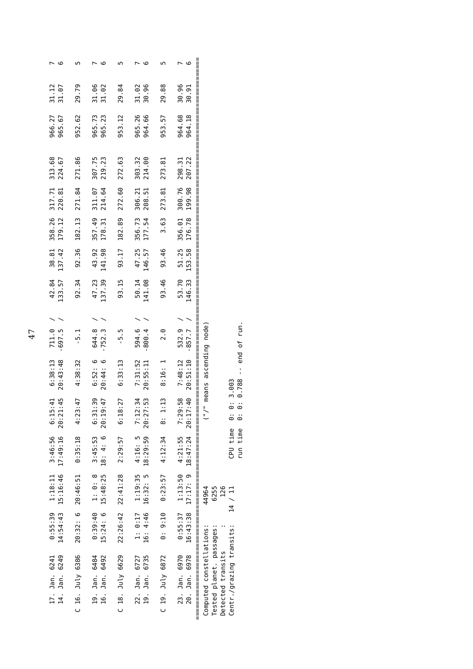| 31.06<br>29.84<br>31.02<br>30.96<br>31.02<br>965.26<br>965.73<br>953.12<br>964.66<br>965.23<br>272.63<br>214.00<br>307.75<br>219.23<br>303.32 |                                              |                            | ဖ<br>29.88<br>30.96<br>30.91<br>964.68<br>964.18<br>953.57<br>273.81<br>207.22<br>298.31 |                                                                                                      |
|-----------------------------------------------------------------------------------------------------------------------------------------------|----------------------------------------------|----------------------------|------------------------------------------------------------------------------------------|------------------------------------------------------------------------------------------------------|
| 311.07                                                                                                                                        | 272.60<br>214.64                             | 306.21<br>208.51           | 273.81<br>300.76<br>199.98                                                               | <br>  <br>                                                                                           |
| 182.13<br>179.12                                                                                                                              | 182.89<br>357.49<br>178.31                   | 356.73<br>177.54           | 3.63<br>176.78<br>356.01                                                                 |                                                                                                      |
| 92.36<br>137.42                                                                                                                               | 43.92<br>93.17<br>141.98                     | 47.25<br>146.57            | 93.46<br>51.25<br>153.58                                                                 |                                                                                                      |
| 92.34<br>133.57                                                                                                                               | 93.15<br>47.23<br>137.39                     | 50.14<br>141.08            | 93.46<br>53.70<br>146.33                                                                 | <br>  <br>  <br>  <br>                                                                               |
|                                                                                                                                               |                                              |                            |                                                                                          |                                                                                                      |
| $-697.5$<br>$-5.1$                                                                                                                            | $-752.3$<br>644.8<br>- 5 - 5                 | 594.6<br>$-800.4$          | $-857.7$<br>532.9<br>2.0                                                                 |                                                                                                      |
| 20:43:48<br>4:38:32                                                                                                                           | 20:44:6<br>6:52: 6<br>6:33:13                | 7:31:52<br>20:55:11        | 20:51:10<br>7:48:12<br>8:16: 1                                                           | $0.788 - -$ end of run.<br>("/" means ascending node)                                                |
| 4:23:47<br>21:45<br>20:2                                                                                                                      | 6:31:39<br>18:27<br>19:47<br>6:1<br>20:1     | 7:12:34<br>20:27:53        | 7:29:58<br>17:40<br>1:13<br>20:1<br>$\ddot{\circ}$                                       | 0:3.003<br><br>ම<br>║║<br>$\ddot{\circ}$<br>$\ddot{\circ}$                                           |
| 0:35:18<br>17:49:16                                                                                                                           | 3:45:53<br>2:29:57<br>18:4:6                 | 18:29:59<br>4:16: 5        | 4:21:55<br>4:12:34<br>18:47:24                                                           | CPU time<br>run time<br>  <br>  <br>  <br>                                                           |
| 15:16:46<br>20:46:51                                                                                                                          | $22:26:42$ $22:41:28$<br>15:48:25<br>1: 0: 8 | 1:19:35<br>16:32: 5        | 1:13:50<br>0:23:57<br>17:17: 9                                                           | <br>  <br>  <br>6255<br>126<br>44964<br>14 / 11                                                      |
| 20:32: 6<br>14:54:43                                                                                                                          | 0:39:40<br>15:24:6                           | 1: 0:17<br>16: 4:46        | 0: 9:10<br>0:55:37<br>16:43:38                                                           |                                                                                                      |
|                                                                                                                                               |                                              |                            |                                                                                          |                                                                                                      |
| 14. Jan. 6249                                                                                                                                 | 19. Jan. 6484<br>Jan. 6492                   | Jan. 6735<br>22. Jan. 6727 | 23. Jan. 6970<br>Jan. 6978                                                               |                                                                                                      |
| C 16. July 6386                                                                                                                               | C 18. July 6629<br>.<br>قا                   | .<br>19.                   | C 19. July 6872<br>$\frac{1}{20}$                                                        | Centr./grazing transits:<br>Tested planet. passages:<br>Computed constellations<br>Detected transits |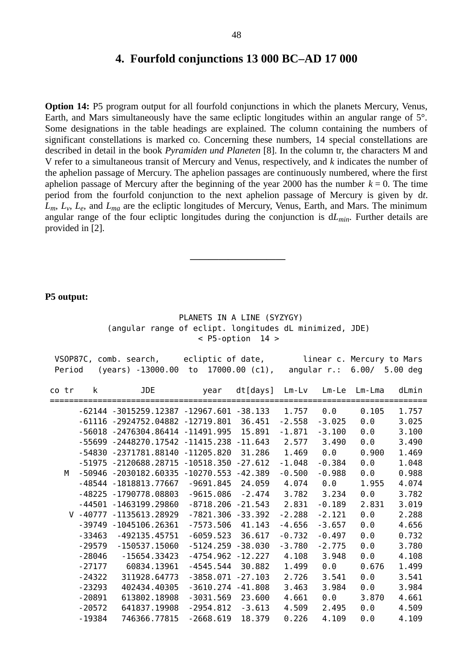#### **4. Fourfold conjunctions 13 000 BC‒AD 17 000**

**Option 14:** P5 program output for all fourfold conjunctions in which the planets Mercury, Venus, Earth, and Mars simultaneously have the same ecliptic longitudes within an angular range of 5°. Some designations in the table headings are explained. The column containing the numbers of significant constellations is marked co. Concerning these numbers, 14 special constellations are described in detail in the book *Pyramiden und Planeten* [8]. In the column tr, the characters M and V refer to a simultaneous transit of Mercury and Venus, respectively, and *k* indicates the number of the aphelion passage of Mercury. The aphelion passages are continuously numbered, where the first aphelion passage of Mercury after the beginning of the year 2000 has the number  $k = 0$ . The time period from the fourfold conjunction to the next aphelion passage of Mercury is given by d*t*. *Lm*, *L<sup>v</sup>* , *L<sup>e</sup>* , and *Lma* are the ecliptic longitudes of Mercury, Venus, Earth, and Mars. The minimum angular range of the four ecliptic longitudes during the conjunction is d*Lmin*. Further details are provided in [2].

#### **P5 output:**

 PLANETS IN A LINE (SYZYGY) (angular range of eclipt. longitudes dL minimized, JDE)  $<$  P5-option 14 >

 **――――――――――**

|        |          | VSOP87C, comb. search, ecliptic of date, |                      |                  |          |             |        | linear c. Mercury to Mars |
|--------|----------|------------------------------------------|----------------------|------------------|----------|-------------|--------|---------------------------|
| Period |          | (years) -13000.00                        | to                   | $17000.00$ (c1), |          | angular r.: | 6.00/  | 5.00 deg                  |
|        |          |                                          |                      |                  |          |             |        |                           |
| co tr  | k        | <b>JDE</b>                               | year                 | dt[days]         | $Lm-Lv$  | $Lm-Le$     | Lm-Lma | dLmin                     |
|        |          | -62144 -3015259.12387 -12967.601 -38.133 |                      |                  | 1.757    | 0.0         | 0.105  | 1.757                     |
|        |          | $-61116 - 2924752.04882 - 12719.801$     |                      | 36.451           | $-2.558$ | $-3.025$    | 0.0    | 3.025                     |
|        |          | -56018 -2476304.86414 -11491.995         |                      | 15.891           | $-1.871$ | $-3.100$    | 0.0    | 3.100                     |
|        |          | -55699 -2448270.17542 -11415.238         |                      | $-11.643$        | 2.577    | 3.490       | 0.0    | 3.490                     |
|        |          | -54830 -2371781.88140 -11205.820         |                      | 31.286           | 1.469    | 0.0         | 0.900  | 1.469                     |
|        |          | -51975 -2120688.28715 -10518.350         |                      | $-27.612$        | $-1.048$ | $-0.384$    | 0.0    | 1.048                     |
| M      |          | -50946 -2030182.60335 -10270.553         |                      | $-42.389$        | $-0.500$ | $-0.988$    | 0.0    | 0.988                     |
|        |          | -48544 -1818813.77667                    | $-9691.845$          | 24.059           | 4.074    | 0.0         | 1.955  | 4.074                     |
|        |          | -48225 -1790778.08803                    | $-9615.086$          | $-2.474$         | 3.782    | 3.234       | 0.0    | 3.782                     |
|        |          | -44501 -1463199.29860                    | $-8718.206 - 21.543$ |                  | 2.831    | $-0.189$    | 2.831  | 3.019                     |
|        |          | V -40777 -1135613.28929                  | $-7821.306 - 33.392$ |                  | $-2.288$ | $-2.121$    | 0.0    | 2.288                     |
|        |          | -39749 -1045106.26361                    | $-7573.506$          | 41.143           | $-4.656$ | $-3.657$    | 0.0    | 4.656                     |
|        | -33463   | $-492135.45751$                          | $-6059.523$          | 36.617           | $-0.732$ | $-0.497$    | 0.0    | 0.732                     |
|        | $-29579$ | $-150537.15060$                          | $-5124.259 - 38.030$ |                  | $-3.780$ | $-2.775$    | 0.0    | 3.780                     |
|        | $-28046$ | $-15654.33423$                           | $-4754.962$          | $-12.227$        | 4.108    | 3.948       | 0.0    | 4.108                     |
|        | $-27177$ | 60834.13961                              | $-4545.544$          | 30.882           | 1.499    | 0.0         | 0.676  | 1.499                     |
|        | $-24322$ | 311928.64773                             | $-3858.071 - 27.103$ |                  | 2.726    | 3.541       | 0.0    | 3.541                     |
|        | $-23293$ | 402434.40305                             | $-3610.274 - 41.808$ |                  | 3.463    | 3.984       | 0.0    | 3.984                     |
|        | $-20891$ | 613802.18908                             | $-3031.569$          | 23.600           | 4.661    | 0.0         | 3.870  | 4.661                     |
|        | $-20572$ | 641837.19908                             | $-2954.812$          | $-3.613$         | 4.509    | 2.495       | 0.0    | 4.509                     |
|        | $-19384$ | 746366.77815                             | $-2668.619$          | 18.379           | 0.226    | 4.109       | 0.0    | 4.109                     |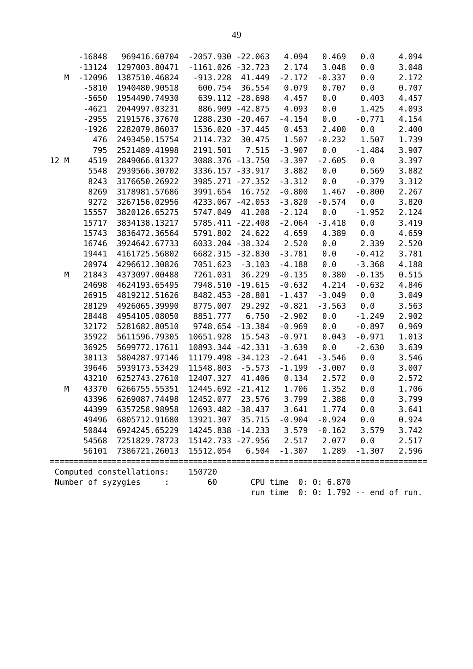|      | - 16848            | 969416.60704             | $-2057.930 -22.063$ |                 | 4.094                | 0.469               | 0.0                 | 4.094 |
|------|--------------------|--------------------------|---------------------|-----------------|----------------------|---------------------|---------------------|-------|
|      | $-13124$           | 1297003.80471            | $-1161.026 -32.723$ |                 | 2.174                | 3.048               | $\theta$ . $\theta$ | 3.048 |
| М    | $-12096$           | 1387510.46824            | $-913.228$          | 41.449          | $-2.172$             | $-0.337$            | $\theta$ . $\theta$ | 2.172 |
|      | $-5810$            | 1940480.90518            | 600.754             | 36.554          | 0.079                | 0.707               | 0.0                 | 0.707 |
|      | $-5650$            | 1954490.74930            |                     | 639.112 -28.698 | 4.457                | $\theta$ . $\theta$ | 0.403               | 4.457 |
|      | $-4621$            | 2044997.03231            |                     | 886.909 -42.875 | 4.093                | 0.0                 | 1.425               | 4.093 |
|      | $-2955$            | 2191576.37670            | 1288.230 -20.467    |                 | $-4.154$             | 0.0                 | $-0.771$            | 4.154 |
|      | $-1926$            | 2282079.86037            | 1536.020 -37.445    |                 | 0.453                | 2.400               | 0.0                 | 2.400 |
|      | 476                | 2493450.15754            | 2114.732            | 30.475          | 1.507                | $-0.232$            | 1.507               | 1.739 |
|      | 795                | 2521489.41998            | 2191.501            | 7.515           | $-3.907$             | $\theta$ . $\theta$ | $-1.484$            | 3.907 |
| 12 M | 4519               | 2849066.01327            | 3088.376 -13.750    |                 | $-3.397$             | $-2.605$            | $\theta$ . $\theta$ | 3.397 |
|      | 5548               | 2939566.30702            | 3336.157 - 33.917   |                 | 3.882                | $\theta$ . $\theta$ | 0.569               | 3.882 |
|      | 8243               | 3176650.26922            | 3985.271 -27.352    |                 | $-3.312$             | 0.0                 | $-0.379$            | 3.312 |
|      | 8269               | 3178981.57686            | 3991.654            | 16.752          | $-0.800$             | 1.467               | $-0.800$            | 2.267 |
|      | 9272               | 3267156.02956            | 4233.067 - 42.053   |                 | $-3.820$             | $-0.574$            | $\theta$ . $\theta$ | 3.820 |
|      | 15557              | 3820126.65275            | 5747.049            | 41.208          | $-2.124$             | 0.0                 | $-1.952$            | 2.124 |
|      | 15717              | 3834138.13217            | 5785.411 -22.408    |                 | $-2.064$             | $-3.418$            | $\theta$ . $\theta$ | 3.419 |
|      | 15743              | 3836472.36564            | 5791.802            | 24.622          | 4.659                | 4.389               | 0.0                 | 4.659 |
|      | 16746              | 3924642.67733            | 6033.204 -38.324    |                 | 2.520                | 0.0                 | 2.339               | 2.520 |
|      | 19441              | 4161725.56802            | 6682.315 -32.830    |                 | $-3.781$             | 0.0                 | $-0.412$            | 3.781 |
|      | 20974              | 4296612.30826            | 7051.623            | $-3.103$        | $-4.188$             | 0.0                 | $-3.368$            | 4.188 |
| М    | 21843              | 4373097.00488            | 7261.031            | 36.229          | $-0.135$             | 0.380               | $-0.135$            | 0.515 |
|      | 24698              | 4624193.65495            | 7948.510            | $-19.615$       | $-0.632$             | 4.214               | $-0.632$            | 4.846 |
|      | 26915              | 4819212.51626            | 8482.453 -28.801    |                 | $-1.437$             | $-3.049$            | 0.0                 | 3.049 |
|      | 28129              | 4926065.39990            | 8775.007            | 29.292          | $-0.821$             | $-3.563$            | $\theta$ . $\theta$ | 3.563 |
|      | 28448              | 4954105.08050            | 8851.777            | 6.750           | $-2.902$             | 0.0                 | $-1.249$            | 2.902 |
|      | 32172              | 5281682.80510            | 9748.654 -13.384    |                 | $-0.969$             | $\theta$ . $\theta$ | $-0.897$            | 0.969 |
|      | 35922              | 5611596.79305            | 10651.928           | 15.543          | $-0.971$             | 0.043               | $-0.971$            | 1.013 |
|      | 36925              | 5699772.17611            | 10893.344 -42.331   |                 | $-3.639$             | 0.0                 | $-2.630$            | 3.639 |
|      | 38113              | 5804287.97146            | 11179.498 - 34.123  |                 | $-2.641$             | $-3.546$            | $\theta$ . $\theta$ | 3.546 |
|      | 39646              | 5939173.53429            | 11548.803           | $-5.573$        | $-1.199$             | $-3.007$            | 0.0                 | 3.007 |
|      | 43210              | 6252743.27610            | 12407.327           | 41.406          | 0.134                | 2.572               | $\theta$ . $\theta$ | 2.572 |
| М    | 43370              | 6266755.55351            | 12445.692 - 21.412  |                 | 1.706                | 1.352               | 0.0                 | 1.706 |
|      | 43396              | 6269087.74498            | 12452.077           | 23.576          | 3.799                | 2.388               | 0.0                 | 3.799 |
|      | 44399              | 6357258.98958            | 12693.482 -38.437   |                 |                      | 3.641 1.774         | 0.0                 | 3.641 |
|      | 49496              | 6805712.91680            | 13921.307 35.715    |                 | $-0.904$             | $-0.924$            | 0.0                 | 0.924 |
|      | 50844              | 6924245.65229            | 14245.838 - 14.233  |                 | 3.579                | $-0.162$            | 3.579               | 3.742 |
|      | 54568              | 7251829.78723            | 15142.733 -27.956   |                 | 2.517                | 2.077               | 0.0                 | 2.517 |
|      | 56101              | 7386721.26013            | 15512.054           | 6.504           | $-1.307$             | 1.289               | $-1.307$            | 2.596 |
|      |                    |                          |                     |                 |                      |                     |                     |       |
|      |                    | Computed constellations: | 150720              |                 |                      |                     |                     |       |
|      | Number of syzygies |                          | 60                  |                 | CPU time 0: 0: 6.870 |                     |                     |       |

run time 0: 0: 1.792 -- end of run.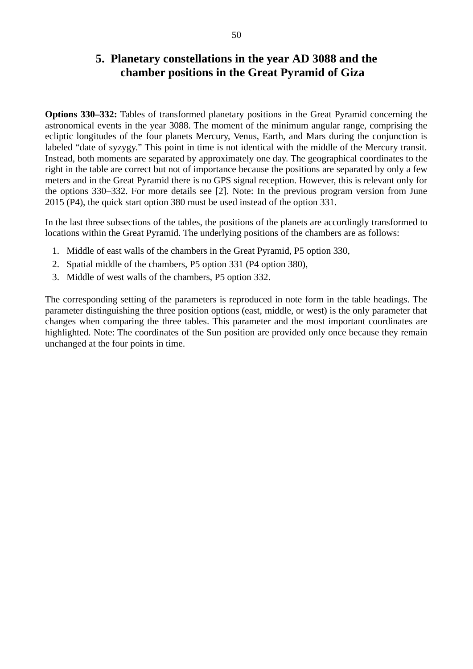#### **5. Planetary constellations in the year AD 3088 and the chamber positions in the Great Pyramid of Giza**

**Options 330‒332:** Tables of transformed planetary positions in the Great Pyramid concerning the astronomical events in the year 3088. The moment of the minimum angular range, comprising the ecliptic longitudes of the four planets Mercury, Venus, Earth, and Mars during the conjunction is labeled "date of syzygy." This point in time is not identical with the middle of the Mercury transit. Instead, both moments are separated by approximately one day. The geographical coordinates to the right in the table are correct but not of importance because the positions are separated by only a few meters and in the Great Pyramid there is no GPS signal reception. However, this is relevant only for the options 330–332. For more details see [2]. Note: In the previous program version from June 2015 (P4), the quick start option 380 must be used instead of the option 331.

In the last three subsections of the tables, the positions of the planets are accordingly transformed to locations within the Great Pyramid. The underlying positions of the chambers are as follows:

- 1. Middle of east walls of the chambers in the Great Pyramid, P5 option 330,
- 2. Spatial middle of the chambers, P5 option 331 (P4 option 380),
- 3. Middle of west walls of the chambers, P5 option 332.

The corresponding setting of the parameters is reproduced in note form in the table headings. The parameter distinguishing the three position options (east, middle, or west) is the only parameter that changes when comparing the three tables. This parameter and the most important coordinates are highlighted. Note: The coordinates of the Sun position are provided only once because they remain unchanged at the four points in time.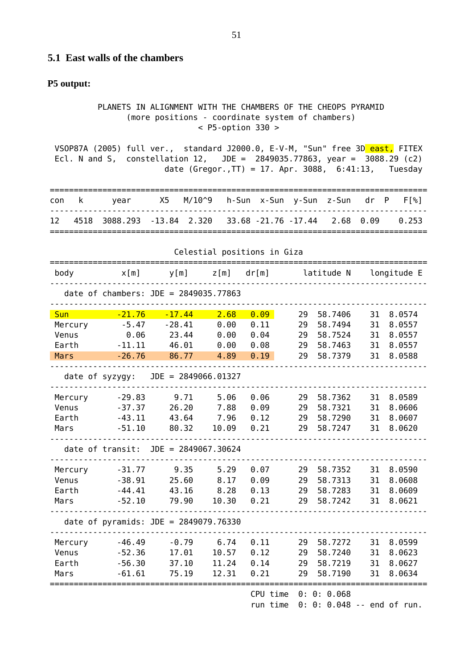#### **5.1 East walls of the chambers**

#### **P5 output:**

 PLANETS IN ALIGNMENT WITH THE CHAMBERS OF THE CHEOPS PYRAMID (more positions - coordinate system of chambers) < P5-option 330 >

VSOP87A (2005) full ver., standard J2000.0, E-V-M, "Sun" free 3D east, FITEX Ecl. N and S, constellation 12, JDE = 2849035.77863, year = 3088.29 (c2) date (Gregor.,TT) = 17. Apr. 3088, 6:41:13, Tuesday

|      | con k | vear                                                     |  | X5 M/10^9 h-Sun x-Sun y-Sun z-Sun dr P |  |  | FI%1  |
|------|-------|----------------------------------------------------------|--|----------------------------------------|--|--|-------|
| - 12 |       | 4518 3088.293 -13.84 2.320 33.68 -21.76 -17.44 2.68 0.09 |  |                                        |  |  | 0.253 |
|      |       |                                                          |  |                                        |  |  |       |

|            | Celestial positions in Giza |                                         |       |          |    |             |    |             |  |  |
|------------|-----------------------------|-----------------------------------------|-------|----------|----|-------------|----|-------------|--|--|
| body       | x[m]                        | y[m]                                    | z[m]  | dr[m]    |    | latitude N  |    | longitude E |  |  |
|            |                             | date of chambers: $JDE = 2849035.77863$ |       |          |    |             |    |             |  |  |
| <b>Sun</b> | $-21.76$                    | $-17.44$                                | 2.68  | 0.09     | 29 | 58.7406     | 31 | 8.0574      |  |  |
| Mercury    | $-5.47$                     | $-28.41$                                | 0.00  | 0.11     | 29 | 58.7494     | 31 | 8.0557      |  |  |
| Venus      | 0.06                        | 23.44                                   | 0.00  | 0.04     | 29 | 58.7524     | 31 | 8.0557      |  |  |
| Earth      | $-11.11$                    | 46.01                                   | 0.00  | 0.08     | 29 | 58.7463     | 31 | 8.0557      |  |  |
| Mars       | $-26.76$                    | 86.77                                   | 4.89  | 0.19     | 29 | 58.7379     | 31 | 8.0588      |  |  |
|            | date of syzygy:             | $JDE = 2849066.01327$                   |       |          |    |             |    |             |  |  |
| Mercury    | $-29.83$                    | 9.71                                    | 5.06  | 0.06     | 29 | 58.7362     | 31 | 8.0589      |  |  |
| Venus      | $-37.37$                    | 26.20                                   | 7.88  | 0.09     | 29 | 58.7321     | 31 | 8.0606      |  |  |
| Earth      | $-43.11$                    | 43.64                                   | 7.96  | 0.12     | 29 | 58.7290     | 31 | 8.0607      |  |  |
| Mars       | $-51.10$                    | 80.32                                   | 10.09 | 0.21     | 29 | 58.7247     | 31 | 8.0620      |  |  |
|            |                             | date of transit: $JDE = 2849067.30624$  |       |          |    |             |    |             |  |  |
| Mercury    | $-31.77$                    | 9.35                                    | 5.29  | 0.07     | 29 | 58.7352     | 31 | 8.0590      |  |  |
| Venus      | $-38.91$                    | 25.60                                   | 8.17  | 0.09     | 29 | 58.7313     | 31 | 8.0608      |  |  |
| Earth      | $-44.41$                    | 43.16                                   | 8.28  | 0.13     | 29 | 58.7283     | 31 | 8.0609      |  |  |
| Mars       | $-52.10$                    | 79.90                                   | 10.30 | 0.21     | 29 | 58.7242     | 31 | 8.0621      |  |  |
|            |                             | date of pyramids: $JDE = 2849079.76330$ |       |          |    |             |    |             |  |  |
| Mercury    | $-46.49$                    | $-0.79$                                 | 6.74  | 0.11     | 29 | 58.7272     | 31 | 8.0599      |  |  |
| Venus      | $-52.36$                    | 17.01                                   | 10.57 | 0.12     | 29 | 58.7240     | 31 | 8.0623      |  |  |
| Earth      | $-56.30$                    | 37.10                                   | 11.24 | 0.14     | 29 | 58.7219     | 31 | 8.0627      |  |  |
| Mars       | $-61.61$                    | 75.19                                   | 12.31 | 0.21     | 29 | 58.7190     | 31 | 8.0634      |  |  |
|            |                             |                                         |       | CPU time |    | 0: 0: 0.068 |    |             |  |  |

Celestial positions in Giza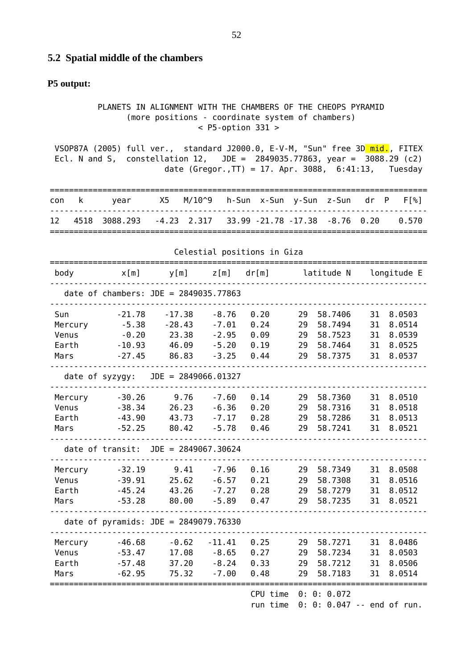#### **5.2 Spatial middle of the chambers**

#### **P5 output:**

 PLANETS IN ALIGNMENT WITH THE CHAMBERS OF THE CHEOPS PYRAMID (more positions - coordinate system of chambers) < P5-option 331 >

VSOP87A (2005) full ver., standard J2000.0, E-V-M, "Sun" free 3D mid., FITEX Ecl. N and S, constellation 12, JDE = 2849035.77863, year = 3088.29 (c2) date (Gregor.,TT) = 17. Apr. 3088, 6:41:13, Tuesday

|     | con k | vear          |  | X5 M/10^9 h-Sun x-Sun y-Sun z-Sun dr P |  |  | $FI$ % 1 |
|-----|-------|---------------|--|----------------------------------------|--|--|----------|
| -12 |       | 4518 3088.293 |  |                                        |  |  | 0.570    |
|     |       |               |  |                                        |  |  |          |

| body    | x[m]     |                                         | $y[m]$ $z[m]$ $dr[m]$ |          |    | latitude N  |    | longitude E |
|---------|----------|-----------------------------------------|-----------------------|----------|----|-------------|----|-------------|
|         |          | date of chambers: $JDE = 2849035.77863$ |                       |          |    |             |    |             |
| Sun     | $-21.78$ | $-17.38$                                | $-8.76$               | 0.20     | 29 | 58.7406     | 31 | 8.0503      |
| Mercury | $-5.38$  | $-28.43$                                | $-7.01$               | 0.24     | 29 | 58.7494     | 31 | 8.0514      |
| Venus   | $-0.20$  | 23.38                                   | $-2.95$               | 0.09     | 29 | 58.7523     | 31 | 8.0539      |
| Earth   | $-10.93$ | 46.09                                   | $-5.20$               | 0.19     | 29 | 58.7464     | 31 | 8.0525      |
| Mars    | $-27.45$ | 86.83                                   | $-3.25$               | 0.44     | 29 | 58.7375     | 31 | 8.0537      |
|         |          | date of syzygy: JDE = 2849066.01327     |                       |          |    |             |    |             |
| Mercury | $-30.26$ | 9.76                                    | $-7.60$               | 0.14     | 29 | 58.7360     | 31 | 8.0510      |
| Venus   | $-38.34$ | 26.23                                   | $-6.36$               | 0.20     | 29 | 58.7316     | 31 | 8.0518      |
| Earth   | $-43.90$ | 43.73                                   | $-7.17$               | 0.28     | 29 | 58.7286     | 31 | 8.0513      |
| Mars    | $-52.25$ | 80.42                                   | $-5.78$               | 0.46     | 29 | 58.7241     | 31 | 8.0521      |
|         |          | date of transit: $JDE = 2849067.30624$  |                       |          |    |             |    |             |
| Mercury | $-32.19$ | 9.41                                    | $-7.96$               | 0.16     | 29 | 58.7349     | 31 | 8.0508      |
| Venus   | $-39.91$ | 25.62                                   | $-6.57$               | 0.21     | 29 | 58.7308     | 31 | 8.0516      |
| Earth   | $-45.24$ | 43.26                                   | $-7.27$               | 0.28     | 29 | 58.7279     | 31 | 8.0512      |
| Mars    | $-53.28$ | 80.00                                   | $-5.89$               | 0.47     | 29 | 58.7235     | 31 | 8.0521      |
|         |          | date of pyramids: $JDE = 2849079.76330$ |                       |          |    |             |    |             |
| Mercury | $-46.68$ | $-0.62$                                 | $-11.41$              | 0.25     | 29 | 58.7271     | 31 | 8.0486      |
| Venus   | $-53.47$ | 17.08                                   | $-8.65$               | 0.27     | 29 | 58.7234     | 31 | 8.0503      |
| Earth   | $-57.48$ | 37.20                                   | $-8.24$               | 0.33     | 29 | 58.7212     | 31 | 8.0506      |
| Mars    | $-62.95$ | 75.32                                   | $-7.00$               | 0.48     | 29 | 58.7183     | 31 | 8.0514      |
|         |          |                                         |                       | CPU time |    | 0: 0: 0.072 |    |             |

Celestial positions in Giza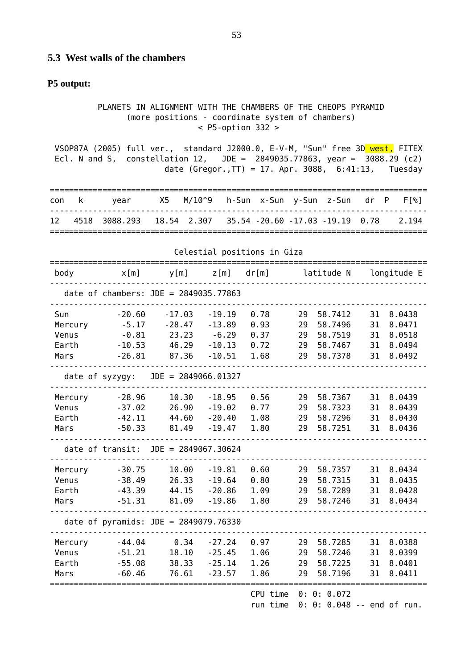#### **5.3 West walls of the chambers**

#### **P5 output:**

 PLANETS IN ALIGNMENT WITH THE CHAMBERS OF THE CHEOPS PYRAMID (more positions - coordinate system of chambers) < P5-option 332 >

VSOP87A (2005) full ver., standard J2000.0, E-V-M, "Sun" free 3D west, FITEX Ecl. N and S, constellation 12, JDE = 2849035.77863, year = 3088.29 (c2) date (Gregor.,TT) = 17. Apr. 3088, 6:41:13, Tuesday

|      | con k | vear                                                      |  | X5 M/10^9 h-Sun x-Sun y-Sun z-Sun dr P |  |  | $FI$ % 1 |
|------|-------|-----------------------------------------------------------|--|----------------------------------------|--|--|----------|
| - 12 |       | 4518 3088.293 18.54 2.307 35.54 -20.60 -17.03 -19.19 0.78 |  |                                        |  |  | 2.194    |
|      |       |                                                           |  |                                        |  |  |          |

| body                                     | x[m]                                                   | y[m]                                                                    | z[m]                                                    | dr[m]                                |                            | latitude N                                          |                            | longitude E                                    |
|------------------------------------------|--------------------------------------------------------|-------------------------------------------------------------------------|---------------------------------------------------------|--------------------------------------|----------------------------|-----------------------------------------------------|----------------------------|------------------------------------------------|
|                                          |                                                        | date of chambers: $JDE = 2849035.77863$                                 |                                                         |                                      |                            |                                                     |                            |                                                |
| Sun<br>Mercury<br>Venus<br>Earth<br>Mars | $-20.60$<br>$-5.17$<br>$-0.81$<br>$-10.53$<br>$-26.81$ | $-17.03$<br>$-28.47$<br>23.23<br>46.29<br>87.36                         | $-19.19$<br>$-13.89$<br>$-6.29$<br>$-10.13$<br>$-10.51$ | 0.78<br>0.93<br>0.37<br>0.72<br>1.68 | 29<br>29<br>29<br>29<br>29 | 58.7412<br>58.7496<br>58.7519<br>58.7467<br>58.7378 | 31<br>31<br>31<br>31<br>31 | 8.0438<br>8.0471<br>8.0518<br>8.0494<br>8.0492 |
| Mercury<br>Venus<br>Earth<br>Mars        | $-28.96$<br>$-37.02$<br>$-42.11$<br>$-50.33$           | date of syzygy: JDE = 2849066.01327<br>10.30<br>26.90<br>44.60<br>81.49 | $-18.95$<br>$-19.02$<br>$-20.40$<br>$-19.47$            | 0.56<br>0.77<br>1.08<br>1.80         | 29<br>29<br>29<br>29       | 58.7367<br>58.7323<br>58.7296<br>58.7251            | 31<br>31<br>31<br>31       | 8.0439<br>8.0439<br>8.0430<br>8.0436           |
|                                          |                                                        | date of transit: $JDE = 2849067.30624$                                  |                                                         |                                      |                            |                                                     |                            |                                                |
| Mercury<br>Venus<br>Earth<br>Mars        | $-30.75$<br>$-38.49$<br>$-43.39$<br>$-51.31$           | 10.00<br>26.33<br>44.15<br>81.09                                        | $-19.81$<br>$-19.64$<br>$-20.86$<br>$-19.86$            | 0.60<br>0.80<br>1.09<br>1.80         | 29<br>29<br>29<br>29       | 58.7357<br>58.7315<br>58.7289<br>58.7246            | 31<br>31<br>31<br>31       | 8.0434<br>8.0435<br>8.0428<br>8.0434           |
|                                          |                                                        | date of pyramids: JDE = 2849079.76330                                   |                                                         |                                      |                            |                                                     |                            |                                                |
| Mercury<br>Venus<br>Earth<br>Mars        | $-44.04$<br>$-51.21$<br>$-55.08$<br>$-60.46$           | 0.34<br>18.10<br>38.33<br>76.61                                         | $-27.24$<br>$-25.45$<br>$-25.14$<br>$-23.57$            | 0.97<br>1.06<br>1.26<br>1.86         | 29<br>29<br>29<br>29       | 58.7285<br>58.7246<br>58.7225<br>58.7196            | 31<br>31<br>31<br>31       | 8.0388<br>8.0399<br>8.0401<br>8.0411           |
|                                          |                                                        |                                                                         |                                                         | CPU time                             |                            | 0: 0: 0.072                                         |                            |                                                |

Celestial positions in Giza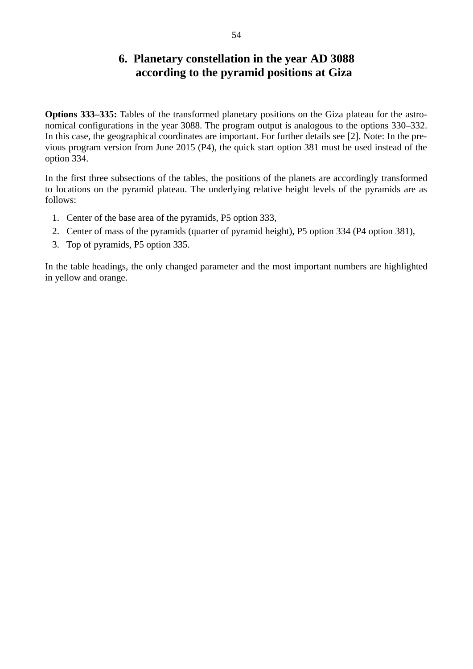#### **6. Planetary constellation in the year AD 3088 according to the pyramid positions at Giza**

**Options 333‒335:** Tables of the transformed planetary positions on the Giza plateau for the astronomical configurations in the year 3088. The program output is analogous to the options 330–332. In this case, the geographical coordinates are important. For further details see [2]. Note: In the previous program version from June 2015 (P4), the quick start option 381 must be used instead of the option 334.

In the first three subsections of the tables, the positions of the planets are accordingly transformed to locations on the pyramid plateau. The underlying relative height levels of the pyramids are as follows:

- 1. Center of the base area of the pyramids, P5 option 333,
- 2. Center of mass of the pyramids (quarter of pyramid height), P5 option 334 (P4 option 381),
- 3. Top of pyramids, P5 option 335.

In the table headings, the only changed parameter and the most important numbers are highlighted in yellow and orange.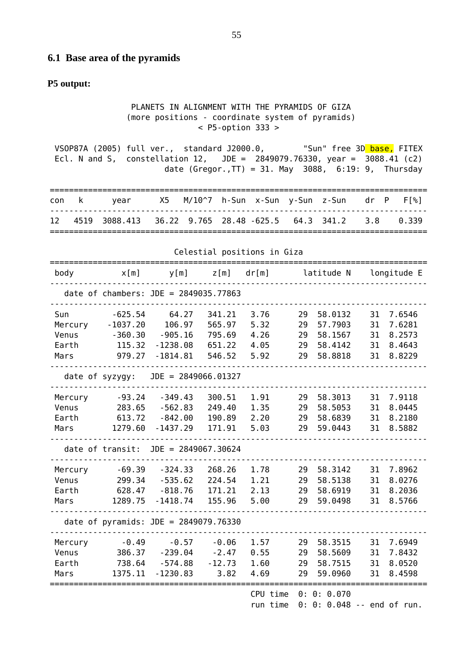#### **6.1 Base area of the pyramids**

#### **P5 output:**

 PLANETS IN ALIGNMENT WITH THE PYRAMIDS OF GIZA (more positions - coordinate system of pyramids) < P5-option 333 >

VSOP87A (2005) full ver., standard J2000.0, "Sun" free 3D base, FITEX Ecl. N and S, constellation 12, JDE = 2849079.76330, year = 3088.41 (c2) date (Gregor.,  $TT$ ) = 31. May 3088, 6:19: 9, Thursday

|      | con k | vear                                                               |  |  |  | X5    M/10^7    h-Sun    x-Sun    y-Sun     z-Sun        dr    P | $FI$ % 1 |
|------|-------|--------------------------------------------------------------------|--|--|--|------------------------------------------------------------------|----------|
| - 12 |       | . 4519 3088.413 36.22 9.765 28.48 -625.5  64.3 341.2   3.8   0.339 |  |  |  |                                                                  |          |
|      |       |                                                                    |  |  |  |                                                                  |          |

|                                   | Cetestial positions in Giza             |                                                   |                                        |                              |                      |                                          |                      |                                      |  |  |
|-----------------------------------|-----------------------------------------|---------------------------------------------------|----------------------------------------|------------------------------|----------------------|------------------------------------------|----------------------|--------------------------------------|--|--|
| body                              | x[m]                                    | y[m]                                              | Z[m]                                   | dr[m] latitude N             |                      |                                          |                      | longitude E                          |  |  |
|                                   |                                         | date of chambers: $JDE = 2849035.77863$           |                                        |                              |                      |                                          |                      |                                      |  |  |
| Sun<br>Mercury<br>Venus           | $-625.54$<br>$-1037.20$<br>$-360.30$    | 64.27<br>106.97<br>$-905.16$                      | 341.21<br>565.97<br>795.69             | 3.76<br>5.32<br>4.26         | 29<br>29<br>29       | 58.0132<br>57.7903<br>58.1567            | 31<br>31<br>31       | 7.6546<br>7.6281<br>8.2573           |  |  |
| Earth<br>Mars                     | 115.32<br>979.27                        | $-1238.08$<br>$-1814.81$                          | 651.22<br>546.52                       | 4.05<br>5.92                 | 29<br>29             | 58.4142<br>58.8818                       | 31<br>31             | 8.4643<br>8.8229                     |  |  |
|                                   | date of syzygy:                         | $JDE = 2849066.01327$                             |                                        |                              |                      |                                          |                      |                                      |  |  |
| Mercury<br>Venus<br>Earth<br>Mars | $-93.24$<br>283.65<br>613.72<br>1279.60 | $-349.43$<br>$-562.83$<br>$-842.00$<br>$-1437.29$ | 300.51<br>249.40<br>190.89<br>171.91   | 1.91<br>1.35<br>2.20<br>5.03 | 29<br>29<br>29<br>29 | 58.3013<br>58.5053<br>58.6839<br>59.0443 | 31<br>31<br>31<br>31 | 7.9118<br>8.0445<br>8.2180<br>8.5882 |  |  |
|                                   |                                         | date of transit: $JDE = 2849067.30624$            |                                        |                              |                      |                                          |                      |                                      |  |  |
| Mercury<br>Venus<br>Earth<br>Mars | $-69.39$<br>299.34<br>628.47<br>1289.75 | $-324.33$<br>$-535.62$<br>$-818.76$<br>$-1418.74$ | 268.26<br>224.54<br>171.21<br>155.96   | 1.78<br>1.21<br>2.13<br>5.00 | 29<br>29<br>29<br>29 | 58.3142<br>58.5138<br>58.6919<br>59.0498 | 31<br>31<br>31<br>31 | 7.8962<br>8.0276<br>8.2036<br>8.5766 |  |  |
|                                   |                                         | date of pyramids: $JDE = 2849079.76330$           |                                        |                              |                      |                                          |                      |                                      |  |  |
| Mercury<br>Venus<br>Earth<br>Mars | $-0.49$<br>386.37<br>738.64<br>1375.11  | $-0.57$<br>$-239.04$<br>$-574.88$<br>$-1230.83$   | $-0.06$<br>$-2.47$<br>$-12.73$<br>3.82 | 1.57<br>0.55<br>1.60<br>4.69 | 29<br>29<br>29<br>29 | 58.3515<br>58.5609<br>58.7515<br>59.0960 | 31<br>31<br>31<br>31 | 7.6949<br>7.8432<br>8.0520<br>8.4598 |  |  |
|                                   |                                         |                                                   |                                        | CPU time                     |                      | 0: 0: 0.070                              |                      |                                      |  |  |

Celestial positions in Giza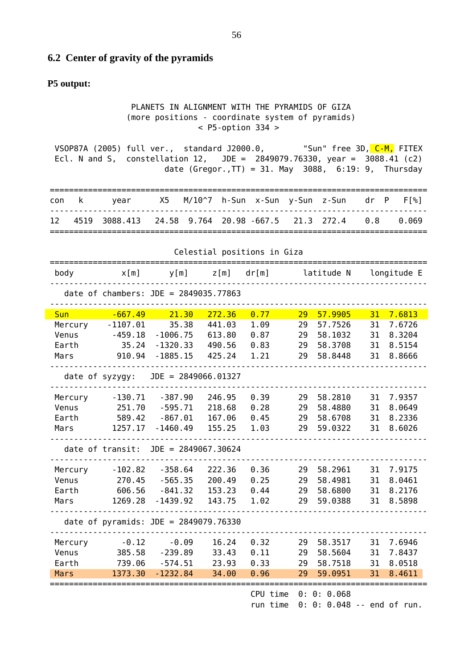#### **6.2 Center of gravity of the pyramids**

#### **P5 output:**

 PLANETS IN ALIGNMENT WITH THE PYRAMIDS OF GIZA (more positions - coordinate system of pyramids) < P5-option 334 >

VSOP87A (2005) full ver., standard J2000.0, "Sun" free 3D, C-M, FITEX Ecl. N and S, constellation 12, JDE = 2849079.76330, year = 3088.41 (c2) date (Gregor.,  $TT$ ) = 31. May 3088, 6:19: 9, Thursday

|  | con k vear                                                     |  |  |  | X5     M/10^7    h-Sun    x-Sun    y-Sun     z-Sun        dr    P     F[%] |
|--|----------------------------------------------------------------|--|--|--|----------------------------------------------------------------------------|
|  | 12 4519 3088.413 24.58 9.764 20.98 -667.5 21.3 272.4 0.8 0.069 |  |  |  |                                                                            |
|  |                                                                |  |  |  |                                                                            |

| Celestial positions in Giza |                 |                                         |         |                            |    |            |    |             |  |
|-----------------------------|-----------------|-----------------------------------------|---------|----------------------------|----|------------|----|-------------|--|
| body                        | x[m]            | y[m]                                    | z [ m ] | dr[m]                      |    | latitude N |    | longitude E |  |
|                             |                 | date of chambers: $JDE = 2849035.77863$ |         |                            |    |            |    |             |  |
| <b>Sun</b>                  | $-667.49$       | 21.30                                   | 272.36  | 0.77                       | 29 | 57.9905    | 31 | 7.6813      |  |
| Mercury                     | $-1107.01$      | 35.38                                   | 441.03  | 1.09                       | 29 | 57.7526    | 31 | 7.6726      |  |
| Venus                       | $-459.18$       | $-1006.75$                              | 613.80  | 0.87                       | 29 | 58.1032    | 31 | 8.3204      |  |
| Earth                       | 35.24           | $-1320.33$                              | 490.56  | 0.83                       | 29 | 58.3708    | 31 | 8.5154      |  |
| Mars                        | 910.94          | $-1885.15$                              | 425.24  | 1.21                       | 29 | 58.8448    | 31 | 8.8666      |  |
|                             | date of syzygy: | $JDE = 2849066.01327$                   |         |                            |    |            |    |             |  |
| Mercury                     | $-130.71$       | $-387.90$                               | 246.95  | 0.39                       | 29 | 58.2810    | 31 | 7.9357      |  |
| Venus                       | 251.70          | $-595.71$                               | 218.68  | 0.28                       | 29 | 58.4880    | 31 | 8.0649      |  |
| Earth                       | 589.42          | $-867.01$                               | 167.06  | 0.45                       | 29 | 58.6708    | 31 | 8.2336      |  |
| Mars                        | 1257.17         | $-1460.49$                              | 155.25  | 1.03                       | 29 | 59.0322    | 31 | 8.6026      |  |
|                             |                 | date of transit: $JDE = 2849067.30624$  |         |                            |    |            |    |             |  |
| Mercury                     | $-102.82$       | $-358.64$                               | 222.36  | 0.36                       | 29 | 58.2961    | 31 | 7.9175      |  |
| Venus                       | 270.45          | $-565.35$                               | 200.49  | 0.25                       | 29 | 58.4981    | 31 | 8.0461      |  |
| Earth                       | 606.56          | $-841.32$                               | 153.23  | 0.44                       | 29 | 58.6800    | 31 | 8.2176      |  |
| Mars                        | 1269.28         | $-1439.92$                              | 143.75  | 1.02                       | 29 | 59.0388    | 31 | 8.5898      |  |
|                             |                 | date of pyramids: JDE = 2849079.76330   |         |                            |    |            |    |             |  |
| Mercury                     | $-0.12$         | $-0.09$                                 | 16.24   | 0.32                       | 29 | 58.3517    | 31 | 7.6946      |  |
| Venus                       | 385.58          | $-239.89$                               | 33.43   | 0.11                       | 29 | 58.5604    | 31 | 7.8437      |  |
| Earth                       | 739.06          | $-574.51$                               | 23.93   | 0.33                       | 29 | 58.7518    | 31 | 8.0518      |  |
| Mars                        | 1373.30         | $-1232.84$                              | 34.00   | 0.96                       | 29 | 59.0951    | 31 | 8.4611      |  |
|                             |                 |                                         |         | $CDII + imA = 0.0.0$ $DC0$ |    |            |    |             |  |

Celestial positions in Giza

CPU time 0: 0: 0.068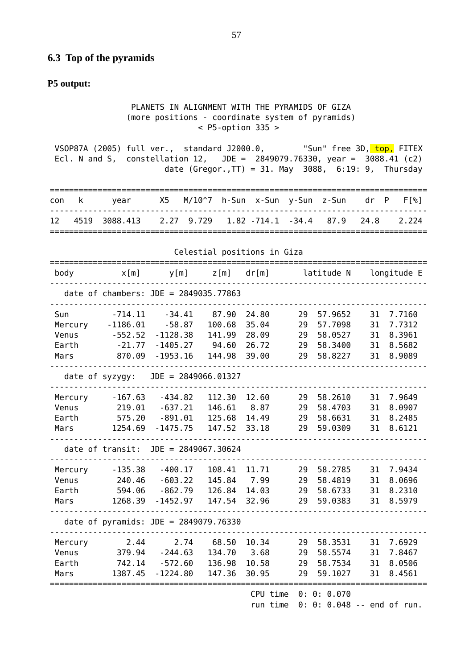#### **6.3 Top of the pyramids**

#### **P5 output:**

 PLANETS IN ALIGNMENT WITH THE PYRAMIDS OF GIZA (more positions - coordinate system of pyramids) < P5-option 335 >

VSOP87A (2005) full ver., standard J2000.0, "Sun" free 3D, top, FITEX Ecl. N and S, constellation 12, JDE = 2849079.76330, year = 3088.41 (c2) date (Gregor.,  $TT$ ) = 31. May 3088, 6:19: 9, Thursday

|      | con k | vear                                                       |  |  |  | X5 M/10^7 h-Sun x-Sun y-Sun z-Sun dr P | F <sub>[%]</sub> |
|------|-------|------------------------------------------------------------|--|--|--|----------------------------------------|------------------|
| - 12 |       | 4519 3088.413 2.27 9.729 1.82 -714.1 -34.4 87.9 24.8 2.224 |  |  |  |                                        |                  |
|      |       |                                                            |  |  |  |                                        |                  |

|         | Ceresiidi positions in oizd |                                         |        |                  |    |             |    |             |  |  |
|---------|-----------------------------|-----------------------------------------|--------|------------------|----|-------------|----|-------------|--|--|
| body    | x[m]                        | y[m]                                    | Z[m]   | dr[m] latitude N |    |             |    | longitude E |  |  |
|         |                             | date of chambers: $JDE = 2849035.77863$ |        |                  |    |             |    |             |  |  |
| Sun     | $-714.11$                   | $-34.41$                                | 87.90  | 24.80            | 29 | 57.9652     | 31 | 7.7160      |  |  |
| Mercury | $-1186.01$                  | $-58.87$                                | 100.68 | 35.04            | 29 | 57.7098     | 31 | 7.7312      |  |  |
| Venus   | $-552.52$                   | $-1128.38$                              | 141.99 | 28.09            | 29 | 58.0527     | 31 | 8.3961      |  |  |
| Earth   | $-21.77$                    | $-1405.27$                              | 94.60  | 26.72            | 29 | 58.3400     | 31 | 8.5682      |  |  |
| Mars    | 870.09                      | $-1953.16$                              | 144.98 | 39.00            | 29 | 58.8227     | 31 | 8.9089      |  |  |
|         | date of syzygy:             | $JDE = 2849066.01327$                   |        |                  |    |             |    |             |  |  |
| Mercury | $-167.63$                   | $-434.82$                               | 112.30 | 12.60            | 29 | 58.2610     | 31 | 7.9649      |  |  |
| Venus   | 219.01                      | $-637.21$                               | 146.61 | 8.87             | 29 | 58.4703     | 31 | 8.0907      |  |  |
| Earth   | 575.20                      | $-891.01$                               | 125.68 | 14.49            | 29 | 58.6631     | 31 | 8.2485      |  |  |
| Mars    | 1254.69                     | $-1475.75$                              | 147.52 | 33.18            | 29 | 59.0309     | 31 | 8.6121      |  |  |
|         |                             | date of transit: $JDE = 2849067.30624$  |        |                  |    |             |    |             |  |  |
| Mercury | $-135.38$                   | $-400.17$                               | 108.41 | 11.71            | 29 | 58.2785     | 31 | 7.9434      |  |  |
| Venus   | 240.46                      | $-603.22$                               | 145.84 | 7.99             | 29 | 58.4819     | 31 | 8.0696      |  |  |
| Earth   | 594.06                      | $-862.79$                               | 126.84 | 14.03            | 29 | 58.6733     | 31 | 8.2310      |  |  |
| Mars    | 1268.39                     | $-1452.97$                              | 147.54 | 32.96            | 29 | 59.0383     | 31 | 8.5979      |  |  |
|         |                             | date of pyramids: $JDE = 2849079.76330$ |        |                  |    |             |    |             |  |  |
| Mercury | 2.44                        | 2.74                                    | 68.50  | 10.34            | 29 | 58.3531     | 31 | 7.6929      |  |  |
| Venus   | 379.94                      | $-244.63$                               | 134.70 | 3.68             | 29 | 58.5574     | 31 | 7.8467      |  |  |
| Earth   | 742.14                      | $-572.60$                               | 136.98 | 10.58            | 29 | 58.7534     | 31 | 8.0506      |  |  |
| Mars    | 1387.45                     | $-1224.80$                              | 147.36 | 30.95            | 29 | 59.1027     | 31 | 8.4561      |  |  |
|         |                             |                                         |        | CPU time         |    | 0: 0: 0.070 |    |             |  |  |

Celestial positions in Giza